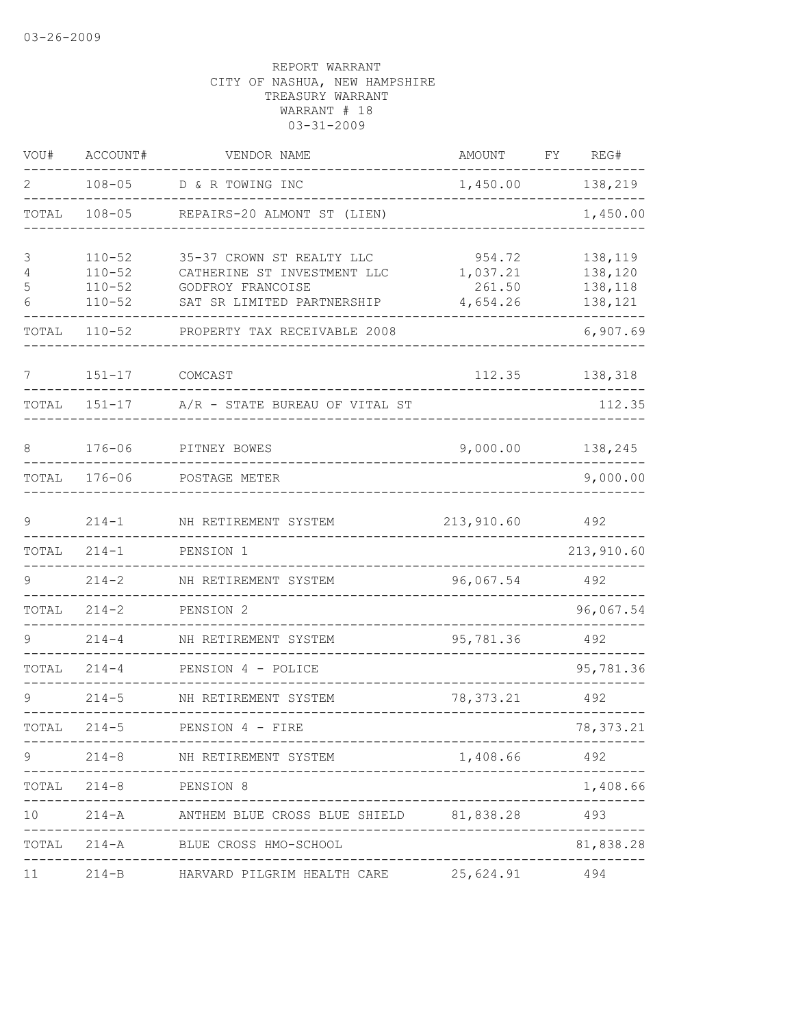| VOU#            | ACCOUNT#                             | VENDOR NAME                                              | AMOUNT             | FY<br>REG#         |
|-----------------|--------------------------------------|----------------------------------------------------------|--------------------|--------------------|
| 2               | $108 - 05$                           | D & R TOWING INC                                         | 1,450.00           | 138,219            |
| TOTAL           | $108 - 05$                           | REPAIRS-20 ALMONT ST (LIEN)                              |                    | 1,450.00           |
| 3<br>4          | $110 - 52$<br>$110 - 52$             | 35-37 CROWN ST REALTY LLC<br>CATHERINE ST INVESTMENT LLC | 954.72<br>1,037.21 | 138,119<br>138,120 |
| 5<br>6          | $110 - 52$<br>$110 - 52$             | GODFROY FRANCOISE<br>SAT SR LIMITED PARTNERSHIP          | 261.50<br>4,654.26 | 138,118<br>138,121 |
| TOTAL           | $110 - 52$                           | PROPERTY TAX RECEIVABLE 2008                             |                    | 6,907.69           |
| 7               | $151 - 17$                           | COMCAST                                                  | 112.35             | 138,318            |
| TOTAL           | $151 - 17$                           | A/R - STATE BUREAU OF VITAL ST                           |                    | 112.35             |
| 8               | $176 - 06$                           | PITNEY BOWES                                             | 9,000.00           | 138,245            |
| TOTAL           | $176 - 06$                           | POSTAGE METER                                            |                    | 9,000.00           |
| 9               | $214 - 1$                            | NH RETIREMENT SYSTEM                                     | 213,910.60         | 492                |
| TOTAL           | $214 - 1$                            | PENSION 1                                                |                    | 213,910.60         |
| 9               | $214 - 2$                            | NH RETIREMENT SYSTEM                                     | 96,067.54          | 492                |
| TOTAL           | $214 - 2$                            | PENSION 2                                                |                    | 96,067.54          |
|                 | $214 - 4$                            | NH RETIREMENT SYSTEM                                     | 95,781.36          | 492                |
| TOTAL           | $214 - 4$                            | PENSION 4 - POLICE                                       |                    | 95,781.36          |
| $\circ$         | $214 - 5$                            | NH RETIREMENT SYSTEM                                     | 78, 373. 21        | 492                |
| TOTAL           | $214 - 5$                            | PENSION 4 - FIRE                                         |                    | 78, 373.21         |
| 9               |                                      | 214-8 NH RETIREMENT SYSTEM                               | 1,408.66 492       |                    |
|                 | TOTAL 214-8 PENSION 8<br>----------- | __________________________________                       |                    | 1,408.66           |
| 10 <sup>°</sup> |                                      | 214-A ANTHEM BLUE CROSS BLUE SHIELD 81,838.28            |                    | 493                |
|                 |                                      | TOTAL 214-A BLUE CROSS HMO-SCHOOL                        |                    | 81,838.28          |
|                 |                                      |                                                          |                    |                    |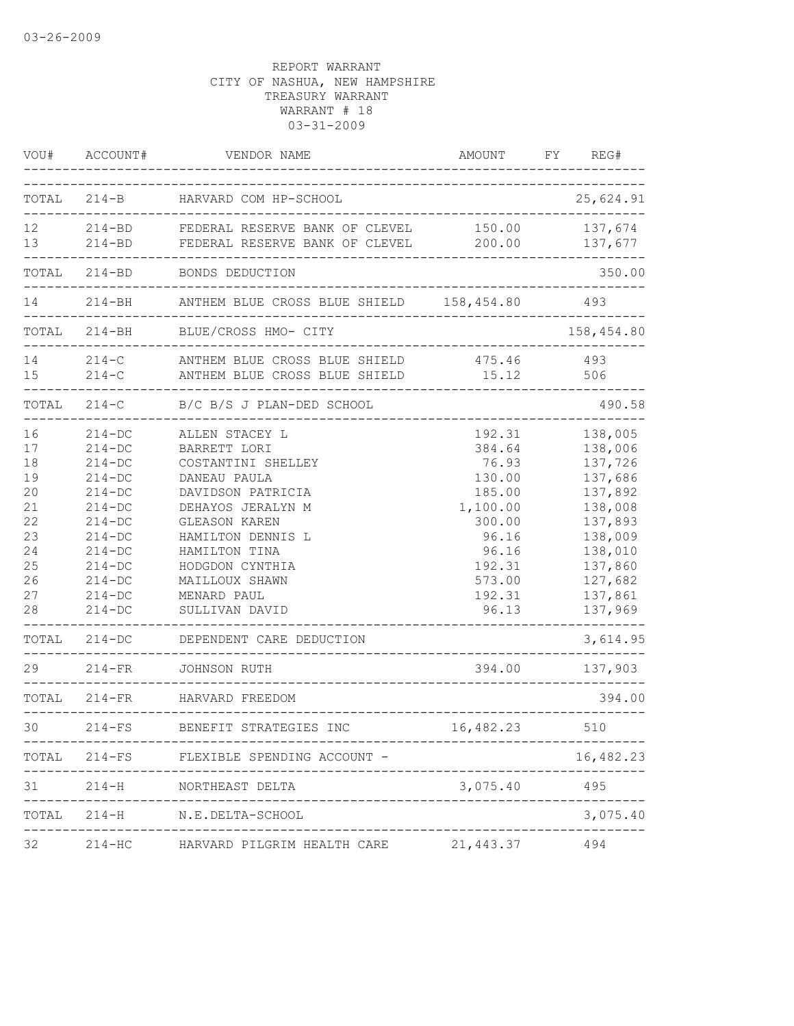| VOU#  | ACCOUNT#     | VENDOR NAME                                                                | AMOUNT                               | REG#<br>FY     |
|-------|--------------|----------------------------------------------------------------------------|--------------------------------------|----------------|
|       |              | TOTAL 214-B HARVARD COM HP-SCHOOL                                          |                                      | 25,624.91      |
| 12    |              | 214-BD FEDERAL RESERVE BANK OF CLEVEL 150.00 137,674                       |                                      |                |
| 13    |              | 214-BD FEDERAL RESERVE BANK OF CLEVEL 200.00                               |                                      | 137,677        |
| TOTAL | $214 - BD$   | BONDS DEDUCTION                                                            |                                      | 350.00         |
|       |              | 214-BH ANTHEM BLUE CROSS BLUE SHIELD 158,454.80<br>----------------------- |                                      | 493            |
|       | TOTAL 214-BH | BLUE/CROSS HMO- CITY                                                       | ------------------------------       | 158,454.80     |
| 14 \, |              | 214-C ANTHEM BLUE CROSS BLUE SHIELD 475.46 493                             |                                      |                |
| 15    |              | 214-C ANTHEM BLUE CROSS BLUE SHIELD 15.12                                  |                                      | 506            |
|       |              | TOTAL 214-C B/C B/S J PLAN-DED SCHOOL                                      | ----------------------------------   | 490.58         |
| 16    | $214 - DC$   | ALLEN STACEY L                                                             | 192.31                               | 138,005        |
| 17    | $214 - DC$   | BARRETT LORI                                                               | 384.64                               | 138,006        |
| 18    | $214 - DC$   | COSTANTINI SHELLEY                                                         | 76.93                                | 137,726        |
| 19    | $214-DC$     | DANEAU PAULA                                                               | 130.00                               | 137,686        |
| 20    | $214-DC$     | DAVIDSON PATRICIA                                                          | 185.00                               | 137,892        |
| 21    | $214-DC$     | DEHAYOS JERALYN M                                                          | 1,100.00                             | 138,008        |
| 22    | $214-DC$     | <b>GLEASON KAREN</b>                                                       | 300.00                               | 137,893        |
| 23    | $214-DC$     | HAMILTON DENNIS L                                                          | 96.16                                | 138,009        |
| 24    | $214 - DC$   | HAMILTON TINA                                                              | 96.16                                | 138,010        |
| 25    | $214-DC$     | HODGDON CYNTHIA                                                            | 192.31                               | 137,860        |
| 26    | $214-DC$     | MAILLOUX SHAWN                                                             | 573.00                               | 127,682        |
| 27    | $214-DC$     | MENARD PAUL                                                                | 192.31                               | 137,861        |
| 28    | $214 - DC$   | SULLIVAN DAVID                                                             | 96.13                                | 137,969        |
|       |              |                                                                            |                                      |                |
|       |              | TOTAL 214-DC DEPENDENT CARE DEDUCTION<br>--------------------------------  |                                      | 3,614.95       |
|       |              | 29 214-FR JOHNSON RUTH                                                     |                                      | 394.00 137,903 |
|       |              | TOTAL 214-FR HARVARD FREEDOM                                               |                                      | 394.00         |
| 30 —  |              | 214-FS BENEFIT STRATEGIES INC                                              | 16,482.23                            | 510            |
|       |              | TOTAL 214-FS FLEXIBLE SPENDING ACCOUNT -                                   |                                      | 16,482.23      |
| 31    | $214 - H$    | NORTHEAST DELTA<br>----------------------------------                      | 3,075.40                             | 495            |
|       |              | TOTAL 214-H N.E.DELTA-SCHOOL                                               | ------------------------------------ | 3,075.40       |
| 32    | $214 - HC$   | HARVARD PILGRIM HEALTH CARE 21,443.37                                      |                                      | 494            |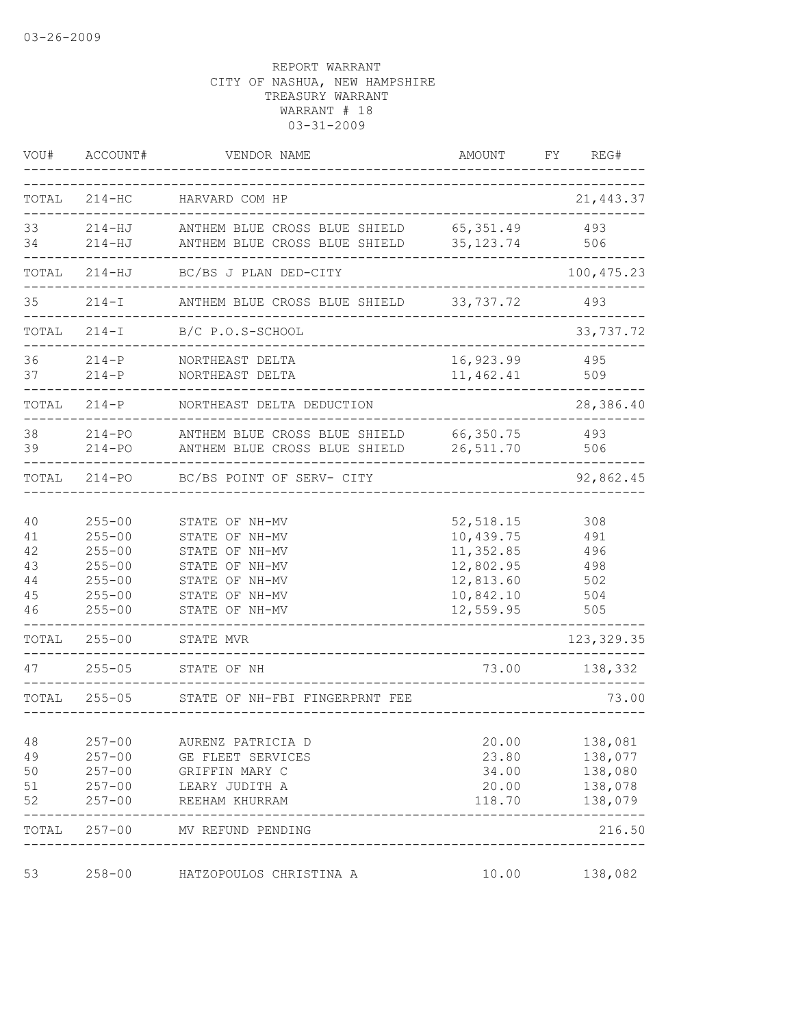| VOU#                                       | ACCOUNT#                                                                                       | VENDOR NAME                                                                                                                | AMOUNT                                                                                   | FY | REG#                                                |
|--------------------------------------------|------------------------------------------------------------------------------------------------|----------------------------------------------------------------------------------------------------------------------------|------------------------------------------------------------------------------------------|----|-----------------------------------------------------|
| TOTAL                                      | $214 - HC$                                                                                     | HARVARD COM HP                                                                                                             |                                                                                          |    | 21, 443.37                                          |
| 33<br>34                                   | $214 - HJ$<br>$214 - HJ$                                                                       | ANTHEM BLUE CROSS BLUE SHIELD<br>ANTHEM BLUE CROSS BLUE SHIELD                                                             | 65,351.49<br>35, 123. 74                                                                 |    | 493<br>506                                          |
| TOTAL                                      | $214 - HJ$                                                                                     | BC/BS J PLAN DED-CITY                                                                                                      |                                                                                          |    | 100, 475.23                                         |
| 35                                         | $214 - I$                                                                                      | ANTHEM BLUE CROSS BLUE SHIELD                                                                                              | 33,737.72                                                                                |    | 493                                                 |
| TOTAL                                      | $214-I$                                                                                        | B/C P.O.S-SCHOOL                                                                                                           |                                                                                          |    | 33,737.72                                           |
| 36<br>37                                   | $214-P$<br>$214-P$                                                                             | NORTHEAST DELTA<br>NORTHEAST DELTA                                                                                         | 16,923.99<br>11,462.41                                                                   |    | 495<br>509                                          |
| TOTAL                                      | $214-P$                                                                                        | NORTHEAST DELTA DEDUCTION                                                                                                  |                                                                                          |    | 28,386.40                                           |
| 38<br>39                                   | $214 - PQ$<br>$214 - PQ$                                                                       | ANTHEM BLUE CROSS BLUE SHIELD<br>ANTHEM BLUE CROSS BLUE SHIELD                                                             | 66,350.75<br>26,511.70                                                                   |    | 493<br>506                                          |
| TOTAL                                      | $214 - PQ$                                                                                     | BC/BS POINT OF SERV- CITY                                                                                                  |                                                                                          |    | 92,862.45                                           |
| 40<br>41<br>42<br>43<br>$4\,4$<br>45<br>46 | $255 - 00$<br>$255 - 00$<br>$255 - 00$<br>$255 - 00$<br>$255 - 00$<br>$255 - 00$<br>$255 - 00$ | STATE OF NH-MV<br>STATE OF NH-MV<br>STATE OF NH-MV<br>STATE OF NH-MV<br>STATE OF NH-MV<br>STATE OF NH-MV<br>STATE OF NH-MV | 52, 518.15<br>10,439.75<br>11,352.85<br>12,802.95<br>12,813.60<br>10,842.10<br>12,559.95 |    | 308<br>491<br>496<br>498<br>502<br>504<br>505       |
| TOTAL                                      | $255 - 00$                                                                                     | STATE MVR                                                                                                                  |                                                                                          |    | 123, 329.35                                         |
| 47                                         | $255 - 05$                                                                                     | STATE OF NH                                                                                                                | 73.00                                                                                    |    | 138,332                                             |
| TOTAL                                      | $255 - 05$                                                                                     | STATE OF NH-FBI FINGERPRNT FEE                                                                                             |                                                                                          |    | 73.00                                               |
| 48<br>49<br>50<br>51<br>52                 | $257 - 00$<br>$257 - 00$<br>$257 - 00$<br>$257 - 00$<br>$257 - 00$                             | AURENZ PATRICIA D<br>GE FLEET SERVICES<br>GRIFFIN MARY C<br>LEARY JUDITH A<br>REEHAM KHURRAM                               | 20.00<br>23.80<br>34.00<br>20.00<br>118.70                                               |    | 138,081<br>138,077<br>138,080<br>138,078<br>138,079 |
| TOTAL                                      | $257 - 00$                                                                                     | MV REFUND PENDING                                                                                                          |                                                                                          |    | 216.50                                              |
| 53                                         | $258 - 00$                                                                                     | HATZOPOULOS CHRISTINA A                                                                                                    | 10.00                                                                                    |    | 138,082                                             |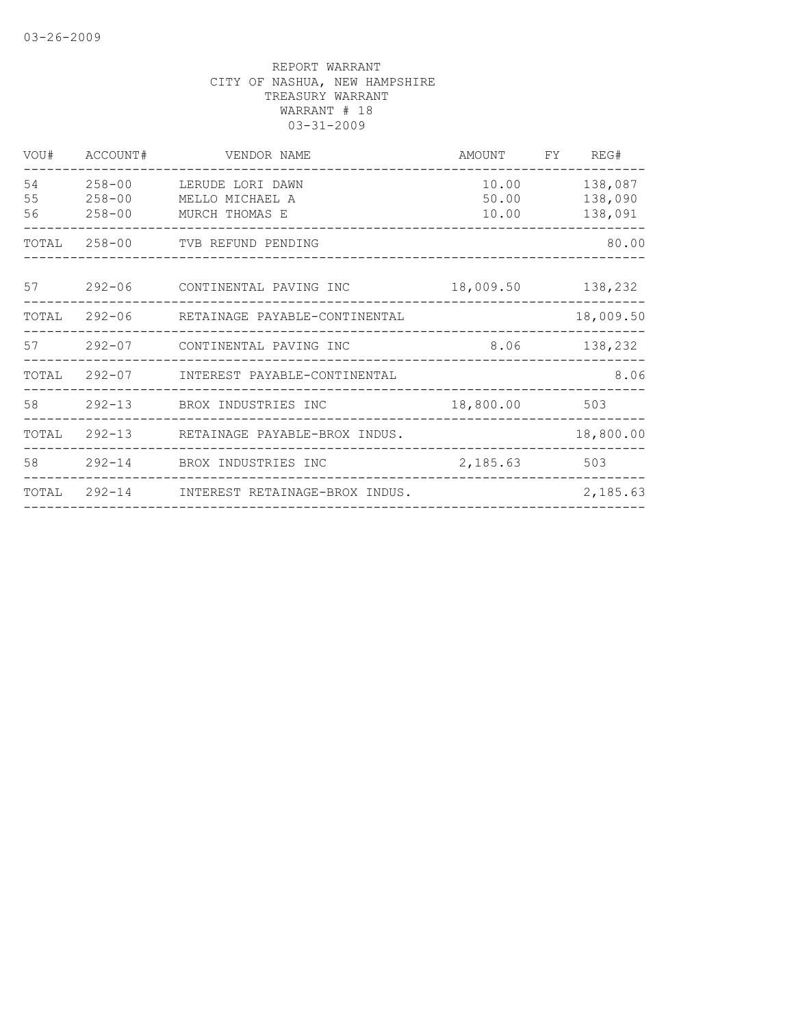| VOU#           | ACCOUNT#                               | VENDOR NAME                                           | AMOUNT                  | FY | REG#                          |
|----------------|----------------------------------------|-------------------------------------------------------|-------------------------|----|-------------------------------|
| 54<br>55<br>56 | $258 - 00$<br>$258 - 00$<br>$258 - 00$ | LERUDE LORI DAWN<br>MELLO MICHAEL A<br>MURCH THOMAS E | 10.00<br>50.00<br>10.00 |    | 138,087<br>138,090<br>138,091 |
| TOTAL          | $258 - 00$                             | TVB REFUND PENDING                                    |                         |    | 80.00                         |
| 57             | $292 - 06$                             | CONTINENTAL PAVING INC                                | 18,009.50               |    | 138,232                       |
| TOTAL          | $292 - 06$                             | RETAINAGE PAYABLE-CONTINENTAL                         |                         |    | 18,009.50                     |
| 57             | $292 - 07$                             | CONTINENTAL PAVING INC                                | 8.06                    |    | 138,232                       |
| TOTAL          | $292 - 07$                             | INTEREST PAYABLE-CONTINENTAL                          |                         |    | 8.06                          |
| 58             | $292 - 13$                             | BROX INDUSTRIES INC                                   | 18,800.00               |    | 503                           |
| TOTAL          | $292 - 13$                             | RETAINAGE PAYABLE-BROX INDUS.                         |                         |    | 18,800.00                     |
| 58             | $292 - 14$                             | BROX INDUSTRIES INC                                   | 2,185.63                |    | 503                           |
| TOTAL          | $292 - 14$                             | INTEREST RETAINAGE-BROX INDUS.                        |                         |    | 2,185.63                      |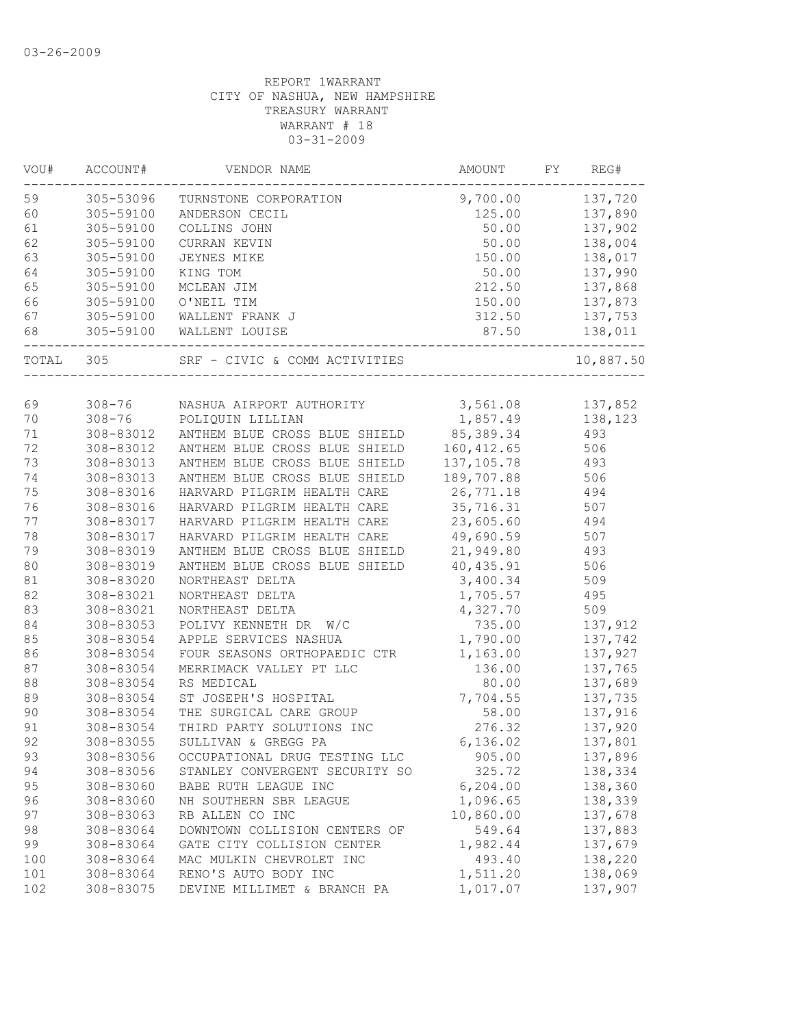| 305-53096<br>9,700.00<br>137,720<br>TURNSTONE CORPORATION<br>305-59100<br>125.00<br>137,890<br>ANDERSON CECIL<br>305-59100<br>137,902<br>COLLINS JOHN<br>50.00<br>50.00<br>305-59100<br>CURRAN KEVIN<br>138,004<br>305-59100<br>150.00<br>138,017<br>JEYNES MIKE<br>305-59100<br>50.00<br>137,990<br>KING TOM<br>305-59100<br>MCLEAN JIM<br>212.50<br>137,868<br>O'NEIL TIM<br>150.00<br>137,873<br>305-59100<br>305-59100<br>312.50<br>137,753<br>WALLENT FRANK J<br>87.50<br>138,011<br>305-59100<br>WALLENT LOUISE<br>305<br>SRF - CIVIC & COMM ACTIVITIES<br>69<br>3,561.08<br>$308 - 76$<br>137,852<br>NASHUA AIRPORT AUTHORITY<br>1,857.49<br>138,123<br>70<br>$308 - 76$<br>POLIQUIN LILLIAN<br>85, 389.34<br>71<br>308-83012<br>493<br>ANTHEM BLUE CROSS BLUE SHIELD<br>72<br>160, 412.65<br>308-83012<br>ANTHEM BLUE CROSS BLUE SHIELD<br>506<br>73<br>ANTHEM BLUE CROSS BLUE SHIELD<br>137, 105.78<br>493<br>308-83013<br>74<br>308-83013<br>ANTHEM BLUE CROSS BLUE SHIELD<br>189,707.88<br>506<br>75<br>HARVARD PILGRIM HEALTH CARE<br>26,771.18<br>308-83016<br>494<br>76<br>HARVARD PILGRIM HEALTH CARE<br>35,716.31<br>507<br>308-83016<br>77<br>23,605.60<br>308-83017<br>HARVARD PILGRIM HEALTH CARE<br>494<br>78<br>49,690.59<br>507<br>308-83017<br>HARVARD PILGRIM HEALTH CARE<br>79<br>ANTHEM BLUE CROSS BLUE SHIELD<br>21,949.80<br>493<br>308-83019<br>80<br>ANTHEM BLUE CROSS BLUE SHIELD<br>40,435.91<br>506<br>308-83019<br>81<br>3,400.34<br>509<br>308-83020<br>NORTHEAST DELTA<br>82<br>308-83021<br>1,705.57<br>495<br>NORTHEAST DELTA<br>509<br>83<br>308-83021<br>NORTHEAST DELTA<br>4,327.70<br>84<br>735.00<br>308-83053<br>POLIVY KENNETH DR<br>W/C<br>137,912<br>1,790.00<br>308-83054<br>APPLE SERVICES NASHUA<br>137,742<br>308-83054<br>FOUR SEASONS ORTHOPAEDIC CTR<br>1,163.00<br>137,927<br>308-83054<br>MERRIMACK VALLEY PT LLC<br>136.00<br>137,765<br>137,689<br>308-83054<br>RS MEDICAL<br>80.00<br>137,735<br>308-83054<br>ST JOSEPH'S HOSPITAL<br>7,704.55<br>58.00<br>137,916<br>308-83054<br>THE SURGICAL CARE GROUP<br>THIRD PARTY SOLUTIONS INC<br>276.32<br>308-83054<br>137,920<br>6,136.02<br>308-83055<br>137,801<br>SULLIVAN & GREGG PA<br>308-83056<br>137,896<br>OCCUPATIONAL DRUG TESTING LLC<br>905.00<br>308-83056<br>325.72<br>138,334<br>STANLEY CONVERGENT SECURITY SO<br>308-83060<br>6, 204.00<br>138,360<br>BABE RUTH LEAGUE INC<br>308-83060<br>1,096.65<br>138,339<br>NH SOUTHERN SBR LEAGUE<br>10,860.00<br>308-83063<br>RB ALLEN CO INC<br>137,678<br>137,883<br>308-83064<br>DOWNTOWN COLLISION CENTERS OF<br>549.64<br>308-83064<br>GATE CITY COLLISION CENTER<br>1,982.44<br>137,679<br>493.40<br>138,220<br>308-83064<br>MAC MULKIN CHEVROLET INC<br>308-83064<br>RENO'S AUTO BODY INC<br>1,511.20<br>138,069<br>1,017.07<br>308-83075<br>DEVINE MILLIMET & BRANCH PA<br>137,907 | VOU#  | ACCOUNT# | VENDOR NAME | AMOUNT | FY | REG#      |
|-------------------------------------------------------------------------------------------------------------------------------------------------------------------------------------------------------------------------------------------------------------------------------------------------------------------------------------------------------------------------------------------------------------------------------------------------------------------------------------------------------------------------------------------------------------------------------------------------------------------------------------------------------------------------------------------------------------------------------------------------------------------------------------------------------------------------------------------------------------------------------------------------------------------------------------------------------------------------------------------------------------------------------------------------------------------------------------------------------------------------------------------------------------------------------------------------------------------------------------------------------------------------------------------------------------------------------------------------------------------------------------------------------------------------------------------------------------------------------------------------------------------------------------------------------------------------------------------------------------------------------------------------------------------------------------------------------------------------------------------------------------------------------------------------------------------------------------------------------------------------------------------------------------------------------------------------------------------------------------------------------------------------------------------------------------------------------------------------------------------------------------------------------------------------------------------------------------------------------------------------------------------------------------------------------------------------------------------------------------------------------------------------------------------------------------------------------------------------------------------------------------------------------------------------------------------------------------------------------------------------------------------------------------------------------------------------------------------------------------------------------------------------------------------------------------------------------------------------------------|-------|----------|-------------|--------|----|-----------|
|                                                                                                                                                                                                                                                                                                                                                                                                                                                                                                                                                                                                                                                                                                                                                                                                                                                                                                                                                                                                                                                                                                                                                                                                                                                                                                                                                                                                                                                                                                                                                                                                                                                                                                                                                                                                                                                                                                                                                                                                                                                                                                                                                                                                                                                                                                                                                                                                                                                                                                                                                                                                                                                                                                                                                                                                                                                             | 59    |          |             |        |    |           |
|                                                                                                                                                                                                                                                                                                                                                                                                                                                                                                                                                                                                                                                                                                                                                                                                                                                                                                                                                                                                                                                                                                                                                                                                                                                                                                                                                                                                                                                                                                                                                                                                                                                                                                                                                                                                                                                                                                                                                                                                                                                                                                                                                                                                                                                                                                                                                                                                                                                                                                                                                                                                                                                                                                                                                                                                                                                             | 60    |          |             |        |    |           |
|                                                                                                                                                                                                                                                                                                                                                                                                                                                                                                                                                                                                                                                                                                                                                                                                                                                                                                                                                                                                                                                                                                                                                                                                                                                                                                                                                                                                                                                                                                                                                                                                                                                                                                                                                                                                                                                                                                                                                                                                                                                                                                                                                                                                                                                                                                                                                                                                                                                                                                                                                                                                                                                                                                                                                                                                                                                             | 61    |          |             |        |    |           |
|                                                                                                                                                                                                                                                                                                                                                                                                                                                                                                                                                                                                                                                                                                                                                                                                                                                                                                                                                                                                                                                                                                                                                                                                                                                                                                                                                                                                                                                                                                                                                                                                                                                                                                                                                                                                                                                                                                                                                                                                                                                                                                                                                                                                                                                                                                                                                                                                                                                                                                                                                                                                                                                                                                                                                                                                                                                             | 62    |          |             |        |    |           |
|                                                                                                                                                                                                                                                                                                                                                                                                                                                                                                                                                                                                                                                                                                                                                                                                                                                                                                                                                                                                                                                                                                                                                                                                                                                                                                                                                                                                                                                                                                                                                                                                                                                                                                                                                                                                                                                                                                                                                                                                                                                                                                                                                                                                                                                                                                                                                                                                                                                                                                                                                                                                                                                                                                                                                                                                                                                             | 63    |          |             |        |    |           |
|                                                                                                                                                                                                                                                                                                                                                                                                                                                                                                                                                                                                                                                                                                                                                                                                                                                                                                                                                                                                                                                                                                                                                                                                                                                                                                                                                                                                                                                                                                                                                                                                                                                                                                                                                                                                                                                                                                                                                                                                                                                                                                                                                                                                                                                                                                                                                                                                                                                                                                                                                                                                                                                                                                                                                                                                                                                             | 64    |          |             |        |    |           |
|                                                                                                                                                                                                                                                                                                                                                                                                                                                                                                                                                                                                                                                                                                                                                                                                                                                                                                                                                                                                                                                                                                                                                                                                                                                                                                                                                                                                                                                                                                                                                                                                                                                                                                                                                                                                                                                                                                                                                                                                                                                                                                                                                                                                                                                                                                                                                                                                                                                                                                                                                                                                                                                                                                                                                                                                                                                             | 65    |          |             |        |    |           |
|                                                                                                                                                                                                                                                                                                                                                                                                                                                                                                                                                                                                                                                                                                                                                                                                                                                                                                                                                                                                                                                                                                                                                                                                                                                                                                                                                                                                                                                                                                                                                                                                                                                                                                                                                                                                                                                                                                                                                                                                                                                                                                                                                                                                                                                                                                                                                                                                                                                                                                                                                                                                                                                                                                                                                                                                                                                             | 66    |          |             |        |    |           |
|                                                                                                                                                                                                                                                                                                                                                                                                                                                                                                                                                                                                                                                                                                                                                                                                                                                                                                                                                                                                                                                                                                                                                                                                                                                                                                                                                                                                                                                                                                                                                                                                                                                                                                                                                                                                                                                                                                                                                                                                                                                                                                                                                                                                                                                                                                                                                                                                                                                                                                                                                                                                                                                                                                                                                                                                                                                             | 67    |          |             |        |    |           |
|                                                                                                                                                                                                                                                                                                                                                                                                                                                                                                                                                                                                                                                                                                                                                                                                                                                                                                                                                                                                                                                                                                                                                                                                                                                                                                                                                                                                                                                                                                                                                                                                                                                                                                                                                                                                                                                                                                                                                                                                                                                                                                                                                                                                                                                                                                                                                                                                                                                                                                                                                                                                                                                                                                                                                                                                                                                             | 68    |          |             |        |    |           |
|                                                                                                                                                                                                                                                                                                                                                                                                                                                                                                                                                                                                                                                                                                                                                                                                                                                                                                                                                                                                                                                                                                                                                                                                                                                                                                                                                                                                                                                                                                                                                                                                                                                                                                                                                                                                                                                                                                                                                                                                                                                                                                                                                                                                                                                                                                                                                                                                                                                                                                                                                                                                                                                                                                                                                                                                                                                             | TOTAL |          |             |        |    | 10,887.50 |
|                                                                                                                                                                                                                                                                                                                                                                                                                                                                                                                                                                                                                                                                                                                                                                                                                                                                                                                                                                                                                                                                                                                                                                                                                                                                                                                                                                                                                                                                                                                                                                                                                                                                                                                                                                                                                                                                                                                                                                                                                                                                                                                                                                                                                                                                                                                                                                                                                                                                                                                                                                                                                                                                                                                                                                                                                                                             |       |          |             |        |    |           |
|                                                                                                                                                                                                                                                                                                                                                                                                                                                                                                                                                                                                                                                                                                                                                                                                                                                                                                                                                                                                                                                                                                                                                                                                                                                                                                                                                                                                                                                                                                                                                                                                                                                                                                                                                                                                                                                                                                                                                                                                                                                                                                                                                                                                                                                                                                                                                                                                                                                                                                                                                                                                                                                                                                                                                                                                                                                             |       |          |             |        |    |           |
|                                                                                                                                                                                                                                                                                                                                                                                                                                                                                                                                                                                                                                                                                                                                                                                                                                                                                                                                                                                                                                                                                                                                                                                                                                                                                                                                                                                                                                                                                                                                                                                                                                                                                                                                                                                                                                                                                                                                                                                                                                                                                                                                                                                                                                                                                                                                                                                                                                                                                                                                                                                                                                                                                                                                                                                                                                                             |       |          |             |        |    |           |
|                                                                                                                                                                                                                                                                                                                                                                                                                                                                                                                                                                                                                                                                                                                                                                                                                                                                                                                                                                                                                                                                                                                                                                                                                                                                                                                                                                                                                                                                                                                                                                                                                                                                                                                                                                                                                                                                                                                                                                                                                                                                                                                                                                                                                                                                                                                                                                                                                                                                                                                                                                                                                                                                                                                                                                                                                                                             |       |          |             |        |    |           |
|                                                                                                                                                                                                                                                                                                                                                                                                                                                                                                                                                                                                                                                                                                                                                                                                                                                                                                                                                                                                                                                                                                                                                                                                                                                                                                                                                                                                                                                                                                                                                                                                                                                                                                                                                                                                                                                                                                                                                                                                                                                                                                                                                                                                                                                                                                                                                                                                                                                                                                                                                                                                                                                                                                                                                                                                                                                             |       |          |             |        |    |           |
|                                                                                                                                                                                                                                                                                                                                                                                                                                                                                                                                                                                                                                                                                                                                                                                                                                                                                                                                                                                                                                                                                                                                                                                                                                                                                                                                                                                                                                                                                                                                                                                                                                                                                                                                                                                                                                                                                                                                                                                                                                                                                                                                                                                                                                                                                                                                                                                                                                                                                                                                                                                                                                                                                                                                                                                                                                                             |       |          |             |        |    |           |
|                                                                                                                                                                                                                                                                                                                                                                                                                                                                                                                                                                                                                                                                                                                                                                                                                                                                                                                                                                                                                                                                                                                                                                                                                                                                                                                                                                                                                                                                                                                                                                                                                                                                                                                                                                                                                                                                                                                                                                                                                                                                                                                                                                                                                                                                                                                                                                                                                                                                                                                                                                                                                                                                                                                                                                                                                                                             |       |          |             |        |    |           |
|                                                                                                                                                                                                                                                                                                                                                                                                                                                                                                                                                                                                                                                                                                                                                                                                                                                                                                                                                                                                                                                                                                                                                                                                                                                                                                                                                                                                                                                                                                                                                                                                                                                                                                                                                                                                                                                                                                                                                                                                                                                                                                                                                                                                                                                                                                                                                                                                                                                                                                                                                                                                                                                                                                                                                                                                                                                             |       |          |             |        |    |           |
|                                                                                                                                                                                                                                                                                                                                                                                                                                                                                                                                                                                                                                                                                                                                                                                                                                                                                                                                                                                                                                                                                                                                                                                                                                                                                                                                                                                                                                                                                                                                                                                                                                                                                                                                                                                                                                                                                                                                                                                                                                                                                                                                                                                                                                                                                                                                                                                                                                                                                                                                                                                                                                                                                                                                                                                                                                                             |       |          |             |        |    |           |
|                                                                                                                                                                                                                                                                                                                                                                                                                                                                                                                                                                                                                                                                                                                                                                                                                                                                                                                                                                                                                                                                                                                                                                                                                                                                                                                                                                                                                                                                                                                                                                                                                                                                                                                                                                                                                                                                                                                                                                                                                                                                                                                                                                                                                                                                                                                                                                                                                                                                                                                                                                                                                                                                                                                                                                                                                                                             |       |          |             |        |    |           |
|                                                                                                                                                                                                                                                                                                                                                                                                                                                                                                                                                                                                                                                                                                                                                                                                                                                                                                                                                                                                                                                                                                                                                                                                                                                                                                                                                                                                                                                                                                                                                                                                                                                                                                                                                                                                                                                                                                                                                                                                                                                                                                                                                                                                                                                                                                                                                                                                                                                                                                                                                                                                                                                                                                                                                                                                                                                             |       |          |             |        |    |           |
|                                                                                                                                                                                                                                                                                                                                                                                                                                                                                                                                                                                                                                                                                                                                                                                                                                                                                                                                                                                                                                                                                                                                                                                                                                                                                                                                                                                                                                                                                                                                                                                                                                                                                                                                                                                                                                                                                                                                                                                                                                                                                                                                                                                                                                                                                                                                                                                                                                                                                                                                                                                                                                                                                                                                                                                                                                                             |       |          |             |        |    |           |
|                                                                                                                                                                                                                                                                                                                                                                                                                                                                                                                                                                                                                                                                                                                                                                                                                                                                                                                                                                                                                                                                                                                                                                                                                                                                                                                                                                                                                                                                                                                                                                                                                                                                                                                                                                                                                                                                                                                                                                                                                                                                                                                                                                                                                                                                                                                                                                                                                                                                                                                                                                                                                                                                                                                                                                                                                                                             |       |          |             |        |    |           |
|                                                                                                                                                                                                                                                                                                                                                                                                                                                                                                                                                                                                                                                                                                                                                                                                                                                                                                                                                                                                                                                                                                                                                                                                                                                                                                                                                                                                                                                                                                                                                                                                                                                                                                                                                                                                                                                                                                                                                                                                                                                                                                                                                                                                                                                                                                                                                                                                                                                                                                                                                                                                                                                                                                                                                                                                                                                             |       |          |             |        |    |           |
|                                                                                                                                                                                                                                                                                                                                                                                                                                                                                                                                                                                                                                                                                                                                                                                                                                                                                                                                                                                                                                                                                                                                                                                                                                                                                                                                                                                                                                                                                                                                                                                                                                                                                                                                                                                                                                                                                                                                                                                                                                                                                                                                                                                                                                                                                                                                                                                                                                                                                                                                                                                                                                                                                                                                                                                                                                                             |       |          |             |        |    |           |
|                                                                                                                                                                                                                                                                                                                                                                                                                                                                                                                                                                                                                                                                                                                                                                                                                                                                                                                                                                                                                                                                                                                                                                                                                                                                                                                                                                                                                                                                                                                                                                                                                                                                                                                                                                                                                                                                                                                                                                                                                                                                                                                                                                                                                                                                                                                                                                                                                                                                                                                                                                                                                                                                                                                                                                                                                                                             |       |          |             |        |    |           |
|                                                                                                                                                                                                                                                                                                                                                                                                                                                                                                                                                                                                                                                                                                                                                                                                                                                                                                                                                                                                                                                                                                                                                                                                                                                                                                                                                                                                                                                                                                                                                                                                                                                                                                                                                                                                                                                                                                                                                                                                                                                                                                                                                                                                                                                                                                                                                                                                                                                                                                                                                                                                                                                                                                                                                                                                                                                             |       |          |             |        |    |           |
|                                                                                                                                                                                                                                                                                                                                                                                                                                                                                                                                                                                                                                                                                                                                                                                                                                                                                                                                                                                                                                                                                                                                                                                                                                                                                                                                                                                                                                                                                                                                                                                                                                                                                                                                                                                                                                                                                                                                                                                                                                                                                                                                                                                                                                                                                                                                                                                                                                                                                                                                                                                                                                                                                                                                                                                                                                                             | 85    |          |             |        |    |           |
|                                                                                                                                                                                                                                                                                                                                                                                                                                                                                                                                                                                                                                                                                                                                                                                                                                                                                                                                                                                                                                                                                                                                                                                                                                                                                                                                                                                                                                                                                                                                                                                                                                                                                                                                                                                                                                                                                                                                                                                                                                                                                                                                                                                                                                                                                                                                                                                                                                                                                                                                                                                                                                                                                                                                                                                                                                                             | 86    |          |             |        |    |           |
|                                                                                                                                                                                                                                                                                                                                                                                                                                                                                                                                                                                                                                                                                                                                                                                                                                                                                                                                                                                                                                                                                                                                                                                                                                                                                                                                                                                                                                                                                                                                                                                                                                                                                                                                                                                                                                                                                                                                                                                                                                                                                                                                                                                                                                                                                                                                                                                                                                                                                                                                                                                                                                                                                                                                                                                                                                                             | 87    |          |             |        |    |           |
|                                                                                                                                                                                                                                                                                                                                                                                                                                                                                                                                                                                                                                                                                                                                                                                                                                                                                                                                                                                                                                                                                                                                                                                                                                                                                                                                                                                                                                                                                                                                                                                                                                                                                                                                                                                                                                                                                                                                                                                                                                                                                                                                                                                                                                                                                                                                                                                                                                                                                                                                                                                                                                                                                                                                                                                                                                                             | 88    |          |             |        |    |           |
|                                                                                                                                                                                                                                                                                                                                                                                                                                                                                                                                                                                                                                                                                                                                                                                                                                                                                                                                                                                                                                                                                                                                                                                                                                                                                                                                                                                                                                                                                                                                                                                                                                                                                                                                                                                                                                                                                                                                                                                                                                                                                                                                                                                                                                                                                                                                                                                                                                                                                                                                                                                                                                                                                                                                                                                                                                                             | 89    |          |             |        |    |           |
|                                                                                                                                                                                                                                                                                                                                                                                                                                                                                                                                                                                                                                                                                                                                                                                                                                                                                                                                                                                                                                                                                                                                                                                                                                                                                                                                                                                                                                                                                                                                                                                                                                                                                                                                                                                                                                                                                                                                                                                                                                                                                                                                                                                                                                                                                                                                                                                                                                                                                                                                                                                                                                                                                                                                                                                                                                                             | 90    |          |             |        |    |           |
|                                                                                                                                                                                                                                                                                                                                                                                                                                                                                                                                                                                                                                                                                                                                                                                                                                                                                                                                                                                                                                                                                                                                                                                                                                                                                                                                                                                                                                                                                                                                                                                                                                                                                                                                                                                                                                                                                                                                                                                                                                                                                                                                                                                                                                                                                                                                                                                                                                                                                                                                                                                                                                                                                                                                                                                                                                                             | 91    |          |             |        |    |           |
|                                                                                                                                                                                                                                                                                                                                                                                                                                                                                                                                                                                                                                                                                                                                                                                                                                                                                                                                                                                                                                                                                                                                                                                                                                                                                                                                                                                                                                                                                                                                                                                                                                                                                                                                                                                                                                                                                                                                                                                                                                                                                                                                                                                                                                                                                                                                                                                                                                                                                                                                                                                                                                                                                                                                                                                                                                                             | 92    |          |             |        |    |           |
|                                                                                                                                                                                                                                                                                                                                                                                                                                                                                                                                                                                                                                                                                                                                                                                                                                                                                                                                                                                                                                                                                                                                                                                                                                                                                                                                                                                                                                                                                                                                                                                                                                                                                                                                                                                                                                                                                                                                                                                                                                                                                                                                                                                                                                                                                                                                                                                                                                                                                                                                                                                                                                                                                                                                                                                                                                                             | 93    |          |             |        |    |           |
|                                                                                                                                                                                                                                                                                                                                                                                                                                                                                                                                                                                                                                                                                                                                                                                                                                                                                                                                                                                                                                                                                                                                                                                                                                                                                                                                                                                                                                                                                                                                                                                                                                                                                                                                                                                                                                                                                                                                                                                                                                                                                                                                                                                                                                                                                                                                                                                                                                                                                                                                                                                                                                                                                                                                                                                                                                                             | 94    |          |             |        |    |           |
|                                                                                                                                                                                                                                                                                                                                                                                                                                                                                                                                                                                                                                                                                                                                                                                                                                                                                                                                                                                                                                                                                                                                                                                                                                                                                                                                                                                                                                                                                                                                                                                                                                                                                                                                                                                                                                                                                                                                                                                                                                                                                                                                                                                                                                                                                                                                                                                                                                                                                                                                                                                                                                                                                                                                                                                                                                                             | 95    |          |             |        |    |           |
|                                                                                                                                                                                                                                                                                                                                                                                                                                                                                                                                                                                                                                                                                                                                                                                                                                                                                                                                                                                                                                                                                                                                                                                                                                                                                                                                                                                                                                                                                                                                                                                                                                                                                                                                                                                                                                                                                                                                                                                                                                                                                                                                                                                                                                                                                                                                                                                                                                                                                                                                                                                                                                                                                                                                                                                                                                                             | 96    |          |             |        |    |           |
|                                                                                                                                                                                                                                                                                                                                                                                                                                                                                                                                                                                                                                                                                                                                                                                                                                                                                                                                                                                                                                                                                                                                                                                                                                                                                                                                                                                                                                                                                                                                                                                                                                                                                                                                                                                                                                                                                                                                                                                                                                                                                                                                                                                                                                                                                                                                                                                                                                                                                                                                                                                                                                                                                                                                                                                                                                                             | 97    |          |             |        |    |           |
|                                                                                                                                                                                                                                                                                                                                                                                                                                                                                                                                                                                                                                                                                                                                                                                                                                                                                                                                                                                                                                                                                                                                                                                                                                                                                                                                                                                                                                                                                                                                                                                                                                                                                                                                                                                                                                                                                                                                                                                                                                                                                                                                                                                                                                                                                                                                                                                                                                                                                                                                                                                                                                                                                                                                                                                                                                                             | 98    |          |             |        |    |           |
|                                                                                                                                                                                                                                                                                                                                                                                                                                                                                                                                                                                                                                                                                                                                                                                                                                                                                                                                                                                                                                                                                                                                                                                                                                                                                                                                                                                                                                                                                                                                                                                                                                                                                                                                                                                                                                                                                                                                                                                                                                                                                                                                                                                                                                                                                                                                                                                                                                                                                                                                                                                                                                                                                                                                                                                                                                                             | 99    |          |             |        |    |           |
|                                                                                                                                                                                                                                                                                                                                                                                                                                                                                                                                                                                                                                                                                                                                                                                                                                                                                                                                                                                                                                                                                                                                                                                                                                                                                                                                                                                                                                                                                                                                                                                                                                                                                                                                                                                                                                                                                                                                                                                                                                                                                                                                                                                                                                                                                                                                                                                                                                                                                                                                                                                                                                                                                                                                                                                                                                                             | 100   |          |             |        |    |           |
|                                                                                                                                                                                                                                                                                                                                                                                                                                                                                                                                                                                                                                                                                                                                                                                                                                                                                                                                                                                                                                                                                                                                                                                                                                                                                                                                                                                                                                                                                                                                                                                                                                                                                                                                                                                                                                                                                                                                                                                                                                                                                                                                                                                                                                                                                                                                                                                                                                                                                                                                                                                                                                                                                                                                                                                                                                                             | 101   |          |             |        |    |           |
|                                                                                                                                                                                                                                                                                                                                                                                                                                                                                                                                                                                                                                                                                                                                                                                                                                                                                                                                                                                                                                                                                                                                                                                                                                                                                                                                                                                                                                                                                                                                                                                                                                                                                                                                                                                                                                                                                                                                                                                                                                                                                                                                                                                                                                                                                                                                                                                                                                                                                                                                                                                                                                                                                                                                                                                                                                                             | 102   |          |             |        |    |           |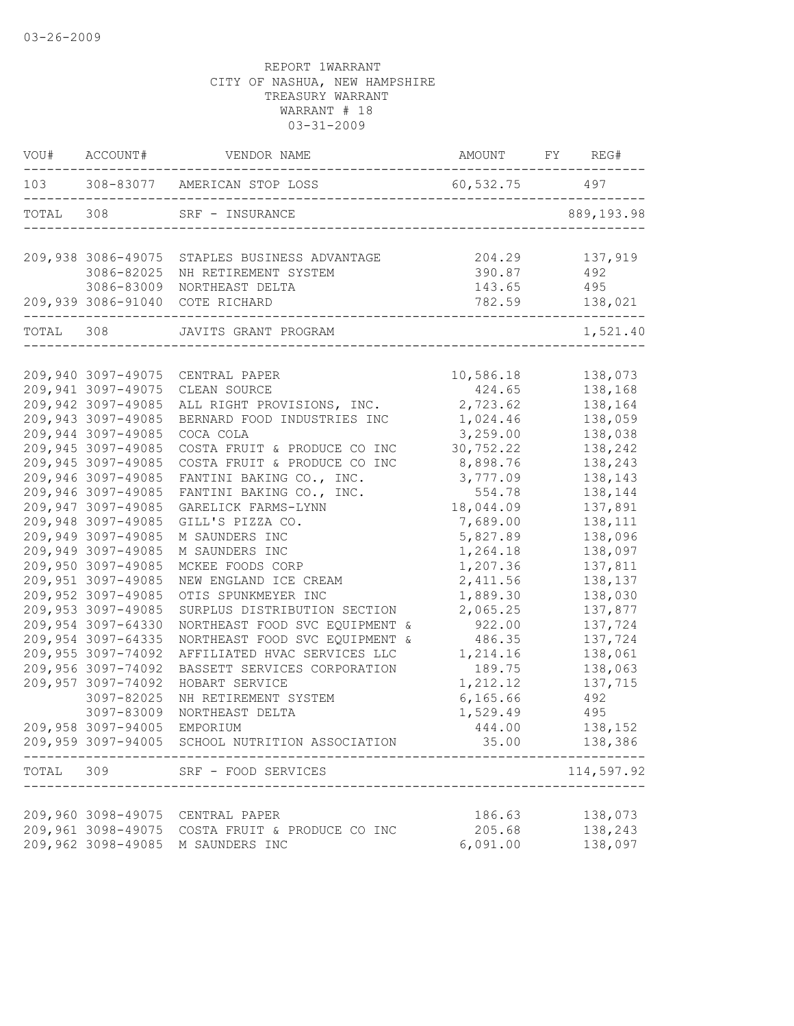|           | VOU# ACCOUNT#                            | VENDOR NAME                                              | AMOUNT                                    | FY<br>REG#         |
|-----------|------------------------------------------|----------------------------------------------------------|-------------------------------------------|--------------------|
|           |                                          | 103 308-83077 AMERICAN STOP LOSS                         | $60, 532.75$ 497                          |                    |
| TOTAL 308 |                                          | SRF - INSURANCE                                          |                                           | 889, 193.98        |
|           |                                          | 209,938 3086-49075 STAPLES BUSINESS ADVANTAGE            | 204.29                                    | 137,919            |
|           | 3086-82025                               | NH RETIREMENT SYSTEM                                     | 390.87                                    | 492                |
|           | 3086-83009                               | NORTHEAST DELTA                                          | 143.65                                    | 495                |
|           |                                          | 209,939 3086-91040 COTE RICHARD                          | 782.59<br>------------------------------- | 138,021            |
| TOTAL 308 |                                          | JAVITS GRANT PROGRAM                                     |                                           | 1,521.40           |
|           |                                          |                                                          |                                           |                    |
|           | 209,940 3097-49075                       | CENTRAL PAPER                                            | 10,586.18                                 | 138,073            |
|           | 209,941 3097-49075                       | CLEAN SOURCE                                             | 424.65                                    | 138,168            |
|           | 209,942 3097-49085                       | ALL RIGHT PROVISIONS, INC.                               | 2,723.62                                  | 138,164            |
|           | 209,943 3097-49085                       | BERNARD FOOD INDUSTRIES INC                              | 1,024.46                                  | 138,059            |
|           | 209,944 3097-49085                       | COCA COLA                                                | 3,259.00                                  | 138,038            |
|           | 209,945 3097-49085<br>209,945 3097-49085 | COSTA FRUIT & PRODUCE CO INC                             | 30,752.22                                 | 138,242            |
|           | 209,946 3097-49085                       | COSTA FRUIT & PRODUCE CO INC<br>FANTINI BAKING CO., INC. | 8,898.76<br>3,777.09                      | 138,243<br>138,143 |
|           | 209,946 3097-49085                       | FANTINI BAKING CO., INC.                                 | 554.78                                    | 138,144            |
|           | 209,947 3097-49085                       | GARELICK FARMS-LYNN                                      | 18,044.09                                 | 137,891            |
|           | 209,948 3097-49085                       | GILL'S PIZZA CO.                                         | 7,689.00                                  | 138,111            |
|           | 209,949 3097-49085                       | M SAUNDERS INC                                           | 5,827.89                                  | 138,096            |
|           | 209,949 3097-49085                       | M SAUNDERS INC                                           | 1,264.18                                  | 138,097            |
|           | 209,950 3097-49085                       | MCKEE FOODS CORP                                         | 1,207.36                                  | 137,811            |
|           | 209,951 3097-49085                       | NEW ENGLAND ICE CREAM                                    | 2,411.56                                  | 138,137            |
|           | 209,952 3097-49085                       | OTIS SPUNKMEYER INC                                      | 1,889.30                                  | 138,030            |
|           | 209,953 3097-49085                       | SURPLUS DISTRIBUTION SECTION                             | 2,065.25                                  | 137,877            |
|           | 209,954 3097-64330                       | NORTHEAST FOOD SVC EQUIPMENT &                           | 922.00                                    | 137,724            |
|           | 209,954 3097-64335                       | NORTHEAST FOOD SVC EQUIPMENT &                           | 486.35                                    | 137,724            |
|           | 209,955 3097-74092                       | AFFILIATED HVAC SERVICES LLC                             | 1,214.16                                  | 138,061            |
|           | 209,956 3097-74092                       | BASSETT SERVICES CORPORATION                             | 189.75                                    | 138,063            |
|           | 209,957 3097-74092                       | HOBART SERVICE                                           | 1,212.12                                  | 137,715            |
|           | 3097-82025                               | NH RETIREMENT SYSTEM                                     | 6, 165.66                                 | 492                |
|           | 3097-83009                               | NORTHEAST DELTA                                          | 1,529.49                                  | 495                |
|           | 209,958 3097-94005                       | EMPORIUM                                                 | 444.00                                    | 138,152            |
|           |                                          | 209,959 3097-94005 SCHOOL NUTRITION ASSOCIATION          | 35.00                                     | 138,386            |
| TOTAL     | 309                                      | SRF - FOOD SERVICES                                      |                                           | 114,597.92         |
|           |                                          |                                                          |                                           |                    |
|           |                                          | 209,960 3098-49075 CENTRAL PAPER                         | 186.63                                    | 138,073            |
|           |                                          | 209,961 3098-49075 COSTA FRUIT & PRODUCE CO INC          | 205.68                                    | 138,243            |
|           |                                          | 209,962 3098-49085 M SAUNDERS INC                        | 6,091.00                                  | 138,097            |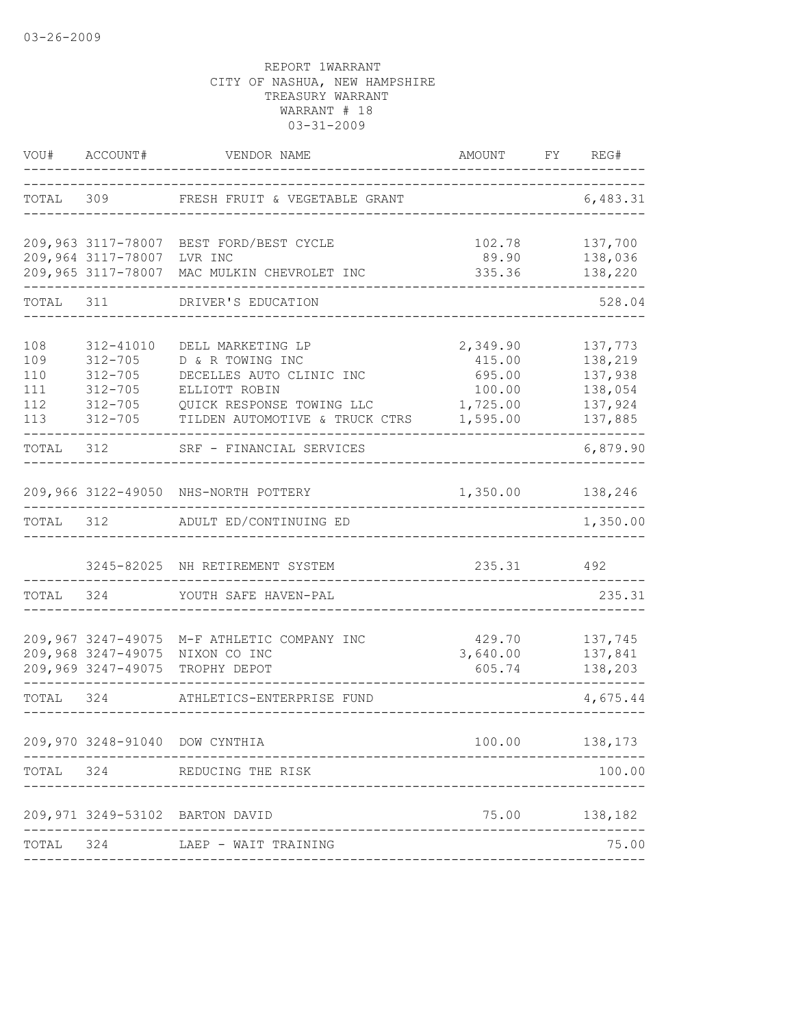| VOU#                                   | ACCOUNT#                                                                             | VENDOR NAME                                                                                                                                       | AMOUNT                                                         | FY | REG#                                                           |
|----------------------------------------|--------------------------------------------------------------------------------------|---------------------------------------------------------------------------------------------------------------------------------------------------|----------------------------------------------------------------|----|----------------------------------------------------------------|
| TOTAL                                  | 309                                                                                  | FRESH FRUIT & VEGETABLE GRANT                                                                                                                     |                                                                |    | 6,483.31                                                       |
|                                        | 209,964 3117-78007<br>209,965 3117-78007                                             | 209,963 3117-78007 BEST FORD/BEST CYCLE<br>LVR INC<br>MAC MULKIN CHEVROLET INC                                                                    | 102.78<br>89.90<br>335.36                                      |    | 137,700<br>138,036<br>138,220                                  |
| TOTAL                                  | 311                                                                                  | DRIVER'S EDUCATION                                                                                                                                |                                                                |    | 528.04                                                         |
| 108<br>109<br>110<br>111<br>112<br>113 | 312-41010<br>$312 - 705$<br>$312 - 705$<br>$312 - 705$<br>$312 - 705$<br>$312 - 705$ | DELL MARKETING LP<br>D & R TOWING INC<br>DECELLES AUTO CLINIC INC<br>ELLIOTT ROBIN<br>QUICK RESPONSE TOWING LLC<br>TILDEN AUTOMOTIVE & TRUCK CTRS | 2,349.90<br>415.00<br>695.00<br>100.00<br>1,725.00<br>1,595.00 |    | 137,773<br>138,219<br>137,938<br>138,054<br>137,924<br>137,885 |
| TOTAL 312                              |                                                                                      | SRF - FINANCIAL SERVICES                                                                                                                          |                                                                |    | 6,879.90                                                       |
| TOTAL                                  | 312                                                                                  | 209,966 3122-49050 NHS-NORTH POTTERY<br>ADULT ED/CONTINUING ED                                                                                    | 1,350.00                                                       |    | 138,246<br>1,350.00                                            |
|                                        |                                                                                      |                                                                                                                                                   |                                                                |    |                                                                |
|                                        |                                                                                      | 3245-82025 NH RETIREMENT SYSTEM                                                                                                                   | 235.31                                                         |    | 492                                                            |
| TOTAL                                  | 324                                                                                  | YOUTH SAFE HAVEN-PAL                                                                                                                              |                                                                |    | 235.31                                                         |
|                                        | 209,967 3247-49075<br>209,968 3247-49075<br>209,969 3247-49075                       | M-F ATHLETIC COMPANY INC<br>NIXON CO INC<br>TROPHY DEPOT                                                                                          | 429.70<br>3,640.00<br>605.74                                   |    | 137,745<br>137,841<br>138,203                                  |
| TOTAL                                  | 324                                                                                  | ATHLETICS-ENTERPRISE FUND                                                                                                                         |                                                                |    | 4,675.44                                                       |
|                                        |                                                                                      | 209,970 3248-91040 DOW CYNTHIA                                                                                                                    | 100.00                                                         |    | 138,173                                                        |
| TOTAL                                  | 324                                                                                  | REDUCING THE RISK                                                                                                                                 |                                                                |    | 100.00                                                         |
|                                        |                                                                                      | 209,971 3249-53102 BARTON DAVID                                                                                                                   |                                                                |    | 75.00 138,182                                                  |
| TOTAL                                  | 324                                                                                  | LAEP - WAIT TRAINING                                                                                                                              |                                                                |    | 75.00                                                          |
|                                        |                                                                                      |                                                                                                                                                   |                                                                |    |                                                                |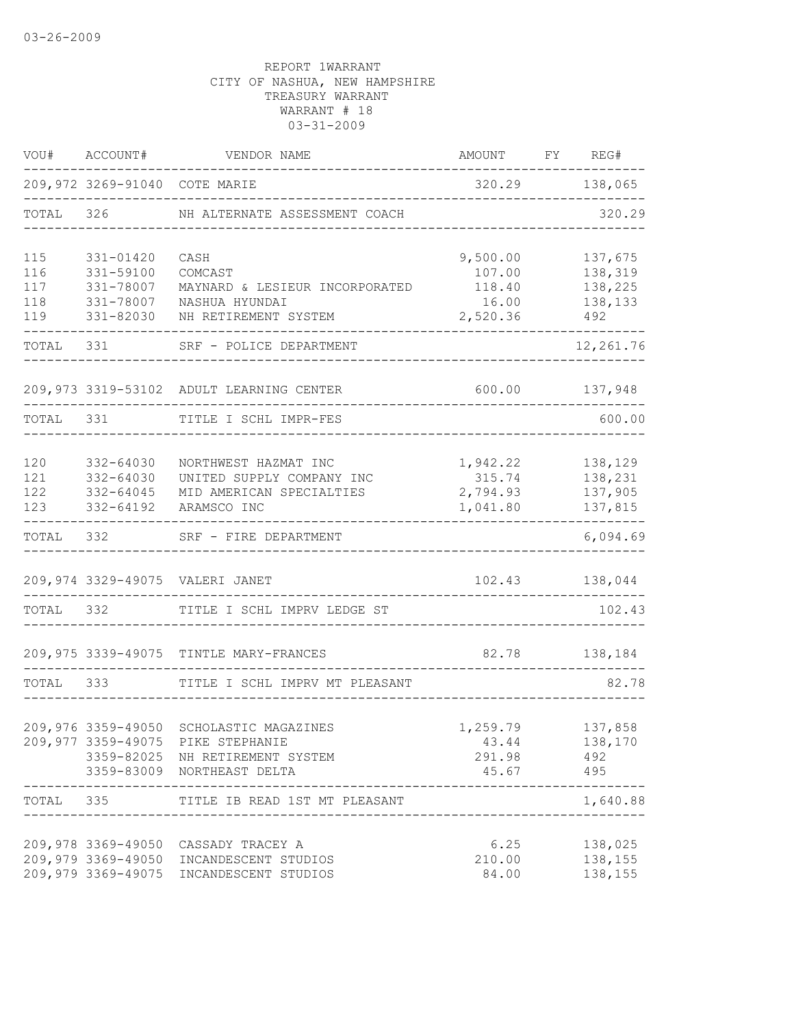| VOU#                            | ACCOUNT#                                                      | VENDOR NAME                                                                                                                                   | AMOUNT                                            | FY REG#                                         |
|---------------------------------|---------------------------------------------------------------|-----------------------------------------------------------------------------------------------------------------------------------------------|---------------------------------------------------|-------------------------------------------------|
|                                 | 209,972 3269-91040 COTE MARIE                                 |                                                                                                                                               |                                                   | 320.29 138,065                                  |
| TOTAL                           | 326                                                           | NH ALTERNATE ASSESSMENT COACH                                                                                                                 |                                                   | 320.29                                          |
| 115<br>116<br>117<br>118<br>119 | 331-01420<br>331-59100<br>331-78007<br>331-78007<br>331-82030 | CASH<br>COMCAST<br>MAYNARD & LESIEUR INCORPORATED<br>NASHUA HYUNDAI<br>NH RETIREMENT SYSTEM                                                   | 9,500.00<br>107.00<br>118.40<br>16.00<br>2,520.36 | 137,675<br>138,319<br>138,225<br>138,133<br>492 |
| TOTAL                           | 331                                                           | SRF - POLICE DEPARTMENT                                                                                                                       |                                                   | 12,261.76                                       |
|                                 |                                                               | 209,973 3319-53102 ADULT LEARNING CENTER                                                                                                      | 600.00                                            | 137,948                                         |
| TOTAL 331                       |                                                               | TITLE I SCHL IMPR-FES                                                                                                                         |                                                   | 600.00                                          |
| 120<br>121<br>122<br>123        | 332-64030<br>332-64030<br>$332 - 64045$<br>332-64192          | NORTHWEST HAZMAT INC<br>UNITED SUPPLY COMPANY INC<br>MID AMERICAN SPECIALTIES<br>ARAMSCO INC                                                  | 1,942.22<br>315.74<br>2,794.93<br>1,041.80        | 138,129<br>138,231<br>137,905<br>137,815        |
| TOTAL                           | 332                                                           | SRF - FIRE DEPARTMENT                                                                                                                         |                                                   | ------<br>6,094.69                              |
|                                 |                                                               | 209,974 3329-49075 VALERI JANET                                                                                                               | 102.43                                            | 138,044                                         |
| TOTAL                           | 332                                                           | TITLE I SCHL IMPRV LEDGE ST                                                                                                                   |                                                   | 102.43                                          |
|                                 |                                                               | 209,975 3339-49075 TINTLE MARY-FRANCES                                                                                                        | 82.78                                             | 138,184                                         |
| TOTAL 333                       |                                                               | TITLE I SCHL IMPRV MT PLEASANT                                                                                                                |                                                   | 82.78                                           |
|                                 |                                                               | 209,976 3359-49050 SCHOLASTIC MAGAZINES<br>209,977 3359-49075 PIKE STEPHANIE<br>3359-82025 NH RETIREMENT SYSTEM<br>3359-83009 NORTHEAST DELTA | 1,259.79 137,858<br>43.44<br>291.98<br>45.67      | 138,170<br>492<br>495                           |
|                                 | ------------<br>_________                                     | TOTAL 335 TITLE IB READ 1ST MT PLEASANT                                                                                                       |                                                   | ----------<br>1,640.88                          |
|                                 |                                                               | 209,978 3369-49050 CASSADY TRACEY A<br>209,979 3369-49050 INCANDESCENT STUDIOS<br>209,979 3369-49075 INCANDESCENT STUDIOS                     | 6.25<br>210.00<br>84.00                           | 138,025<br>138,155<br>138,155                   |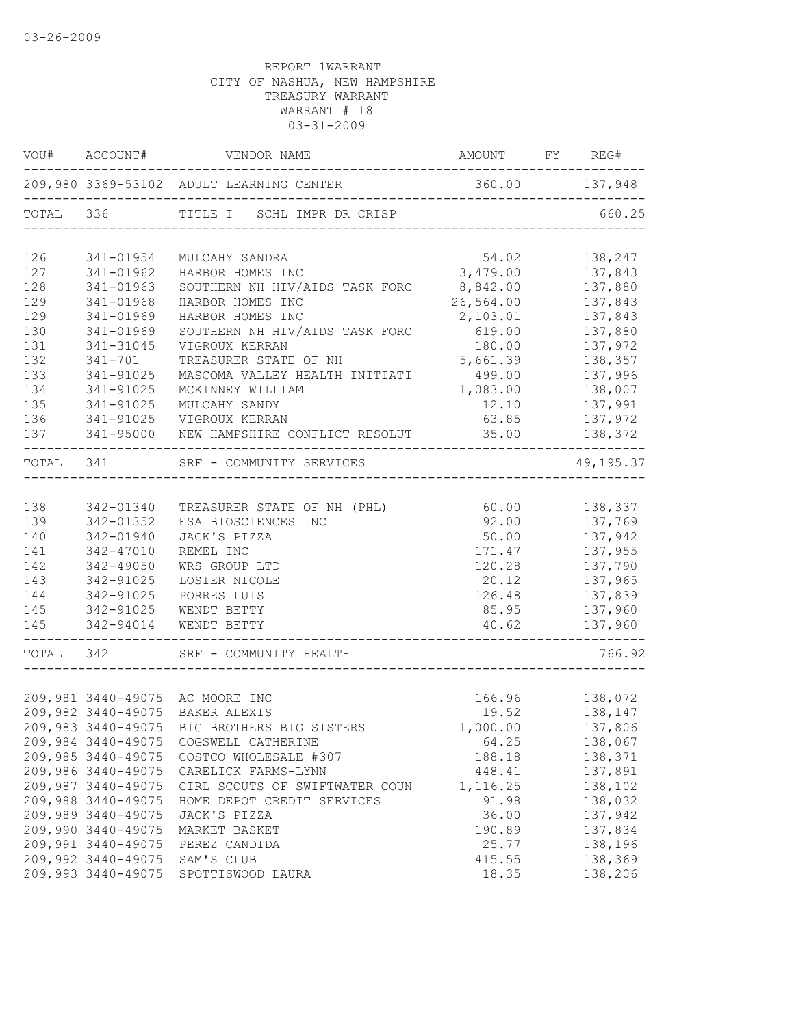|           | VOU# ACCOUNT#      |                                                         | AMOUNT FY REG#                           |                |
|-----------|--------------------|---------------------------------------------------------|------------------------------------------|----------------|
|           |                    | 209,980 3369-53102 ADULT LEARNING CENTER 360.00 137,948 |                                          |                |
| TOTAL 336 |                    | TITLE I SCHL IMPR DR CRISP                              |                                          | 660.25         |
| 126       | 341-01954          | MULCAHY SANDRA                                          | 54.02                                    | 138,247        |
| 127       | 341-01962          | HARBOR HOMES INC                                        | 3,479.00                                 | 137,843        |
| 128       | 341-01963          | SOUTHERN NH HIV/AIDS TASK FORC 8,842.00                 |                                          | 137,880        |
| 129       | 341-01968          | HARBOR HOMES INC                                        | 26,564.00                                | 137,843        |
| 129       | 341-01969          | HARBOR HOMES INC                                        | 2,103.01                                 | 137,843        |
| 130       | 341-01969          | SOUTHERN NH HIV/AIDS TASK FORC                          | 619.00                                   | 137,880        |
| 131       | 341-31045          | VIGROUX KERRAN                                          | 180.00                                   | 137,972        |
| 132       | $341 - 701$        | TREASURER STATE OF NH                                   | 5,661.39                                 | 138,357        |
| 133       | 341-91025          | MASCOMA VALLEY HEALTH INITIATI                          | 499.00                                   | 137,996        |
| 134       | 341-91025          | MCKINNEY WILLIAM                                        | 1,083.00                                 | 138,007        |
| 135       | 341-91025          | MULCAHY SANDY                                           | 12.10                                    | 137,991        |
| 136       | 341-91025          | VIGROUX KERRAN                                          | 63.85                                    | 137,972        |
| 137       | 341-95000          | NEW HAMPSHIRE CONFLICT RESOLUT                          | 35.00                                    | 138,372        |
| TOTAL 341 |                    | SRF - COMMUNITY SERVICES                                |                                          | 49,195.37      |
|           |                    |                                                         |                                          |                |
| 138       | 342-01340          | TREASURER STATE OF NH (PHL)                             | 60.00                                    | 138,337        |
| 139       | 342-01352          | ESA BIOSCIENCES INC                                     | 92.00                                    | 137,769        |
| 140       | 342-01940          | JACK'S PIZZA                                            | 50.00                                    | 137,942        |
| 141       | 342-47010          | REMEL INC                                               | 171.47                                   | 137,955        |
| 142       | 342-49050          | WRS GROUP LTD                                           | 120.28                                   | 137,790        |
| 143       | 342-91025          | LOSIER NICOLE                                           | 20.12                                    | 137,965        |
| 144       | 342-91025          | PORRES LUIS                                             | 126.48                                   | 137,839        |
| 145       | 342-91025          | WENDT BETTY                                             | 85.95                                    | 137,960        |
| 145       | 342-94014          | WENDT BETTY                                             | 40.62<br>------------------------------- | 137,960        |
| TOTAL 342 |                    | SRF - COMMUNITY HEALTH                                  |                                          | 766.92         |
|           |                    |                                                         |                                          |                |
|           |                    | 209,981 3440-49075 AC MOORE INC                         |                                          | 166.96 138,072 |
|           |                    | 209,982 3440-49075 BAKER ALEXIS                         | 19.52                                    | 138,147        |
|           |                    | 209,983 3440-49075 BIG BROTHERS BIG SISTERS             | 1,000.00                                 | 137,806        |
|           |                    | 209,984 3440-49075 COGSWELL CATHERINE                   | 64.25                                    | 138,067        |
|           | 209,985 3440-49075 | COSTCO WHOLESALE #307                                   | 188.18                                   | 138,371        |
|           | 209,986 3440-49075 | GARELICK FARMS-LYNN                                     | 448.41                                   | 137,891        |
|           | 209,987 3440-49075 | GIRL SCOUTS OF SWIFTWATER COUN                          | 1,116.25                                 | 138,102        |
|           | 209,988 3440-49075 | HOME DEPOT CREDIT SERVICES                              | 91.98                                    | 138,032        |
|           | 209,989 3440-49075 | JACK'S PIZZA                                            | 36.00                                    | 137,942        |
|           | 209,990 3440-49075 | MARKET BASKET                                           | 190.89                                   | 137,834        |
|           | 209,991 3440-49075 | PEREZ CANDIDA                                           | 25.77                                    | 138,196        |
|           | 209,992 3440-49075 | SAM'S CLUB                                              | 415.55                                   | 138,369        |
|           | 209,993 3440-49075 | SPOTTISWOOD LAURA                                       | 18.35                                    | 138,206        |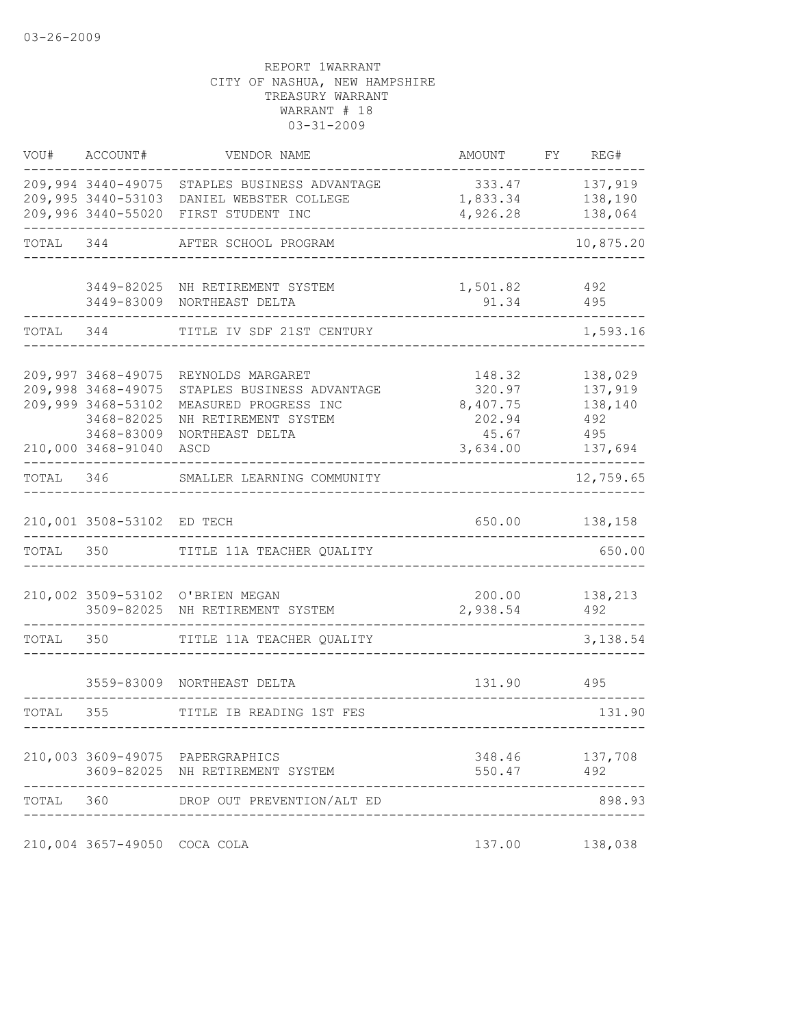|           | VOU# ACCOUNT#                                                                                                    | VENDOR NAME                                                                                                                        | AMOUNT                                                      | FY REG#                                                |
|-----------|------------------------------------------------------------------------------------------------------------------|------------------------------------------------------------------------------------------------------------------------------------|-------------------------------------------------------------|--------------------------------------------------------|
|           |                                                                                                                  | 209,994 3440-49075 STAPLES BUSINESS ADVANTAGE<br>209,995 3440-53103 DANIEL WEBSTER COLLEGE<br>209,996 3440-55020 FIRST STUDENT INC | 333.47<br>1,833.34<br>4,926.28                              | 137,919<br>138,190<br>138,064                          |
| TOTAL 344 |                                                                                                                  | AFTER SCHOOL PROGRAM                                                                                                               |                                                             | 10,875.20                                              |
|           |                                                                                                                  | 3449-82025 NH RETIREMENT SYSTEM<br>3449-83009 NORTHEAST DELTA                                                                      | 1,501.82<br>91.34                                           | 492<br>495                                             |
| TOTAL 344 |                                                                                                                  | TITLE IV SDF 21ST CENTURY                                                                                                          |                                                             | 1,593.16                                               |
|           | 209,997 3468-49075<br>209,998 3468-49075<br>209,999 3468-53102<br>3468-82025<br>3468-83009<br>210,000 3468-91040 | REYNOLDS MARGARET<br>STAPLES BUSINESS ADVANTAGE<br>MEASURED PROGRESS INC<br>NH RETIREMENT SYSTEM<br>NORTHEAST DELTA<br>ASCD        | 148.32<br>320.97<br>8,407.75<br>202.94<br>45.67<br>3,634.00 | 138,029<br>137,919<br>138,140<br>492<br>495<br>137,694 |
| TOTAL 346 |                                                                                                                  | SMALLER LEARNING COMMUNITY                                                                                                         |                                                             | 12,759.65                                              |
| TOTAL 350 | 210,001 3508-53102 ED TECH                                                                                       | TITLE 11A TEACHER QUALITY                                                                                                          | 650.00                                                      | 138,158<br>650.00                                      |
|           |                                                                                                                  | 210,002 3509-53102 O'BRIEN MEGAN<br>3509-82025 NH RETIREMENT SYSTEM                                                                | 200.00<br>2,938.54                                          | 138,213<br>492                                         |
|           | TOTAL 350                                                                                                        | TITLE 11A TEACHER QUALITY                                                                                                          |                                                             | 3,138.54                                               |
|           |                                                                                                                  | 3559-83009 NORTHEAST DELTA                                                                                                         | 131.90                                                      | 495                                                    |
| TOTAL 355 |                                                                                                                  | TITLE IB READING 1ST FES                                                                                                           |                                                             | 131.90                                                 |
|           |                                                                                                                  | 210,003 3609-49075 PAPERGRAPHICS<br>3609-82025 NH RETIREMENT SYSTEM                                                                | 348.46<br>550.47                                            | 137,708<br>492                                         |
| TOTAL 360 |                                                                                                                  | DROP OUT PREVENTION/ALT ED                                                                                                         |                                                             | 898.93                                                 |
|           | 210,004 3657-49050 COCA COLA                                                                                     |                                                                                                                                    | 137.00                                                      | 138,038                                                |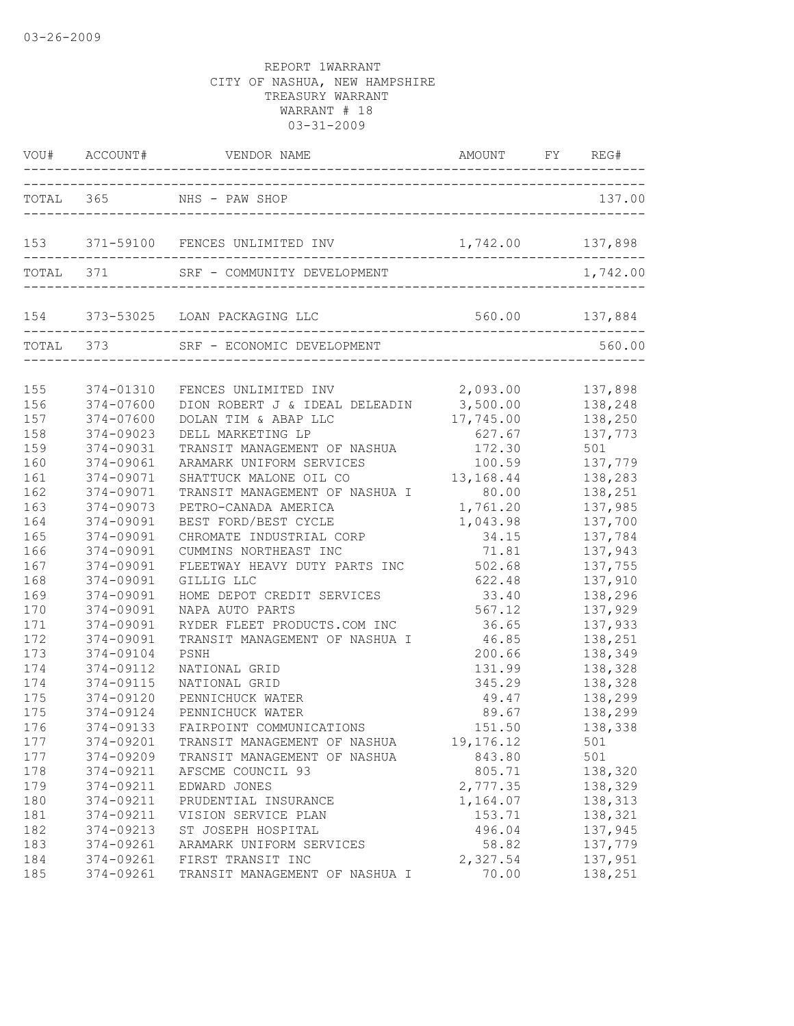|                          |                                                  | VOU# ACCOUNT# VENDOR NAME AND AMOUNT FY REG#                                                                          |                                             |                                          |
|--------------------------|--------------------------------------------------|-----------------------------------------------------------------------------------------------------------------------|---------------------------------------------|------------------------------------------|
|                          |                                                  | TOTAL 365 NHS - PAW SHOP                                                                                              |                                             | 137.00                                   |
|                          |                                                  | 153 371-59100 FENCES UNLIMITED INV 1,742.00 137,898                                                                   |                                             |                                          |
|                          | TOTAL 371                                        | SRF - COMMUNITY DEVELOPMENT                                                                                           |                                             | 1,742.00                                 |
|                          |                                                  | 154 373-53025 LOAN PACKAGING LLC                                                                                      |                                             |                                          |
|                          |                                                  | TOTAL 373 SRF - ECONOMIC DEVELOPMENT                                                                                  |                                             | 560.00                                   |
| 155<br>156<br>157<br>158 | 374-01310<br>374-07600<br>374-07600<br>374-09023 | FENCES UNLIMITED INV<br>DION ROBERT J & IDEAL DELEADIN<br>DOLAN TIM & ABAP LLC<br>DELL MARKETING LP                   | 2,093.00<br>3,500.00<br>17,745.00<br>627.67 | 137,898<br>138,248<br>138,250<br>137,773 |
| 159<br>160<br>161        | 374-09031<br>374-09061<br>374-09071              | TRANSIT MANAGEMENT OF NASHUA<br>ARAMARK UNIFORM SERVICES<br>SHATTUCK MALONE OIL CO                                    | 172.30<br>100.59<br>13, 168. 44 138, 283    | 501<br>137,779                           |
| 162<br>163<br>164<br>165 | 374-09071<br>374-09073<br>374-09091<br>374-09091 | TRANSIT MANAGEMENT OF NASHUA I 80.00<br>PETRO-CANADA AMERICA<br>BEST FORD/BEST CYCLE<br>CHROMATE INDUSTRIAL CORP      | 1,761.20<br>1,043.98<br>34.15               | 138,251<br>137,985<br>137,700<br>137,784 |
| 166<br>167<br>168        | 374-09091<br>374-09091<br>374-09091              | CUMMINS NORTHEAST INC<br>FLEETWAY HEAVY DUTY PARTS INC<br>GILLIG LLC                                                  | 71.81<br>502.68<br>622.48                   | 137,943<br>137,755<br>137,910            |
| 169<br>170<br>171<br>172 | 374-09091<br>374-09091<br>374-09091<br>374-09091 | HOME DEPOT CREDIT SERVICES<br>NAPA AUTO PARTS<br>RYDER FLEET PRODUCTS.COM INC<br>TRANSIT MANAGEMENT OF NASHUA I 46.85 | 33.40<br>567.12<br>36.65                    | 138,296<br>137,929<br>137,933<br>138,251 |
| 173<br>174<br>174        | 374-09104<br>374-09112<br>374-09115              | PSNH<br>NATIONAL GRID<br>NATIONAL GRID                                                                                | 200.66<br>131.99<br>345.29                  | 138,349<br>138,328<br>138,328            |
| 175<br>175<br>176        | 374-09120<br>374-09124<br>374-09133              | PENNICHUCK WATER<br>PENNICHUCK WATER<br>FAIRPOINT COMMUNICATIONS                                                      | 49.47<br>89.67<br>151.50                    | 138,299<br>138,299<br>138,338            |
| 177<br>177<br>178<br>179 | 374-09201<br>374-09209<br>374-09211<br>374-09211 | TRANSIT MANAGEMENT OF NASHUA<br>TRANSIT MANAGEMENT OF NASHUA<br>AFSCME COUNCIL 93<br>EDWARD JONES                     | 19,176.12<br>843.80<br>805.71<br>2,777.35   | 501<br>501<br>138,320                    |
| 180<br>181<br>182        | 374-09211<br>374-09211<br>374-09213              | PRUDENTIAL INSURANCE<br>VISION SERVICE PLAN<br>ST JOSEPH HOSPITAL                                                     | 1,164.07<br>153.71<br>496.04                | 138,329<br>138,313<br>138,321<br>137,945 |
| 183<br>184<br>185        | 374-09261<br>374-09261<br>374-09261              | ARAMARK UNIFORM SERVICES<br>FIRST TRANSIT INC<br>TRANSIT MANAGEMENT OF NASHUA I                                       | 58.82<br>2,327.54<br>70.00                  | 137,779<br>137,951<br>138,251            |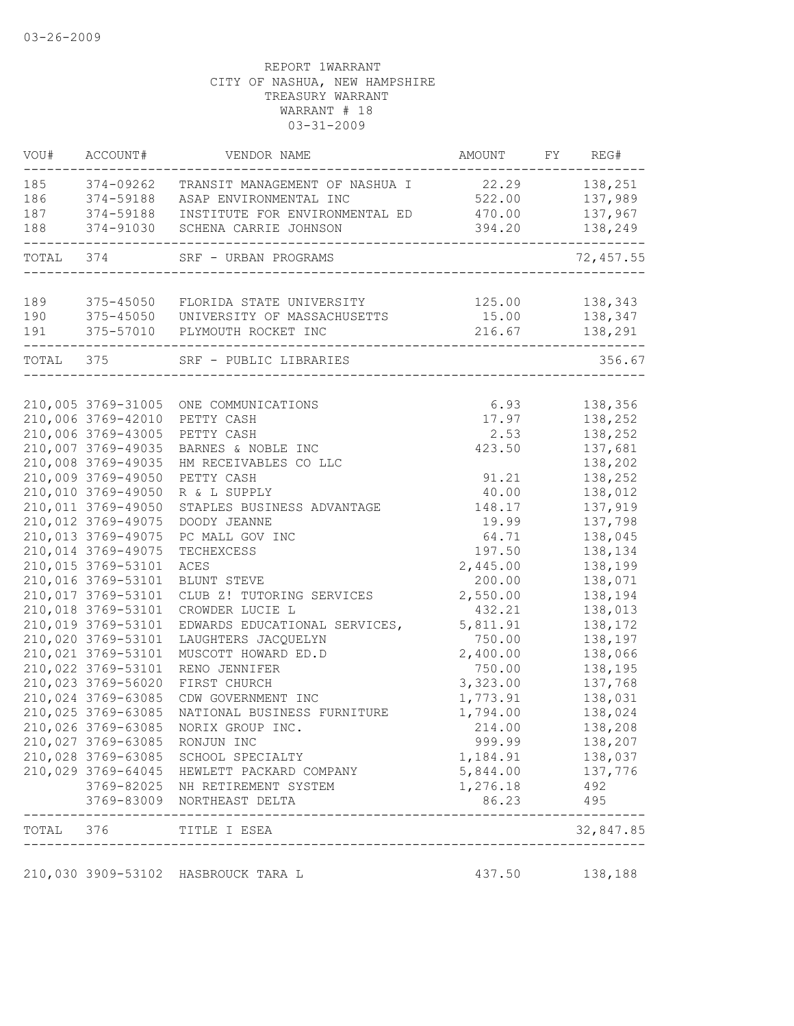| VOU#      | ACCOUNT#                                 | VENDOR NAME                                  | AMOUNT             | FY REG#            |
|-----------|------------------------------------------|----------------------------------------------|--------------------|--------------------|
| 185       | 374-09262                                | TRANSIT MANAGEMENT OF NASHUA I               | 22.29              | 138,251            |
| 186       | 374-59188                                | ASAP ENVIRONMENTAL INC                       | 522.00             | 137,989            |
| 187       | 374-59188                                | INSTITUTE FOR ENVIRONMENTAL ED               | 470.00             | 137,967            |
| 188       | 374-91030                                | SCHENA CARRIE JOHNSON                        | 394.20             | 138,249            |
| TOTAL 374 |                                          | SRF - URBAN PROGRAMS                         |                    | 72,457.55          |
| 189       |                                          | 375-45050 FLORIDA STATE UNIVERSITY           | 125.00             | 138,343            |
| 190       |                                          | 375-45050 UNIVERSITY OF MASSACHUSETTS        | 15.00              | 138,347            |
| 191       |                                          | 375-57010 PLYMOUTH ROCKET INC                |                    | 216.67 138,291     |
|           | TOTAL 375                                | SRF - PUBLIC LIBRARIES                       |                    | 356.67             |
|           |                                          |                                              |                    |                    |
|           | 210,005 3769-31005                       | ONE COMMUNICATIONS                           | 6.93               | 138,356            |
|           | 210,006 3769-42010                       | PETTY CASH                                   | 17.97              | 138,252            |
|           | 210,006 3769-43005                       | PETTY CASH                                   | 2.53               | 138,252            |
|           | 210,007 3769-49035                       | BARNES & NOBLE INC                           | 423.50             | 137,681            |
|           | 210,008 3769-49035                       | HM RECEIVABLES CO LLC                        |                    | 138,202            |
|           | 210,009 3769-49050                       | PETTY CASH                                   | 91.21              | 138,252            |
|           | 210,010 3769-49050                       | R & L SUPPLY                                 | 40.00              | 138,012            |
|           | 210,011 3769-49050                       | STAPLES BUSINESS ADVANTAGE                   | 148.17             | 137,919            |
|           | 210,012 3769-49075                       | DOODY JEANNE                                 | 19.99              | 137,798            |
|           | 210,013 3769-49075                       | PC MALL GOV INC                              | 64.71              | 138,045            |
|           | 210,014 3769-49075<br>210,015 3769-53101 | TECHEXCESS                                   | 197.50<br>2,445.00 | 138,134            |
|           | 210,016 3769-53101                       | ${\tt ACES}$<br>BLUNT STEVE                  | 200.00             | 138,199<br>138,071 |
|           | 210,017 3769-53101                       |                                              | 2,550.00           |                    |
|           | 210,018 3769-53101                       | CLUB Z! TUTORING SERVICES<br>CROWDER LUCIE L | 432.21             | 138,194<br>138,013 |
|           | 210,019 3769-53101                       | EDWARDS EDUCATIONAL SERVICES,                | 5,811.91           | 138,172            |
|           | 210,020 3769-53101                       | LAUGHTERS JACQUELYN                          | 750.00             | 138,197            |
|           | 210,021 3769-53101                       | MUSCOTT HOWARD ED.D                          | 2,400.00           | 138,066            |
|           | 210,022 3769-53101                       | RENO JENNIFER                                | 750.00             | 138,195            |
|           | 210,023 3769-56020                       | FIRST CHURCH                                 | 3,323.00           | 137,768            |
|           | 210,024 3769-63085                       | CDW GOVERNMENT INC                           | 1,773.91           | 138,031            |
|           | 210,025 3769-63085                       | NATIONAL BUSINESS FURNITURE                  | 1,794.00           | 138,024            |
|           | 210,026 3769-63085                       | NORIX GROUP INC.                             | 214.00             | 138,208            |
|           |                                          | 210,027 3769-63085 RONJUN INC                | 999.99             | 138,207            |
|           |                                          | 210,028 3769-63085 SCHOOL SPECIALTY          | 1,184.91           | 138,037            |
|           |                                          | 210,029 3769-64045 HEWLETT PACKARD COMPANY   | 5,844.00 137,776   |                    |
|           |                                          | 3769-82025 NH RETIREMENT SYSTEM              | 1,276.18           | 492                |
|           |                                          | 3769-83009 NORTHEAST DELTA                   | 86.23              | 495                |
|           | ------------                             | _______________<br>TOTAL 376 TITLE I ESEA    |                    | 32,847.85          |
|           |                                          |                                              |                    |                    |
|           |                                          | 210,030 3909-53102 HASBROUCK TARA L          |                    | 437.50 138,188     |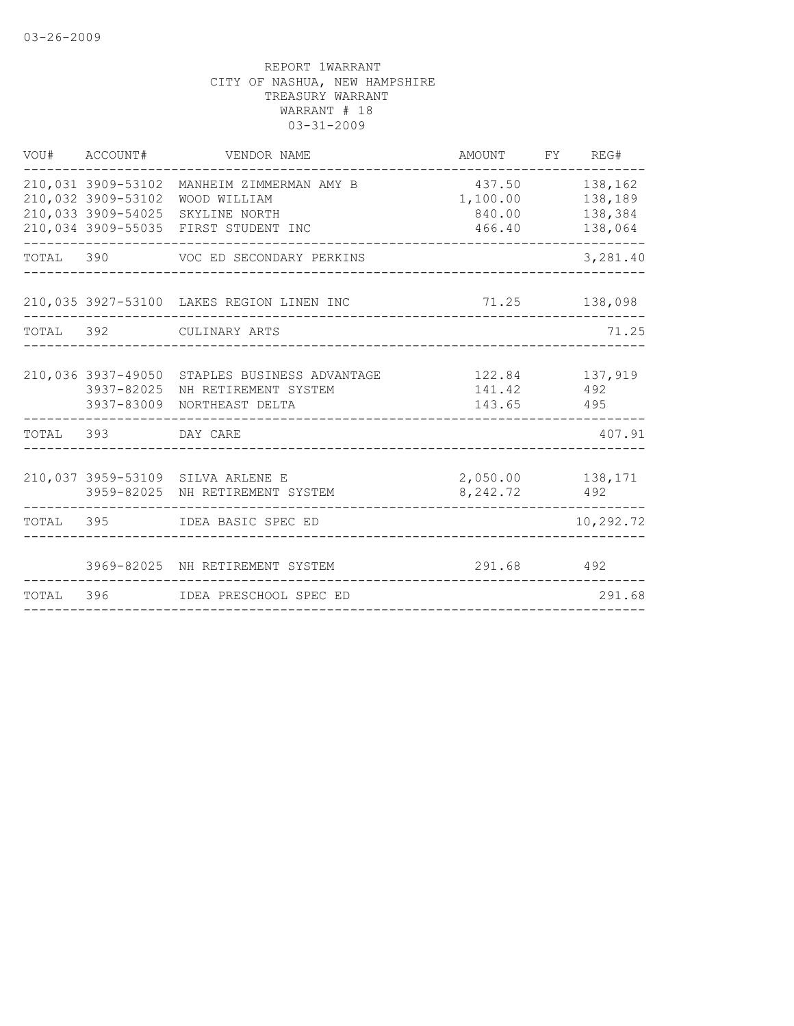|                    | VOU# ACCOUNT# VENDOR NAME                                                                                                              | AMOUNT FY REG#                                 |                               |
|--------------------|----------------------------------------------------------------------------------------------------------------------------------------|------------------------------------------------|-------------------------------|
| 210,032 3909-53102 | 210,031 3909-53102 MANHEIM ZIMMERMAN AMY B<br>WOOD WILLIAM<br>210,033 3909-54025 SKYLINE NORTH<br>210,034 3909-55035 FIRST STUDENT INC | 437.50<br>1,100.00 138,189<br>840.00<br>466.40 | 138,162<br>138,384<br>138,064 |
|                    | TOTAL 390 VOC ED SECONDARY PERKINS                                                                                                     |                                                | 3,281.40                      |
|                    | 210,035 3927-53100 LAKES REGION LINEN INC                                                                                              | 71.25 138,098                                  |                               |
|                    | TOTAL 392 CULINARY ARTS                                                                                                                |                                                | 71.25                         |
| 3937-82025         | 210,036 3937-49050 STAPLES BUSINESS ADVANTAGE<br>NH RETIREMENT SYSTEM<br>3937-83009 NORTHEAST DELTA                                    | 141.42<br>143.65 495                           | 122.84 137,919<br>492         |
| TOTAL 393 DAY CARE |                                                                                                                                        |                                                | 407.91                        |
|                    | 210,037 3959-53109 SILVA ARLENE E<br>3959-82025 NH RETIREMENT SYSTEM                                                                   | 2,050.00 138,171<br>8, 242. 72 492             |                               |
|                    | TOTAL 395 IDEA BASIC SPEC ED                                                                                                           |                                                | 10,292.72                     |
|                    | 3969-82025 NH RETIREMENT SYSTEM                                                                                                        | 291.68 492                                     |                               |
|                    | TOTAL 396 IDEA PRESCHOOL SPEC ED                                                                                                       |                                                | 291.68                        |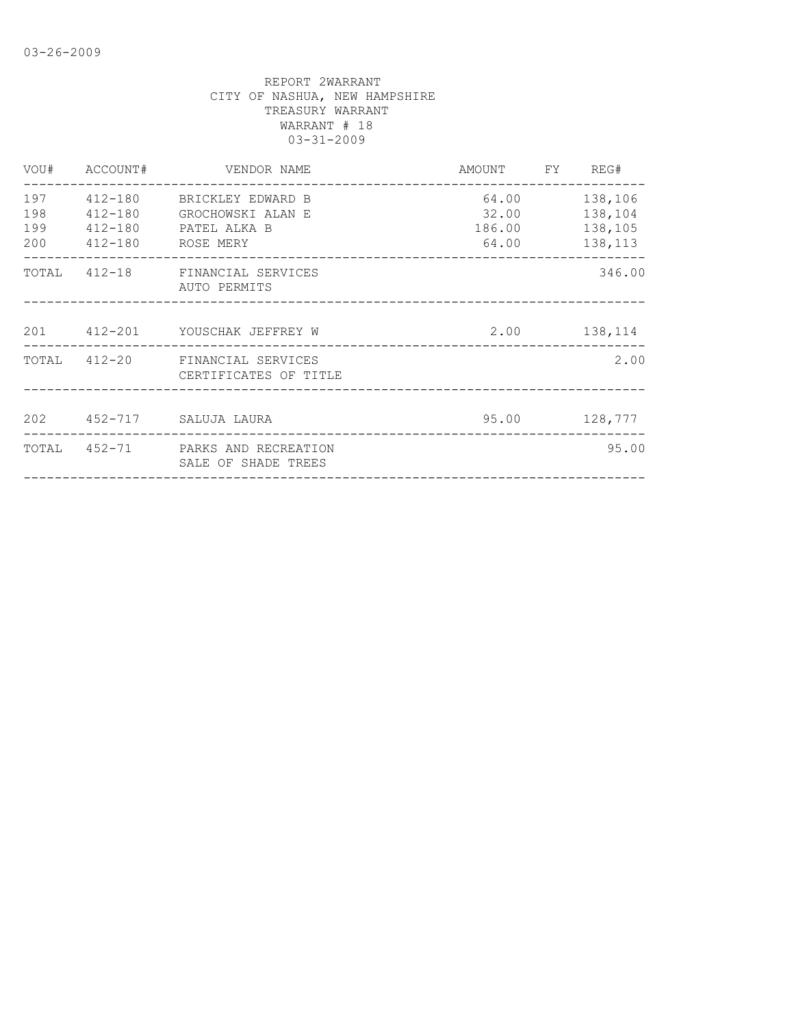|                          | VOU# ACCOUNT# VENDOR NAME                                                                           | AMOUNT FY REG#          |                                                 |
|--------------------------|-----------------------------------------------------------------------------------------------------|-------------------------|-------------------------------------------------|
| 197<br>198<br>199<br>200 | 412-180 BRICKLEY EDWARD B<br>412-180 GROCHOWSKI ALAN E<br>412-180 PATEL ALKA B<br>412-180 ROSE MERY | 64.00<br>32.00<br>64.00 | 138,106<br>138,104<br>186.00 138,105<br>138,113 |
|                          | TOTAL 412-18 FINANCIAL SERVICES<br>AUTO PERMITS                                                     |                         | 346.00                                          |
|                          | 201 412-201 YOUSCHAK JEFFREY W                                                                      | 2.00 138,114            |                                                 |
|                          | TOTAL 412-20 FINANCIAL SERVICES<br>CERTIFICATES OF TITLE                                            |                         | 2.00                                            |
|                          | 202 452-717 SALUJA LAURA                                                                            |                         | 95.00 128,777                                   |
|                          | TOTAL 452-71 PARKS AND RECREATION<br>SALE OF SHADE TREES                                            |                         | 95.00                                           |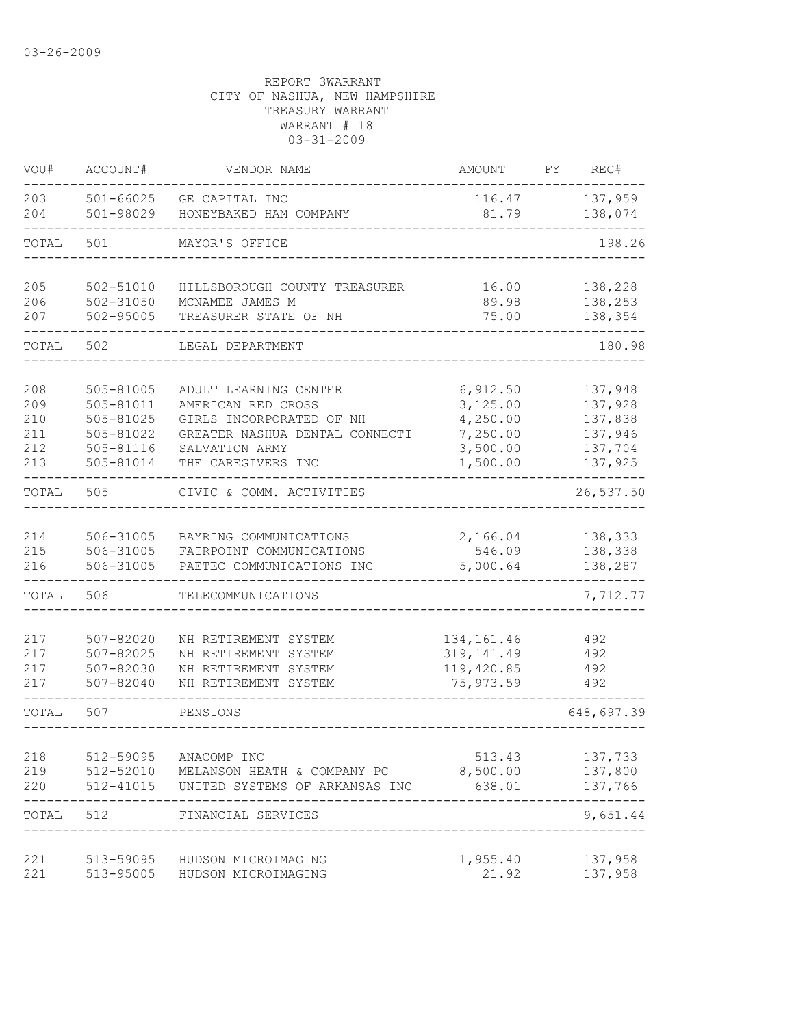| VOU#       | ACCOUNT#                       | VENDOR NAME                              | <b>AMOUNT</b>   | FY | REG#               |
|------------|--------------------------------|------------------------------------------|-----------------|----|--------------------|
| 203<br>204 | $501 - 66025$<br>501-98029     | GE CAPITAL INC<br>HONEYBAKED HAM COMPANY | 116.47<br>81.79 |    | 137,959<br>138,074 |
| TOTAL      | 501                            | MAYOR'S OFFICE                           |                 |    | 198.26             |
| 205        | 502-51010                      | HILLSBOROUGH COUNTY TREASURER            | 16.00           |    | 138,228            |
| 206<br>207 | $502 - 31050$<br>$502 - 95005$ | MCNAMEE JAMES M<br>TREASURER STATE OF NH | 89.98<br>75.00  |    | 138,253<br>138,354 |
| TOTAL      | 502                            | LEGAL DEPARTMENT                         |                 |    | 180.98             |
| 208        | 505-81005                      | ADULT LEARNING CENTER                    | 6,912.50        |    | 137,948            |
| 209        | 505-81011                      | AMERICAN RED CROSS                       | 3,125.00        |    | 137,928            |
| 210        | 505-81025                      | GIRLS INCORPORATED OF NH                 | 4,250.00        |    | 137,838            |
| 211        | 505-81022                      | GREATER NASHUA DENTAL CONNECTI           | 7,250.00        |    | 137,946            |
| 212        | 505-81116                      | SALVATION ARMY                           | 3,500.00        |    | 137,704            |
| 213        | 505-81014                      | THE CAREGIVERS INC                       | 1,500.00        |    | 137,925            |
| TOTAL      | 505                            | CIVIC & COMM. ACTIVITIES                 |                 |    | 26,537.50          |
| 214        | 506-31005                      | BAYRING COMMUNICATIONS                   | 2,166.04        |    | 138,333            |
| 215        | 506-31005                      | FAIRPOINT COMMUNICATIONS                 | 546.09          |    | 138,338            |
| 216        | 506-31005                      | PAETEC COMMUNICATIONS INC                | 5,000.64        |    | 138,287            |
| TOTAL      | 506                            | TELECOMMUNICATIONS                       |                 |    | 7,712.77           |
| 217        | $507 - 82020$                  | NH RETIREMENT SYSTEM                     | 134, 161.46     |    | 492                |
| 217        | $507 - 82025$                  | NH RETIREMENT SYSTEM                     | 319, 141.49     |    | 492                |
| 217        | 507-82030                      | NH RETIREMENT SYSTEM                     | 119,420.85      |    | 492                |
| 217        | $507 - 82040$                  | NH RETIREMENT SYSTEM                     | 75, 973.59      |    | 492                |
| TOTAL      | 507                            | PENSIONS                                 |                 |    | 648,697.39         |
| 218        | 512-59095                      | ANACOMP INC                              | 513.43          |    | 137,733            |
| 219        | 512-52010                      | MELANSON HEATH & COMPANY PC              | 8,500.00        |    | 137,800            |
| 220        | 512-41015                      | UNITED SYSTEMS OF ARKANSAS INC           | 638.01          |    | 137,766            |
| TOTAL      | 512                            | FINANCIAL SERVICES                       |                 |    | ------<br>9,651.44 |
| 221        | 513-59095                      | HUDSON MICROIMAGING                      | 1,955.40        |    | 137,958            |
| 221        | 513-95005                      | HUDSON MICROIMAGING                      | 21.92           |    | 137,958            |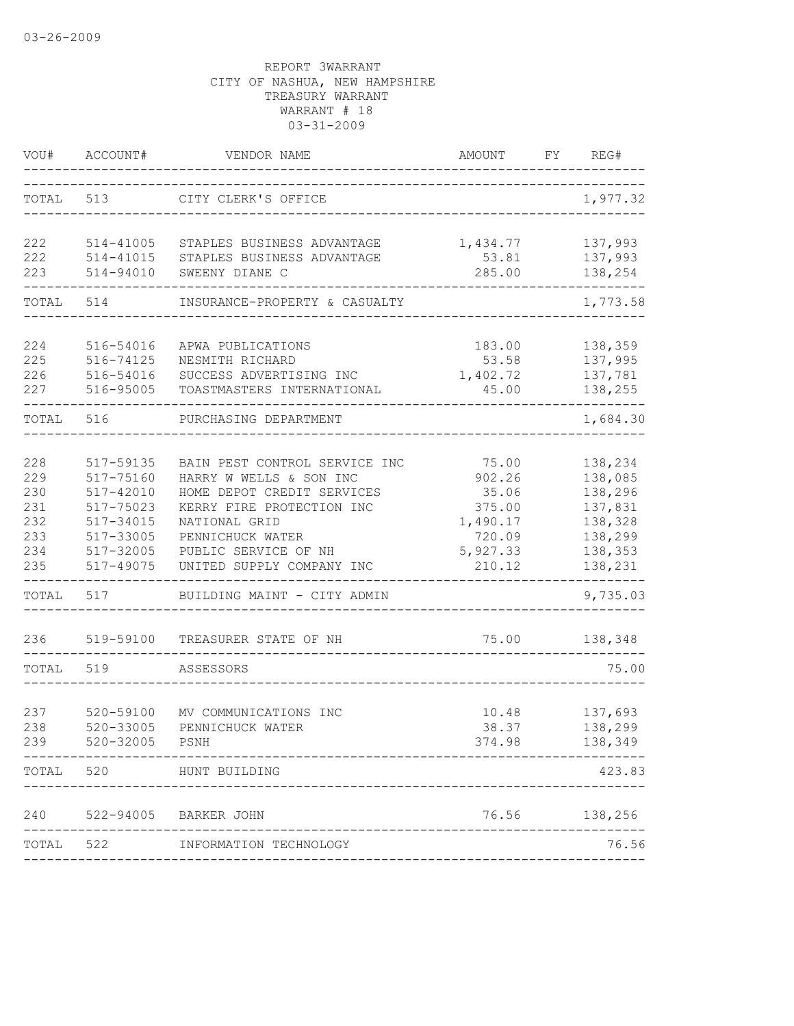| VOU#                                                 | ACCOUNT#                                                                                             | VENDOR NAME                                                                                                                                                                                                   | <b>AMOUNT</b>                                                                  | FY | REG#                                                                                 |
|------------------------------------------------------|------------------------------------------------------------------------------------------------------|---------------------------------------------------------------------------------------------------------------------------------------------------------------------------------------------------------------|--------------------------------------------------------------------------------|----|--------------------------------------------------------------------------------------|
| TOTAL                                                | 513                                                                                                  | CITY CLERK'S OFFICE                                                                                                                                                                                           |                                                                                |    | 1,977.32                                                                             |
| 222<br>222<br>223                                    | 514-41005<br>514-41015<br>514-94010                                                                  | STAPLES BUSINESS ADVANTAGE<br>STAPLES BUSINESS ADVANTAGE<br>SWEENY DIANE C                                                                                                                                    | 1,434.77<br>53.81<br>285.00                                                    |    | 137,993<br>137,993<br>138,254                                                        |
| TOTAL                                                | 514                                                                                                  | INSURANCE-PROPERTY & CASUALTY                                                                                                                                                                                 |                                                                                |    | 1,773.58                                                                             |
| 224<br>225<br>226<br>227                             | 516-54016<br>516-74125<br>516-54016<br>516-95005                                                     | APWA PUBLICATIONS<br>NESMITH RICHARD<br>SUCCESS ADVERTISING INC<br>TOASTMASTERS INTERNATIONAL                                                                                                                 | 183.00<br>53.58<br>1,402.72<br>45.00                                           |    | 138,359<br>137,995<br>137,781<br>138,255                                             |
| TOTAL                                                | 516                                                                                                  | PURCHASING DEPARTMENT                                                                                                                                                                                         |                                                                                |    | 1,684.30                                                                             |
| 228<br>229<br>230<br>231<br>232<br>233<br>234<br>235 | 517-59135<br>517-75160<br>517-42010<br>517-75023<br>517-34015<br>517-33005<br>517-32005<br>517-49075 | BAIN PEST CONTROL SERVICE INC<br>HARRY W WELLS & SON INC<br>HOME DEPOT CREDIT SERVICES<br>KERRY FIRE PROTECTION INC<br>NATIONAL GRID<br>PENNICHUCK WATER<br>PUBLIC SERVICE OF NH<br>UNITED SUPPLY COMPANY INC | 75.00<br>902.26<br>35.06<br>375.00<br>1,490.17<br>720.09<br>5,927.33<br>210.12 |    | 138,234<br>138,085<br>138,296<br>137,831<br>138,328<br>138,299<br>138,353<br>138,231 |
| TOTAL                                                | 517                                                                                                  | BUILDING MAINT - CITY ADMIN                                                                                                                                                                                   |                                                                                |    | 9,735.03                                                                             |
| 236                                                  | 519-59100                                                                                            | TREASURER STATE OF NH                                                                                                                                                                                         | 75.00                                                                          |    | 138,348                                                                              |
| TOTAL                                                | 519                                                                                                  | ASSESSORS                                                                                                                                                                                                     |                                                                                |    | 75.00                                                                                |
| 237<br>238<br>239                                    | 520-59100<br>520-33005<br>520-32005                                                                  | MV COMMUNICATIONS INC<br>PENNICHUCK WATER<br>PSNH                                                                                                                                                             | 10.48<br>38.37<br>374.98                                                       |    | 137,693<br>138,299<br>138,349                                                        |
| TOTAL                                                | 520                                                                                                  | HUNT BUILDING                                                                                                                                                                                                 |                                                                                |    | 423.83                                                                               |
|                                                      |                                                                                                      | 240 522-94005 BARKER JOHN                                                                                                                                                                                     |                                                                                |    | 76.56 138,256                                                                        |
|                                                      |                                                                                                      | TOTAL 522 INFORMATION TECHNOLOGY                                                                                                                                                                              |                                                                                |    | 76.56                                                                                |
|                                                      |                                                                                                      |                                                                                                                                                                                                               |                                                                                |    |                                                                                      |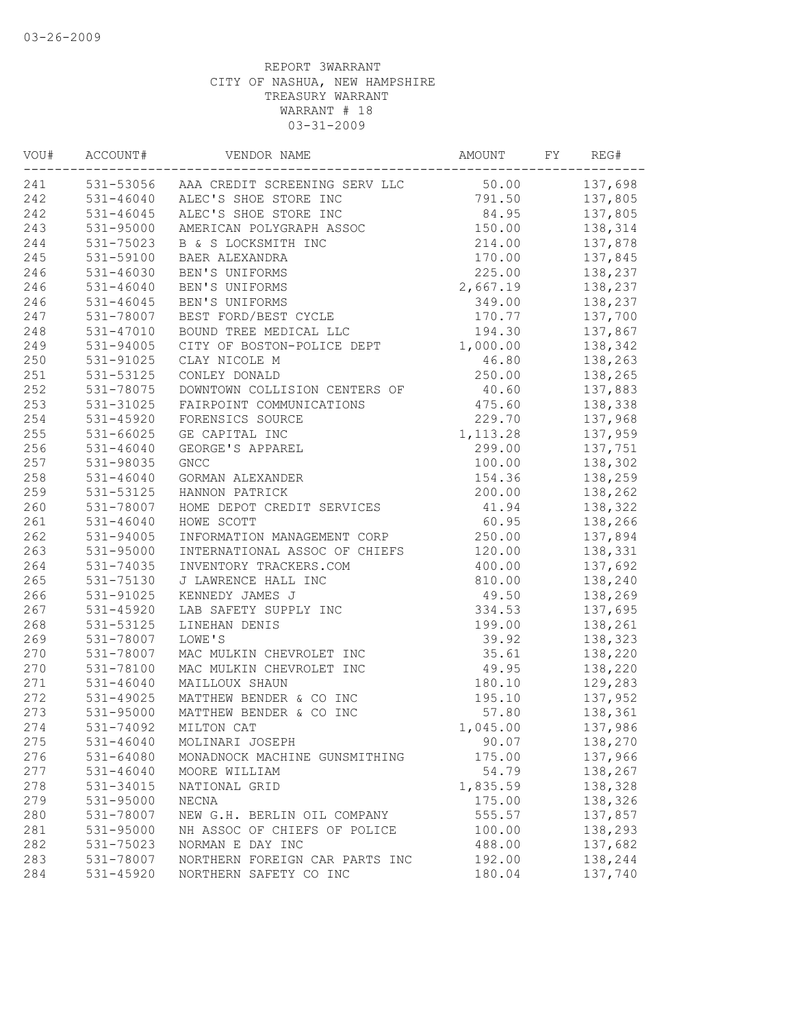| VOU# | ACCOUNT#      | VENDOR NAME                             | AMOUNT    | FY | REG#    |
|------|---------------|-----------------------------------------|-----------|----|---------|
| 241  |               | 531-53056 AAA CREDIT SCREENING SERV LLC | 50.00     |    | 137,698 |
| 242  |               | 531-46040 ALEC'S SHOE STORE INC         | 791.50    |    | 137,805 |
| 242  | $531 - 46045$ | ALEC'S SHOE STORE INC                   | 84.95     |    | 137,805 |
| 243  | $531 - 95000$ | AMERICAN POLYGRAPH ASSOC                | 150.00    |    | 138,314 |
| 244  | 531-75023     | B & S LOCKSMITH INC                     | 214.00    |    | 137,878 |
| 245  | 531-59100     | BAER ALEXANDRA                          | 170.00    |    | 137,845 |
| 246  | 531-46030     | BEN'S UNIFORMS                          | 225.00    |    | 138,237 |
| 246  | $531 - 46040$ | BEN'S UNIFORMS                          | 2,667.19  |    | 138,237 |
| 246  | $531 - 46045$ | BEN'S UNIFORMS                          | 349.00    |    | 138,237 |
| 247  | 531-78007     | BEST FORD/BEST CYCLE                    | 170.77    |    | 137,700 |
| 248  | 531-47010     | BOUND TREE MEDICAL LLC                  | 194.30    |    | 137,867 |
| 249  | 531-94005     | CITY OF BOSTON-POLICE DEPT              | 1,000.00  |    | 138,342 |
| 250  | 531-91025     | CLAY NICOLE M                           | 46.80     |    | 138,263 |
| 251  | 531-53125     | CONLEY DONALD                           | 250.00    |    | 138,265 |
| 252  | 531-78075     | DOWNTOWN COLLISION CENTERS OF           | 40.60     |    | 137,883 |
| 253  | 531-31025     | FAIRPOINT COMMUNICATIONS                | 475.60    |    | 138,338 |
| 254  | 531-45920     | FORENSICS SOURCE                        | 229.70    |    | 137,968 |
| 255  | 531-66025     | GE CAPITAL INC                          | 1, 113.28 |    | 137,959 |
| 256  | $531 - 46040$ | GEORGE'S APPAREL                        | 299.00    |    | 137,751 |
| 257  | 531-98035     | <b>GNCC</b>                             | 100.00    |    | 138,302 |
| 258  | $531 - 46040$ | GORMAN ALEXANDER                        | 154.36    |    | 138,259 |
| 259  | 531-53125     | HANNON PATRICK                          | 200.00    |    | 138,262 |
| 260  | 531-78007     | HOME DEPOT CREDIT SERVICES              | 41.94     |    | 138,322 |
| 261  | $531 - 46040$ | HOWE SCOTT                              | 60.95     |    | 138,266 |
| 262  | 531-94005     | INFORMATION MANAGEMENT CORP             | 250.00    |    | 137,894 |
| 263  | 531-95000     | INTERNATIONAL ASSOC OF CHIEFS           | 120.00    |    | 138,331 |
| 264  | 531-74035     | INVENTORY TRACKERS.COM                  | 400.00    |    | 137,692 |
| 265  | 531-75130     | J LAWRENCE HALL INC                     | 810.00    |    | 138,240 |
| 266  | 531-91025     | KENNEDY JAMES J                         | 49.50     |    | 138,269 |
| 267  | 531-45920     | LAB SAFETY SUPPLY INC                   | 334.53    |    | 137,695 |
| 268  | 531-53125     | LINEHAN DENIS                           | 199.00    |    | 138,261 |
| 269  | 531-78007     | LOWE'S                                  | 39.92     |    | 138,323 |
| 270  | 531-78007     | MAC MULKIN CHEVROLET INC                | 35.61     |    | 138,220 |
| 270  | 531-78100     | MAC MULKIN CHEVROLET INC                | 49.95     |    | 138,220 |
| 271  | $531 - 46040$ | MAILLOUX SHAUN                          | 180.10    |    | 129,283 |
| 272  | $531 - 49025$ | MATTHEW BENDER & CO INC                 | 195.10    |    | 137,952 |
| 273  | 531-95000     | MATTHEW BENDER & CO INC                 | 57.80     |    | 138,361 |
| 274  | 531-74092     | MILTON CAT                              | 1,045.00  |    | 137,986 |
| 275  | $531 - 46040$ | MOLINARI JOSEPH                         | 90.07     |    | 138,270 |
| 276  | 531-64080     | MONADNOCK MACHINE GUNSMITHING           | 175.00    |    | 137,966 |
| 277  | $531 - 46040$ | MOORE WILLIAM                           | 54.79     |    | 138,267 |
| 278  | 531-34015     | NATIONAL GRID                           | 1,835.59  |    | 138,328 |
| 279  | 531-95000     | NECNA                                   | 175.00    |    | 138,326 |
| 280  | 531-78007     | NEW G.H. BERLIN OIL COMPANY             | 555.57    |    | 137,857 |
| 281  | 531-95000     | NH ASSOC OF CHIEFS OF POLICE            | 100.00    |    | 138,293 |
| 282  | 531-75023     | NORMAN E DAY INC                        | 488.00    |    | 137,682 |
| 283  | 531-78007     | NORTHERN FOREIGN CAR PARTS INC          | 192.00    |    | 138,244 |
| 284  | 531-45920     | NORTHERN SAFETY CO INC                  | 180.04    |    | 137,740 |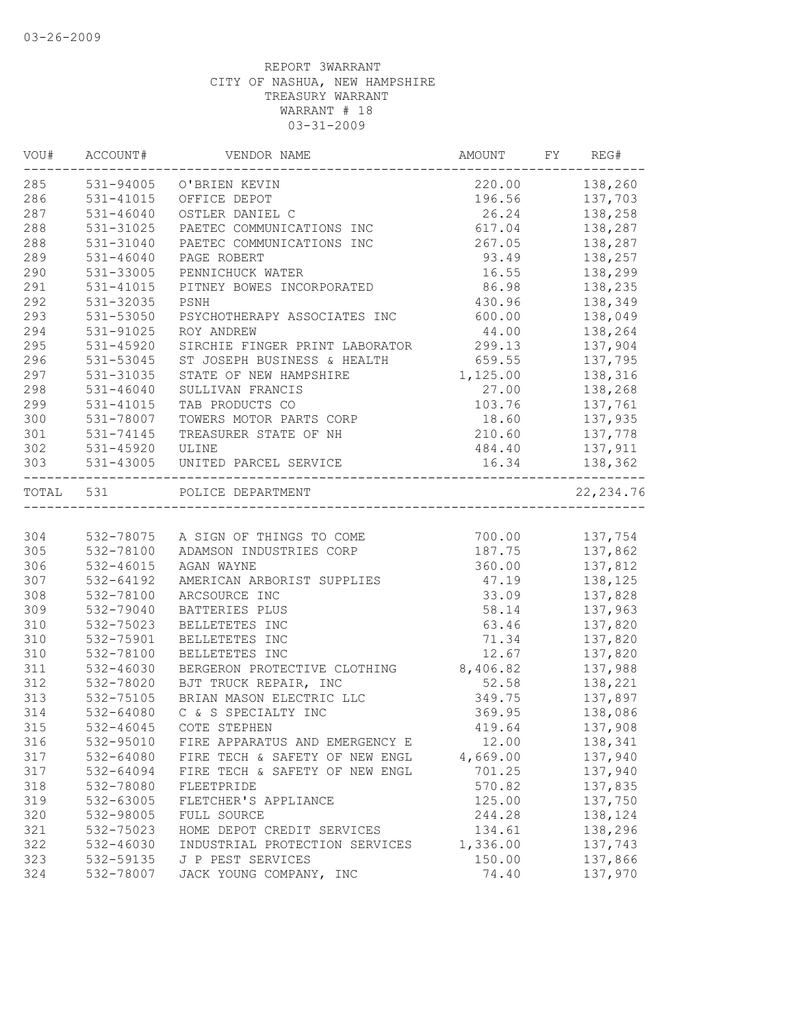| VOU#      | ACCOUNT#      | VENDOR NAME                               | AMOUNT   | FY | REG#           |
|-----------|---------------|-------------------------------------------|----------|----|----------------|
| 285       |               | 531-94005 O'BRIEN KEVIN                   |          |    | 220.00 138,260 |
| 286       | 531-41015     | OFFICE DEPOT                              |          |    | 196.56 137,703 |
| 287       | $531 - 46040$ | OSTLER DANIEL C                           | 26.24    |    | 138,258        |
| 288       | 531-31025     | PAETEC COMMUNICATIONS INC                 | 617.04   |    | 138,287        |
| 288       | 531-31040     | PAETEC COMMUNICATIONS INC                 | 267.05   |    | 138,287        |
| 289       | $531 - 46040$ | PAGE ROBERT                               | 93.49    |    | 138,257        |
| 290       | 531-33005     | PENNICHUCK WATER                          | 16.55    |    | 138,299        |
| 291       | 531-41015     | PITNEY BOWES INCORPORATED                 | 86.98    |    | 138,235        |
| 292       | 531-32035     | PSNH                                      | 430.96   |    | 138,349        |
| 293       | $531 - 53050$ | PSYCHOTHERAPY ASSOCIATES INC              | 600.00   |    | 138,049        |
| 294       | 531-91025     | ROY ANDREW                                | 44.00    |    | 138,264        |
| 295       | 531-45920     | SIRCHIE FINGER PRINT LABORATOR            | 299.13   |    | 137,904        |
| 296       | 531-53045     | ST JOSEPH BUSINESS & HEALTH               | 659.55   |    | 137,795        |
| 297       | 531-31035     | STATE OF NEW HAMPSHIRE                    | 1,125.00 |    | 138,316        |
| 298       | $531 - 46040$ | SULLIVAN FRANCIS                          | 27.00    |    | 138,268        |
| 299       | 531-41015     | TAB PRODUCTS CO                           | 103.76   |    | 137,761        |
| 300       | 531-78007     | TOWERS MOTOR PARTS CORP                   | 18.60    |    | 137,935        |
| 301       | 531-74145     | TREASURER STATE OF NH                     | 210.60   |    | 137,778        |
| 302       | 531-45920     | ULINE                                     | 484.40   |    | 137,911        |
| 303       | 531-43005     | UNITED PARCEL SERVICE                     | 16.34    |    | 138,362        |
| TOTAL 531 |               | POLICE DEPARTMENT<br>____________________ |          |    | 22, 234.76     |
|           |               |                                           |          |    |                |
| 304       |               | 532-78075 A SIGN OF THINGS TO COME        | 700.00   |    | 137,754        |
| 305       | 532-78100     | ADAMSON INDUSTRIES CORP                   | 187.75   |    | 137,862        |
| 306       | $532 - 46015$ | AGAN WAYNE                                | 360.00   |    | 137,812        |
| 307       | 532-64192     | AMERICAN ARBORIST SUPPLIES                | 47.19    |    | 138,125        |
| 308       | 532-78100     | ARCSOURCE INC                             | 33.09    |    | 137,828        |
| 309       | 532-79040     | BATTERIES PLUS                            | 58.14    |    | 137,963        |
| 310       | 532-75023     | BELLETETES INC                            | 63.46    |    | 137,820        |
| 310       | 532-75901     | BELLETETES INC                            | 71.34    |    | 137,820        |
| 310       | 532-78100     | BELLETETES INC                            | 12.67    |    | 137,820        |
| 311       | $532 - 46030$ | BERGERON PROTECTIVE CLOTHING              | 8,406.82 |    | 137,988        |
| 312       | 532-78020     | BJT TRUCK REPAIR, INC                     | 52.58    |    | 138,221        |
| 313       | 532-75105     | BRIAN MASON ELECTRIC LLC                  | 349.75   |    | 137,897        |
| 314       | 532-64080     | C & S SPECIALTY INC                       | 369.95   |    | 138,086        |
| 315       | 532-46045     | COTE STEPHEN                              | 419.64   |    | 137,908        |
| 316       | 532-95010     | FIRE APPARATUS AND EMERGENCY E            | 12.00    |    | 138,341        |
| 317       | 532-64080     | FIRE TECH & SAFETY OF NEW ENGL            | 4,669.00 |    | 137,940        |
| 317       | 532-64094     | FIRE TECH & SAFETY OF NEW ENGL            | 701.25   |    | 137,940        |
| 318       | 532-78080     | FLEETPRIDE                                | 570.82   |    | 137,835        |
| 319       | 532-63005     | FLETCHER'S APPLIANCE                      | 125.00   |    | 137,750        |
| 320       | 532-98005     | FULL SOURCE                               | 244.28   |    | 138,124        |
| 321       | 532-75023     | HOME DEPOT CREDIT SERVICES                | 134.61   |    | 138,296        |
| 322       | 532-46030     | INDUSTRIAL PROTECTION SERVICES            | 1,336.00 |    | 137,743        |
| 323       | 532-59135     | J P PEST SERVICES                         | 150.00   |    | 137,866        |
| 324       | 532-78007     | JACK YOUNG COMPANY, INC                   | 74.40    |    | 137,970        |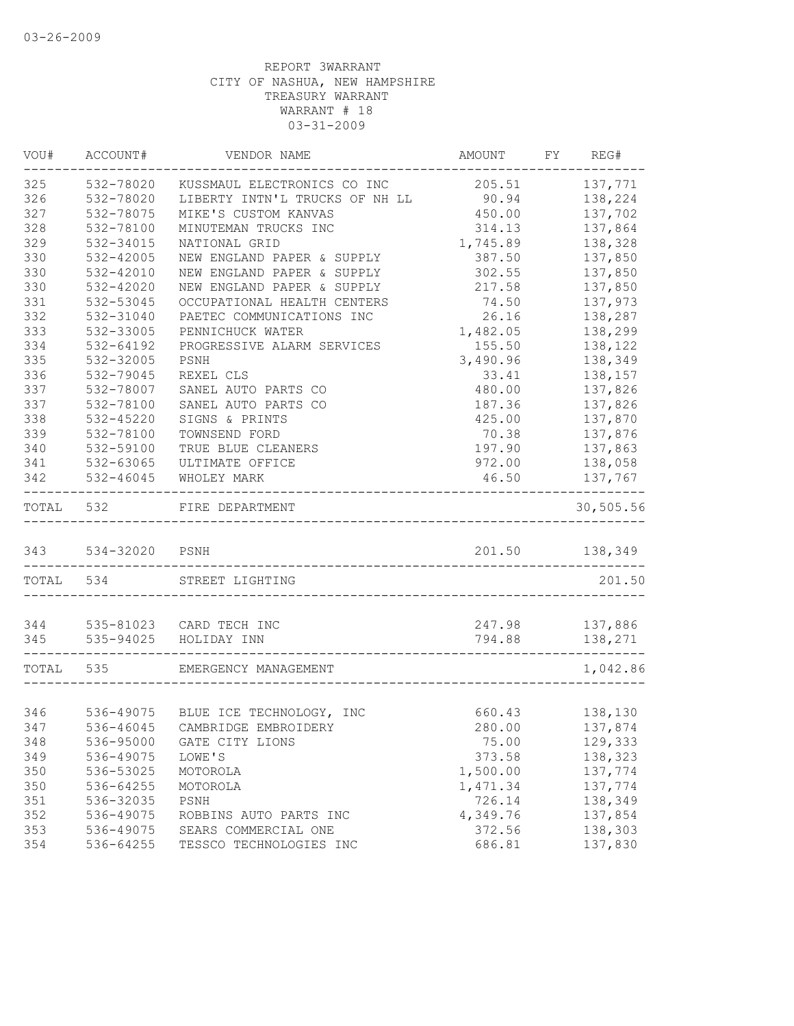| VOU#      | ACCOUNT#           | VENDOR NAME                          | AMOUNT                                     | FY REG#        |
|-----------|--------------------|--------------------------------------|--------------------------------------------|----------------|
| 325       | 532-78020          | KUSSMAUL ELECTRONICS CO INC          | 205.51                                     | 137,771        |
| 326       | 532-78020          | LIBERTY INTN'L TRUCKS OF NH LL 90.94 |                                            | 138,224        |
| 327       | 532-78075          | MIKE'S CUSTOM KANVAS                 | 450.00                                     | 137,702        |
| 328       | 532-78100          | MINUTEMAN TRUCKS INC                 | 314.13                                     | 137,864        |
| 329       | 532-34015          | NATIONAL GRID                        | 1,745.89                                   | 138,328        |
| 330       | 532-42005          | NEW ENGLAND PAPER & SUPPLY           | 387.50                                     | 137,850        |
| 330       | 532-42010          | NEW ENGLAND PAPER & SUPPLY           | 302.55                                     | 137,850        |
| 330       | 532-42020          | NEW ENGLAND PAPER & SUPPLY           | 217.58                                     | 137,850        |
| 331       | 532-53045          | OCCUPATIONAL HEALTH CENTERS          | 74.50                                      | 137,973        |
| 332       | 532-31040          | PAETEC COMMUNICATIONS INC            | 26.16                                      | 138,287        |
| 333       | 532-33005          | PENNICHUCK WATER                     | 1,482.05                                   | 138,299        |
| 334       | 532-64192          | PROGRESSIVE ALARM SERVICES           | 155.50                                     | 138,122        |
| 335       | 532-32005          | PSNH                                 | 3,490.96                                   | 138,349        |
| 336       | 532-79045          | REXEL CLS                            | 33.41                                      | 138,157        |
| 337       | 532-78007          | SANEL AUTO PARTS CO                  | 480.00                                     | 137,826        |
| 337       | 532-78100          | SANEL AUTO PARTS CO                  | 187.36                                     | 137,826        |
| 338       | 532-45220          | SIGNS & PRINTS                       | 425.00                                     | 137,870        |
| 339       | 532-78100          | TOWNSEND FORD                        | 70.38                                      | 137,876        |
| 340       | 532-59100          | TRUE BLUE CLEANERS                   | 197.90                                     | 137,863        |
| 341       | 532-63065          | ULTIMATE OFFICE                      | 972.00                                     | 138,058        |
| 342       | 532-46045          | WHOLEY MARK                          | 46.50                                      | 137,767        |
| TOTAL     | 532                | FIRE DEPARTMENT                      |                                            | 30,505.56      |
|           | 343 534-32020 PSNH |                                      | 201.50                                     | 138,349        |
| TOTAL 534 |                    | STREET LIGHTING                      |                                            | 201.50         |
| 344       |                    | 535-81023 CARD TECH INC              | 247.98                                     | 137,886        |
| 345       |                    | 535-94025 HOLIDAY INN                | 794.88<br>-------------------------------- | 138,271        |
| TOTAL 535 |                    | EMERGENCY MANAGEMENT                 |                                            | 1,042.86       |
|           |                    |                                      |                                            |                |
| 346       |                    | 536-49075 BLUE ICE TECHNOLOGY, INC   |                                            | 660.43 138,130 |
| 347       |                    | 536-46045 CAMBRIDGE EMBROIDERY       | 280.00                                     | 137,874        |
| 348       | 536-95000          | GATE CITY LIONS                      | 75.00                                      | 129,333        |
| 349       | 536-49075          | LOWE'S                               | 373.58                                     | 138,323        |
| 350       | 536-53025          | MOTOROLA                             | 1,500.00                                   | 137,774        |
| 350       | 536-64255          | MOTOROLA                             | 1,471.34                                   | 137,774        |
| 351       | 536-32035          | PSNH                                 | 726.14                                     | 138,349        |
| 352       | 536-49075          | ROBBINS AUTO PARTS INC               | 4,349.76                                   | 137,854        |
| 353       | 536-49075          | SEARS COMMERCIAL ONE                 | 372.56                                     | 138,303        |
| 354       | 536-64255          | TESSCO TECHNOLOGIES INC              | 686.81                                     | 137,830        |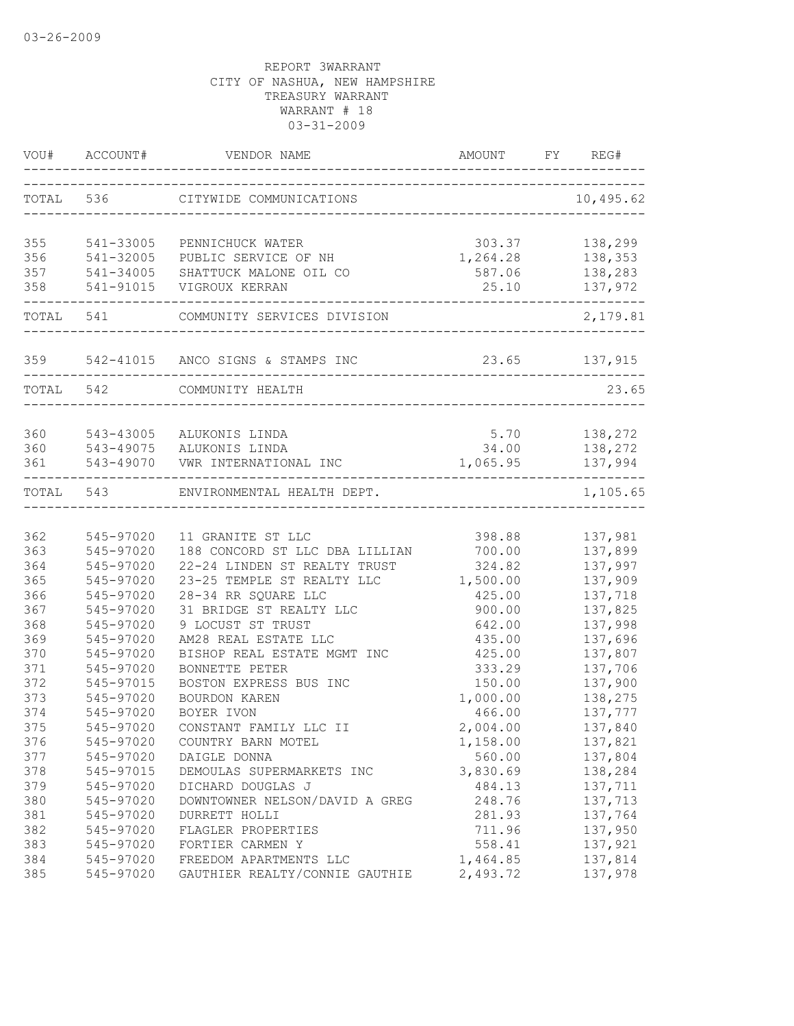|           | VOU# ACCOUNT# | VENDOR NAME                           |                               | FY REG#                    |
|-----------|---------------|---------------------------------------|-------------------------------|----------------------------|
|           |               | TOTAL 536 CITYWIDE COMMUNICATIONS     | ----------------------------- | 10,495.62                  |
| 355       | 541-33005     | PENNICHUCK WATER                      | 303.37                        | 138,299                    |
| 356       | 541-32005     | PUBLIC SERVICE OF NH                  | 1,264.28                      | 138,353                    |
| 357       | 541-34005     | SHATTUCK MALONE OIL CO                | 587.06                        | 138,283                    |
| 358       | 541-91015     | VIGROUX KERRAN                        | 25.10                         | 137,972                    |
|           | TOTAL 541     | COMMUNITY SERVICES DIVISION           |                               | 2,179.81                   |
|           |               | 359 542-41015 ANCO SIGNS & STAMPS INC |                               | 23.65 137,915              |
|           |               |                                       |                               |                            |
| TOTAL 542 |               | COMMUNITY HEALTH                      |                               | 23.65                      |
|           |               |                                       |                               |                            |
| 360       |               | 543-43005 ALUKONIS LINDA              | 5.70                          | 138,272                    |
| 360       |               | 543-49075 ALUKONIS LINDA              | 34.00                         | 138,272                    |
| 361       |               | 543-49070 VWR INTERNATIONAL INC       | 1,065.95                      | 137,994<br>--------------- |
|           | TOTAL 543     | ENVIRONMENTAL HEALTH DEPT.            |                               | 1,105.65                   |
|           |               |                                       |                               |                            |
| 362       | 545-97020     | 11 GRANITE ST LLC                     | 398.88                        | 137,981                    |
| 363       | 545-97020     | 188 CONCORD ST LLC DBA LILLIAN        | 700.00                        | 137,899                    |
| 364       | 545-97020     | 22-24 LINDEN ST REALTY TRUST          | 324.82                        | 137,997                    |
| 365       | 545-97020     | 23-25 TEMPLE ST REALTY LLC            | 1,500.00                      | 137,909                    |
| 366       | 545-97020     | 28-34 RR SQUARE LLC                   | 425.00                        | 137,718                    |
| 367       | 545-97020     | 31 BRIDGE ST REALTY LLC               | 900.00                        | 137,825                    |
| 368       | 545-97020     | 9 LOCUST ST TRUST                     | 642.00                        | 137,998                    |
| 369       | 545-97020     | AM28 REAL ESTATE LLC                  | 435.00                        | 137,696                    |
| 370       | 545-97020     | BISHOP REAL ESTATE MGMT INC           | 425.00                        | 137,807                    |
| 371       | 545-97020     | BONNETTE PETER                        | 333.29                        | 137,706                    |
| 372       | 545-97015     | BOSTON EXPRESS BUS INC                | 150.00                        | 137,900                    |
| 373       | 545-97020     | <b>BOURDON KAREN</b>                  | 1,000.00                      | 138,275                    |
| 374       | 545-97020     | BOYER IVON                            | 466.00                        | 137,777                    |
| 375       | 545-97020     | CONSTANT FAMILY LLC II                | 2,004.00                      | 137,840                    |
| 376       | 545-97020     | COUNTRY BARN MOTEL                    | 1,158.00                      | 137,821                    |
| 377       | 545-97020     | DAIGLE DONNA                          | 560.00                        | 137,804                    |
| 378       | 545-97015     | DEMOULAS SUPERMARKETS INC             | 3,830.69                      | 138,284                    |
| 379       | 545-97020     | DICHARD DOUGLAS J                     | 484.13                        | 137,711                    |
| 380       | 545-97020     | DOWNTOWNER NELSON/DAVID A GREG        | 248.76                        | 137,713                    |
| 381       | 545-97020     | DURRETT HOLLI                         | 281.93                        | 137,764                    |
| 382       | 545-97020     | FLAGLER PROPERTIES                    | 711.96                        | 137,950                    |
| 383       | 545-97020     | FORTIER CARMEN Y                      | 558.41                        | 137,921                    |
| 384       | 545-97020     | FREEDOM APARTMENTS LLC                | 1,464.85                      | 137,814                    |
| 385       | 545-97020     | GAUTHIER REALTY/CONNIE GAUTHIE        | 2,493.72                      | 137,978                    |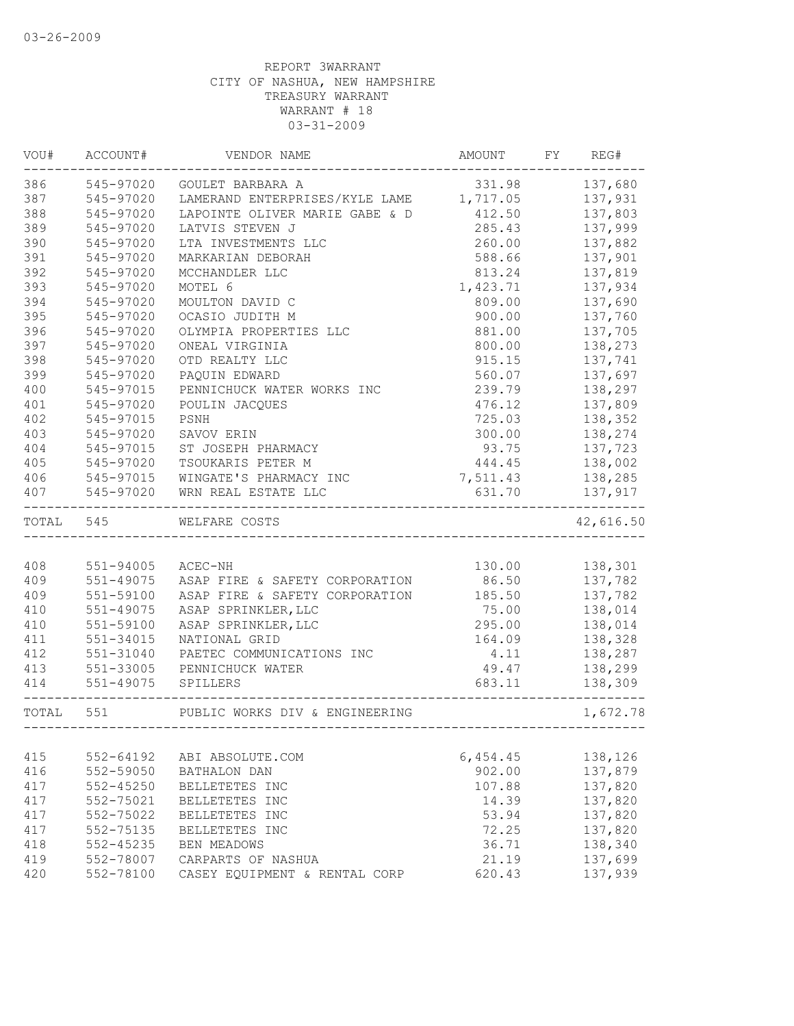| VOU#      | ACCOUNT#      | VENDOR NAME                             | AMOUNT        | FY | REG#           |
|-----------|---------------|-----------------------------------------|---------------|----|----------------|
| 386       | 545-97020     | GOULET BARBARA A                        | 331.98        |    | 137,680        |
| 387       | 545-97020     | LAMERAND ENTERPRISES/KYLE LAME 1,717.05 |               |    | 137,931        |
| 388       | 545-97020     | LAPOINTE OLIVER MARIE GABE & D          | 412.50        |    | 137,803        |
| 389       | 545-97020     | LATVIS STEVEN J                         | 285.43        |    | 137,999        |
| 390       | 545-97020     | LTA INVESTMENTS LLC                     | 260.00        |    | 137,882        |
| 391       | 545-97020     | MARKARIAN DEBORAH                       | 588.66        |    | 137,901        |
| 392       | 545-97020     | MCCHANDLER LLC                          | 813.24        |    | 137,819        |
| 393       | 545-97020     | MOTEL 6                                 | 1,423.71      |    | 137,934        |
| 394       | 545-97020     | MOULTON DAVID C                         | 809.00        |    | 137,690        |
| 395       | 545-97020     | OCASIO JUDITH M                         | 900.00        |    | 137,760        |
| 396       | 545-97020     | OLYMPIA PROPERTIES LLC                  | 881.00        |    | 137,705        |
| 397       | 545-97020     | ONEAL VIRGINIA                          | 800.00        |    | 138,273        |
| 398       | 545-97020     | OTD REALTY LLC                          | 915.15        |    | 137,741        |
| 399       | 545-97020     | PAQUIN EDWARD                           | 560.07        |    | 137,697        |
| 400       | 545-97015     | PENNICHUCK WATER WORKS INC              | 239.79        |    | 138,297        |
| 401       | 545-97020     | POULIN JACQUES                          | 476.12        |    | 137,809        |
| 402       | 545-97015     | PSNH                                    | 725.03        |    | 138,352        |
| 403       | 545-97020     | SAVOV ERIN                              | 300.00        |    | 138,274        |
| 404       | 545-97015     | ST JOSEPH PHARMACY                      | 93.75         |    | 137,723        |
| 405       | 545-97020     | TSOUKARIS PETER M                       | 444.45        |    | 138,002        |
| 406       | 545-97015     | WINGATE'S PHARMACY INC                  | 7,511.43      |    | 138,285        |
| 407       | 545-97020     | WRN REAL ESTATE LLC                     | 631.70        |    | 137,917        |
| TOTAL 545 |               | WELFARE COSTS                           |               |    | 42,616.50      |
|           |               |                                         |               |    |                |
| 408       | 551-94005     | ACEC-NH                                 |               |    | 130.00 138,301 |
| 409       | $551 - 49075$ | ASAP FIRE & SAFETY CORPORATION          | 86.50         |    | 137,782        |
| 409       | 551-59100     | ASAP FIRE & SAFETY CORPORATION          | 185.50        |    | 137,782        |
| 410       | $551 - 49075$ | ASAP SPRINKLER, LLC                     | 75.00         |    | 138,014        |
| 410       | 551-59100     | ASAP SPRINKLER, LLC                     | 295.00        |    | 138,014        |
| 411       | 551-34015     | NATIONAL GRID                           | 164.09        |    | 138,328        |
| 412       | 551-31040     | PAETEC COMMUNICATIONS INC               | 4.11          |    | 138,287        |
| 413       | 551-33005     | PENNICHUCK WATER                        | 49.47         |    | 138,299        |
| 414       | 551-49075     | SPILLERS                                | 683.11        |    | 138,309        |
| TOTAL 551 |               | PUBLIC WORKS DIV & ENGINEERING          | _____________ |    | 1,672.78       |
|           |               |                                         |               |    |                |
| 415       | $552 - 64192$ | ABI ABSOLUTE.COM                        | 6,454.45      |    | 138,126        |
| 416       | 552-59050     | BATHALON DAN                            | 902.00        |    | 137,879        |
| 417       | $552 - 45250$ | BELLETETES INC                          | 107.88        |    | 137,820        |
| 417       | 552-75021     | BELLETETES INC                          | 14.39         |    | 137,820        |
| 417       | 552-75022     | BELLETETES INC                          | 53.94         |    | 137,820        |
| 417       | 552-75135     | BELLETETES INC                          | 72.25         |    | 137,820        |
| 418       | $552 - 45235$ | <b>BEN MEADOWS</b>                      | 36.71         |    | 138,340        |
| 419       | 552-78007     | CARPARTS OF NASHUA                      | 21.19         |    | 137,699        |
| 420       | 552-78100     | CASEY EQUIPMENT & RENTAL CORP           | 620.43        |    | 137,939        |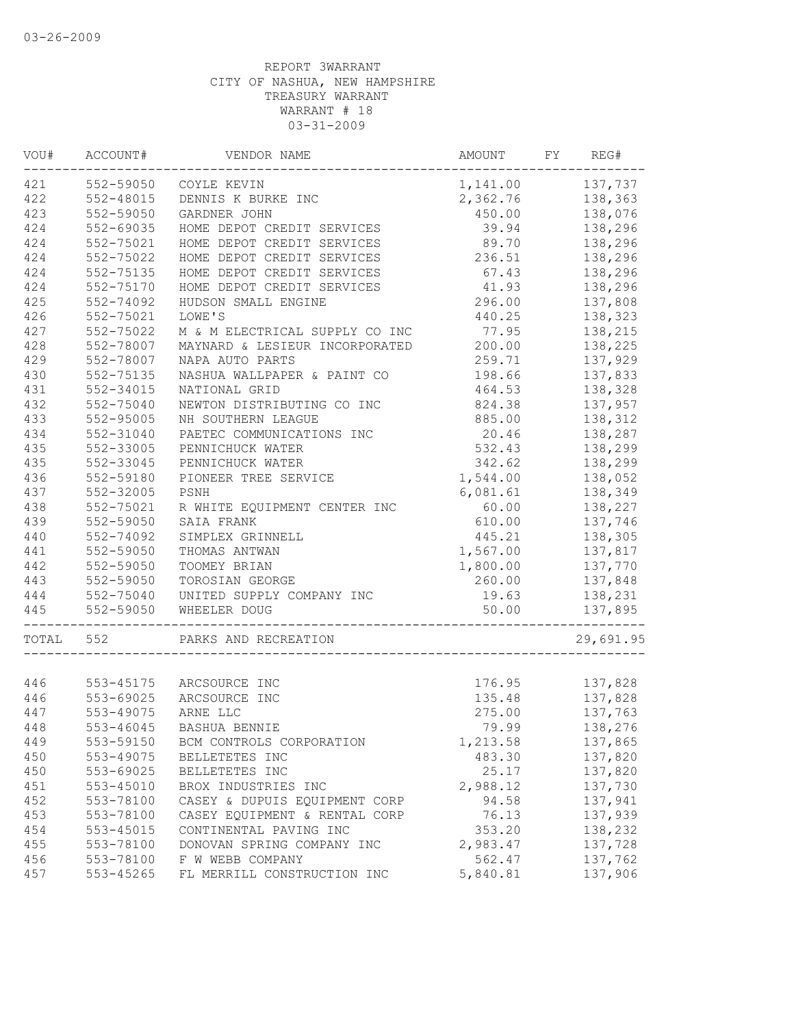| WOU#  | ACCOUNT#      | VENDOR NAME                    | AMOUNT             | FY | REG#      |
|-------|---------------|--------------------------------|--------------------|----|-----------|
| 421   | 552-59050     | COYLE KEVIN                    | 1, 141.00 137, 737 |    |           |
| 422   | 552-48015     | DENNIS K BURKE INC             | 2,362.76           |    | 138,363   |
| 423   | 552-59050     | GARDNER JOHN                   | 450.00             |    | 138,076   |
| 424   | 552-69035     | HOME DEPOT CREDIT SERVICES     | 39.94              |    | 138,296   |
| 424   | 552-75021     | HOME DEPOT CREDIT SERVICES     | 89.70              |    | 138,296   |
| 424   | 552-75022     | HOME DEPOT CREDIT SERVICES     | 236.51             |    | 138,296   |
| 424   | 552-75135     | HOME DEPOT CREDIT SERVICES     | 67.43              |    | 138,296   |
| 424   | 552-75170     | HOME DEPOT CREDIT SERVICES     | 41.93              |    | 138,296   |
| 425   | 552-74092     | HUDSON SMALL ENGINE            | 296.00             |    | 137,808   |
| 426   | 552-75021     | LOWE'S                         | 440.25             |    | 138,323   |
| 427   | 552-75022     | M & M ELECTRICAL SUPPLY CO INC | 77.95              |    | 138,215   |
| 428   | 552-78007     | MAYNARD & LESIEUR INCORPORATED | 200.00             |    | 138,225   |
| 429   | 552-78007     | NAPA AUTO PARTS                | 259.71             |    | 137,929   |
| 430   | 552-75135     | NASHUA WALLPAPER & PAINT CO    | 198.66             |    | 137,833   |
| 431   | 552-34015     | NATIONAL GRID                  | 464.53             |    | 138,328   |
| 432   | 552-75040     | NEWTON DISTRIBUTING CO INC     | 824.38             |    | 137,957   |
| 433   | 552-95005     | NH SOUTHERN LEAGUE             | 885.00             |    | 138,312   |
| 434   | 552-31040     | PAETEC COMMUNICATIONS INC      | 20.46              |    | 138,287   |
| 435   | 552-33005     | PENNICHUCK WATER               | 532.43             |    | 138,299   |
| 435   | 552-33045     | PENNICHUCK WATER               | 342.62             |    | 138,299   |
| 436   | 552-59180     | PIONEER TREE SERVICE           | 1,544.00           |    | 138,052   |
| 437   | 552-32005     | PSNH                           | 6,081.61           |    | 138,349   |
| 438   | 552-75021     | R WHITE EQUIPMENT CENTER INC   | 60.00              |    | 138,227   |
| 439   | 552-59050     | SAIA FRANK                     | 610.00             |    | 137,746   |
| 440   | 552-74092     | SIMPLEX GRINNELL               | 445.21             |    | 138,305   |
| 441   | 552-59050     | THOMAS ANTWAN                  | 1,567.00           |    | 137,817   |
| 442   | 552-59050     | TOOMEY BRIAN                   | 1,800.00           |    | 137,770   |
| 443   | 552-59050     | TOROSIAN GEORGE                | 260.00             |    | 137,848   |
| 444   | 552-75040     | UNITED SUPPLY COMPANY INC      | 19.63              |    | 138,231   |
| 445   | 552-59050     | WHEELER DOUG                   | 50.00              |    | 137,895   |
| TOTAL | 552           | PARKS AND RECREATION           |                    |    | 29,691.95 |
|       |               |                                |                    |    |           |
| 446   |               | 553-45175 ARCSOURCE INC        | 176.95             |    | 137,828   |
| 446   | 553-69025     | ARCSOURCE INC                  | 135.48             |    | 137,828   |
| 447   | 553-49075     | ARNE LLC                       | 275.00             |    | 137,763   |
| 448   | 553-46045     | BASHUA BENNIE                  | 79.99              |    | 138,276   |
| 449   | 553-59150     | BCM CONTROLS CORPORATION       | 1,213.58           |    | 137,865   |
| 450   | 553-49075     | BELLETETES INC                 | 483.30             |    | 137,820   |
| 450   | 553-69025     | BELLETETES INC                 | 25.17              |    | 137,820   |
| 451   | $553 - 45010$ | BROX INDUSTRIES INC            | 2,988.12           |    | 137,730   |
| 452   | 553-78100     | CASEY & DUPUIS EQUIPMENT CORP  | 94.58              |    | 137,941   |
| 453   | 553-78100     | CASEY EQUIPMENT & RENTAL CORP  | 76.13              |    | 137,939   |
| 454   | 553-45015     | CONTINENTAL PAVING INC         | 353.20             |    | 138,232   |
| 455   | 553-78100     | DONOVAN SPRING COMPANY INC     | 2,983.47           |    | 137,728   |
| 456   | 553-78100     | F W WEBB COMPANY               | 562.47             |    | 137,762   |
| 457   | 553-45265     | FL MERRILL CONSTRUCTION INC    | 5,840.81           |    | 137,906   |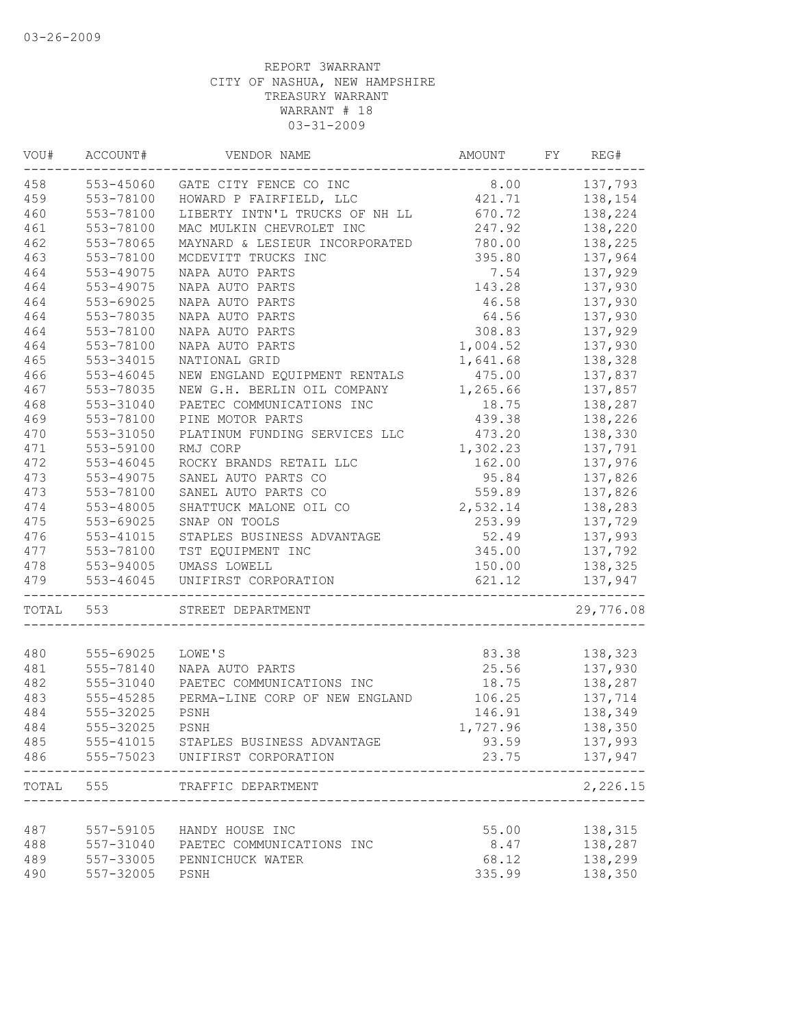| VOU#  | ACCOUNT#               | VENDOR NAME                                  | AMOUNT   | FY | REG#               |
|-------|------------------------|----------------------------------------------|----------|----|--------------------|
| 458   | 553-45060              | GATE CITY FENCE CO INC                       | 8.00     |    | 137,793            |
| 459   | 553-78100              | HOWARD P FAIRFIELD, LLC                      | 421.71   |    | 138,154            |
| 460   | 553-78100              | LIBERTY INTN'L TRUCKS OF NH LL               | 670.72   |    | 138,224            |
| 461   | 553-78100              | MAC MULKIN CHEVROLET INC                     | 247.92   |    | 138,220            |
| 462   | 553-78065              | MAYNARD & LESIEUR INCORPORATED               | 780.00   |    | 138,225            |
| 463   | 553-78100              | MCDEVITT TRUCKS INC                          | 395.80   |    | 137,964            |
| 464   | 553-49075              | NAPA AUTO PARTS                              | 7.54     |    | 137,929            |
| 464   | 553-49075              | NAPA AUTO PARTS                              | 143.28   |    | 137,930            |
| 464   | 553-69025              | NAPA AUTO PARTS                              | 46.58    |    | 137,930            |
| 464   | 553-78035              | NAPA AUTO PARTS                              | 64.56    |    | 137,930            |
| 464   | 553-78100              | NAPA AUTO PARTS                              | 308.83   |    | 137,929            |
| 464   | 553-78100              | NAPA AUTO PARTS                              | 1,004.52 |    | 137,930            |
| 465   | 553-34015              | NATIONAL GRID                                | 1,641.68 |    | 138,328            |
| 466   | 553-46045              | NEW ENGLAND EQUIPMENT RENTALS                | 475.00   |    | 137,837            |
| 467   | 553-78035              | NEW G.H. BERLIN OIL COMPANY                  | 1,265.66 |    | 137,857            |
| 468   | 553-31040              | PAETEC COMMUNICATIONS INC                    | 18.75    |    | 138,287            |
| 469   | 553-78100              | PINE MOTOR PARTS                             | 439.38   |    | 138,226            |
| 470   | 553-31050              | PLATINUM FUNDING SERVICES LLC                | 473.20   |    | 138,330            |
| 471   | 553-59100              | RMJ CORP                                     | 1,302.23 |    | 137,791            |
| 472   | $553 - 46045$          | ROCKY BRANDS RETAIL LLC                      | 162.00   |    | 137,976            |
| 473   | 553-49075              | SANEL AUTO PARTS CO                          | 95.84    |    | 137,826            |
| 473   | 553-78100              | SANEL AUTO PARTS CO                          | 559.89   |    | 137,826            |
| 474   | 553-48005              | SHATTUCK MALONE OIL CO                       | 2,532.14 |    | 138,283            |
| 475   | 553-69025              | SNAP ON TOOLS                                | 253.99   |    | 137,729            |
| 476   | 553-41015              | STAPLES BUSINESS ADVANTAGE                   | 52.49    |    | 137,993            |
| 477   | 553-78100              | TST EQUIPMENT INC                            | 345.00   |    | 137,792            |
| 478   | 553-94005              | UMASS LOWELL                                 | 150.00   |    | 138,325            |
| 479   | 553-46045              | UNIFIRST CORPORATION                         | 621.12   |    | 137,947            |
| TOTAL | 553                    | STREET DEPARTMENT                            |          |    | 29,776.08          |
|       |                        |                                              |          |    |                    |
| 480   | 555-69025<br>555-78140 | LOWE'S                                       | 83.38    |    | 138,323<br>137,930 |
| 481   | 555-31040              | NAPA AUTO PARTS<br>PAETEC COMMUNICATIONS INC | 25.56    |    |                    |
| 482   |                        |                                              | 18.75    |    | 138,287            |
| 483   | 555-45285              | PERMA-LINE CORP OF NEW ENGLAND               | 106.25   |    | 137,714            |
| 484   | 555-32025              | PSNH                                         | 146.91   |    | 138,349            |
| 484   | 555-32025              | PSNH                                         | 1,727.96 |    | 138,350            |
| 485   |                        | 555-41015 STAPLES BUSINESS ADVANTAGE         | 93.59    |    | 137,993            |
| 486   | 555-75023              | UNIFIRST CORPORATION                         | 23.75    |    | 137,947<br>-----   |
| TOTAL | 555                    | TRAFFIC DEPARTMENT                           |          |    | 2,226.15           |
| 487   | 557-59105              | HANDY HOUSE INC                              | 55.00    |    | 138,315            |
| 488   |                        | 557-31040 PAETEC COMMUNICATIONS INC          | 8.47     |    | 138,287            |
| 489   | 557-33005              | PENNICHUCK WATER                             | 68.12    |    | 138,299            |
| 490   | 557-32005              | PSNH                                         | 335.99   |    | 138,350            |
|       |                        |                                              |          |    |                    |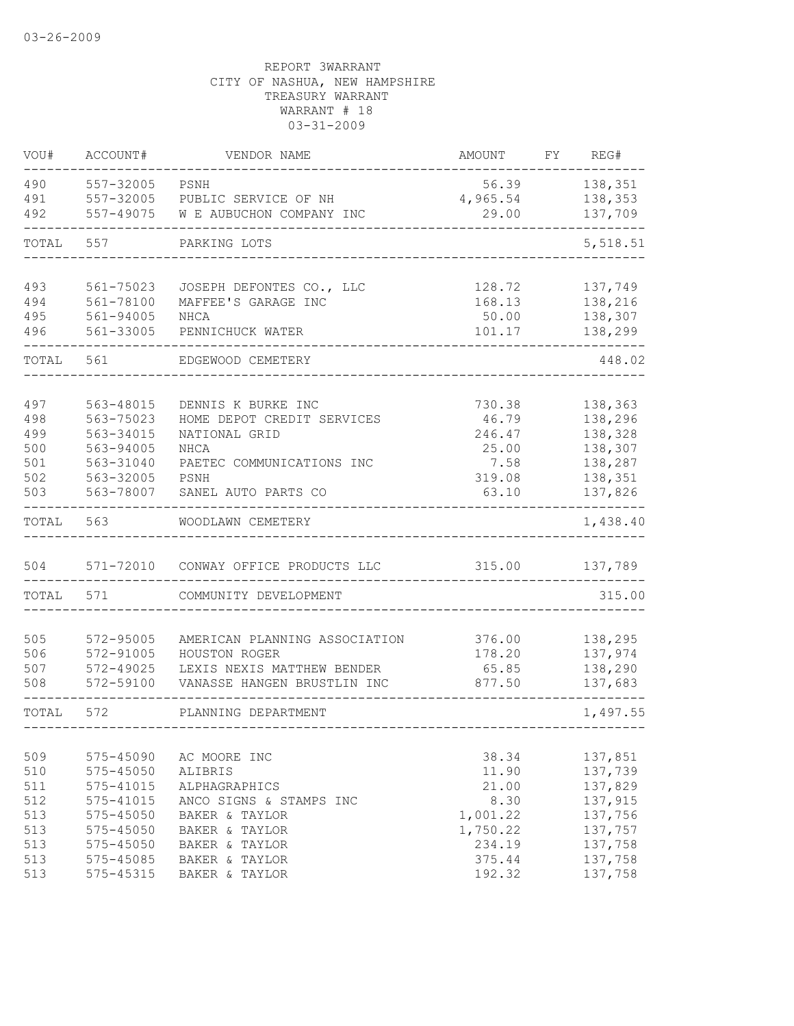| VOU#              | ACCOUNT#                            | VENDOR NAME                                               | AMOUNT                     | FY | REG#                          |
|-------------------|-------------------------------------|-----------------------------------------------------------|----------------------------|----|-------------------------------|
| 490<br>491<br>492 | 557-32005<br>557-32005<br>557-49075 | PSNH<br>PUBLIC SERVICE OF NH<br>W E AUBUCHON COMPANY INC  | 56.39<br>4,965.54<br>29.00 |    | 138,351<br>138,353<br>137,709 |
| TOTAL             | 557                                 | PARKING LOTS                                              |                            |    | 5,518.51                      |
|                   |                                     |                                                           |                            |    |                               |
| 493<br>494        | 561-75023<br>561-78100              | JOSEPH DEFONTES CO., LLC<br>MAFFEE'S GARAGE INC           | 128.72<br>168.13           |    | 137,749<br>138,216            |
| 495               | 561-94005                           | NHCA                                                      | 50.00                      |    | 138,307                       |
| 496               | 561-33005                           | PENNICHUCK WATER                                          | 101.17                     |    | 138,299                       |
| TOTAL             | 561                                 | EDGEWOOD CEMETERY                                         |                            |    | 448.02                        |
|                   |                                     |                                                           |                            |    |                               |
| 497               | 563-48015<br>563-75023              | DENNIS K BURKE INC                                        | 730.38                     |    | 138,363                       |
| 498<br>499        | 563-34015                           | HOME DEPOT CREDIT SERVICES<br>NATIONAL GRID               | 46.79<br>246.47            |    | 138,296<br>138,328            |
| 500               | 563-94005                           | <b>NHCA</b>                                               | 25.00                      |    | 138,307                       |
| 501               | 563-31040                           | PAETEC COMMUNICATIONS INC                                 | 7.58                       |    | 138,287                       |
| 502               | 563-32005                           | PSNH                                                      | 319.08                     |    | 138,351                       |
| 503               | 563-78007                           | SANEL AUTO PARTS CO                                       | 63.10                      |    | 137,826                       |
| TOTAL             | 563                                 | WOODLAWN CEMETERY                                         |                            |    | 1,438.40                      |
| 504               | 571-72010                           | CONWAY OFFICE PRODUCTS LLC                                | 315.00                     |    | 137,789                       |
| TOTAL             | 571                                 | COMMUNITY DEVELOPMENT                                     |                            |    | 315.00                        |
|                   |                                     |                                                           |                            |    |                               |
| 505               | 572-95005                           | AMERICAN PLANNING ASSOCIATION                             | 376.00                     |    | 138,295                       |
| 506               | 572-91005                           | HOUSTON ROGER                                             | 178.20                     |    | 137,974                       |
| 507<br>508        | 572-49025<br>572-59100              | LEXIS NEXIS MATTHEW BENDER<br>VANASSE HANGEN BRUSTLIN INC | 65.85<br>877.50            |    | 138,290<br>137,683            |
| TOTAL             | 572                                 | PLANNING DEPARTMENT                                       |                            |    | 1,497.55                      |
|                   |                                     |                                                           |                            |    |                               |
| 509               | 575-45090                           | AC MOORE INC                                              | 38.34                      |    | 137,851                       |
| 510               | 575-45050                           | ALIBRIS                                                   | 11.90                      |    | 137,739                       |
| 511               | 575-41015                           | ALPHAGRAPHICS                                             | 21.00                      |    | 137,829                       |
| 512<br>513        | 575-41015<br>$575 - 45050$          | ANCO SIGNS & STAMPS INC<br>BAKER & TAYLOR                 | 8.30<br>1,001.22           |    | 137,915<br>137,756            |
| 513               | 575-45050                           | BAKER & TAYLOR                                            | 1,750.22                   |    | 137,757                       |
| 513               | 575-45050                           | BAKER & TAYLOR                                            | 234.19                     |    | 137,758                       |
| 513               | 575-45085                           | BAKER & TAYLOR                                            | 375.44                     |    | 137,758                       |
| 513               | 575-45315                           | BAKER & TAYLOR                                            | 192.32                     |    | 137,758                       |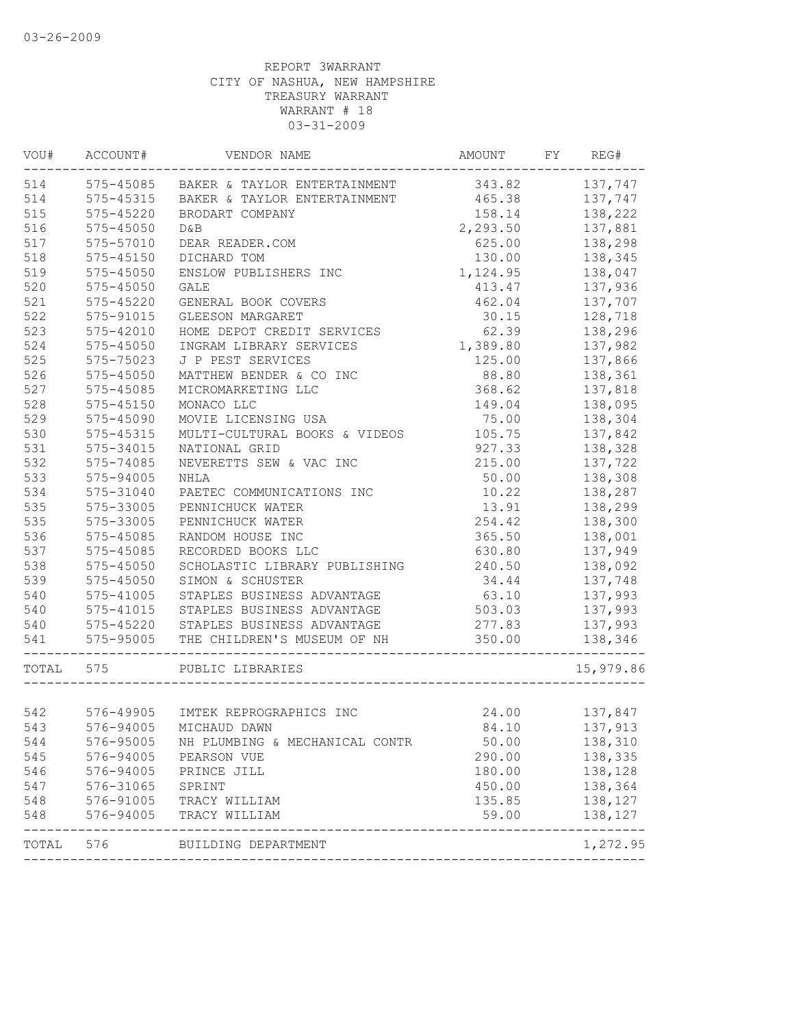| VOU#  | ACCOUNT#      | VENDOR NAME                            | AMOUNT   | FY | REG#      |
|-------|---------------|----------------------------------------|----------|----|-----------|
| 514   |               | 575-45085 BAKER & TAYLOR ENTERTAINMENT | 343.82   |    | 137,747   |
| 514   | 575-45315     | BAKER & TAYLOR ENTERTAINMENT           | 465.38   |    | 137,747   |
| 515   | $575 - 45220$ | BRODART COMPANY                        | 158.14   |    | 138,222   |
| 516   | $575 - 45050$ | D&B                                    | 2,293.50 |    | 137,881   |
| 517   | 575-57010     | DEAR READER.COM                        | 625.00   |    | 138,298   |
| 518   | $575 - 45150$ | DICHARD TOM                            | 130.00   |    | 138,345   |
| 519   | 575-45050     | ENSLOW PUBLISHERS INC                  | 1,124.95 |    | 138,047   |
| 520   | 575-45050     | <b>GALE</b>                            | 413.47   |    | 137,936   |
| 521   | 575-45220     | GENERAL BOOK COVERS                    | 462.04   |    | 137,707   |
| 522   | 575-91015     | GLEESON MARGARET                       | 30.15    |    | 128,718   |
| 523   | 575-42010     | HOME DEPOT CREDIT SERVICES             | 62.39    |    | 138,296   |
| 524   | 575-45050     | INGRAM LIBRARY SERVICES                | 1,389.80 |    | 137,982   |
| 525   | 575-75023     | J P PEST SERVICES                      | 125.00   |    | 137,866   |
| 526   | 575-45050     | MATTHEW BENDER & CO INC                | 88.80    |    | 138,361   |
| 527   | 575-45085     | MICROMARKETING LLC                     | 368.62   |    | 137,818   |
| 528   | $575 - 45150$ | MONACO LLC                             | 149.04   |    | 138,095   |
| 529   | 575-45090     | MOVIE LICENSING USA                    | 75.00    |    | 138,304   |
| 530   | 575-45315     | MULTI-CULTURAL BOOKS & VIDEOS          | 105.75   |    | 137,842   |
| 531   | 575-34015     | NATIONAL GRID                          | 927.33   |    | 138,328   |
| 532   | 575-74085     | NEVERETTS SEW & VAC INC                | 215.00   |    | 137,722   |
| 533   | 575-94005     | <b>NHLA</b>                            | 50.00    |    | 138,308   |
| 534   | 575-31040     | PAETEC COMMUNICATIONS INC              | 10.22    |    | 138,287   |
| 535   | 575-33005     | PENNICHUCK WATER                       | 13.91    |    | 138,299   |
| 535   | 575-33005     | PENNICHUCK WATER                       | 254.42   |    | 138,300   |
| 536   | 575-45085     | RANDOM HOUSE INC                       | 365.50   |    | 138,001   |
| 537   | 575-45085     | RECORDED BOOKS LLC                     | 630.80   |    | 137,949   |
| 538   | 575-45050     | SCHOLASTIC LIBRARY PUBLISHING          | 240.50   |    | 138,092   |
| 539   | 575-45050     | SIMON & SCHUSTER                       | 34.44    |    | 137,748   |
| 540   | 575-41005     | STAPLES BUSINESS ADVANTAGE             | 63.10    |    | 137,993   |
| 540   | $575 - 41015$ | STAPLES BUSINESS ADVANTAGE             | 503.03   |    | 137,993   |
| 540   |               | 575-45220 STAPLES BUSINESS ADVANTAGE   | 277.83   |    | 137,993   |
| 541   | 575-95005     | THE CHILDREN'S MUSEUM OF NH            | 350.00   |    | 138,346   |
| TOTAL | 575           | PUBLIC LIBRARIES                       |          |    | 15,979.86 |
| 542   |               | 576-49905 IMTEK REPROGRAPHICS INC      | 24.00    |    | 137,847   |
| 543   |               | 576-94005 MICHAUD DAWN                 | 84.10    |    | 137,913   |
| 544   | 576-95005     | NH PLUMBING & MECHANICAL CONTR         | 50.00    |    | 138,310   |
| 545   | 576-94005     | PEARSON VUE                            | 290.00   |    | 138,335   |
| 546   | 576-94005     | PRINCE JILL                            | 180.00   |    | 138,128   |
| 547   | 576-31065     | SPRINT                                 | 450.00   |    | 138,364   |
| 548   | 576-91005     | TRACY WILLIAM                          | 135.85   |    | 138,127   |
| 548   | 576-94005     | TRACY WILLIAM                          | 59.00    |    | 138,127   |
| TOTAL | 576           | BUILDING DEPARTMENT                    |          |    | 1,272.95  |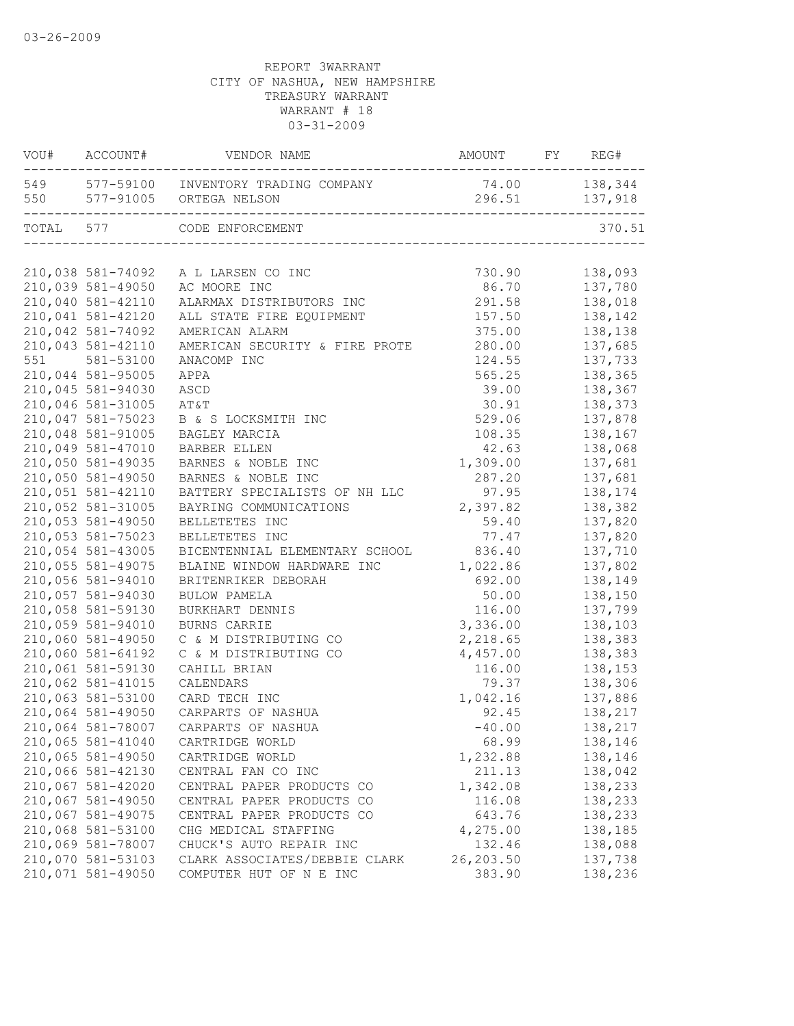|     | VOU# ACCOUNT#     | VENDOR NAME                                                            |                                 |         |
|-----|-------------------|------------------------------------------------------------------------|---------------------------------|---------|
|     |                   | 549 577-59100 INVENTORY TRADING COMPANY<br>550 577-91005 ORTEGA NELSON | 74.00 138,344<br>296.51 137,918 |         |
|     |                   | TOTAL 577 CODE ENFORCEMENT                                             |                                 | 370.51  |
|     |                   |                                                                        |                                 |         |
|     | 210,038 581-74092 | A L LARSEN CO INC                                                      | 730.90                          | 138,093 |
|     | 210,039 581-49050 | AC MOORE INC                                                           | 86.70                           | 137,780 |
|     | 210,040 581-42110 | ALARMAX DISTRIBUTORS INC                                               | 291.58                          | 138,018 |
|     | 210,041 581-42120 | ALL STATE FIRE EQUIPMENT                                               | 157.50                          | 138,142 |
|     | 210,042 581-74092 | AMERICAN ALARM                                                         | 375.00                          | 138,138 |
|     | 210,043 581-42110 | AMERICAN SECURITY & FIRE PROTE                                         | 280.00                          | 137,685 |
| 551 | 581-53100         | ANACOMP INC                                                            | 124.55                          | 137,733 |
|     | 210,044 581-95005 | APPA                                                                   | 565.25                          | 138,365 |
|     | 210,045 581-94030 | ASCD                                                                   | 39.00                           | 138,367 |
|     | 210,046 581-31005 | AT&T                                                                   | 30.91                           | 138,373 |
|     | 210,047 581-75023 | B & S LOCKSMITH INC                                                    | 529.06                          | 137,878 |
|     | 210,048 581-91005 | BAGLEY MARCIA                                                          | 108.35                          | 138,167 |
|     | 210,049 581-47010 | BARBER ELLEN                                                           | 42.63                           | 138,068 |
|     | 210,050 581-49035 | BARNES & NOBLE INC                                                     | 1,309.00                        | 137,681 |
|     | 210,050 581-49050 | BARNES & NOBLE INC                                                     | 287.20                          | 137,681 |
|     | 210,051 581-42110 | BATTERY SPECIALISTS OF NH LLC                                          | 97.95                           | 138,174 |
|     | 210,052 581-31005 | BAYRING COMMUNICATIONS                                                 | 2,397.82                        | 138,382 |
|     | 210,053 581-49050 | BELLETETES INC                                                         | 59.40                           | 137,820 |
|     | 210,053 581-75023 | BELLETETES INC                                                         | 77.47                           | 137,820 |
|     | 210,054 581-43005 | BICENTENNIAL ELEMENTARY SCHOOL                                         | 836.40                          | 137,710 |
|     | 210,055 581-49075 | BLAINE WINDOW HARDWARE INC                                             | 1,022.86                        | 137,802 |
|     | 210,056 581-94010 | BRITENRIKER DEBORAH                                                    | 692.00                          | 138,149 |
|     | 210,057 581-94030 | BULOW PAMELA                                                           | 50.00                           | 138,150 |
|     | 210,058 581-59130 | BURKHART DENNIS                                                        | 116.00                          | 137,799 |
|     | 210,059 581-94010 | BURNS CARRIE                                                           | 3,336.00                        | 138,103 |
|     | 210,060 581-49050 | C & M DISTRIBUTING CO                                                  | 2,218.65                        | 138,383 |
|     | 210,060 581-64192 | C & M DISTRIBUTING CO                                                  | 4,457.00                        | 138,383 |
|     | 210,061 581-59130 | CAHILL BRIAN                                                           | 116.00                          | 138,153 |
|     | 210,062 581-41015 | CALENDARS                                                              | 79.37                           | 138,306 |
|     | 210,063 581-53100 | CARD TECH INC                                                          | 1,042.16                        | 137,886 |
|     | 210,064 581-49050 | CARPARTS OF NASHUA                                                     | 92.45                           | 138,217 |
|     | 210,064 581-78007 | CARPARTS OF NASHUA                                                     | $-40.00$                        | 138,217 |
|     | 210,065 581-41040 | CARTRIDGE WORLD                                                        | 68.99                           | 138,146 |
|     | 210,065 581-49050 | CARTRIDGE WORLD                                                        | 1,232.88                        | 138,146 |
|     | 210,066 581-42130 | CENTRAL FAN CO INC                                                     | 211.13                          | 138,042 |
|     | 210,067 581-42020 | CENTRAL PAPER PRODUCTS CO                                              | 1,342.08                        | 138,233 |
|     | 210,067 581-49050 | CENTRAL PAPER PRODUCTS CO                                              | 116.08                          | 138,233 |
|     | 210,067 581-49075 | CENTRAL PAPER PRODUCTS CO                                              | 643.76                          | 138,233 |
|     | 210,068 581-53100 | CHG MEDICAL STAFFING                                                   | 4,275.00                        | 138,185 |
|     | 210,069 581-78007 |                                                                        |                                 | 138,088 |
|     | 210,070 581-53103 | CHUCK'S AUTO REPAIR INC                                                | 132.46<br>26,203.50             |         |
|     | 210,071 581-49050 | CLARK ASSOCIATES/DEBBIE CLARK                                          | 383.90                          | 137,738 |
|     |                   | COMPUTER HUT OF N E INC                                                |                                 | 138,236 |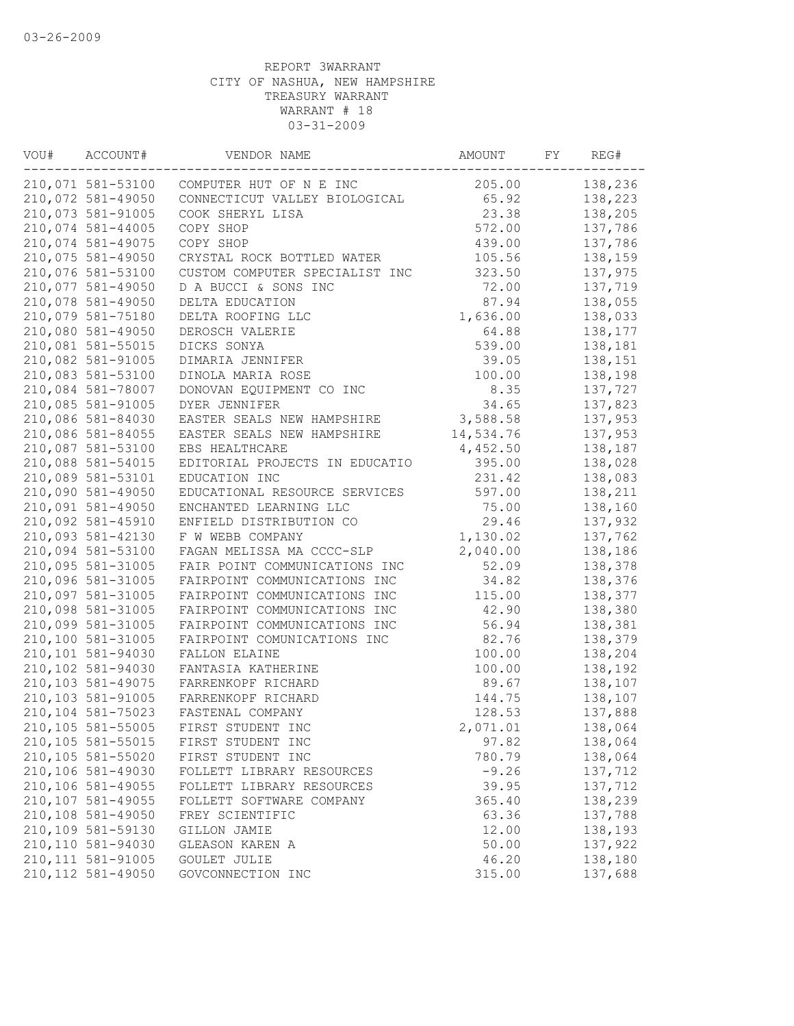| VOU# | ACCOUNT#           | VENDOR NAME                    | AMOUNT    | FY | REG#    |
|------|--------------------|--------------------------------|-----------|----|---------|
|      | 210,071 581-53100  | COMPUTER HUT OF N E INC        | 205.00    |    | 138,236 |
|      | 210,072 581-49050  | CONNECTICUT VALLEY BIOLOGICAL  | 65.92     |    | 138,223 |
|      | 210,073 581-91005  | COOK SHERYL LISA               | 23.38     |    | 138,205 |
|      | 210,074 581-44005  | COPY SHOP                      | 572.00    |    | 137,786 |
|      | 210,074 581-49075  | COPY SHOP                      | 439.00    |    | 137,786 |
|      | 210,075 581-49050  | CRYSTAL ROCK BOTTLED WATER     | 105.56    |    | 138,159 |
|      | 210,076 581-53100  | CUSTOM COMPUTER SPECIALIST INC | 323.50    |    | 137,975 |
|      | 210,077 581-49050  | D A BUCCI & SONS INC           | 72.00     |    | 137,719 |
|      | 210,078 581-49050  | DELTA EDUCATION                | 87.94     |    | 138,055 |
|      | 210,079 581-75180  | DELTA ROOFING LLC              | 1,636.00  |    | 138,033 |
|      | 210,080 581-49050  | DEROSCH VALERIE                | 64.88     |    | 138,177 |
|      | 210,081 581-55015  | DICKS SONYA                    | 539.00    |    | 138,181 |
|      | 210,082 581-91005  | DIMARIA JENNIFER               | 39.05     |    | 138,151 |
|      | 210,083 581-53100  | DINOLA MARIA ROSE              | 100.00    |    | 138,198 |
|      | 210,084 581-78007  | DONOVAN EQUIPMENT CO INC       | 8.35      |    | 137,727 |
|      | 210,085 581-91005  | DYER JENNIFER                  | 34.65     |    | 137,823 |
|      | 210,086 581-84030  | EASTER SEALS NEW HAMPSHIRE     | 3,588.58  |    | 137,953 |
|      | 210,086 581-84055  | EASTER SEALS NEW HAMPSHIRE     | 14,534.76 |    | 137,953 |
|      | 210,087 581-53100  | EBS HEALTHCARE                 | 4,452.50  |    | 138,187 |
|      | 210,088 581-54015  | EDITORIAL PROJECTS IN EDUCATIO | 395.00    |    | 138,028 |
|      | 210,089 581-53101  | EDUCATION INC                  | 231.42    |    | 138,083 |
|      | 210,090 581-49050  | EDUCATIONAL RESOURCE SERVICES  | 597.00    |    | 138,211 |
|      | 210,091 581-49050  | ENCHANTED LEARNING LLC         | 75.00     |    | 138,160 |
|      | 210,092 581-45910  | ENFIELD DISTRIBUTION CO        | 29.46     |    | 137,932 |
|      | 210,093 581-42130  | F W WEBB COMPANY               | 1,130.02  |    | 137,762 |
|      | 210,094 581-53100  | FAGAN MELISSA MA CCCC-SLP      | 2,040.00  |    | 138,186 |
|      | 210,095 581-31005  | FAIR POINT COMMUNICATIONS INC  | 52.09     |    | 138,378 |
|      | 210,096 581-31005  | FAIRPOINT COMMUNICATIONS INC   | 34.82     |    | 138,376 |
|      | 210,097 581-31005  | FAIRPOINT COMMUNICATIONS INC   | 115.00    |    | 138,377 |
|      | 210,098 581-31005  | FAIRPOINT COMMUNICATIONS INC   | 42.90     |    | 138,380 |
|      | 210,099 581-31005  | FAIRPOINT COMMUNICATIONS INC   | 56.94     |    | 138,381 |
|      | 210,100 581-31005  | FAIRPOINT COMUNICATIONS INC    | 82.76     |    | 138,379 |
|      | 210,101 581-94030  | FALLON ELAINE                  | 100.00    |    | 138,204 |
|      | 210,102 581-94030  | FANTASIA KATHERINE             | 100.00    |    | 138,192 |
|      | 210,103 581-49075  | FARRENKOPF RICHARD             | 89.67     |    | 138,107 |
|      | 210,103 581-91005  | FARRENKOPF RICHARD             | 144.75    |    | 138,107 |
|      | 210,104 581-75023  | FASTENAL COMPANY               | 128.53    |    | 137,888 |
|      | 210,105 581-55005  | FIRST STUDENT INC              | 2,071.01  |    | 138,064 |
|      | 210,105 581-55015  | FIRST STUDENT INC              | 97.82     |    | 138,064 |
|      | 210,105 581-55020  | FIRST STUDENT INC              | 780.79    |    | 138,064 |
|      | 210,106 581-49030  | FOLLETT LIBRARY RESOURCES      | $-9.26$   |    | 137,712 |
|      | 210,106 581-49055  | FOLLETT LIBRARY RESOURCES      | 39.95     |    | 137,712 |
|      | 210,107 581-49055  | FOLLETT SOFTWARE COMPANY       | 365.40    |    | 138,239 |
|      | 210,108 581-49050  | FREY SCIENTIFIC                | 63.36     |    | 137,788 |
|      | 210,109 581-59130  | GILLON JAMIE                   | 12.00     |    | 138,193 |
|      | 210,110 581-94030  | GLEASON KAREN A                | 50.00     |    | 137,922 |
|      | 210, 111 581-91005 | GOULET JULIE                   | 46.20     |    | 138,180 |
|      | 210, 112 581-49050 | GOVCONNECTION INC              | 315.00    |    | 137,688 |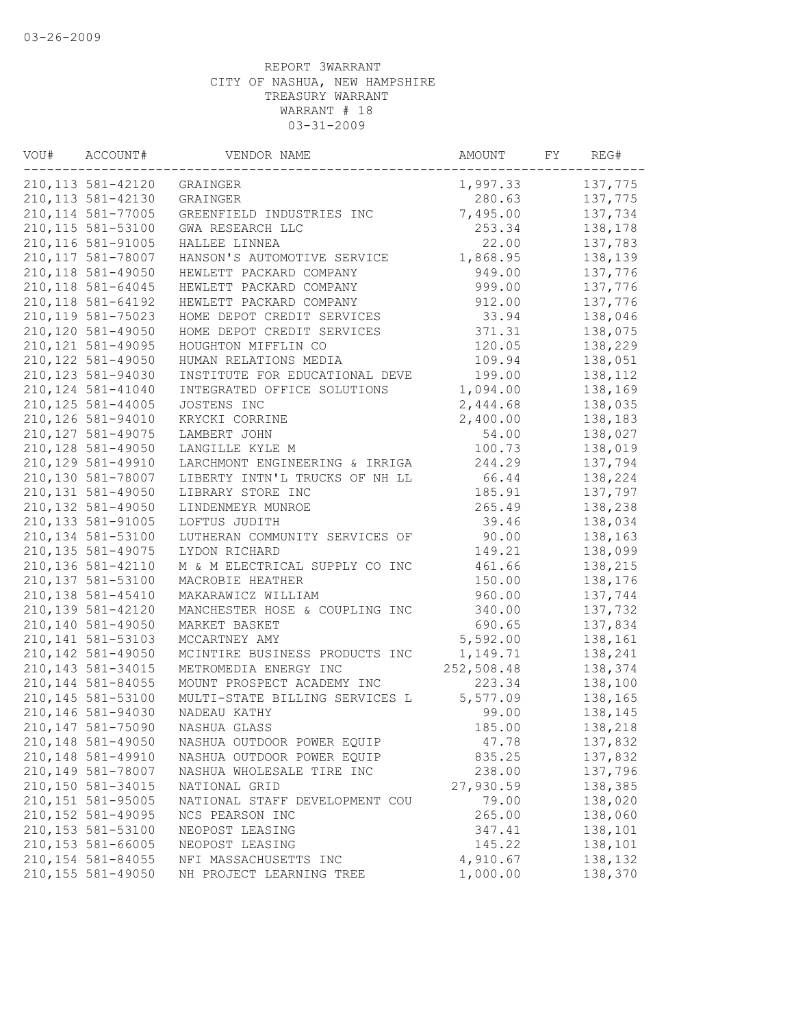| VOU# | ACCOUNT#           | VENDOR NAME                    | AMOUNT     | FΥ | REG#    |
|------|--------------------|--------------------------------|------------|----|---------|
|      | 210, 113 581-42120 | GRAINGER                       | 1,997.33   |    | 137,775 |
|      | 210, 113 581-42130 | GRAINGER                       | 280.63     |    | 137,775 |
|      | 210, 114 581-77005 | GREENFIELD INDUSTRIES INC      | 7,495.00   |    | 137,734 |
|      | 210, 115 581-53100 | GWA RESEARCH LLC               | 253.34     |    | 138,178 |
|      | 210, 116 581-91005 | HALLEE LINNEA                  | 22.00      |    | 137,783 |
|      | 210, 117 581-78007 | HANSON'S AUTOMOTIVE SERVICE    | 1,868.95   |    | 138,139 |
|      | 210, 118 581-49050 | HEWLETT PACKARD COMPANY        | 949.00     |    | 137,776 |
|      | 210, 118 581-64045 | HEWLETT PACKARD COMPANY        | 999.00     |    | 137,776 |
|      | 210, 118 581-64192 | HEWLETT PACKARD COMPANY        | 912.00     |    | 137,776 |
|      | 210,119 581-75023  | HOME DEPOT CREDIT SERVICES     | 33.94      |    | 138,046 |
|      | 210,120 581-49050  | HOME DEPOT CREDIT SERVICES     | 371.31     |    | 138,075 |
|      | 210, 121 581-49095 | HOUGHTON MIFFLIN CO            | 120.05     |    | 138,229 |
|      | 210, 122 581-49050 | HUMAN RELATIONS MEDIA          | 109.94     |    | 138,051 |
|      | 210, 123 581-94030 | INSTITUTE FOR EDUCATIONAL DEVE | 199.00     |    | 138,112 |
|      | 210, 124 581-41040 | INTEGRATED OFFICE SOLUTIONS    | 1,094.00   |    | 138,169 |
|      | 210, 125 581-44005 | JOSTENS INC                    | 2,444.68   |    | 138,035 |
|      | 210, 126 581-94010 | KRYCKI CORRINE                 | 2,400.00   |    | 138,183 |
|      | 210, 127 581-49075 | LAMBERT JOHN                   | 54.00      |    | 138,027 |
|      | 210, 128 581-49050 | LANGILLE KYLE M                | 100.73     |    | 138,019 |
|      | 210, 129 581-49910 | LARCHMONT ENGINEERING & IRRIGA | 244.29     |    | 137,794 |
|      | 210,130 581-78007  | LIBERTY INTN'L TRUCKS OF NH LL | 66.44      |    | 138,224 |
|      | 210, 131 581-49050 | LIBRARY STORE INC              | 185.91     |    | 137,797 |
|      | 210, 132 581-49050 | LINDENMEYR MUNROE              | 265.49     |    | 138,238 |
|      | 210, 133 581-91005 | LOFTUS JUDITH                  | 39.46      |    | 138,034 |
|      | 210, 134 581-53100 | LUTHERAN COMMUNITY SERVICES OF | 90.00      |    | 138,163 |
|      | 210, 135 581-49075 | LYDON RICHARD                  | 149.21     |    | 138,099 |
|      | 210, 136 581-42110 | M & M ELECTRICAL SUPPLY CO INC | 461.66     |    | 138,215 |
|      | 210, 137 581-53100 | MACROBIE HEATHER               | 150.00     |    | 138,176 |
|      | 210, 138 581-45410 | MAKARAWICZ WILLIAM             | 960.00     |    | 137,744 |
|      | 210, 139 581-42120 | MANCHESTER HOSE & COUPLING INC | 340.00     |    | 137,732 |
|      | 210,140 581-49050  | MARKET BASKET                  | 690.65     |    | 137,834 |
|      | 210, 141 581-53103 | MCCARTNEY AMY                  | 5,592.00   |    | 138,161 |
|      | 210, 142 581-49050 | MCINTIRE BUSINESS PRODUCTS INC | 1,149.71   |    | 138,241 |
|      | 210, 143 581-34015 | METROMEDIA ENERGY INC          | 252,508.48 |    | 138,374 |
|      | 210, 144 581-84055 | MOUNT PROSPECT ACADEMY INC     | 223.34     |    | 138,100 |
|      | 210, 145 581-53100 | MULTI-STATE BILLING SERVICES L | 5,577.09   |    | 138,165 |
|      | 210,146 581-94030  | NADEAU KATHY                   | 99.00      |    | 138,145 |
|      | 210, 147 581-75090 | NASHUA GLASS                   | 185.00     |    | 138,218 |
|      | 210,148 581-49050  | NASHUA OUTDOOR POWER EQUIP     | 47.78      |    | 137,832 |
|      | 210, 148 581-49910 | NASHUA OUTDOOR POWER EQUIP     | 835.25     |    | 137,832 |
|      | 210,149 581-78007  | NASHUA WHOLESALE TIRE INC      | 238.00     |    | 137,796 |
|      | 210,150 581-34015  | NATIONAL GRID                  | 27,930.59  |    | 138,385 |
|      | 210, 151 581-95005 | NATIONAL STAFF DEVELOPMENT COU | 79.00      |    | 138,020 |
|      | 210, 152 581-49095 | NCS PEARSON INC                | 265.00     |    | 138,060 |
|      | 210, 153 581-53100 | NEOPOST LEASING                | 347.41     |    | 138,101 |
|      | 210, 153 581-66005 | NEOPOST LEASING                | 145.22     |    | 138,101 |
|      | 210, 154 581-84055 | NFI MASSACHUSETTS INC          | 4,910.67   |    | 138,132 |
|      | 210, 155 581-49050 | NH PROJECT LEARNING TREE       | 1,000.00   |    | 138,370 |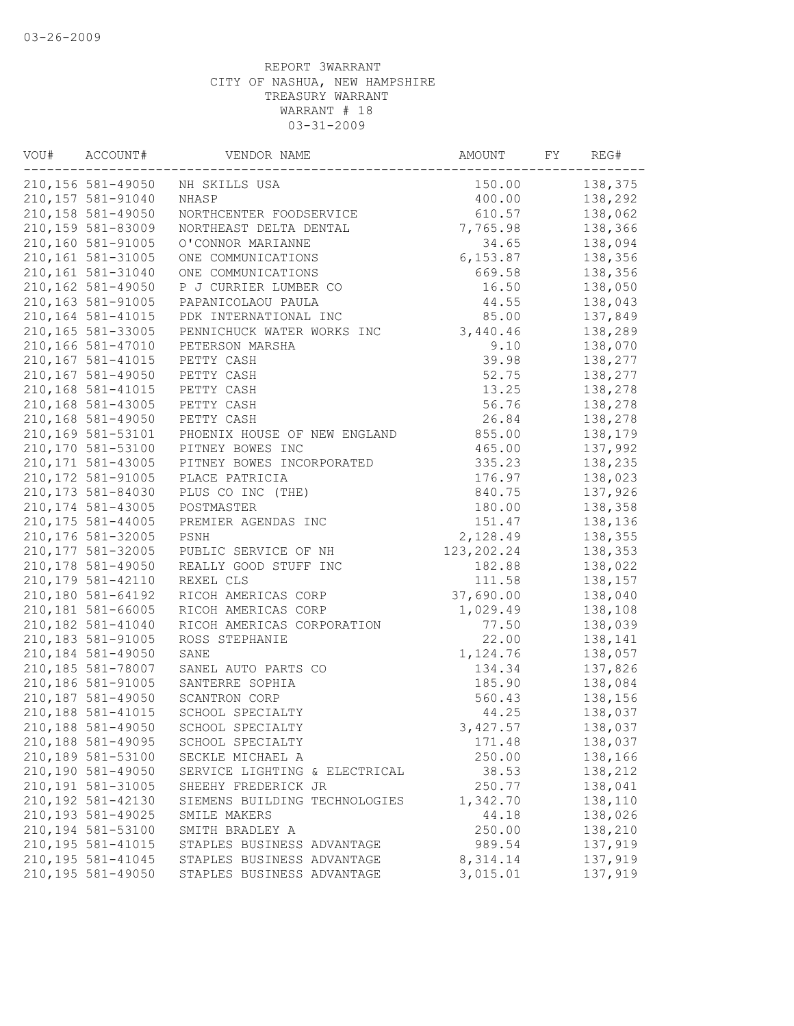| WOU# | ACCOUNT#           | VENDOR NAME                   | AMOUNT       | FY<br>REG# |
|------|--------------------|-------------------------------|--------------|------------|
|      | 210,156 581-49050  | NH SKILLS USA                 | 150.00       | 138,375    |
|      | 210, 157 581-91040 | NHASP                         | 400.00       | 138,292    |
|      | 210, 158 581-49050 | NORTHCENTER FOODSERVICE       | 610.57       | 138,062    |
|      | 210,159 581-83009  | NORTHEAST DELTA DENTAL        | 7,765.98     | 138,366    |
|      | 210,160 581-91005  | O'CONNOR MARIANNE             | 34.65        | 138,094    |
|      | 210, 161 581-31005 | ONE COMMUNICATIONS            | 6, 153.87    | 138,356    |
|      | 210,161 581-31040  | ONE COMMUNICATIONS            | 669.58       | 138,356    |
|      | 210,162 581-49050  | P J CURRIER LUMBER CO         | 16.50        | 138,050    |
|      | 210,163 581-91005  | PAPANICOLAOU PAULA            | 44.55        | 138,043    |
|      | 210, 164 581-41015 | PDK INTERNATIONAL INC         | 85.00        | 137,849    |
|      | 210,165 581-33005  | PENNICHUCK WATER WORKS INC    | 3,440.46     | 138,289    |
|      | 210,166 581-47010  | PETERSON MARSHA               | 9.10         | 138,070    |
|      | 210, 167 581-41015 | PETTY CASH                    | 39.98        | 138,277    |
|      | 210,167 581-49050  | PETTY CASH                    | 52.75        | 138,277    |
|      | 210,168 581-41015  | PETTY CASH                    | 13.25        | 138,278    |
|      | 210,168 581-43005  | PETTY CASH                    | 56.76        | 138,278    |
|      | 210,168 581-49050  | PETTY CASH                    | 26.84        | 138,278    |
|      | 210,169 581-53101  | PHOENIX HOUSE OF NEW ENGLAND  | 855.00       | 138,179    |
|      | 210,170 581-53100  | PITNEY BOWES INC              | 465.00       | 137,992    |
|      | 210, 171 581-43005 | PITNEY BOWES INCORPORATED     | 335.23       | 138,235    |
|      | 210, 172 581-91005 | PLACE PATRICIA                | 176.97       | 138,023    |
|      | 210, 173 581-84030 | PLUS CO INC (THE)             | 840.75       | 137,926    |
|      | 210, 174 581-43005 | POSTMASTER                    | 180.00       | 138,358    |
|      | 210, 175 581-44005 | PREMIER AGENDAS INC           | 151.47       | 138,136    |
|      | 210,176 581-32005  | PSNH                          | 2,128.49     | 138,355    |
|      | 210, 177 581-32005 | PUBLIC SERVICE OF NH          | 123, 202. 24 | 138,353    |
|      | 210, 178 581-49050 | REALLY GOOD STUFF INC         | 182.88       | 138,022    |
|      | 210, 179 581-42110 | REXEL CLS                     | 111.58       | 138,157    |
|      |                    |                               |              |            |
|      | 210,180 581-64192  | RICOH AMERICAS CORP           | 37,690.00    | 138,040    |
|      | 210,181 581-66005  | RICOH AMERICAS CORP           | 1,029.49     | 138,108    |
|      | 210,182 581-41040  | RICOH AMERICAS CORPORATION    | 77.50        | 138,039    |
|      | 210,183 581-91005  | ROSS STEPHANIE                | 22.00        | 138,141    |
|      | 210,184 581-49050  | SANE                          | 1,124.76     | 138,057    |
|      | 210,185 581-78007  | SANEL AUTO PARTS CO           | 134.34       | 137,826    |
|      | 210,186 581-91005  | SANTERRE SOPHIA               | 185.90       | 138,084    |
|      | 210,187 581-49050  | SCANTRON CORP                 | 560.43       | 138,156    |
|      | 210, 188 581-41015 | SCHOOL SPECIALTY              | 44.25        | 138,037    |
|      | 210,188 581-49050  | SCHOOL SPECIALTY              | 3, 427.57    | 138,037    |
|      | 210,188 581-49095  | SCHOOL SPECIALTY              | 171.48       | 138,037    |
|      | 210,189 581-53100  | SECKLE MICHAEL A              | 250.00       | 138,166    |
|      | 210,190 581-49050  | SERVICE LIGHTING & ELECTRICAL | 38.53        | 138,212    |
|      | 210,191 581-31005  | SHEEHY FREDERICK JR           | 250.77       | 138,041    |
|      | 210, 192 581-42130 | SIEMENS BUILDING TECHNOLOGIES | 1,342.70     | 138,110    |
|      | 210, 193 581-49025 | SMILE MAKERS                  | 44.18        | 138,026    |
|      | 210,194 581-53100  | SMITH BRADLEY A               | 250.00       | 138,210    |
|      | 210, 195 581-41015 | STAPLES BUSINESS ADVANTAGE    | 989.54       | 137,919    |
|      | 210, 195 581-41045 | STAPLES BUSINESS ADVANTAGE    | 8,314.14     | 137,919    |
|      | 210, 195 581-49050 | STAPLES BUSINESS ADVANTAGE    | 3,015.01     | 137,919    |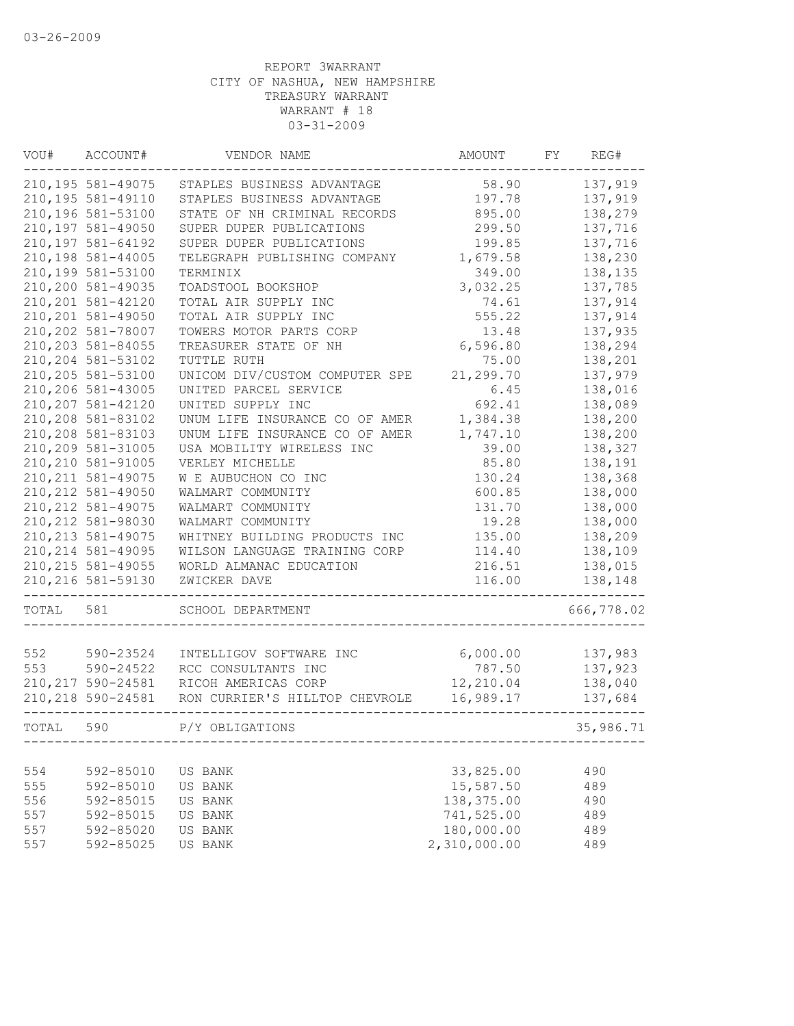| VOU#  | ACCOUNT#           | VENDOR NAME                    | AMOUNT                  | FY | REG#       |
|-------|--------------------|--------------------------------|-------------------------|----|------------|
|       | 210, 195 581-49075 | STAPLES BUSINESS ADVANTAGE     | 58.90                   |    | 137,919    |
|       | 210, 195 581-49110 | STAPLES BUSINESS ADVANTAGE     | 197.78                  |    | 137,919    |
|       | 210,196 581-53100  | STATE OF NH CRIMINAL RECORDS   | 895.00                  |    | 138,279    |
|       | 210,197 581-49050  | SUPER DUPER PUBLICATIONS       | 299.50                  |    | 137,716    |
|       | 210, 197 581-64192 | SUPER DUPER PUBLICATIONS       | 199.85                  |    | 137,716    |
|       | 210,198 581-44005  | TELEGRAPH PUBLISHING COMPANY   | 1,679.58                |    | 138,230    |
|       | 210,199 581-53100  | TERMINIX                       | 349.00                  |    | 138,135    |
|       | 210,200 581-49035  | TOADSTOOL BOOKSHOP             | 3,032.25                |    | 137,785    |
|       | 210, 201 581-42120 | TOTAL AIR SUPPLY INC           | 74.61                   |    | 137,914    |
|       | 210, 201 581-49050 | TOTAL AIR SUPPLY INC           | 555.22                  |    | 137,914    |
|       | 210,202 581-78007  | TOWERS MOTOR PARTS CORP        | 13.48                   |    | 137,935    |
|       | 210, 203 581-84055 | TREASURER STATE OF NH          | 6,596.80                |    | 138,294    |
|       | 210,204 581-53102  | TUTTLE RUTH                    | 75.00                   |    | 138,201    |
|       | 210,205 581-53100  | UNICOM DIV/CUSTOM COMPUTER SPE | 21,299.70               |    | 137,979    |
|       | 210,206 581-43005  | UNITED PARCEL SERVICE          | 6.45                    |    | 138,016    |
|       | 210, 207 581-42120 | UNITED SUPPLY INC              | 692.41                  |    | 138,089    |
|       | 210,208 581-83102  | UNUM LIFE INSURANCE CO OF AMER | 1,384.38                |    | 138,200    |
|       | 210,208 581-83103  | UNUM LIFE INSURANCE CO OF AMER | 1,747.10                |    | 138,200    |
|       | 210,209 581-31005  | USA MOBILITY WIRELESS INC      | 39.00                   |    | 138,327    |
|       | 210, 210 581-91005 | VERLEY MICHELLE                | 85.80                   |    | 138,191    |
|       | 210, 211 581-49075 | W E AUBUCHON CO INC            | 130.24                  |    | 138,368    |
|       | 210, 212 581-49050 | WALMART COMMUNITY              | 600.85                  |    | 138,000    |
|       | 210, 212 581-49075 | WALMART COMMUNITY              | 131.70                  |    | 138,000    |
|       | 210, 212 581-98030 | WALMART COMMUNITY              | 19.28                   |    | 138,000    |
|       | 210, 213 581-49075 | WHITNEY BUILDING PRODUCTS INC  | 135.00                  |    | 138,209    |
|       | 210, 214 581-49095 | WILSON LANGUAGE TRAINING CORP  | 114.40                  |    | 138,109    |
|       | 210, 215 581-49055 | WORLD ALMANAC EDUCATION        | 216.51                  |    | 138,015    |
|       | 210, 216 581-59130 | ZWICKER DAVE                   | 116.00                  |    | 138,148    |
| TOTAL | 581                | SCHOOL DEPARTMENT              |                         |    | 666,778.02 |
|       |                    |                                |                         |    |            |
| 552   | 590-23524          | INTELLIGOV SOFTWARE INC        | 6,000.00                |    | 137,983    |
| 553   | 590-24522          | RCC CONSULTANTS INC            | 787.50                  |    | 137,923    |
|       | 210, 217 590-24581 | RICOH AMERICAS CORP            | 12,210.04               |    | 138,040    |
|       | 210, 218 590-24581 | RON CURRIER'S HILLTOP CHEVROLE | 16,989.17               |    | 137,684    |
| TOTAL | 590                | P/Y OBLIGATIONS                |                         |    | 35,986.71  |
|       |                    |                                |                         |    |            |
| 554   | 592-85010          | US BANK                        | 33,825.00               |    | 490        |
| 555   | 592-85010          | US BANK                        | 15,587.50<br>138,375.00 |    | 489        |
| 556   | 592-85015          | US BANK                        |                         |    | 490        |
| 557   | 592-85015          | US BANK                        | 741,525.00              |    | 489        |
| 557   | 592-85020          | US BANK                        | 180,000.00              |    | 489        |
| 557   | 592-85025          | US BANK                        | 2,310,000.00            |    | 489        |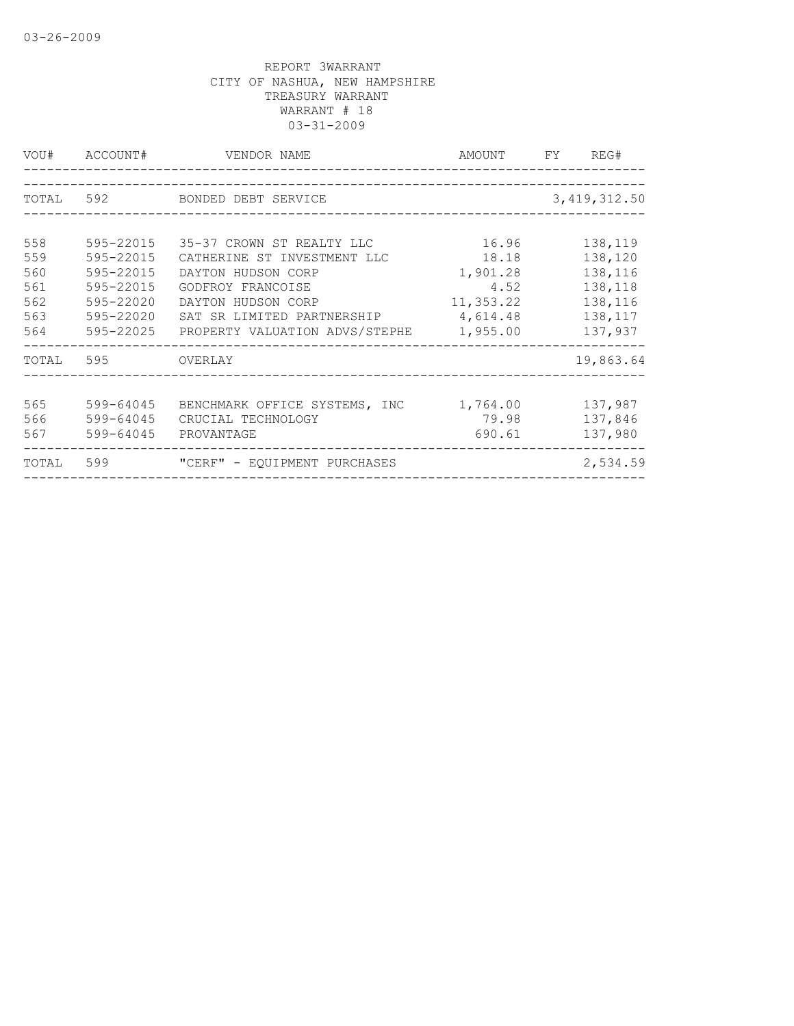| VOU#      | ACCOUNT#  | VENDOR NAME                             | AMOUNT    | FY | REG#           |
|-----------|-----------|-----------------------------------------|-----------|----|----------------|
|           |           |                                         |           |    |                |
|           |           | TOTAL 592 BONDED DEBT SERVICE           |           |    | 3, 419, 312.50 |
|           |           |                                         |           |    |                |
| 558       | 595-22015 | 35-37 CROWN ST REALTY LLC               | 16.96     |    | 138,119        |
| 559       | 595-22015 | CATHERINE ST INVESTMENT LLC             | 18.18     |    | 138,120        |
| 560       | 595-22015 | DAYTON HUDSON CORP                      | 1,901.28  |    | 138,116        |
| 561       | 595-22015 | GODFROY FRANCOISE                       | 4.52      |    | 138,118        |
| 562       | 595-22020 | DAYTON HUDSON CORP                      | 11,353.22 |    | 138,116        |
| 563       | 595-22020 | SAT SR LIMITED PARTNERSHIP              | 4,614.48  |    | 138,117        |
| 564       | 595-22025 | PROPERTY VALUATION ADVS/STEPHE 1,955.00 |           |    | 137,937        |
| TOTAL 595 |           | <b>OVERLAY</b>                          |           |    | 19,863.64      |
|           |           |                                         |           |    |                |
| 565       | 599-64045 | BENCHMARK OFFICE SYSTEMS, INC           | 1,764.00  |    | 137,987        |
| 566       | 599-64045 | CRUCIAL TECHNOLOGY                      | 79.98     |    | 137,846        |
| 567       | 599-64045 | PROVANTAGE                              | 690.61    |    | 137,980        |
| TOTAL     | 599       | "CERF" - EOUIPMENT PURCHASES            |           |    | 2,534.59       |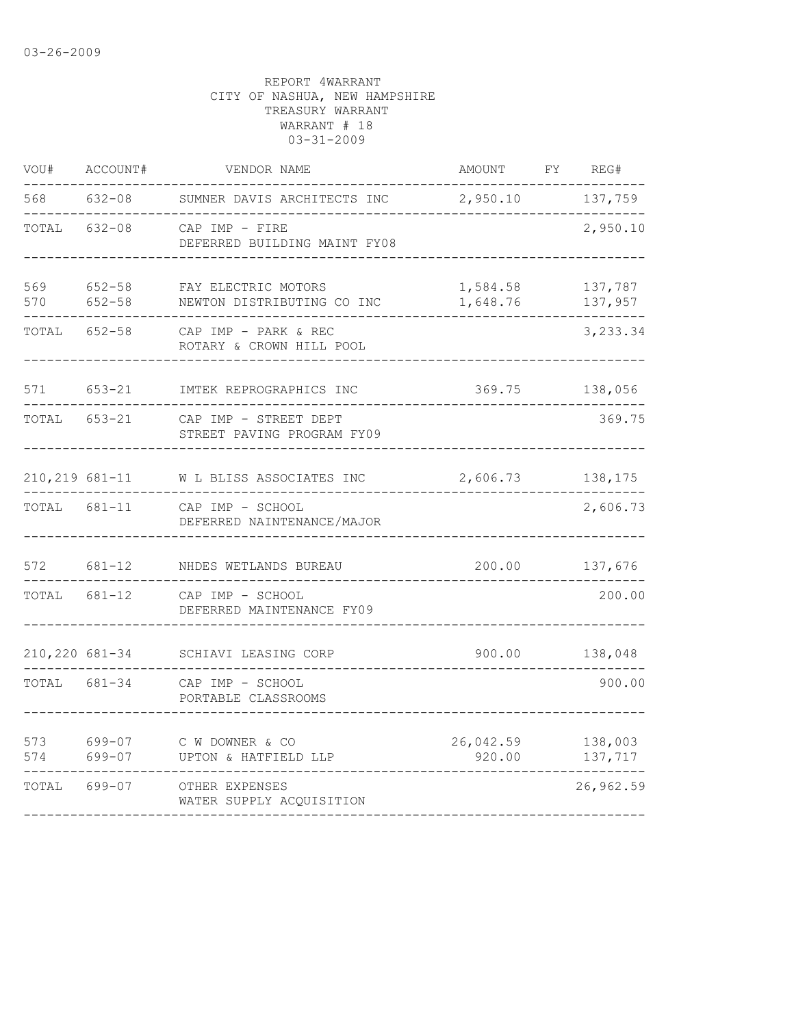| 568<br>137,759<br>$632 - 08$<br>2,950.10<br>SUMNER DAVIS ARCHITECTS INC<br>2,950.10<br>TOTAL<br>$632 - 08$<br>CAP IMP - FIRE<br>DEFERRED BUILDING MAINT FY08<br>569<br>$652 - 58$<br>FAY ELECTRIC MOTORS<br>1,584.58<br>137,787<br>137,957<br>570<br>$652 - 58$<br>1,648.76<br>NEWTON DISTRIBUTING CO INC<br>TOTAL<br>$652 - 58$<br>3,233.34<br>CAP IMP - PARK & REC<br>ROTARY & CROWN HILL POOL<br>571<br>653-21<br>369.75<br>138,056<br>IMTEK REPROGRAPHICS INC | REG#   |
|-------------------------------------------------------------------------------------------------------------------------------------------------------------------------------------------------------------------------------------------------------------------------------------------------------------------------------------------------------------------------------------------------------------------------------------------------------------------|--------|
|                                                                                                                                                                                                                                                                                                                                                                                                                                                                   |        |
|                                                                                                                                                                                                                                                                                                                                                                                                                                                                   |        |
|                                                                                                                                                                                                                                                                                                                                                                                                                                                                   |        |
|                                                                                                                                                                                                                                                                                                                                                                                                                                                                   |        |
|                                                                                                                                                                                                                                                                                                                                                                                                                                                                   |        |
| TOTAL<br>$653 - 21$<br>CAP IMP - STREET DEPT<br>STREET PAVING PROGRAM FY09                                                                                                                                                                                                                                                                                                                                                                                        | 369.75 |
| 210,219 681-11<br>138,175<br>W L BLISS ASSOCIATES INC<br>2,606.73                                                                                                                                                                                                                                                                                                                                                                                                 |        |
| 2,606.73<br>681-11<br>TOTAL<br>CAP IMP - SCHOOL<br>DEFERRED NAINTENANCE/MAJOR                                                                                                                                                                                                                                                                                                                                                                                     |        |
| 572<br>$681 - 12$<br>200.00<br>137,676<br>NHDES WETLANDS BUREAU                                                                                                                                                                                                                                                                                                                                                                                                   |        |
| TOTAL<br>681-12<br>CAP IMP - SCHOOL<br>DEFERRED MAINTENANCE FY09                                                                                                                                                                                                                                                                                                                                                                                                  | 200.00 |
| 210,220 681-34<br>138,048<br>900.00<br>SCHIAVI LEASING CORP                                                                                                                                                                                                                                                                                                                                                                                                       |        |
| TOTAL<br>681-34<br>CAP IMP - SCHOOL<br>PORTABLE CLASSROOMS                                                                                                                                                                                                                                                                                                                                                                                                        | 900.00 |
| 573<br>699-07<br>26,042.59<br>138,003<br>C W DOWNER & CO<br>574<br>699-07<br>137,717<br>UPTON & HATFIELD LLP<br>920.00                                                                                                                                                                                                                                                                                                                                            |        |
| 26,962.59<br>TOTAL<br>699-07<br>OTHER EXPENSES<br>WATER SUPPLY ACQUISITION                                                                                                                                                                                                                                                                                                                                                                                        |        |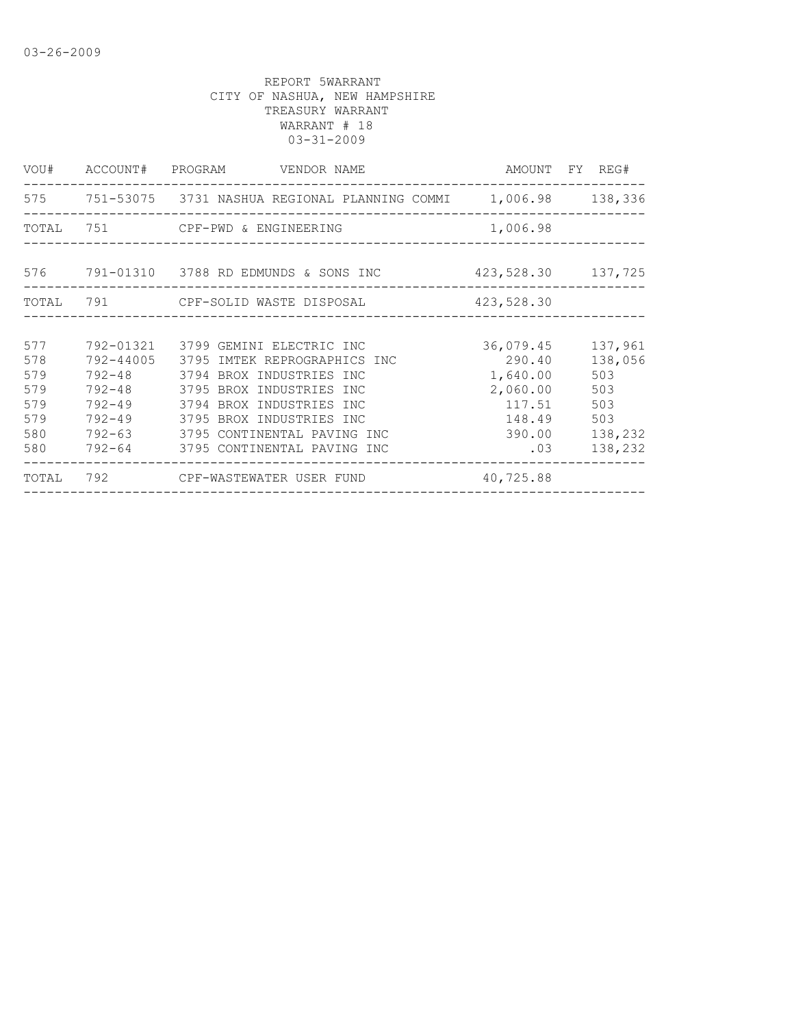|       |            | VOU# ACCOUNT# PROGRAM VENDOR NAME                                  |                    | AMOUNT FY REG#    |
|-------|------------|--------------------------------------------------------------------|--------------------|-------------------|
|       |            | 575 751-53075 3731 NASHUA REGIONAL PLANNING COMMI 1,006.98 138,336 |                    |                   |
| TOTAL |            |                                                                    | 1,006.98           |                   |
|       |            |                                                                    |                    |                   |
|       |            |                                                                    | 423,528.30 137,725 |                   |
| TOTAL |            | 791 CPF-SOLID WASTE DISPOSAL 423,528.30                            |                    |                   |
|       |            |                                                                    |                    |                   |
| 577   |            | 792-01321 3799 GEMINI ELECTRIC INC                                 |                    | 36,079.45 137,961 |
| 578   | 792-44005  | 3795 IMTEK REPROGRAPHICS INC                                       | 290.40             | 138,056           |
| 579   |            | 792-48 3794 BROX INDUSTRIES INC                                    | 1,640.00           | 503               |
| 579   |            | 792-48 3795 BROX INDUSTRIES INC                                    | 2,060.00           | 503               |
| 579   | $792 - 49$ | 3794 BROX INDUSTRIES INC                                           | 117.51             | 503               |
| 579   |            | 792-49 3795 BROX INDUSTRIES INC                                    | 148.49             | 503               |
| 580   |            | 792-63 3795 CONTINENTAL PAVING INC                                 | 390.00             | 138,232           |
| 580   |            | 792-64 3795 CONTINENTAL PAVING INC                                 | .03                | 138,232           |
| TOTAL |            |                                                                    | 40,725.88          |                   |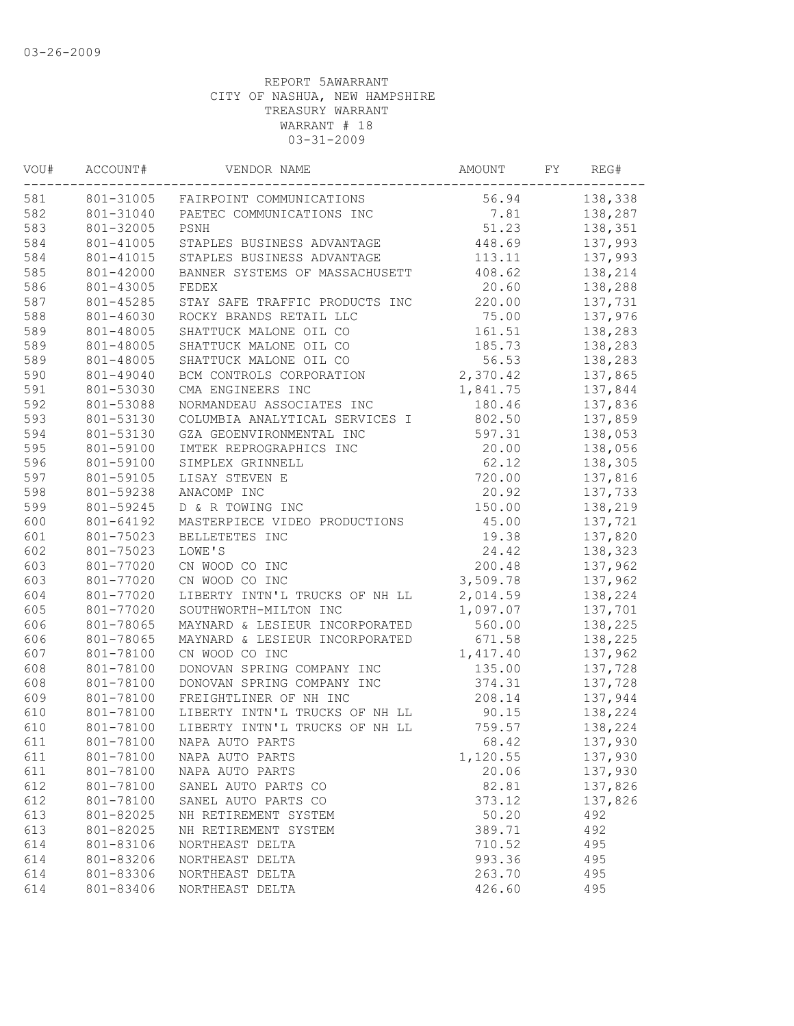| VOU# | ACCOUNT#  | VENDOR NAME                    | AMOUNT   | FY | REG#    |
|------|-----------|--------------------------------|----------|----|---------|
| 581  | 801-31005 | FAIRPOINT COMMUNICATIONS       | 56.94    |    | 138,338 |
| 582  | 801-31040 | PAETEC COMMUNICATIONS INC      | 7.81     |    | 138,287 |
| 583  | 801-32005 | PSNH                           | 51.23    |    | 138,351 |
| 584  | 801-41005 | STAPLES BUSINESS ADVANTAGE     | 448.69   |    | 137,993 |
| 584  | 801-41015 | STAPLES BUSINESS ADVANTAGE     | 113.11   |    | 137,993 |
| 585  | 801-42000 | BANNER SYSTEMS OF MASSACHUSETT | 408.62   |    | 138,214 |
| 586  | 801-43005 | FEDEX                          | 20.60    |    | 138,288 |
| 587  | 801-45285 | STAY SAFE TRAFFIC PRODUCTS INC | 220.00   |    | 137,731 |
| 588  | 801-46030 | ROCKY BRANDS RETAIL LLC        | 75.00    |    | 137,976 |
| 589  | 801-48005 | SHATTUCK MALONE OIL CO         | 161.51   |    | 138,283 |
| 589  | 801-48005 | SHATTUCK MALONE OIL CO         | 185.73   |    | 138,283 |
| 589  | 801-48005 | SHATTUCK MALONE OIL CO         | 56.53    |    | 138,283 |
| 590  | 801-49040 | BCM CONTROLS CORPORATION       | 2,370.42 |    | 137,865 |
| 591  | 801-53030 | CMA ENGINEERS INC              | 1,841.75 |    | 137,844 |
| 592  | 801-53088 | NORMANDEAU ASSOCIATES INC      | 180.46   |    | 137,836 |
| 593  | 801-53130 | COLUMBIA ANALYTICAL SERVICES I | 802.50   |    | 137,859 |
| 594  | 801-53130 | GZA GEOENVIRONMENTAL INC       | 597.31   |    | 138,053 |
| 595  | 801-59100 | IMTEK REPROGRAPHICS INC        | 20.00    |    | 138,056 |
| 596  | 801-59100 | SIMPLEX GRINNELL               | 62.12    |    | 138,305 |
| 597  | 801-59105 | LISAY STEVEN E                 | 720.00   |    | 137,816 |
| 598  | 801-59238 | ANACOMP INC                    | 20.92    |    | 137,733 |
| 599  | 801-59245 | D & R TOWING INC               | 150.00   |    | 138,219 |
| 600  | 801-64192 | MASTERPIECE VIDEO PRODUCTIONS  | 45.00    |    | 137,721 |
| 601  | 801-75023 | BELLETETES INC                 | 19.38    |    | 137,820 |
| 602  | 801-75023 | LOWE'S                         | 24.42    |    | 138,323 |
| 603  | 801-77020 | CN WOOD CO INC                 | 200.48   |    | 137,962 |
| 603  | 801-77020 | CN WOOD CO INC                 | 3,509.78 |    | 137,962 |
| 604  | 801-77020 | LIBERTY INTN'L TRUCKS OF NH LL | 2,014.59 |    | 138,224 |
| 605  | 801-77020 | SOUTHWORTH-MILTON INC          | 1,097.07 |    | 137,701 |
| 606  | 801-78065 | MAYNARD & LESIEUR INCORPORATED | 560.00   |    | 138,225 |
| 606  | 801-78065 | MAYNARD & LESIEUR INCORPORATED | 671.58   |    | 138,225 |
| 607  | 801-78100 | CN WOOD CO INC                 | 1,417.40 |    | 137,962 |
| 608  | 801-78100 | DONOVAN SPRING COMPANY INC     | 135.00   |    | 137,728 |
| 608  | 801-78100 | DONOVAN SPRING COMPANY INC     | 374.31   |    | 137,728 |
| 609  | 801-78100 | FREIGHTLINER OF NH INC         | 208.14   |    | 137,944 |
| 610  | 801-78100 | LIBERTY INTN'L TRUCKS OF NH LL | 90.15    |    | 138,224 |
| 610  | 801-78100 | LIBERTY INTN'L TRUCKS OF NH LL | 759.57   |    | 138,224 |
| 611  | 801-78100 | NAPA AUTO PARTS                | 68.42    |    | 137,930 |
| 611  | 801-78100 | NAPA AUTO PARTS                | 1,120.55 |    | 137,930 |
| 611  | 801-78100 | NAPA AUTO PARTS                | 20.06    |    | 137,930 |
| 612  | 801-78100 | SANEL AUTO PARTS CO            | 82.81    |    | 137,826 |
| 612  | 801-78100 | SANEL AUTO PARTS CO            | 373.12   |    | 137,826 |
| 613  | 801-82025 | NH RETIREMENT SYSTEM           | 50.20    |    | 492     |
| 613  | 801-82025 | NH RETIREMENT SYSTEM           | 389.71   |    | 492     |
| 614  | 801-83106 | NORTHEAST DELTA                | 710.52   |    | 495     |
| 614  | 801-83206 | NORTHEAST DELTA                | 993.36   |    | 495     |
| 614  | 801-83306 | NORTHEAST DELTA                | 263.70   |    | 495     |
| 614  | 801-83406 | NORTHEAST DELTA                | 426.60   |    | 495     |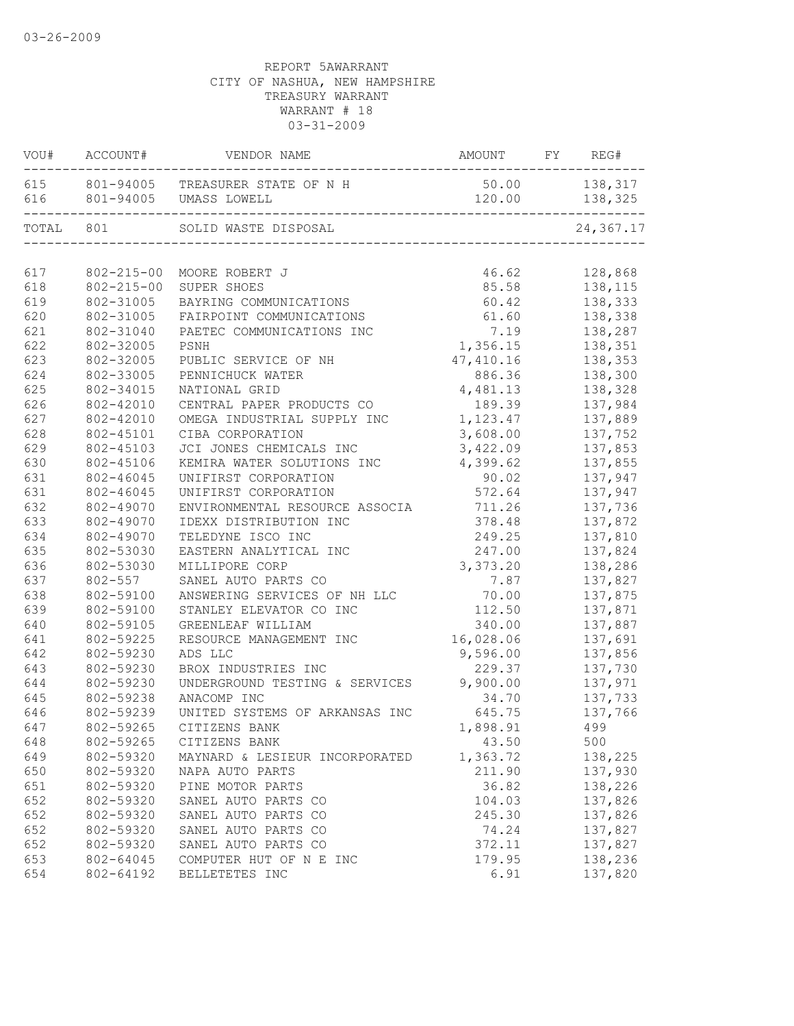|       | VOU# ACCOUNT#    | VENDOR NAME                          | AMOUNT        | FY | REG#                 |
|-------|------------------|--------------------------------------|---------------|----|----------------------|
|       |                  | 615 801-94005 TREASURER STATE OF N H | 50.00 138,317 |    |                      |
|       |                  | 616 801-94005 UMASS LOWELL           | 120.00        |    | 138,325<br>--------- |
| TOTAL | 801              | SOLID WASTE DISPOSAL                 |               |    | 24,367.17            |
| 617   | $802 - 215 - 00$ | MOORE ROBERT J                       | 46.62         |    | 128,868              |
| 618   | $802 - 215 - 00$ | SUPER SHOES                          | 85.58         |    | 138,115              |
| 619   | 802-31005        | BAYRING COMMUNICATIONS               | 60.42         |    | 138,333              |
| 620   | 802-31005        | FAIRPOINT COMMUNICATIONS             |               |    | 61.60 138,338        |
| 621   | 802-31040        | PAETEC COMMUNICATIONS INC            | 7.19          |    | 138,287              |
| 622   | 802-32005        | PSNH                                 | 1,356.15      |    | 138,351              |
| 623   | 802-32005        | PUBLIC SERVICE OF NH                 | 47,410.16     |    | 138,353              |
| 624   | 802-33005        | PENNICHUCK WATER                     | 886.36        |    | 138,300              |
| 625   | 802-34015        | NATIONAL GRID                        | 4,481.13      |    | 138,328              |
| 626   | 802-42010        | CENTRAL PAPER PRODUCTS CO            | 189.39        |    | 137,984              |
| 627   | 802-42010        | OMEGA INDUSTRIAL SUPPLY INC          | 1,123.47      |    | 137,889              |
| 628   | 802-45101        | CIBA CORPORATION                     | 3,608.00      |    | 137,752              |
| 629   | 802-45103        | JCI JONES CHEMICALS INC              | 3,422.09      |    | 137,853              |
| 630   | 802-45106        | KEMIRA WATER SOLUTIONS INC           | 4,399.62      |    | 137,855              |
| 631   | 802-46045        | UNIFIRST CORPORATION                 | 90.02         |    | 137,947              |
| 631   | 802-46045        | UNIFIRST CORPORATION                 | 572.64        |    | 137,947              |
| 632   | 802-49070        | ENVIRONMENTAL RESOURCE ASSOCIA       | 711.26        |    | 137,736              |
| 633   | 802-49070        | IDEXX DISTRIBUTION INC               | 378.48        |    | 137,872              |
| 634   | 802-49070        | TELEDYNE ISCO INC                    | 249.25        |    | 137,810              |
| 635   | 802-53030        | EASTERN ANALYTICAL INC               | 247.00        |    | 137,824              |
| 636   | 802-53030        | MILLIPORE CORP                       | 3,373.20      |    | 138,286              |
| 637   | 802-557          | SANEL AUTO PARTS CO                  | 7.87          |    | 137,827              |
| 638   | 802-59100        | ANSWERING SERVICES OF NH LLC         | 70.00         |    | 137,875              |
| 639   | 802-59100        | STANLEY ELEVATOR CO INC              | 112.50        |    | 137,871              |
| 640   | 802-59105        | GREENLEAF WILLIAM                    | 340.00        |    | 137,887              |
| 641   | 802-59225        | RESOURCE MANAGEMENT INC              | 16,028.06     |    | 137,691              |
| 642   | 802-59230        | ADS LLC                              | 9,596.00      |    | 137,856              |
| 643   | 802-59230        | BROX INDUSTRIES INC                  | 229.37        |    | 137,730              |
| 644   | 802-59230        | UNDERGROUND TESTING & SERVICES       | 9,900.00      |    | 137,971              |
| 645   | 802-59238        | ANACOMP INC                          | 34.70         |    | 137,733              |
| 646   | 802-59239        | UNITED SYSTEMS OF ARKANSAS INC       | 645.75        |    | 137,766              |
| 647   | 802-59265        | CITIZENS BANK                        | 1,898.91      |    | 499                  |
| 648   | 802-59265        | CITIZENS BANK                        | 43.50         |    | 500                  |
| 649   | 802-59320        | MAYNARD & LESIEUR INCORPORATED       | 1,363.72      |    | 138,225              |
| 650   | 802-59320        | NAPA AUTO PARTS                      | 211.90        |    | 137,930              |
| 651   | 802-59320        | PINE MOTOR PARTS                     | 36.82         |    | 138,226              |
| 652   | 802-59320        | SANEL AUTO PARTS CO                  | 104.03        |    | 137,826              |
| 652   | 802-59320        | SANEL AUTO PARTS CO                  | 245.30        |    | 137,826              |
| 652   | 802-59320        | SANEL AUTO PARTS CO                  | 74.24         |    | 137,827              |
| 652   | 802-59320        | SANEL AUTO PARTS CO                  | 372.11        |    | 137,827              |
| 653   | 802-64045        | COMPUTER HUT OF N E INC              | 179.95        |    | 138,236              |
| 654   | 802-64192        | BELLETETES INC                       | 6.91          |    | 137,820              |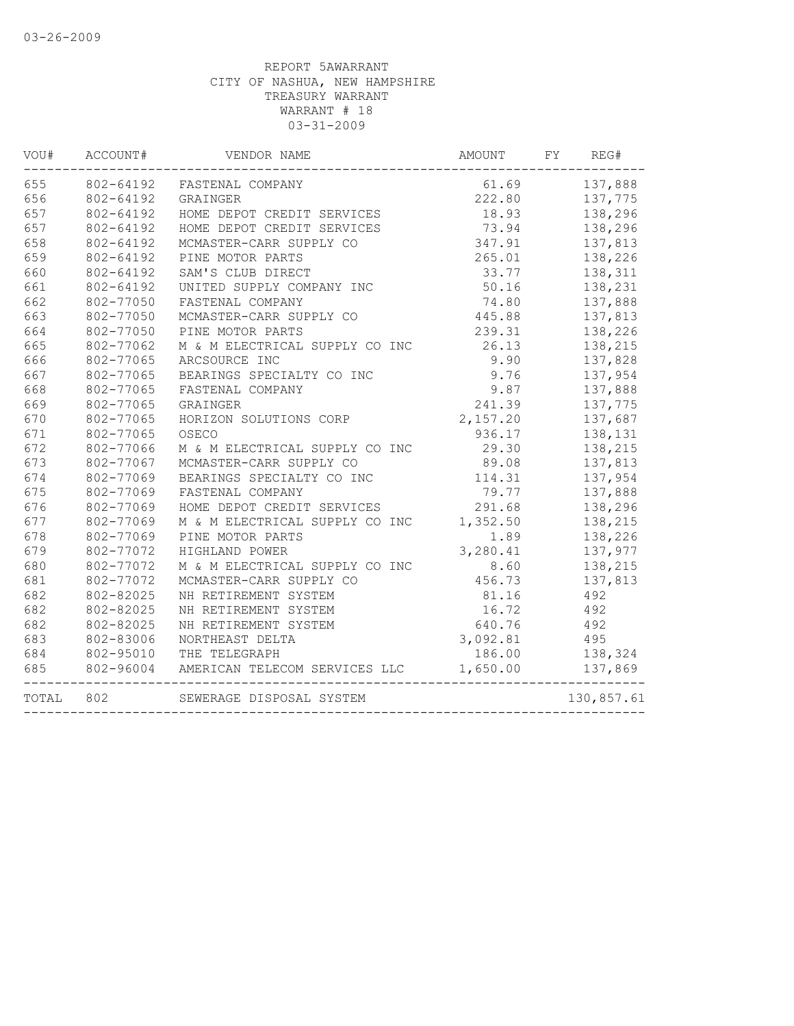| WOU#  | ACCOUNT#  | VENDOR NAME                    | AMOUNT   | FY<br>REG# |
|-------|-----------|--------------------------------|----------|------------|
| 655   | 802-64192 | FASTENAL COMPANY               | 61.69    | 137,888    |
| 656   | 802-64192 | GRAINGER                       | 222.80   | 137,775    |
| 657   | 802-64192 | HOME DEPOT CREDIT SERVICES     | 18.93    | 138,296    |
| 657   | 802-64192 | HOME DEPOT CREDIT SERVICES     | 73.94    | 138,296    |
| 658   | 802-64192 | MCMASTER-CARR SUPPLY CO        | 347.91   | 137,813    |
| 659   | 802-64192 | PINE MOTOR PARTS               | 265.01   | 138,226    |
| 660   | 802-64192 | SAM'S CLUB DIRECT              | 33.77    | 138,311    |
| 661   | 802-64192 | UNITED SUPPLY COMPANY INC      | 50.16    | 138,231    |
| 662   | 802-77050 | FASTENAL COMPANY               | 74.80    | 137,888    |
| 663   | 802-77050 | MCMASTER-CARR SUPPLY CO        | 445.88   | 137,813    |
| 664   | 802-77050 | PINE MOTOR PARTS               | 239.31   | 138,226    |
| 665   | 802-77062 | M & M ELECTRICAL SUPPLY CO INC | 26.13    | 138,215    |
| 666   | 802-77065 | ARCSOURCE INC                  | 9.90     | 137,828    |
| 667   | 802-77065 | BEARINGS SPECIALTY CO INC      | 9.76     | 137,954    |
| 668   | 802-77065 | FASTENAL COMPANY               | 9.87     | 137,888    |
| 669   | 802-77065 | <b>GRAINGER</b>                | 241.39   | 137,775    |
| 670   | 802-77065 | HORIZON SOLUTIONS CORP         | 2,157.20 | 137,687    |
| 671   | 802-77065 | OSECO                          | 936.17   | 138,131    |
| 672   | 802-77066 | M & M ELECTRICAL SUPPLY CO INC | 29.30    | 138,215    |
| 673   | 802-77067 | MCMASTER-CARR SUPPLY CO        | 89.08    | 137,813    |
| 674   | 802-77069 | BEARINGS SPECIALTY CO INC      | 114.31   | 137,954    |
| 675   | 802-77069 | FASTENAL COMPANY               | 79.77    | 137,888    |
| 676   | 802-77069 | HOME DEPOT CREDIT SERVICES     | 291.68   | 138,296    |
| 677   | 802-77069 | M & M ELECTRICAL SUPPLY CO INC | 1,352.50 | 138,215    |
| 678   | 802-77069 | PINE MOTOR PARTS               | 1.89     | 138,226    |
| 679   | 802-77072 | HIGHLAND POWER                 | 3,280.41 | 137,977    |
| 680   | 802-77072 | M & M ELECTRICAL SUPPLY CO INC | 8.60     | 138,215    |
| 681   | 802-77072 | MCMASTER-CARR SUPPLY CO        | 456.73   | 137,813    |
| 682   | 802-82025 | NH RETIREMENT SYSTEM           | 81.16    | 492        |
| 682   | 802-82025 | NH RETIREMENT SYSTEM           | 16.72    | 492        |
| 682   | 802-82025 | NH RETIREMENT SYSTEM           | 640.76   | 492        |
| 683   | 802-83006 | NORTHEAST DELTA                | 3,092.81 | 495        |
| 684   | 802-95010 | THE TELEGRAPH                  | 186.00   | 138,324    |
| 685   | 802-96004 | AMERICAN TELECOM SERVICES LLC  | 1,650.00 | 137,869    |
| TOTAL | 802       | SEWERAGE DISPOSAL SYSTEM       |          | 130,857.61 |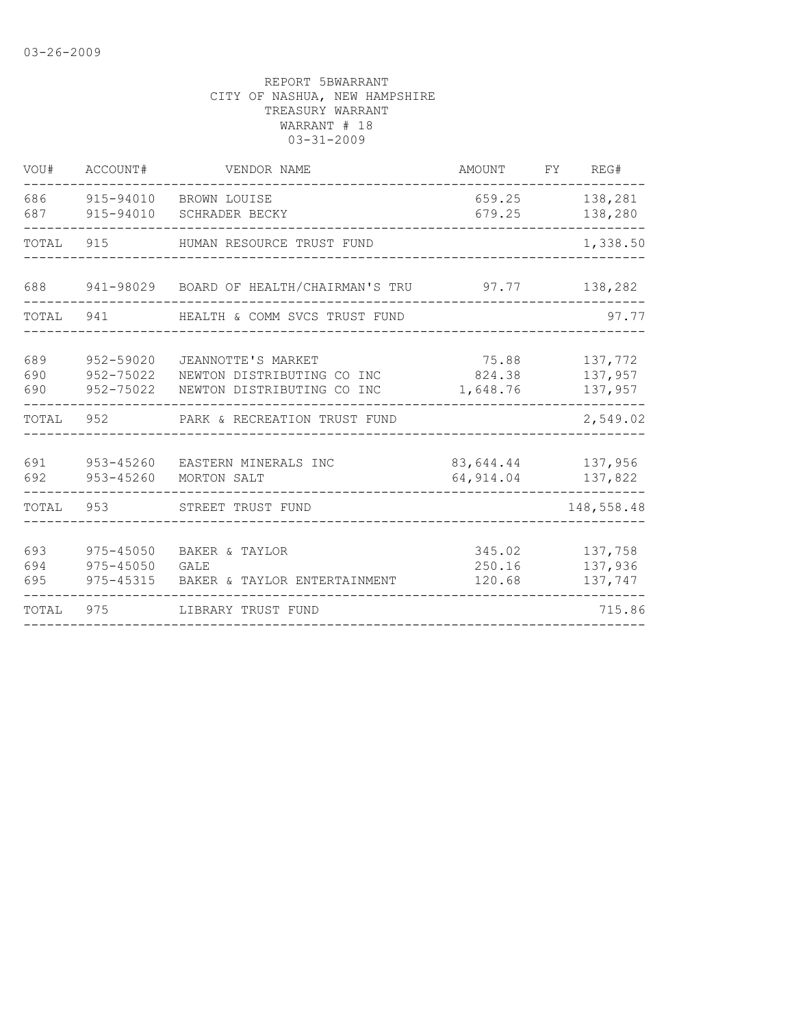| VOU#              | ACCOUNT#                                    | VENDOR NAME                                                                    | <b>AMOUNT</b>               | FY | REG#                          |
|-------------------|---------------------------------------------|--------------------------------------------------------------------------------|-----------------------------|----|-------------------------------|
| 686<br>687        | 915-94010<br>915-94010                      | BROWN LOUISE<br><b>SCHRADER BECKY</b>                                          | 659.25<br>679.25            |    | 138,281<br>138,280            |
| TOTAL             | 915                                         | HUMAN RESOURCE TRUST FUND                                                      |                             |    | 1,338.50                      |
| 688               |                                             | 941-98029 BOARD OF HEALTH/CHAIRMAN'S TRU                                       | 97.77                       |    | 138,282                       |
| TOTAL             | 941                                         | HEALTH & COMM SVCS TRUST FUND                                                  |                             |    | 97.77                         |
| 689<br>690<br>690 | 952-59020<br>952-75022<br>952-75022         | JEANNOTTE'S MARKET<br>NEWTON DISTRIBUTING CO INC<br>NEWTON DISTRIBUTING CO INC | 75.88<br>824.38<br>1,648.76 |    | 137,772<br>137,957<br>137,957 |
| TOTAL             | 952                                         | PARK & RECREATION TRUST FUND                                                   |                             |    | 2,549.02                      |
| 691<br>692        | 953-45260<br>$953 - 45260$                  | EASTERN MINERALS INC<br>MORTON SALT                                            | 83,644.44<br>64, 914.04     |    | 137,956<br>137,822            |
| TOTAL             | 953                                         | STREET TRUST FUND                                                              |                             |    | 148,558.48                    |
| 693<br>694<br>695 | 975-45050<br>$975 - 45050$<br>$975 - 45315$ | BAKER & TAYLOR<br>GALE<br>BAKER & TAYLOR ENTERTAINMENT                         | 345.02<br>250.16<br>120.68  |    | 137,758<br>137,936<br>137,747 |
| TOTAL             | 975                                         | LIBRARY TRUST FUND                                                             |                             |    | 715.86                        |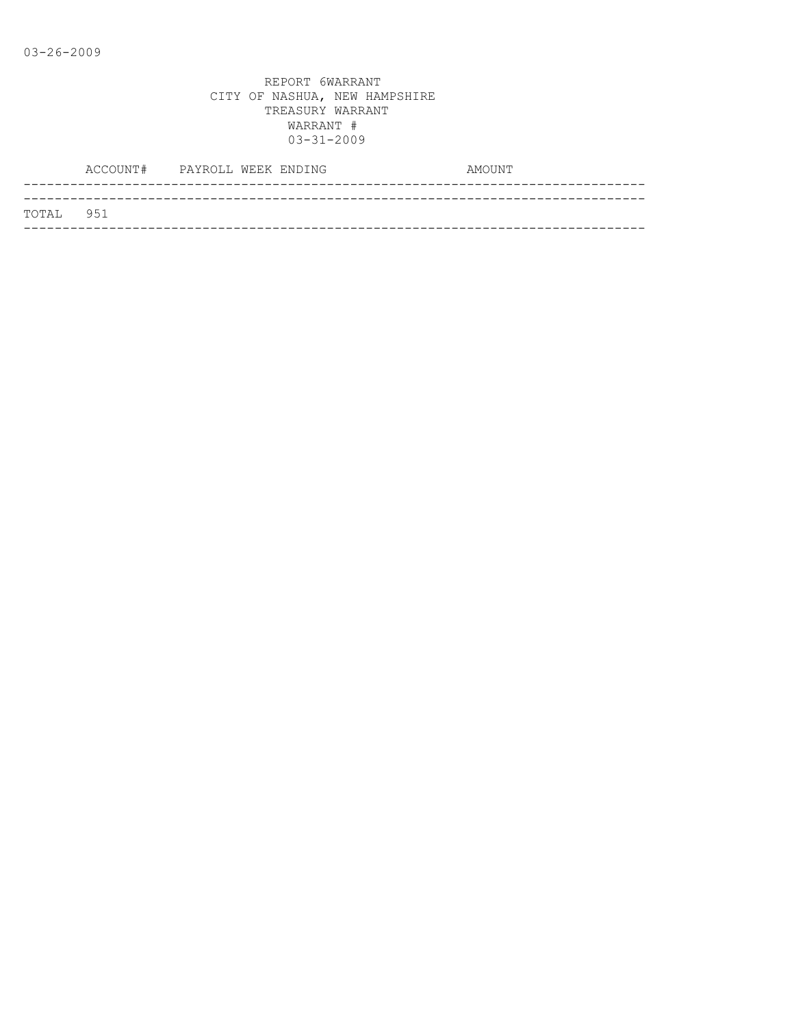|           | ACCOUNT# PAYROLL WEEK ENDING |  | AMOUNT |
|-----------|------------------------------|--|--------|
|           |                              |  |        |
| TOTAL 951 |                              |  |        |
|           |                              |  |        |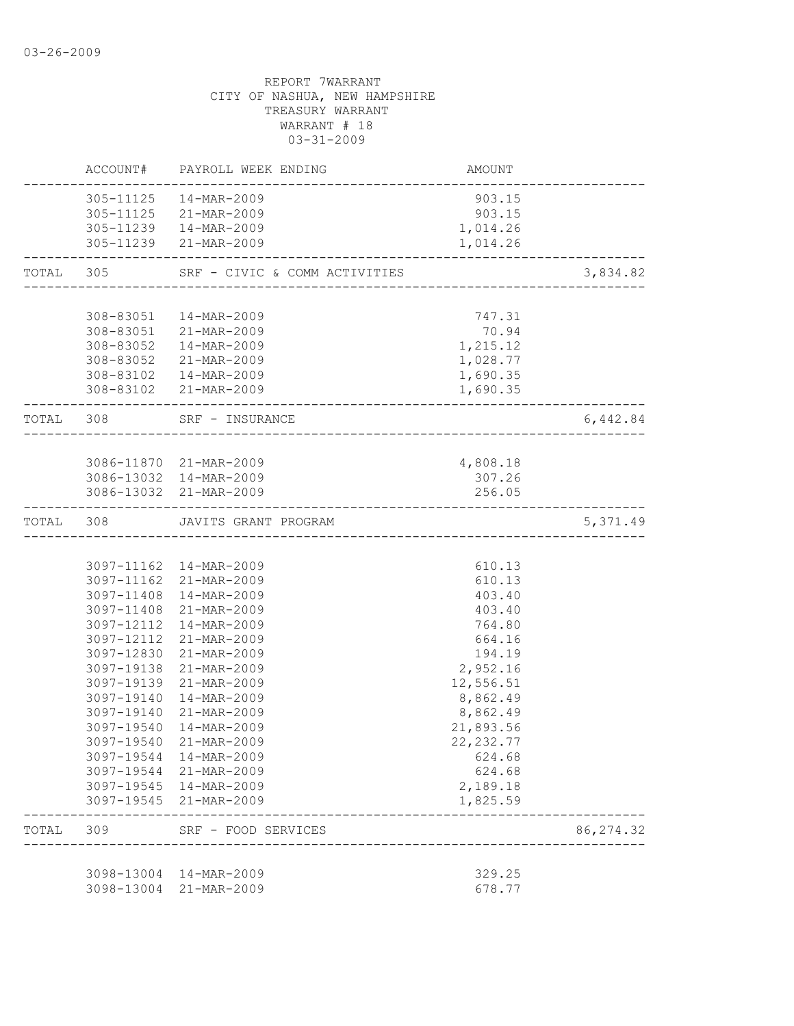|           |                          | ACCOUNT# PAYROLL WEEK ENDING                     | AMOUNT                  |            |
|-----------|--------------------------|--------------------------------------------------|-------------------------|------------|
|           |                          | 305-11125  14-MAR-2009                           | 903.15                  |            |
|           |                          | 305-11125 21-MAR-2009                            | 903.15                  |            |
|           |                          | 305-11239  14-MAR-2009                           | 1,014.26                |            |
|           |                          | 305-11239 21-MAR-2009                            | 1,014.26                |            |
|           |                          |                                                  |                         | 3,834.82   |
|           | 308-83051                | 14-MAR-2009                                      | 747.31                  |            |
|           |                          | 308-83051 21-MAR-2009                            | 70.94                   |            |
|           |                          | 308-83052  14-MAR-2009                           | 1,215.12                |            |
|           |                          | 308-83052 21-MAR-2009                            | 1,028.77                |            |
|           |                          | 308-83102  14-MAR-2009                           | 1,690.35                |            |
|           |                          | 308-83102 21-MAR-2009                            | 1,690.35                |            |
|           | TOTAL 308                | SRF - INSURANCE<br>____________________________  |                         | 6,442.84   |
|           |                          |                                                  |                         |            |
|           |                          | 3086-11870 21-MAR-2009<br>3086-13032 14-MAR-2009 | 4,808.18<br>307.26      |            |
|           |                          | 3086-13032 21-MAR-2009                           | 256.05                  |            |
|           |                          | ______________________                           |                         |            |
|           |                          | TOTAL 308 JAVITS GRANT PROGRAM                   |                         | 5,371.49   |
|           |                          | 3097-11162  14-MAR-2009                          | 610.13                  |            |
|           |                          | 3097-11162 21-MAR-2009                           | 610.13                  |            |
|           | 3097-11408               | 14-MAR-2009                                      | 403.40                  |            |
|           |                          | 3097-11408 21-MAR-2009                           | 403.40                  |            |
|           |                          | 3097-12112 14-MAR-2009                           | 764.80                  |            |
|           |                          | 3097-12112 21-MAR-2009                           | 664.16                  |            |
|           |                          | 3097-12830 21-MAR-2009                           | 194.19                  |            |
|           |                          | 3097-19138 21-MAR-2009                           | 2,952.16                |            |
|           |                          | 3097-19139 21-MAR-2009                           | 12,556.51               |            |
|           | 3097-19140               | 14-MAR-2009                                      | 8,862.49                |            |
|           | 3097-19140<br>3097-19540 | 21-MAR-2009<br>14-MAR-2009                       | 8,862.49                |            |
|           |                          | 3097-19540 21-MAR-2009                           | 21,893.56<br>22, 232.77 |            |
|           |                          | 3097-19544 14-MAR-2009                           | 624.68                  |            |
|           |                          | 3097-19544 21-MAR-2009                           | 624.68                  |            |
|           |                          | 3097-19545 14-MAR-2009                           | 2,189.18                |            |
|           |                          | 3097-19545 21-MAR-2009                           | 1,825.59                |            |
| TOTAL 309 |                          | SRF - FOOD SERVICES<br>--------------------      |                         | 86, 274.32 |
|           |                          |                                                  |                         |            |
|           |                          | 3098-13004 14-MAR-2009<br>3098-13004 21-MAR-2009 | 329.25<br>678.77        |            |
|           |                          |                                                  |                         |            |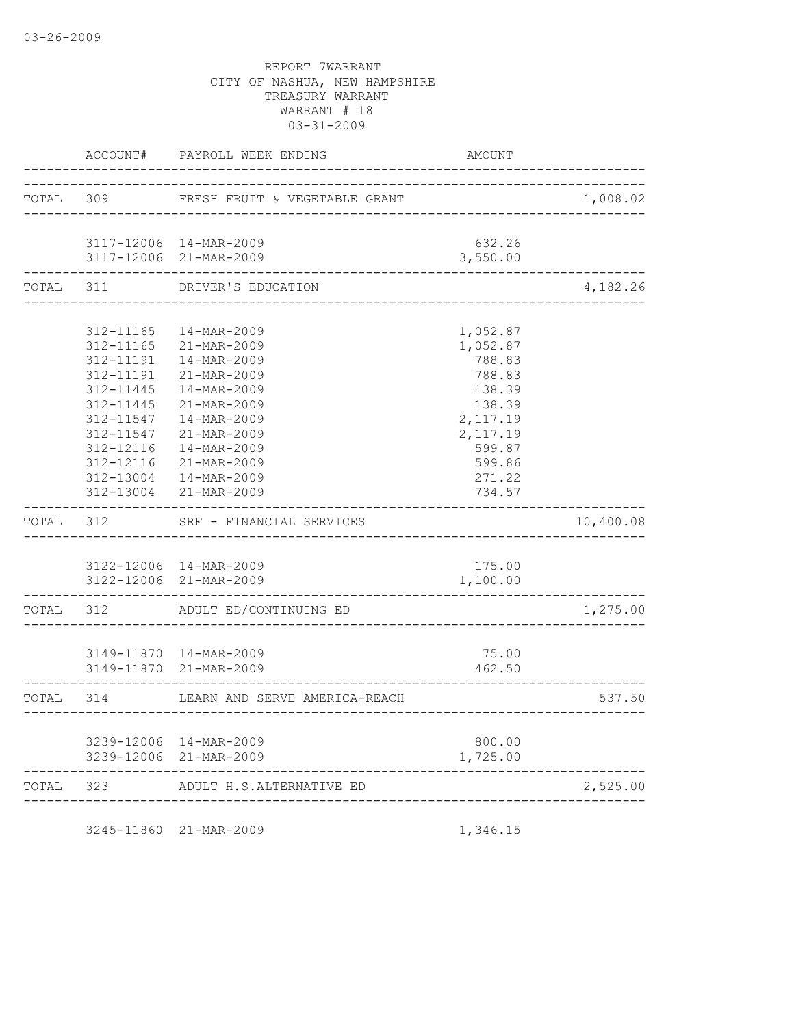|           | ACCOUNT#               | PAYROLL WEEK ENDING           | AMOUNT                          |           |
|-----------|------------------------|-------------------------------|---------------------------------|-----------|
| TOTAL 309 |                        | FRESH FRUIT & VEGETABLE GRANT |                                 | 1,008.02  |
|           |                        | _________________________     |                                 |           |
|           |                        | 3117-12006 14-MAR-2009        | 632.26                          |           |
|           |                        | 3117-12006 21-MAR-2009        | 3,550.00                        |           |
| TOTAL     | 311                    | DRIVER'S EDUCATION            |                                 | 4,182.26  |
|           |                        |                               |                                 |           |
|           | 312-11165<br>312-11165 | 14-MAR-2009<br>21-MAR-2009    | 1,052.87<br>1,052.87            |           |
|           | 312-11191              | 14-MAR-2009                   | 788.83                          |           |
|           | 312-11191              | 21-MAR-2009                   | 788.83                          |           |
|           | 312-11445              | 14-MAR-2009                   | 138.39                          |           |
|           | 312-11445              | 21-MAR-2009                   | 138.39                          |           |
|           | 312-11547              | 14-MAR-2009                   | 2,117.19                        |           |
|           | 312-11547              | 21-MAR-2009                   | 2,117.19                        |           |
|           | 312-12116              | 14-MAR-2009                   | 599.87                          |           |
|           |                        | 312-12116 21-MAR-2009         | 599.86                          |           |
|           |                        | 312-13004  14-MAR-2009        | 271.22                          |           |
|           |                        | 312-13004 21-MAR-2009         | 734.57                          |           |
|           | TOTAL 312              | SRF - FINANCIAL SERVICES      |                                 | 10,400.08 |
|           |                        |                               |                                 |           |
|           |                        | 3122-12006 14-MAR-2009        | 175.00                          |           |
|           |                        | 3122-12006 21-MAR-2009        | 1,100.00<br>------------------- |           |
|           | TOTAL 312              | ADULT ED/CONTINUING ED        |                                 | 1,275.00  |
|           |                        |                               |                                 |           |
|           |                        | 3149-11870  14-MAR-2009       | 75.00                           |           |
|           |                        | 3149-11870 21-MAR-2009        | 462.50                          |           |
|           | TOTAL 314              | LEARN AND SERVE AMERICA-REACH |                                 | 537.50    |
|           |                        |                               |                                 |           |
|           |                        | 3239-12006 14-MAR-2009        | 800.00                          |           |
|           |                        | 3239-12006 21-MAR-2009        | 1,725.00                        |           |
| TOTAL 323 |                        | ADULT H.S.ALTERNATIVE ED      |                                 | 2,525.00  |
|           |                        | ____________________          |                                 |           |

3245-11860 21-MAR-2009 1,346.15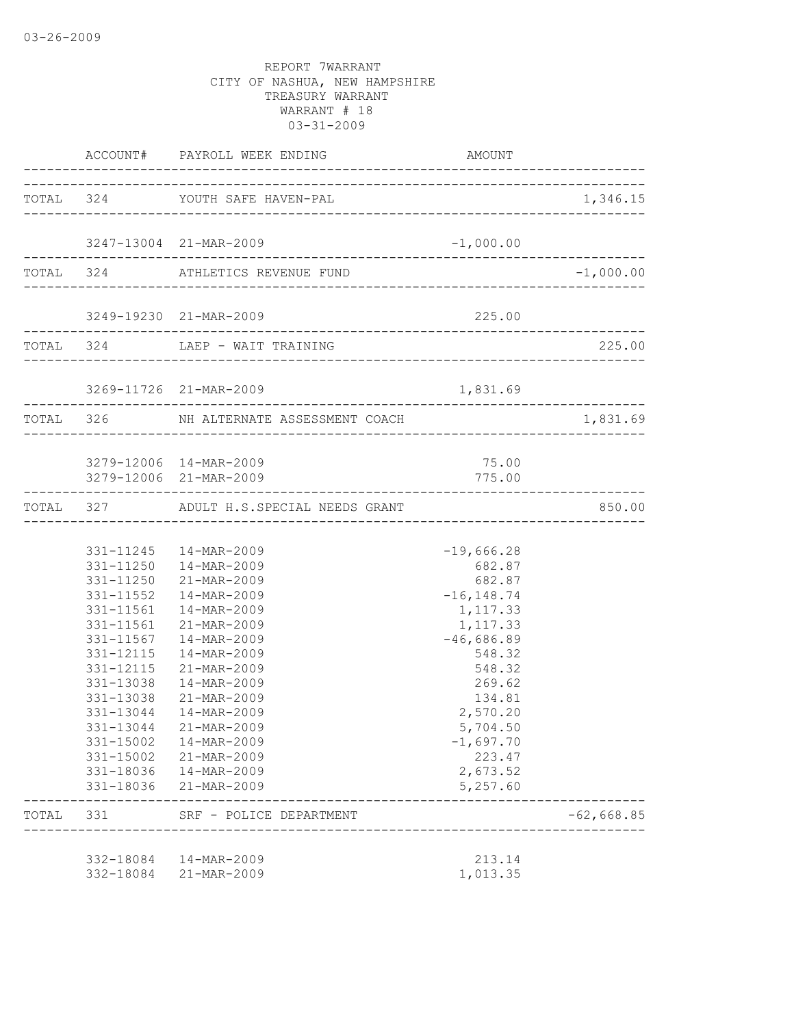|                                                               | ACCOUNT# PAYROLL WEEK ENDING                                                                                                                                                                                                                                                                                                                                                               | AMOUNT                                                                                                                                                                                                     |              |
|---------------------------------------------------------------|--------------------------------------------------------------------------------------------------------------------------------------------------------------------------------------------------------------------------------------------------------------------------------------------------------------------------------------------------------------------------------------------|------------------------------------------------------------------------------------------------------------------------------------------------------------------------------------------------------------|--------------|
|                                                               | TOTAL 324 YOUTH SAFE HAVEN-PAL                                                                                                                                                                                                                                                                                                                                                             |                                                                                                                                                                                                            | 1,346.15     |
|                                                               | 3247-13004 21-MAR-2009                                                                                                                                                                                                                                                                                                                                                                     | $-1,000.00$                                                                                                                                                                                                |              |
|                                                               | TOTAL 324 ATHLETICS REVENUE FUND                                                                                                                                                                                                                                                                                                                                                           |                                                                                                                                                                                                            | $-1,000.00$  |
|                                                               | 3249-19230 21-MAR-2009                                                                                                                                                                                                                                                                                                                                                                     | 225.00                                                                                                                                                                                                     |              |
|                                                               | TOTAL 324 LAEP - WAIT TRAINING                                                                                                                                                                                                                                                                                                                                                             |                                                                                                                                                                                                            | 225.00       |
|                                                               | 3269-11726 21-MAR-2009                                                                                                                                                                                                                                                                                                                                                                     | 1,831.69                                                                                                                                                                                                   |              |
|                                                               | TOTAL 326 NH ALTERNATE ASSESSMENT COACH                                                                                                                                                                                                                                                                                                                                                    |                                                                                                                                                                                                            | 1,831.69     |
|                                                               | 3279-12006 14-MAR-2009<br>3279-12006 21-MAR-2009                                                                                                                                                                                                                                                                                                                                           | 75.00<br>775.00                                                                                                                                                                                            |              |
|                                                               | TOTAL 327 ADULT H.S. SPECIAL NEEDS GRANT                                                                                                                                                                                                                                                                                                                                                   |                                                                                                                                                                                                            | 850.00       |
| 331-12115<br>331-12115<br>331-13038<br>331-13038<br>331-13044 | 331-11245  14-MAR-2009<br>331-11250  14-MAR-2009<br>331-11250 21-MAR-2009<br>331-11552  14-MAR-2009<br>331-11561  14-MAR-2009<br>331-11561 21-MAR-2009<br>331-11567  14-MAR-2009<br>14-MAR-2009<br>21-MAR-2009<br>14-MAR-2009<br>21-MAR-2009<br>14-MAR-2009<br>331-13044 21-MAR-2009<br>331-15002  14-MAR-2009<br>331-15002 21-MAR-2009<br>331-18036  14-MAR-2009<br>331-18036 21-MAR-2009 | $-19,666.28$<br>682.87<br>682.87<br>$-16, 148.74$<br>1,117.33<br>1,117.33<br>$-46,686.89$<br>548.32<br>548.32<br>269.62<br>134.81<br>2,570.20<br>5,704.50<br>$-1,697.70$<br>223.47<br>2,673.52<br>5,257.60 |              |
| TOTAL 331                                                     | SRF - POLICE DEPARTMENT<br>________________                                                                                                                                                                                                                                                                                                                                                |                                                                                                                                                                                                            | $-62,668.85$ |
|                                                               | 332-18084  14-MAR-2009<br>332-18084 21-MAR-2009                                                                                                                                                                                                                                                                                                                                            | 213.14<br>1,013.35                                                                                                                                                                                         |              |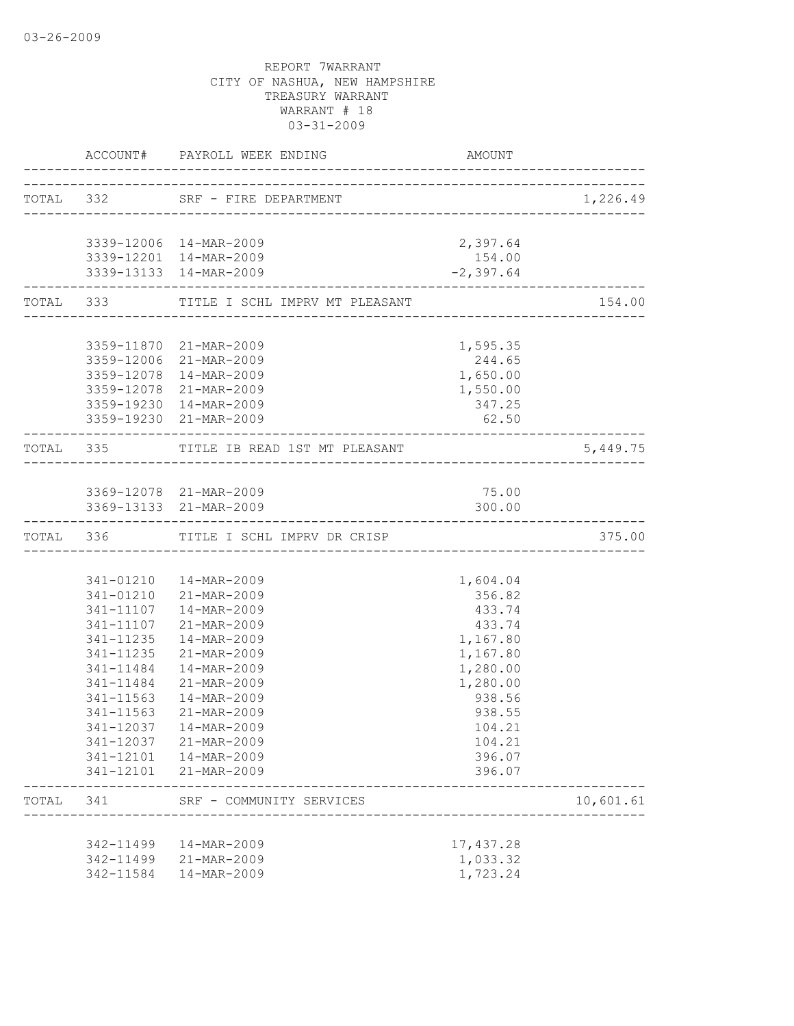|       |                           | ACCOUNT# PAYROLL WEEK ENDING                                                   | AMOUNT                             |           |
|-------|---------------------------|--------------------------------------------------------------------------------|------------------------------------|-----------|
|       |                           | TOTAL 332 SRF - FIRE DEPARTMENT                                                |                                    | 1,226.49  |
|       |                           |                                                                                |                                    |           |
|       |                           | 3339-12006 14-MAR-2009                                                         | 2,397.64                           |           |
|       |                           | 3339-12201 14-MAR-2009                                                         | 154.00                             |           |
|       | ------------------------- | 3339-13133 14-MAR-2009                                                         | $-2,397.64$<br>-------------       |           |
|       |                           | TOTAL 333 TITLE I SCHL IMPRV MT PLEASANT                                       |                                    | 154.00    |
|       |                           |                                                                                |                                    |           |
|       |                           | 3359-11870 21-MAR-2009                                                         | 1,595.35                           |           |
|       |                           | 3359-12006 21-MAR-2009                                                         | 244.65                             |           |
|       |                           | 3359-12078 14-MAR-2009                                                         | 1,650.00                           |           |
|       |                           | 3359-12078 21-MAR-2009                                                         | 1,550.00                           |           |
|       |                           | 3359-19230 14-MAR-2009                                                         | 347.25                             |           |
|       | --------------------      | 3359-19230 21-MAR-2009                                                         | 62.50                              |           |
|       |                           | TOTAL 335 TITLE IB READ 1ST MT PLEASANT                                        |                                    | 5,449.75  |
|       |                           |                                                                                |                                    |           |
|       |                           | 3369-12078 21-MAR-2009                                                         | 75.00                              |           |
|       |                           | 3369-13133 21-MAR-2009                                                         | 300.00                             |           |
|       |                           | -------------------------------------<br>TOTAL 336 TITLE I SCHL IMPRV DR CRISP | __________________________________ | 375.00    |
|       |                           |                                                                                |                                    |           |
|       |                           | 341-01210  14-MAR-2009                                                         | 1,604.04                           |           |
|       |                           | 341-01210 21-MAR-2009                                                          | 356.82                             |           |
|       |                           | 341-11107  14-MAR-2009                                                         | 433.74                             |           |
|       | 341-11107                 | 21-MAR-2009                                                                    | 433.74                             |           |
|       | 341-11235                 | 14-MAR-2009                                                                    | 1,167.80                           |           |
|       | 341-11235                 | 21-MAR-2009                                                                    | 1,167.80                           |           |
|       | 341-11484                 | 14-MAR-2009                                                                    | 1,280.00                           |           |
|       | 341-11484                 | 21-MAR-2009                                                                    | 1,280.00                           |           |
|       | 341-11563                 | 14-MAR-2009                                                                    | 938.56                             |           |
|       | 341-11563                 | 21-MAR-2009                                                                    | 938.55                             |           |
|       |                           | 341-12037  14-MAR-2009                                                         | 104.21                             |           |
|       |                           | 341-12037 21-MAR-2009                                                          | 104.21                             |           |
|       |                           | 341-12101  14-MAR-2009                                                         | 396.07                             |           |
|       |                           | 341-12101 21-MAR-2009                                                          | 396.07                             |           |
| TOTAL | 341                       | SRF - COMMUNITY SERVICES                                                       |                                    | 10,601.61 |
|       |                           |                                                                                |                                    |           |
|       | 342-11499                 | 14-MAR-2009                                                                    | 17,437.28                          |           |
|       | 342-11499                 | 21-MAR-2009                                                                    | 1,033.32                           |           |
|       | 342-11584                 | 14-MAR-2009                                                                    | 1,723.24                           |           |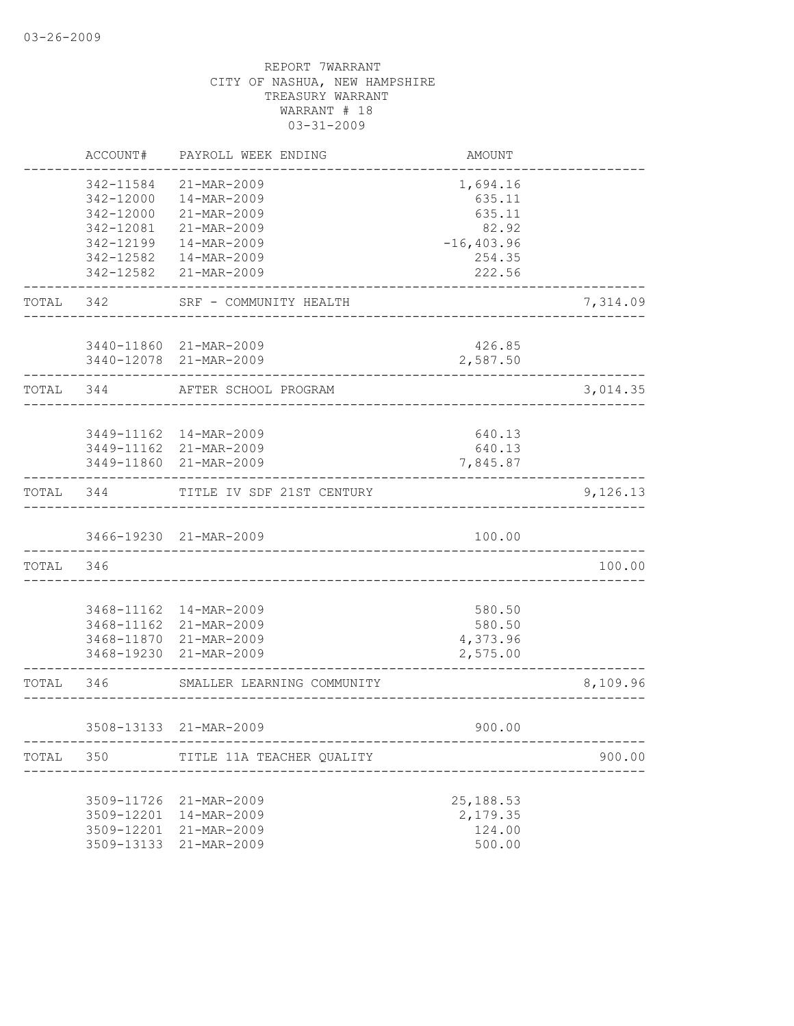|           | ACCOUNT#             | PAYROLL WEEK ENDING                                       | AMOUNT                              |          |
|-----------|----------------------|-----------------------------------------------------------|-------------------------------------|----------|
|           | 342-11584            | 21-MAR-2009                                               | 1,694.16                            |          |
|           | 342-12000            | 14-MAR-2009                                               | 635.11                              |          |
|           | 342-12000            | 21-MAR-2009                                               | 635.11                              |          |
|           | 342-12081            | 21-MAR-2009                                               | 82.92                               |          |
|           | 342-12199            | 14-MAR-2009                                               | $-16, 403.96$                       |          |
|           | 342-12582            | 14-MAR-2009                                               | 254.35                              |          |
|           | 342-12582            | 21-MAR-2009                                               | 222.56                              |          |
| TOTAL 342 |                      | SRF - COMMUNITY HEALTH                                    |                                     | 7,314.09 |
|           |                      |                                                           |                                     |          |
|           |                      | 3440-11860 21-MAR-2009                                    | 426.85                              |          |
|           |                      | 3440-12078 21-MAR-2009                                    | 2,587.50                            |          |
| TOTAL 344 |                      | AFTER SCHOOL PROGRAM                                      |                                     | 3,014.35 |
|           |                      |                                                           |                                     |          |
|           |                      | 3449-11162  14-MAR-2009                                   | 640.13                              |          |
|           |                      | 3449-11162 21-MAR-2009                                    | 640.13                              |          |
|           | -------------------- | 3449-11860 21-MAR-2009                                    | 7,845.87                            |          |
|           | TOTAL 344            | TITLE IV SDF 21ST CENTURY                                 |                                     | 9,126.13 |
|           |                      |                                                           |                                     |          |
|           |                      | 3466-19230 21-MAR-2009<br>____________                    | 100.00                              |          |
| TOTAL 346 |                      |                                                           |                                     | 100.00   |
|           |                      |                                                           |                                     |          |
|           |                      | 3468-11162  14-MAR-2009                                   | 580.50                              |          |
|           |                      | 3468-11162 21-MAR-2009                                    | 580.50                              |          |
|           |                      | 3468-11870 21-MAR-2009                                    | 4,373.96                            |          |
|           |                      | 3468-19230 21-MAR-2009                                    | 2,575.00                            |          |
| TOTAL 346 |                      | SMALLER LEARNING COMMUNITY                                |                                     | 8,109.96 |
|           |                      |                                                           |                                     |          |
|           |                      | 3508-13133 21-MAR-2009<br>------------------------------- | 900.00                              |          |
| TOTAL     |                      | 350 TITLE 11A TEACHER QUALITY                             | ----------------------------------- | 900.00   |
|           |                      |                                                           |                                     |          |
|           | 3509-11726           | 21-MAR-2009                                               | 25, 188.53                          |          |
|           | 3509-12201           | 14-MAR-2009                                               | 2,179.35                            |          |
|           | 3509-12201           | 21-MAR-2009                                               | 124.00                              |          |
|           | 3509-13133           | 21-MAR-2009                                               | 500.00                              |          |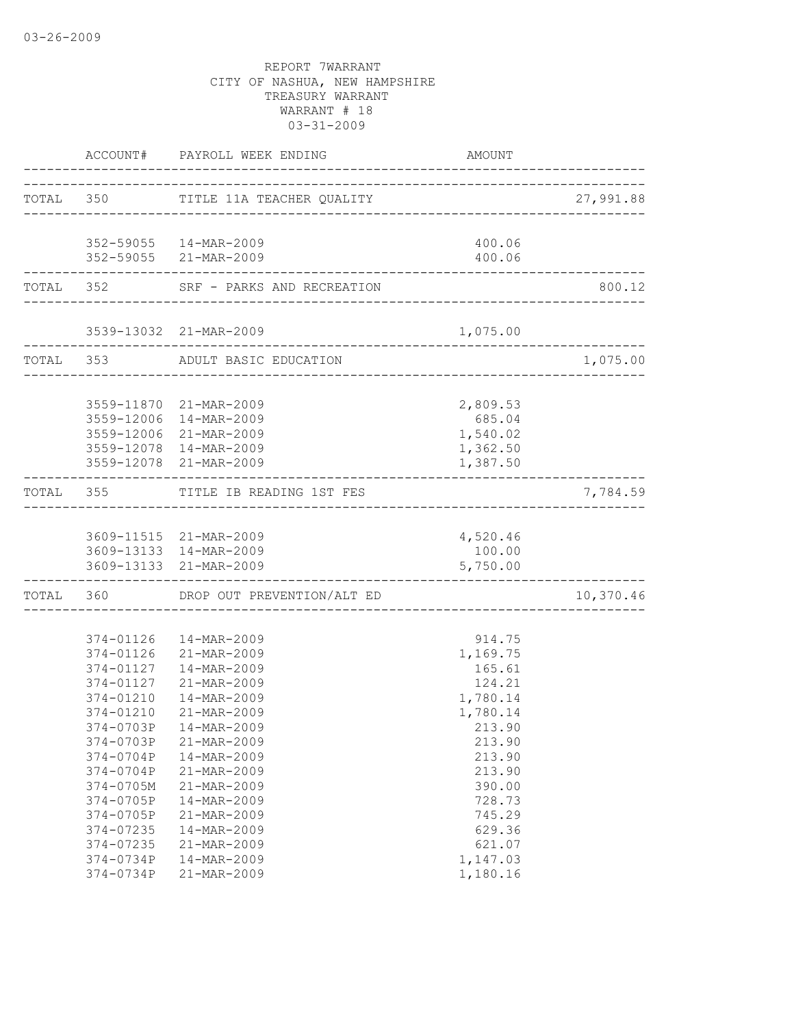|                          | ACCOUNT# PAYROLL WEEK ENDING AMO                 | AMOUNT                                          |           |
|--------------------------|--------------------------------------------------|-------------------------------------------------|-----------|
|                          | TOTAL 350 TITLE 11A TEACHER QUALITY 27,991.88    |                                                 |           |
|                          | 352-59055  14-MAR-2009                           | 400.06                                          |           |
|                          | 352-59055 21-MAR-2009                            | 400.06<br>_____________________________________ |           |
| ------------------------ | TOTAL 352 SRF - PARKS AND RECREATION             |                                                 | 800.12    |
|                          |                                                  |                                                 |           |
|                          | TOTAL 353 ADULT BASIC EDUCATION                  |                                                 | 1,075.00  |
|                          | 3559-11870 21-MAR-2009                           | 2,809.53                                        |           |
|                          | 3559-12006 14-MAR-2009                           | 685.04                                          |           |
|                          | 3559-12006 21-MAR-2009                           | 1,540.02                                        |           |
|                          | 3559-12078 14-MAR-2009<br>3559-12078 21-MAR-2009 | 1,362.50<br>1,387.50                            |           |
|                          |                                                  |                                                 |           |
|                          | TOTAL 355 TITLE IB READING 1ST FES               |                                                 | 7,784.59  |
|                          | 3609-11515 21-MAR-2009                           | 4,520.46                                        |           |
|                          | 3609-13133 14-MAR-2009                           | 100.00                                          |           |
|                          | 3609-13133 21-MAR-2009                           | 5,750.00                                        |           |
|                          | TOTAL 360 DROP OUT PREVENTION/ALT ED             |                                                 | 10,370.46 |
|                          | 374-01126  14-MAR-2009                           | 914.75                                          |           |
|                          | 374-01126 21-MAR-2009                            | 1,169.75                                        |           |
|                          | 374-01127  14-MAR-2009                           | 165.61                                          |           |
|                          | 374-01127 21-MAR-2009                            | 124.21                                          |           |
| 374-01210                | 14-MAR-2009                                      | 1,780.14                                        |           |
| 374-01210                | 21-MAR-2009<br>374-0703P  14-MAR-2009            | 1,780.14<br>213.90                              |           |
| 374-0703P                | 21-MAR-2009                                      | 213.90                                          |           |
| 374-0704P                | 14-MAR-2009                                      | 213.90                                          |           |
| 374-0704P                | 21-MAR-2009                                      | 213.90                                          |           |
| $374 - 0705M$            | 21-MAR-2009                                      | 390.00                                          |           |
| 374-0705P                | 14-MAR-2009                                      | 728.73                                          |           |
| 374-0705P                | 21-MAR-2009                                      | 745.29                                          |           |
| 374-07235                | 14-MAR-2009                                      | 629.36                                          |           |
| 374-07235                | 21-MAR-2009                                      | 621.07                                          |           |
| 374-0734P                | 14-MAR-2009                                      | 1,147.03                                        |           |
| 374-0734P                | 21-MAR-2009                                      | 1,180.16                                        |           |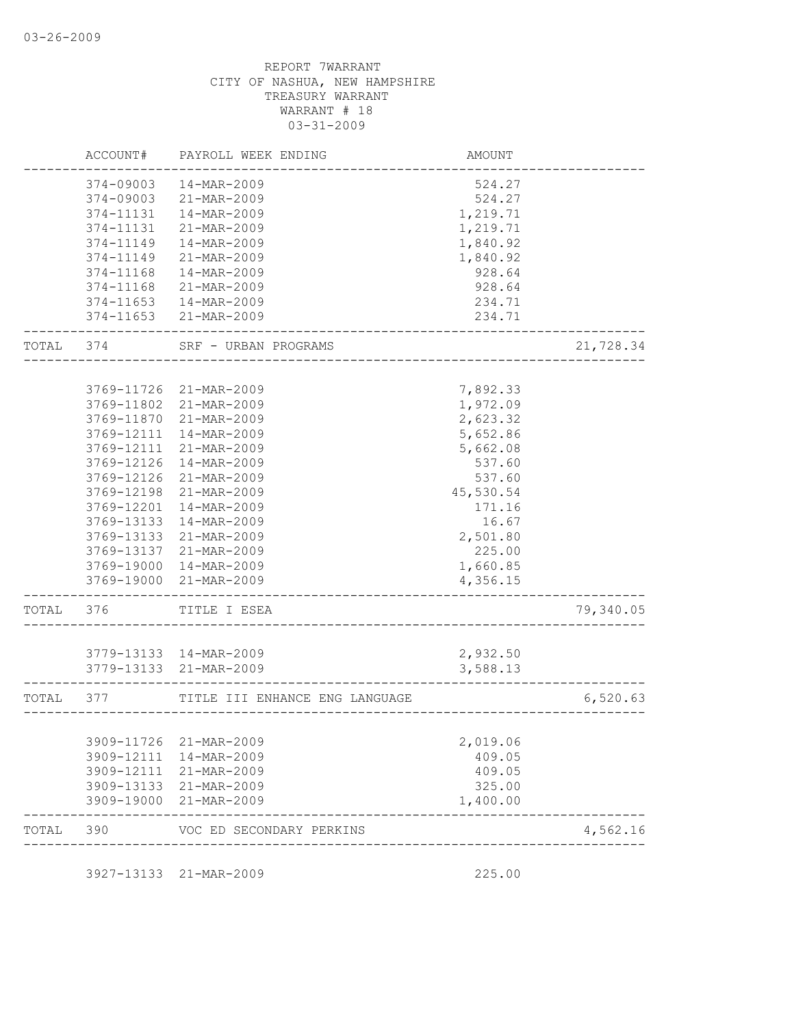|       | ACCOUNT#                 | PAYROLL WEEK ENDING            | AMOUNT               |           |
|-------|--------------------------|--------------------------------|----------------------|-----------|
|       | 374-09003                | 14-MAR-2009                    | 524.27               |           |
|       | 374-09003                | 21-MAR-2009                    | 524.27               |           |
|       | 374-11131                | 14-MAR-2009                    | 1,219.71             |           |
|       | 374-11131                | 21-MAR-2009                    | 1,219.71             |           |
|       | 374-11149                | 14-MAR-2009                    | 1,840.92             |           |
|       | 374-11149                | 21-MAR-2009                    | 1,840.92             |           |
|       | 374-11168                | 14-MAR-2009                    | 928.64               |           |
|       | 374-11168                | 21-MAR-2009                    | 928.64               |           |
|       | $374 - 11653$            | 14-MAR-2009                    | 234.71               |           |
|       | 374-11653                | 21-MAR-2009                    | 234.71               |           |
| TOTAL | 374                      | SRF - URBAN PROGRAMS           |                      | 21,728.34 |
|       |                          |                                |                      |           |
|       | 3769-11726               | 21-MAR-2009                    | 7,892.33             |           |
|       | 3769-11802               | 21-MAR-2009                    | 1,972.09             |           |
|       | 3769-11870               | 21-MAR-2009                    | 2,623.32             |           |
|       | 3769-12111               | 14-MAR-2009                    | 5,652.86             |           |
|       | 3769-12111               | 21-MAR-2009                    | 5,662.08             |           |
|       | 3769-12126               | 14-MAR-2009                    | 537.60               |           |
|       | 3769-12126               | 21-MAR-2009                    | 537.60               |           |
|       | 3769-12198               | 21-MAR-2009                    | 45,530.54            |           |
|       | 3769-12201               | 14-MAR-2009                    | 171.16               |           |
|       | 3769-13133               | 14-MAR-2009                    | 16.67                |           |
|       | 3769-13133               | 21-MAR-2009                    | 2,501.80             |           |
|       | 3769-13137               | 21-MAR-2009                    | 225.00               |           |
|       | 3769-19000<br>3769-19000 | 14-MAR-2009<br>21-MAR-2009     | 1,660.85<br>4,356.15 |           |
| TOTAL | 376                      | TITLE I ESEA                   |                      | 79,340.05 |
|       |                          |                                |                      |           |
|       |                          | 3779-13133 14-MAR-2009         | 2,932.50             |           |
|       | 3779-13133               | 21-MAR-2009                    | 3,588.13             |           |
| TOTAL | 377                      | TITLE III ENHANCE ENG LANGUAGE |                      | 6,520.63  |
|       | 3909-11726               | 21-MAR-2009                    | 2,019.06             |           |
|       | 3909-12111               | 14-MAR-2009                    | 409.05               |           |
|       | 3909-12111               | 21-MAR-2009                    | 409.05               |           |
|       | 3909-13133               | 21-MAR-2009                    | 325.00               |           |
|       | 3909-19000               | 21-MAR-2009                    | 1,400.00             |           |
| TOTAL | 390                      | VOC ED SECONDARY PERKINS       |                      | 4,562.16  |

3927-13133 21-MAR-2009 225.00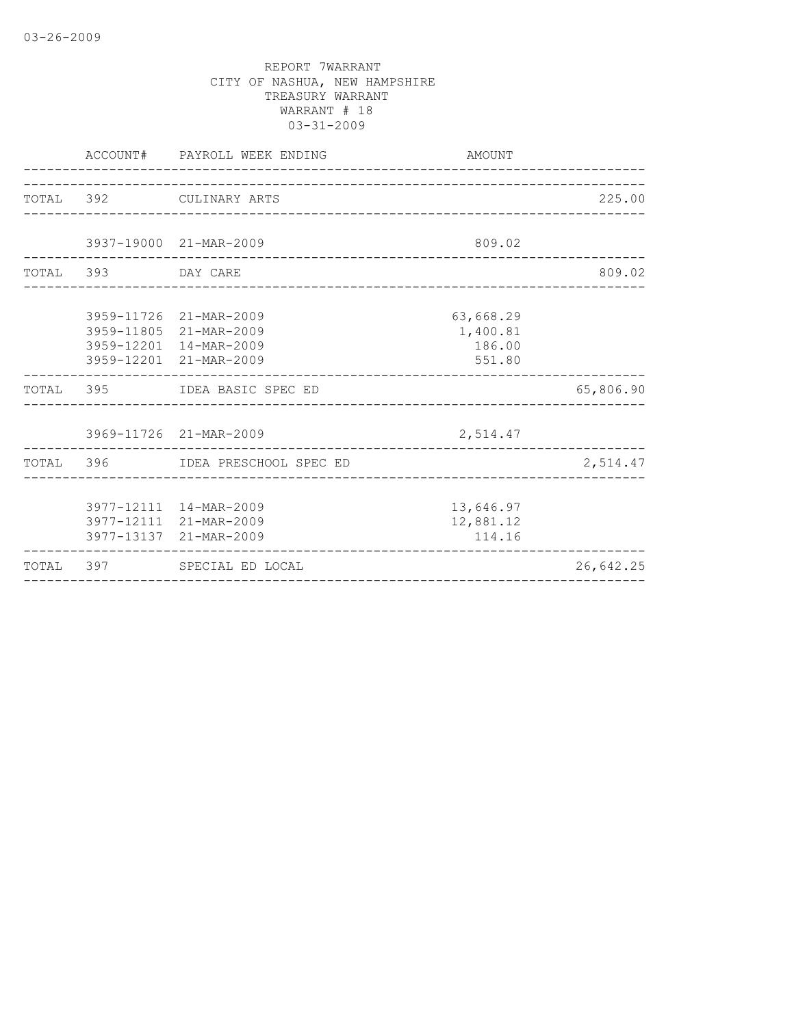|                    | ACCOUNT# PAYROLL WEEK ENDING                                                                         | AMOUNT                                    |           |
|--------------------|------------------------------------------------------------------------------------------------------|-------------------------------------------|-----------|
|                    | TOTAL 392 CULINARY ARTS                                                                              |                                           | 225.00    |
|                    | 3937-19000 21-MAR-2009                                                                               | 809.02                                    |           |
| TOTAL 393 DAY CARE |                                                                                                      |                                           | 809.02    |
|                    | 3959-11726 21-MAR-2009<br>3959-11805 21-MAR-2009<br>3959-12201 14-MAR-2009<br>3959-12201 21-MAR-2009 | 63,668.29<br>1,400.81<br>186.00<br>551.80 |           |
|                    | TOTAL 395 IDEA BASIC SPEC ED                                                                         |                                           | 65,806.90 |
|                    | 3969-11726 21-MAR-2009                                                                               | 2,514.47                                  |           |
|                    | TOTAL 396 IDEA PRESCHOOL SPEC ED                                                                     |                                           | 2,514.47  |
|                    | 3977-12111 14-MAR-2009<br>3977-12111 21-MAR-2009<br>3977-13137 21-MAR-2009                           | 13,646.97<br>12,881.12<br>114.16          |           |
|                    | TOTAL 397 SPECIAL ED LOCAL                                                                           |                                           | 26,642.25 |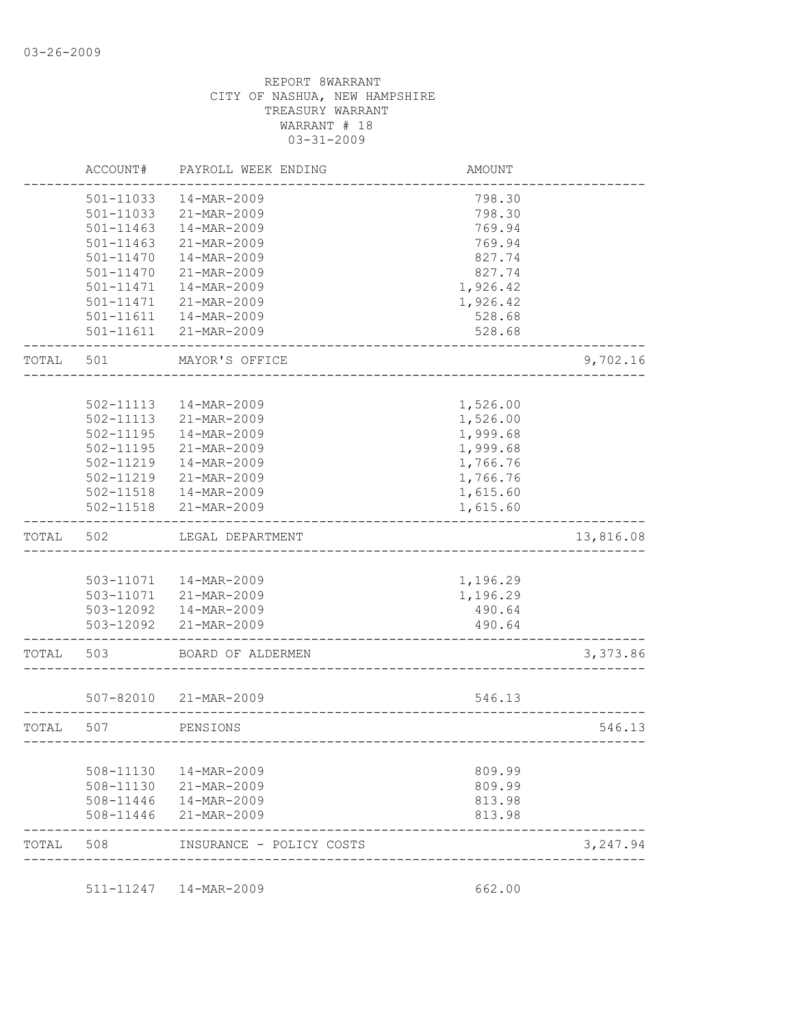|       | ACCOUNT#      | PAYROLL WEEK ENDING    | <b>AMOUNT</b> |           |
|-------|---------------|------------------------|---------------|-----------|
|       | 501-11033     | 14-MAR-2009            | 798.30        |           |
|       | 501-11033     | 21-MAR-2009            | 798.30        |           |
|       | 501-11463     | 14-MAR-2009            | 769.94        |           |
|       | $501 - 11463$ | 21-MAR-2009            | 769.94        |           |
|       | 501-11470     | 14-MAR-2009            | 827.74        |           |
|       | 501-11470     | 21-MAR-2009            | 827.74        |           |
|       | 501-11471     | 14-MAR-2009            | 1,926.42      |           |
|       | 501-11471     | 21-MAR-2009            | 1,926.42      |           |
|       | 501-11611     | 14-MAR-2009            | 528.68        |           |
|       | 501-11611     | 21-MAR-2009            | 528.68        |           |
| TOTAL | 501           | MAYOR'S OFFICE         |               | 9,702.16  |
|       |               |                        |               |           |
|       | 502-11113     | 14-MAR-2009            | 1,526.00      |           |
|       | 502-11113     | 21-MAR-2009            | 1,526.00      |           |
|       | 502-11195     | 14-MAR-2009            | 1,999.68      |           |
|       | 502-11195     | 21-MAR-2009            | 1,999.68      |           |
|       | 502-11219     | 14-MAR-2009            | 1,766.76      |           |
|       | 502-11219     | 21-MAR-2009            | 1,766.76      |           |
|       | 502-11518     | 14-MAR-2009            | 1,615.60      |           |
|       | 502-11518     | 21-MAR-2009            | 1,615.60      |           |
| TOTAL | 502           | LEGAL DEPARTMENT       |               | 13,816.08 |
|       |               |                        |               |           |
|       |               | 503-11071  14-MAR-2009 | 1,196.29      |           |
|       |               | 503-11071 21-MAR-2009  | 1,196.29      |           |
|       |               | 503-12092  14-MAR-2009 | 490.64        |           |
|       | 503-12092     | 21-MAR-2009            | 490.64        |           |
| TOTAL | 503           | BOARD OF ALDERMEN      |               | 3,373.86  |
|       |               |                        |               |           |
|       | $507 - 82010$ | 21-MAR-2009            | 546.13        |           |
| TOTAL | 507           | PENSIONS               |               | 546.13    |
|       |               |                        |               |           |
|       |               |                        |               |           |
|       | 508-11130     | 14-MAR-2009            | 809.99        |           |
|       | 508-11130     | 21-MAR-2009            | 809.99        |           |
|       | 508-11446     | 14-MAR-2009            | 813.98        |           |
|       | 508-11446     | 21-MAR-2009            | 813.98        |           |

511-11247 14-MAR-2009 662.00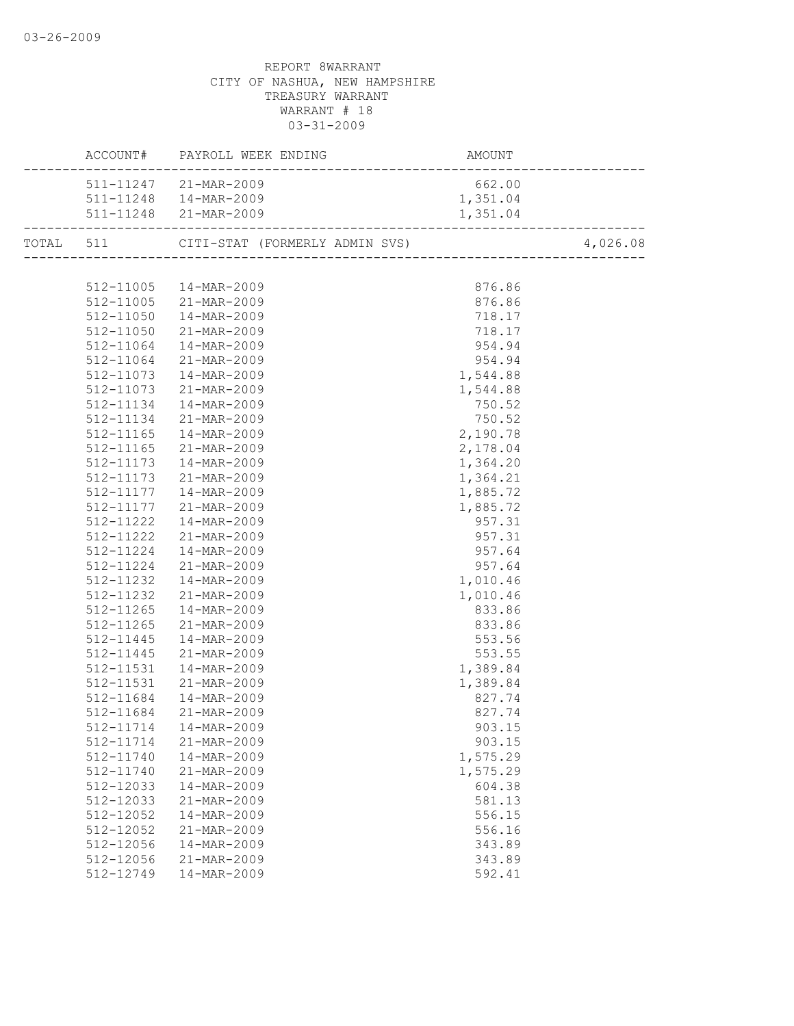|           | ACCOUNT# PAYROLL WEEK ENDING<br>AMOUNT<br>--------------------------<br>_______________________ |          |          |
|-----------|-------------------------------------------------------------------------------------------------|----------|----------|
|           | 511-11247 21-MAR-2009                                                                           | 662.00   |          |
|           | 511-11248  14-MAR-2009                                                                          | 1,351.04 |          |
|           | 511-11248 21-MAR-2009                                                                           | 1,351.04 |          |
|           | TOTAL 511 CITI-STAT (FORMERLY ADMIN SVS) 4,026                                                  |          | 4,026.08 |
|           |                                                                                                 |          |          |
|           | 512-11005  14-MAR-2009                                                                          | 876.86   |          |
|           | 512-11005 21-MAR-2009                                                                           | 876.86   |          |
|           | 512-11050  14-MAR-2009                                                                          | 718.17   |          |
|           | 512-11050 21-MAR-2009                                                                           | 718.17   |          |
| 512-11064 | 14-MAR-2009                                                                                     | 954.94   |          |
|           | 512-11064 21-MAR-2009                                                                           | 954.94   |          |
|           | 512-11073 14-MAR-2009                                                                           | 1,544.88 |          |
| 512-11073 |                                                                                                 | 1,544.88 |          |
| 512-11134 | 21-MAR-2009<br>14-MAR-2009                                                                      | 750.52   |          |
| 512-11134 | 21-MAR-2009                                                                                     | 750.52   |          |
| 512-11165 | 14-MAR-2009                                                                                     | 2,190.78 |          |
| 512-11165 | 21-MAR-2009                                                                                     | 2,178.04 |          |
|           | 512-11173  14-MAR-2009                                                                          | 1,364.20 |          |
|           | 512-11173 21-MAR-2009                                                                           | 1,364.21 |          |
|           | 512-11177  14-MAR-2009                                                                          | 1,885.72 |          |
|           | 512-11177 21-MAR-2009                                                                           | 1,885.72 |          |
|           | 512-11222  14-MAR-2009                                                                          | 957.31   |          |
|           | 512-11222 21-MAR-2009                                                                           | 957.31   |          |
|           | 512-11224  14-MAR-2009                                                                          | 957.64   |          |
|           | 512-11224 21-MAR-2009                                                                           | 957.64   |          |
|           | 512-11232  14-MAR-2009                                                                          | 1,010.46 |          |
|           | 512-11232 21-MAR-2009                                                                           | 1,010.46 |          |
| 512-11265 | 14-MAR-2009                                                                                     | 833.86   |          |
| 512-11265 | 21-MAR-2009                                                                                     | 833.86   |          |
| 512-11445 | 14-MAR-2009                                                                                     | 553.56   |          |
| 512-11445 | 21-MAR-2009                                                                                     | 553.55   |          |
| 512-11531 | 14-MAR-2009                                                                                     | 1,389.84 |          |
| 512-11531 | 21-MAR-2009                                                                                     | 1,389.84 |          |
| 512-11684 | $14 - MAR - 2009$                                                                               | 827.74   |          |
|           | 21-MAR-2009                                                                                     |          |          |
| 512-11684 |                                                                                                 | 827.74   |          |
|           | 512-11714  14-MAR-2009                                                                          | 903.15   |          |
| 512-11714 | 21-MAR-2009                                                                                     | 903.15   |          |
| 512-11740 | 14-MAR-2009                                                                                     | 1,575.29 |          |
| 512-11740 | 21-MAR-2009                                                                                     | 1,575.29 |          |
| 512-12033 | 14-MAR-2009                                                                                     | 604.38   |          |
| 512-12033 | 21-MAR-2009                                                                                     | 581.13   |          |
| 512-12052 | 14-MAR-2009                                                                                     | 556.15   |          |
| 512-12052 | 21-MAR-2009                                                                                     | 556.16   |          |
| 512-12056 | 14-MAR-2009                                                                                     | 343.89   |          |
| 512-12056 | 21-MAR-2009                                                                                     | 343.89   |          |
| 512-12749 | 14-MAR-2009                                                                                     | 592.41   |          |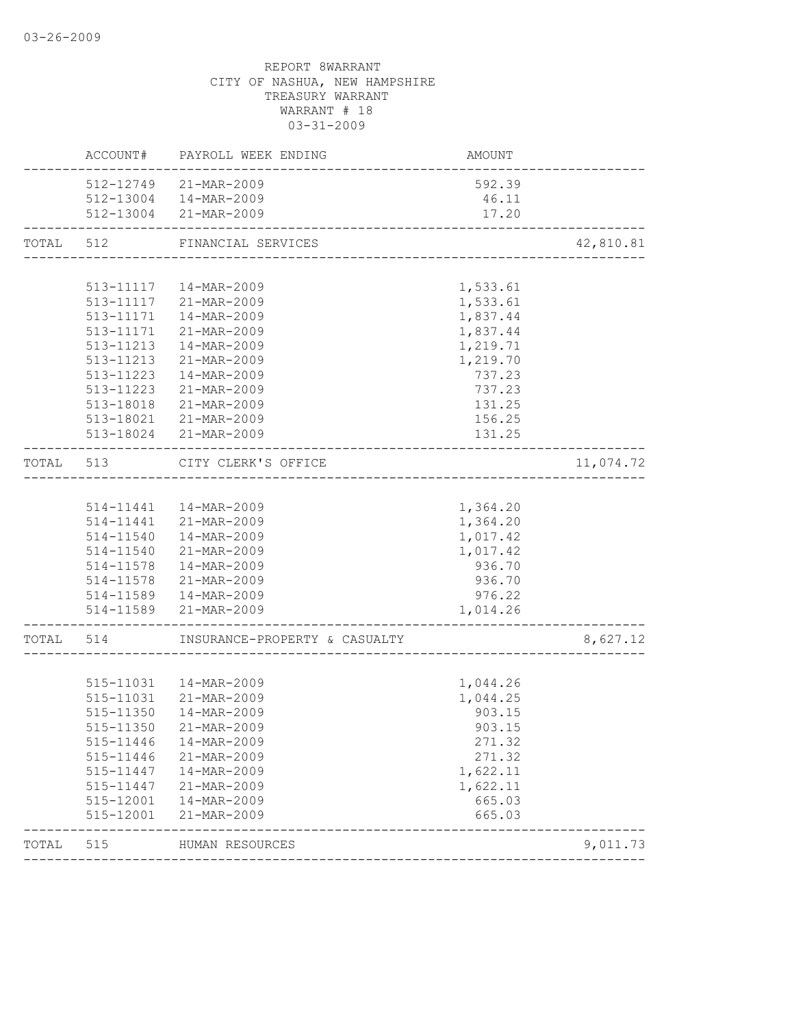|              |                                     | AMOUNT                                                                                                                                                                                                                                                                                                                                                                                                                                                                                                                                                                                                                                                                                                      |                                                                                                                                                                                                                           |
|--------------|-------------------------------------|-------------------------------------------------------------------------------------------------------------------------------------------------------------------------------------------------------------------------------------------------------------------------------------------------------------------------------------------------------------------------------------------------------------------------------------------------------------------------------------------------------------------------------------------------------------------------------------------------------------------------------------------------------------------------------------------------------------|---------------------------------------------------------------------------------------------------------------------------------------------------------------------------------------------------------------------------|
|              |                                     | 592.39                                                                                                                                                                                                                                                                                                                                                                                                                                                                                                                                                                                                                                                                                                      |                                                                                                                                                                                                                           |
|              |                                     | 46.11                                                                                                                                                                                                                                                                                                                                                                                                                                                                                                                                                                                                                                                                                                       |                                                                                                                                                                                                                           |
|              |                                     | 17.20                                                                                                                                                                                                                                                                                                                                                                                                                                                                                                                                                                                                                                                                                                       |                                                                                                                                                                                                                           |
| TOTAL<br>512 |                                     |                                                                                                                                                                                                                                                                                                                                                                                                                                                                                                                                                                                                                                                                                                             | 42,810.81                                                                                                                                                                                                                 |
|              |                                     |                                                                                                                                                                                                                                                                                                                                                                                                                                                                                                                                                                                                                                                                                                             |                                                                                                                                                                                                                           |
|              |                                     | 1,533.61                                                                                                                                                                                                                                                                                                                                                                                                                                                                                                                                                                                                                                                                                                    |                                                                                                                                                                                                                           |
|              |                                     |                                                                                                                                                                                                                                                                                                                                                                                                                                                                                                                                                                                                                                                                                                             |                                                                                                                                                                                                                           |
|              |                                     |                                                                                                                                                                                                                                                                                                                                                                                                                                                                                                                                                                                                                                                                                                             |                                                                                                                                                                                                                           |
|              |                                     |                                                                                                                                                                                                                                                                                                                                                                                                                                                                                                                                                                                                                                                                                                             |                                                                                                                                                                                                                           |
|              |                                     |                                                                                                                                                                                                                                                                                                                                                                                                                                                                                                                                                                                                                                                                                                             |                                                                                                                                                                                                                           |
|              |                                     |                                                                                                                                                                                                                                                                                                                                                                                                                                                                                                                                                                                                                                                                                                             |                                                                                                                                                                                                                           |
|              |                                     |                                                                                                                                                                                                                                                                                                                                                                                                                                                                                                                                                                                                                                                                                                             |                                                                                                                                                                                                                           |
|              |                                     |                                                                                                                                                                                                                                                                                                                                                                                                                                                                                                                                                                                                                                                                                                             |                                                                                                                                                                                                                           |
|              |                                     |                                                                                                                                                                                                                                                                                                                                                                                                                                                                                                                                                                                                                                                                                                             |                                                                                                                                                                                                                           |
|              |                                     |                                                                                                                                                                                                                                                                                                                                                                                                                                                                                                                                                                                                                                                                                                             |                                                                                                                                                                                                                           |
|              |                                     |                                                                                                                                                                                                                                                                                                                                                                                                                                                                                                                                                                                                                                                                                                             |                                                                                                                                                                                                                           |
| TOTAL<br>513 |                                     |                                                                                                                                                                                                                                                                                                                                                                                                                                                                                                                                                                                                                                                                                                             | 11,074.72                                                                                                                                                                                                                 |
|              |                                     |                                                                                                                                                                                                                                                                                                                                                                                                                                                                                                                                                                                                                                                                                                             |                                                                                                                                                                                                                           |
|              |                                     | 1,364.20                                                                                                                                                                                                                                                                                                                                                                                                                                                                                                                                                                                                                                                                                                    |                                                                                                                                                                                                                           |
|              |                                     | 1,364.20                                                                                                                                                                                                                                                                                                                                                                                                                                                                                                                                                                                                                                                                                                    |                                                                                                                                                                                                                           |
|              | 14-MAR-2009                         | 1,017.42                                                                                                                                                                                                                                                                                                                                                                                                                                                                                                                                                                                                                                                                                                    |                                                                                                                                                                                                                           |
|              |                                     | 1,017.42                                                                                                                                                                                                                                                                                                                                                                                                                                                                                                                                                                                                                                                                                                    |                                                                                                                                                                                                                           |
|              |                                     | 936.70                                                                                                                                                                                                                                                                                                                                                                                                                                                                                                                                                                                                                                                                                                      |                                                                                                                                                                                                                           |
|              |                                     | 936.70                                                                                                                                                                                                                                                                                                                                                                                                                                                                                                                                                                                                                                                                                                      |                                                                                                                                                                                                                           |
|              |                                     | 976.22                                                                                                                                                                                                                                                                                                                                                                                                                                                                                                                                                                                                                                                                                                      |                                                                                                                                                                                                                           |
|              |                                     | 1,014.26                                                                                                                                                                                                                                                                                                                                                                                                                                                                                                                                                                                                                                                                                                    |                                                                                                                                                                                                                           |
| TOTAL 514    |                                     |                                                                                                                                                                                                                                                                                                                                                                                                                                                                                                                                                                                                                                                                                                             | 8,627.12                                                                                                                                                                                                                  |
|              |                                     |                                                                                                                                                                                                                                                                                                                                                                                                                                                                                                                                                                                                                                                                                                             |                                                                                                                                                                                                                           |
|              |                                     | 1,044.26                                                                                                                                                                                                                                                                                                                                                                                                                                                                                                                                                                                                                                                                                                    |                                                                                                                                                                                                                           |
|              |                                     | 1,044.25                                                                                                                                                                                                                                                                                                                                                                                                                                                                                                                                                                                                                                                                                                    |                                                                                                                                                                                                                           |
| 515-11350    | 14-MAR-2009                         | 903.15                                                                                                                                                                                                                                                                                                                                                                                                                                                                                                                                                                                                                                                                                                      |                                                                                                                                                                                                                           |
|              |                                     |                                                                                                                                                                                                                                                                                                                                                                                                                                                                                                                                                                                                                                                                                                             |                                                                                                                                                                                                                           |
| 515-11446    | 14-MAR-2009                         | 271.32                                                                                                                                                                                                                                                                                                                                                                                                                                                                                                                                                                                                                                                                                                      |                                                                                                                                                                                                                           |
| 515-11446    | 21-MAR-2009                         | 271.32                                                                                                                                                                                                                                                                                                                                                                                                                                                                                                                                                                                                                                                                                                      |                                                                                                                                                                                                                           |
| 515-11447    | 14-MAR-2009                         | 1,622.11                                                                                                                                                                                                                                                                                                                                                                                                                                                                                                                                                                                                                                                                                                    |                                                                                                                                                                                                                           |
| 515-11447    | 21-MAR-2009                         | 1,622.11                                                                                                                                                                                                                                                                                                                                                                                                                                                                                                                                                                                                                                                                                                    |                                                                                                                                                                                                                           |
| 515-12001    | 14-MAR-2009                         | 665.03                                                                                                                                                                                                                                                                                                                                                                                                                                                                                                                                                                                                                                                                                                      |                                                                                                                                                                                                                           |
| 515-12001    | 21-MAR-2009                         | 665.03                                                                                                                                                                                                                                                                                                                                                                                                                                                                                                                                                                                                                                                                                                      |                                                                                                                                                                                                                           |
| 515          |                                     |                                                                                                                                                                                                                                                                                                                                                                                                                                                                                                                                                                                                                                                                                                             | 9,011.73                                                                                                                                                                                                                  |
|              | 513-11223<br>513-11223<br>513-18018 | ACCOUNT# PAYROLL WEEK ENDING<br>512-12749 21-MAR-2009<br>512-13004  14-MAR-2009<br>512-13004 21-MAR-2009<br>FINANCIAL SERVICES<br>513-11117  14-MAR-2009<br>513-11117 21-MAR-2009<br>513-11171  14-MAR-2009<br>513-11171 21-MAR-2009<br>513-11213  14-MAR-2009<br>513-11213 21-MAR-2009<br>14-MAR-2009<br>21-MAR-2009<br>21-MAR-2009<br>513-18021 21-MAR-2009<br>513-18024 21-MAR-2009<br>CITY CLERK'S OFFICE<br>514-11441  14-MAR-2009<br>514-11441 21-MAR-2009<br>514-11540<br>514-11540 21-MAR-2009<br>514-11578  14-MAR-2009<br>514-11578 21-MAR-2009<br>514-11589  14-MAR-2009<br>514-11589 21-MAR-2009<br>515-11031  14-MAR-2009<br>515-11031 21-MAR-2009<br>515-11350 21-MAR-2009<br>HUMAN RESOURCES | _________________________<br>1,533.61<br>1,837.44<br>1,837.44<br>1,219.71<br>1,219.70<br>737.23<br>737.23<br>131.25<br>156.25<br>131.25<br>-----------------------------------<br>INSURANCE-PROPERTY & CASUALTY<br>903.15 |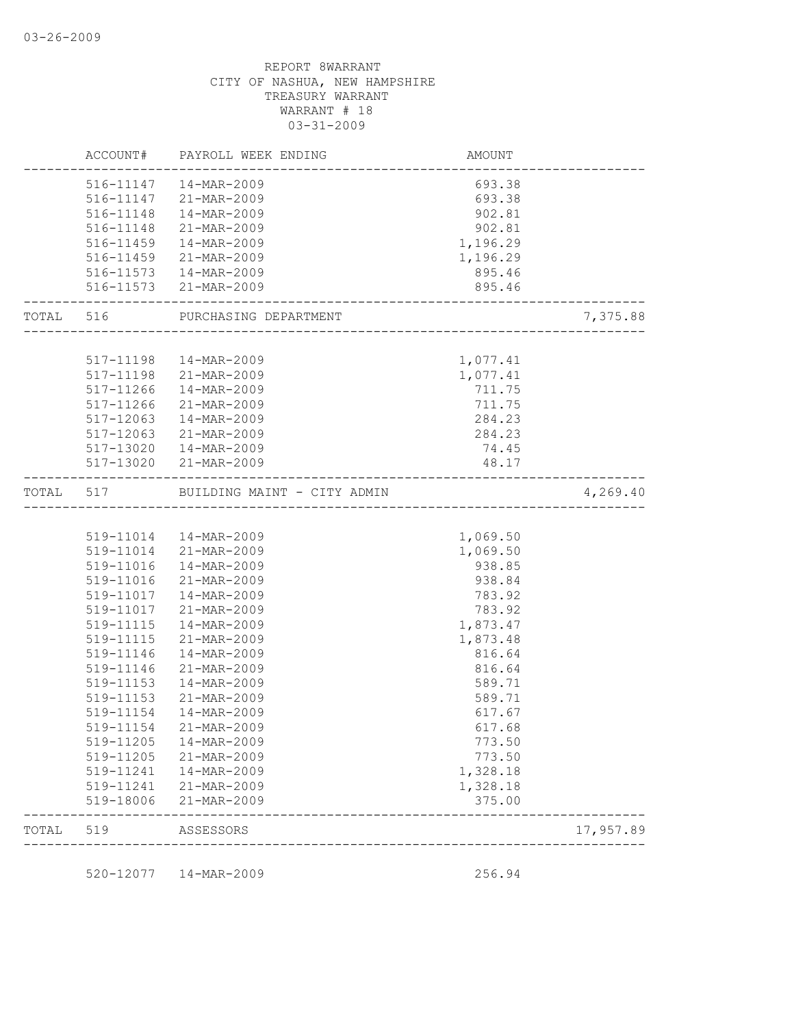|           |                          | ACCOUNT# PAYROLL WEEK ENDING    | AMOUNT                                      |           |
|-----------|--------------------------|---------------------------------|---------------------------------------------|-----------|
|           |                          | 516-11147  14-MAR-2009          | 693.38                                      |           |
|           |                          | 516-11147 21-MAR-2009           | 693.38                                      |           |
|           |                          | 516-11148  14-MAR-2009          | 902.81                                      |           |
|           |                          | 516-11148 21-MAR-2009           | 902.81                                      |           |
|           |                          | 516-11459  14-MAR-2009          | 1,196.29                                    |           |
|           |                          | 516-11459 21-MAR-2009           | 1,196.29                                    |           |
|           |                          | 516-11573  14-MAR-2009          | 895.46                                      |           |
|           | ________________________ | 516-11573 21-MAR-2009           | 895.46<br>--------------------------------- |           |
|           |                          | TOTAL 516 PURCHASING DEPARTMENT |                                             | 7,375.88  |
|           |                          |                                 |                                             |           |
|           |                          | 517-11198  14-MAR-2009          | 1,077.41                                    |           |
|           |                          | 517-11198 21-MAR-2009           | 1,077.41                                    |           |
|           | 517-11266                | 14-MAR-2009                     | 711.75                                      |           |
|           | 517-11266                | 21-MAR-2009                     | 711.75                                      |           |
|           | 517-12063                | 14-MAR-2009                     | 284.23                                      |           |
|           | 517-12063                | 21-MAR-2009                     | 284.23                                      |           |
|           |                          | 517-13020  14-MAR-2009          | 74.45                                       |           |
|           |                          | 517-13020 21-MAR-2009           | 48.17<br>______________________________     |           |
| TOTAL 517 |                          | BUILDING MAINT - CITY ADMIN     |                                             | 4,269.40  |
|           |                          |                                 |                                             |           |
|           |                          | 519-11014  14-MAR-2009          | 1,069.50                                    |           |
|           |                          | 519-11014 21-MAR-2009           | 1,069.50                                    |           |
|           | 519-11016                | 14-MAR-2009                     | 938.85                                      |           |
|           | 519-11016                | 21-MAR-2009                     | 938.84                                      |           |
|           |                          | 519-11017  14-MAR-2009          | 783.92                                      |           |
|           | 519-11017                | 21-MAR-2009                     | 783.92                                      |           |
|           | 519-11115                | 14-MAR-2009                     | 1,873.47                                    |           |
|           | 519-11115                | 21-MAR-2009                     | 1,873.48                                    |           |
|           | 519-11146                | 14-MAR-2009                     | 816.64                                      |           |
|           | 519-11146                | 21-MAR-2009                     | 816.64                                      |           |
|           | 519-11153                | 14-MAR-2009                     | 589.71                                      |           |
|           | 519-11153                | 21-MAR-2009                     | 589.71                                      |           |
|           | 519-11154                | 14-MAR-2009                     | 617.67                                      |           |
|           | 519-11154                | 21-MAR-2009                     | 617.68                                      |           |
|           | 519-11205                | 14-MAR-2009                     | 773.50                                      |           |
|           | 519-11205                | 21-MAR-2009                     | 773.50                                      |           |
|           | 519-11241                | 14-MAR-2009                     | 1,328.18                                    |           |
|           | 519-11241                | 21-MAR-2009                     | 1,328.18                                    |           |
|           | 519-18006                | 21-MAR-2009                     | 375.00                                      |           |
| TOTAL     | 519                      | ASSESSORS                       |                                             | 17,957.89 |
|           |                          |                                 |                                             |           |
|           |                          | 520-12077  14-MAR-2009          | 256.94                                      |           |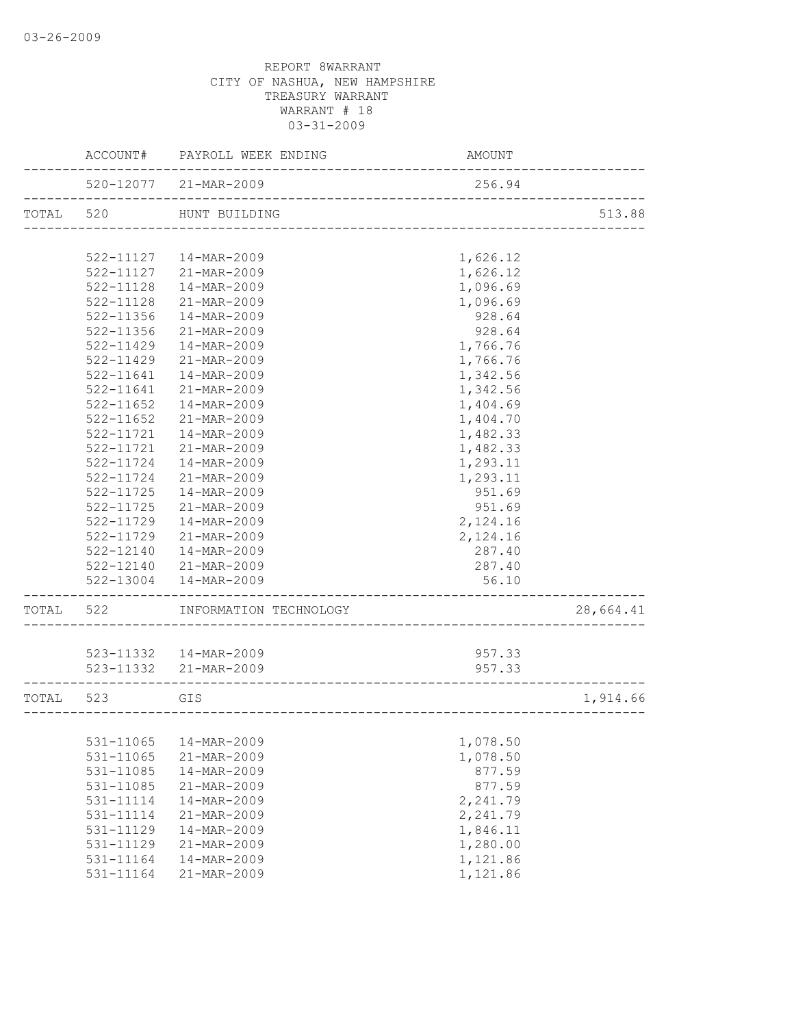|       | ACCOUNT#      | PAYROLL WEEK ENDING                                   | AMOUNT   |           |
|-------|---------------|-------------------------------------------------------|----------|-----------|
|       |               | 520-12077 21-MAR-2009<br>.                            | 256.94   |           |
| TOTAL | 520           | HUNT BUILDING                                         |          | 513.88    |
|       |               |                                                       |          |           |
|       | 522-11127     | 14-MAR-2009                                           | 1,626.12 |           |
|       | 522-11127     | 21-MAR-2009                                           | 1,626.12 |           |
|       | 522-11128     | 14-MAR-2009                                           | 1,096.69 |           |
|       | 522-11128     | 21-MAR-2009                                           | 1,096.69 |           |
|       | 522-11356     | 14-MAR-2009                                           | 928.64   |           |
|       | 522-11356     | 21-MAR-2009                                           | 928.64   |           |
|       | $522 - 11429$ | 14-MAR-2009                                           | 1,766.76 |           |
|       | 522-11429     | 21-MAR-2009                                           | 1,766.76 |           |
|       | 522-11641     | 14-MAR-2009                                           | 1,342.56 |           |
|       | 522-11641     | 21-MAR-2009                                           | 1,342.56 |           |
|       | $522 - 11652$ | 14-MAR-2009                                           | 1,404.69 |           |
|       | 522-11652     | 21-MAR-2009                                           | 1,404.70 |           |
|       | 522-11721     | 14-MAR-2009                                           | 1,482.33 |           |
|       | 522-11721     | $21 - \text{MAR} - 2009$                              | 1,482.33 |           |
|       | $522 - 11724$ | 14-MAR-2009                                           | 1,293.11 |           |
|       | 522-11724     | 21-MAR-2009                                           | 1,293.11 |           |
|       | 522-11725     | 14-MAR-2009                                           | 951.69   |           |
|       | $522 - 11725$ | 21-MAR-2009                                           | 951.69   |           |
|       | 522-11729     | 14-MAR-2009                                           | 2,124.16 |           |
|       | 522-11729     | 21-MAR-2009                                           | 2,124.16 |           |
|       | 522-12140     | 14-MAR-2009                                           | 287.40   |           |
|       | 522-12140     | 21-MAR-2009                                           | 287.40   |           |
|       | 522-13004     | 14-MAR-2009                                           | 56.10    |           |
| TOTAL | 522           | INFORMATION TECHNOLOGY                                |          | 28,664.41 |
|       |               |                                                       |          |           |
|       |               | 523-11332  14-MAR-2009                                | 957.33   |           |
|       |               | 523-11332 21-MAR-2009<br>____________________________ | 957.33   |           |
| TOTAL | 523           | GIS                                                   |          | 1,914.66  |
|       |               | _________________________________                     |          |           |
|       | 531-11065     | 14-MAR-2009                                           | 1,078.50 |           |
|       | 531-11065     | 21-MAR-2009                                           | 1,078.50 |           |
|       | 531-11085     | 14-MAR-2009                                           | 877.59   |           |
|       | 531-11085     | 21-MAR-2009                                           | 877.59   |           |
|       | 531-11114     | 14-MAR-2009                                           | 2,241.79 |           |
|       | 531-11114     | 21-MAR-2009                                           | 2,241.79 |           |
|       | 531-11129     | 14-MAR-2009                                           | 1,846.11 |           |
|       | 531-11129     | 21-MAR-2009                                           | 1,280.00 |           |
|       | 531-11164     | 14-MAR-2009                                           | 1,121.86 |           |
|       | 531-11164     | 21-MAR-2009                                           | 1,121.86 |           |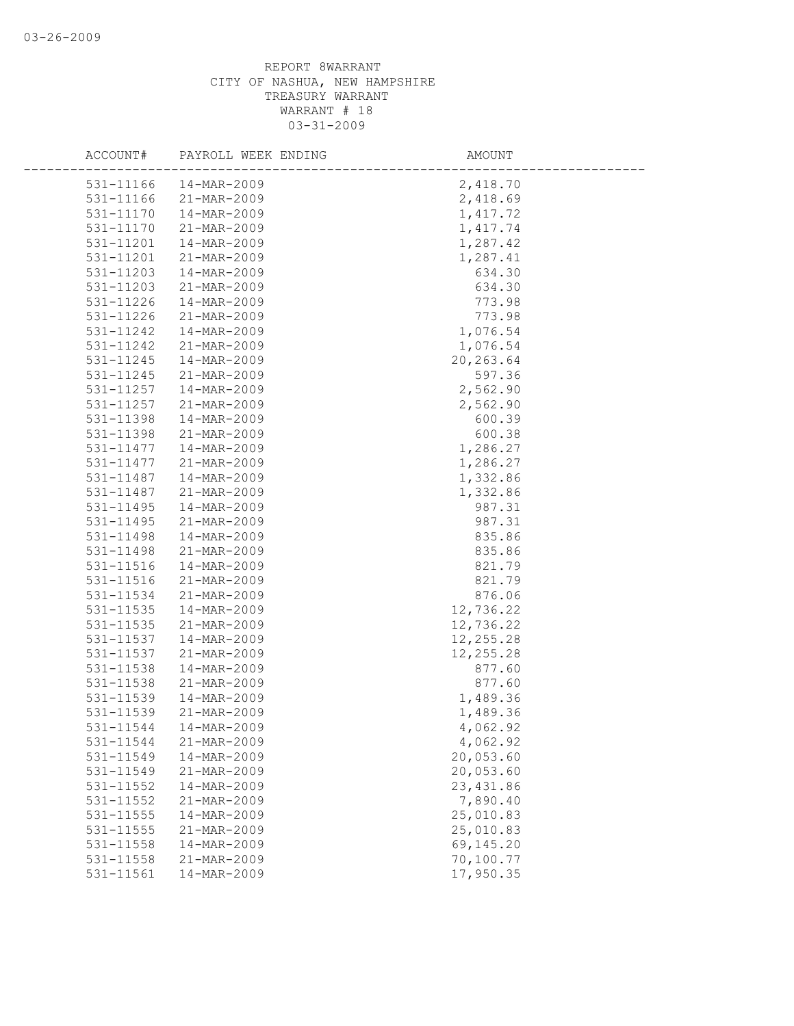| ACCOUNT#  | PAYROLL WEEK ENDING | AMOUNT     |
|-----------|---------------------|------------|
| 531-11166 | 14-MAR-2009         | 2,418.70   |
| 531-11166 | 21-MAR-2009         | 2,418.69   |
| 531-11170 | 14-MAR-2009         | 1,417.72   |
| 531-11170 | 21-MAR-2009         | 1, 417.74  |
| 531-11201 | 14-MAR-2009         | 1,287.42   |
| 531-11201 | 21-MAR-2009         | 1,287.41   |
| 531-11203 | 14-MAR-2009         | 634.30     |
| 531-11203 | 21-MAR-2009         | 634.30     |
| 531-11226 | 14-MAR-2009         | 773.98     |
| 531-11226 | 21-MAR-2009         | 773.98     |
| 531-11242 | 14-MAR-2009         | 1,076.54   |
| 531-11242 | 21-MAR-2009         | 1,076.54   |
| 531-11245 | 14-MAR-2009         | 20, 263.64 |
| 531-11245 | 21-MAR-2009         | 597.36     |
| 531-11257 | 14-MAR-2009         | 2,562.90   |
| 531-11257 | 21-MAR-2009         | 2,562.90   |
| 531-11398 | 14-MAR-2009         | 600.39     |
| 531-11398 | 21-MAR-2009         | 600.38     |
| 531-11477 | 14-MAR-2009         | 1,286.27   |
| 531-11477 | 21-MAR-2009         | 1,286.27   |
| 531-11487 | 14-MAR-2009         | 1,332.86   |
| 531-11487 | 21-MAR-2009         | 1,332.86   |
| 531-11495 | 14-MAR-2009         | 987.31     |
| 531-11495 | 21-MAR-2009         | 987.31     |
| 531-11498 | 14-MAR-2009         | 835.86     |
| 531-11498 | 21-MAR-2009         | 835.86     |
| 531-11516 | 14-MAR-2009         | 821.79     |
| 531-11516 | 21-MAR-2009         | 821.79     |
| 531-11534 | 21-MAR-2009         | 876.06     |
| 531-11535 | 14-MAR-2009         | 12,736.22  |
| 531-11535 | 21-MAR-2009         | 12,736.22  |
| 531-11537 | 14-MAR-2009         | 12,255.28  |
| 531-11537 | 21-MAR-2009         | 12,255.28  |
| 531-11538 | 14-MAR-2009         | 877.60     |
| 531-11538 | 21-MAR-2009         | 877.60     |
| 531-11539 | 14-MAR-2009         | 1,489.36   |
| 531-11539 | 21-MAR-2009         | 1,489.36   |
| 531-11544 | 14-MAR-2009         | 4,062.92   |
| 531-11544 | 21-MAR-2009         | 4,062.92   |
| 531-11549 | 14-MAR-2009         | 20,053.60  |
| 531-11549 | 21-MAR-2009         | 20,053.60  |
| 531-11552 | 14-MAR-2009         | 23, 431.86 |
| 531-11552 | 21-MAR-2009         | 7,890.40   |
| 531-11555 | 14-MAR-2009         | 25,010.83  |
| 531-11555 | 21-MAR-2009         | 25,010.83  |
| 531-11558 | 14-MAR-2009         | 69,145.20  |
| 531-11558 | 21-MAR-2009         | 70,100.77  |
| 531-11561 | 14-MAR-2009         | 17,950.35  |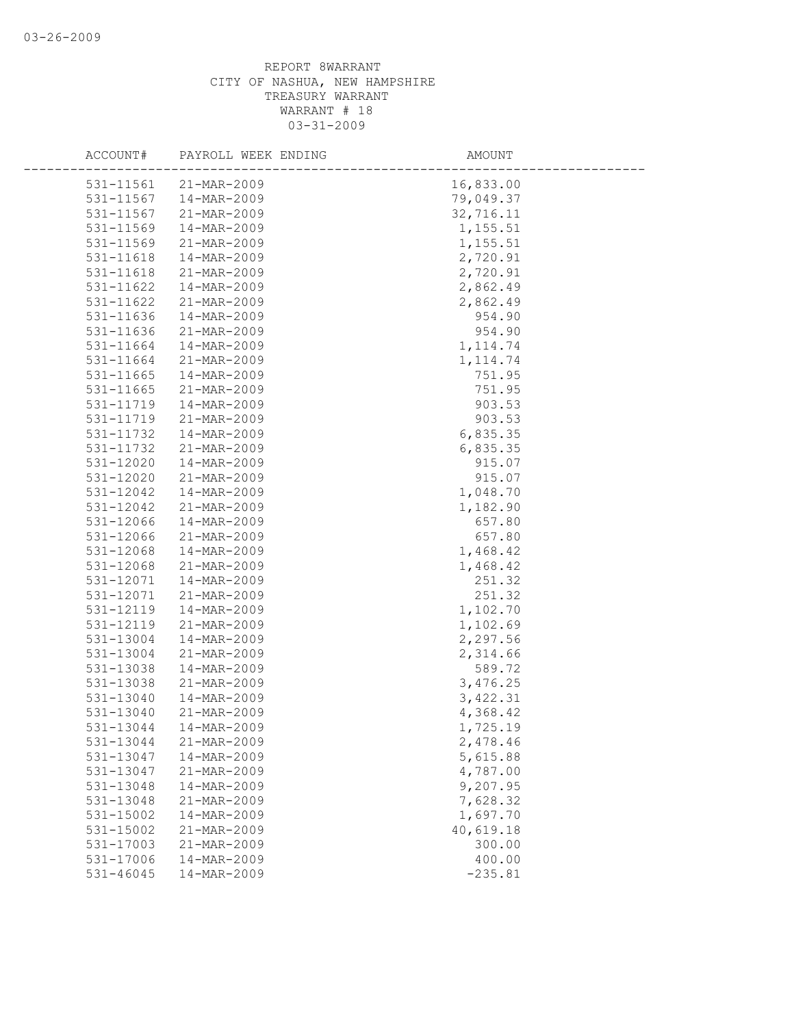| ACCOUNT#      | PAYROLL WEEK ENDING | AMOUNT    |
|---------------|---------------------|-----------|
| 531-11561     | 21-MAR-2009         | 16,833.00 |
| 531-11567     | 14-MAR-2009         | 79,049.37 |
| 531-11567     | 21-MAR-2009         | 32,716.11 |
| 531-11569     | 14-MAR-2009         | 1,155.51  |
| 531-11569     | 21-MAR-2009         | 1,155.51  |
| 531-11618     | 14-MAR-2009         | 2,720.91  |
| 531-11618     | 21-MAR-2009         | 2,720.91  |
| 531-11622     | 14-MAR-2009         | 2,862.49  |
| 531-11622     | 21-MAR-2009         | 2,862.49  |
| 531-11636     | 14-MAR-2009         | 954.90    |
| 531-11636     | 21-MAR-2009         | 954.90    |
| 531-11664     | 14-MAR-2009         | 1, 114.74 |
| 531-11664     | 21-MAR-2009         | 1, 114.74 |
| 531-11665     | 14-MAR-2009         | 751.95    |
| 531-11665     | 21-MAR-2009         | 751.95    |
| 531-11719     | 14-MAR-2009         | 903.53    |
| 531-11719     | 21-MAR-2009         | 903.53    |
| 531-11732     | 14-MAR-2009         | 6,835.35  |
| 531-11732     | 21-MAR-2009         | 6,835.35  |
| 531-12020     | 14-MAR-2009         | 915.07    |
| 531-12020     | 21-MAR-2009         | 915.07    |
| 531-12042     | 14-MAR-2009         | 1,048.70  |
| 531-12042     | 21-MAR-2009         | 1,182.90  |
| 531-12066     | 14-MAR-2009         | 657.80    |
| 531-12066     | 21-MAR-2009         | 657.80    |
| 531-12068     | 14-MAR-2009         | 1,468.42  |
| 531-12068     | 21-MAR-2009         | 1,468.42  |
| 531-12071     | 14-MAR-2009         | 251.32    |
| 531-12071     | 21-MAR-2009         | 251.32    |
| 531-12119     | 14-MAR-2009         | 1,102.70  |
| 531-12119     | 21-MAR-2009         | 1,102.69  |
| 531-13004     | 14-MAR-2009         | 2,297.56  |
| 531-13004     | 21-MAR-2009         | 2,314.66  |
| 531-13038     | 14-MAR-2009         | 589.72    |
| 531-13038     | 21-MAR-2009         | 3,476.25  |
| 531-13040     | 14-MAR-2009         | 3,422.31  |
| 531-13040     | 21-MAR-2009         | 4,368.42  |
| 531-13044     | 14-MAR-2009         | 1,725.19  |
| 531-13044     | 21-MAR-2009         | 2,478.46  |
| 531-13047     | 14-MAR-2009         | 5,615.88  |
| 531-13047     | 21-MAR-2009         | 4,787.00  |
| 531-13048     | 14-MAR-2009         | 9,207.95  |
| 531-13048     | 21-MAR-2009         | 7,628.32  |
| 531-15002     | 14-MAR-2009         | 1,697.70  |
| 531-15002     | 21-MAR-2009         | 40,619.18 |
| 531-17003     | 21-MAR-2009         | 300.00    |
| 531-17006     | 14-MAR-2009         | 400.00    |
| $531 - 46045$ | 14-MAR-2009         | $-235.81$ |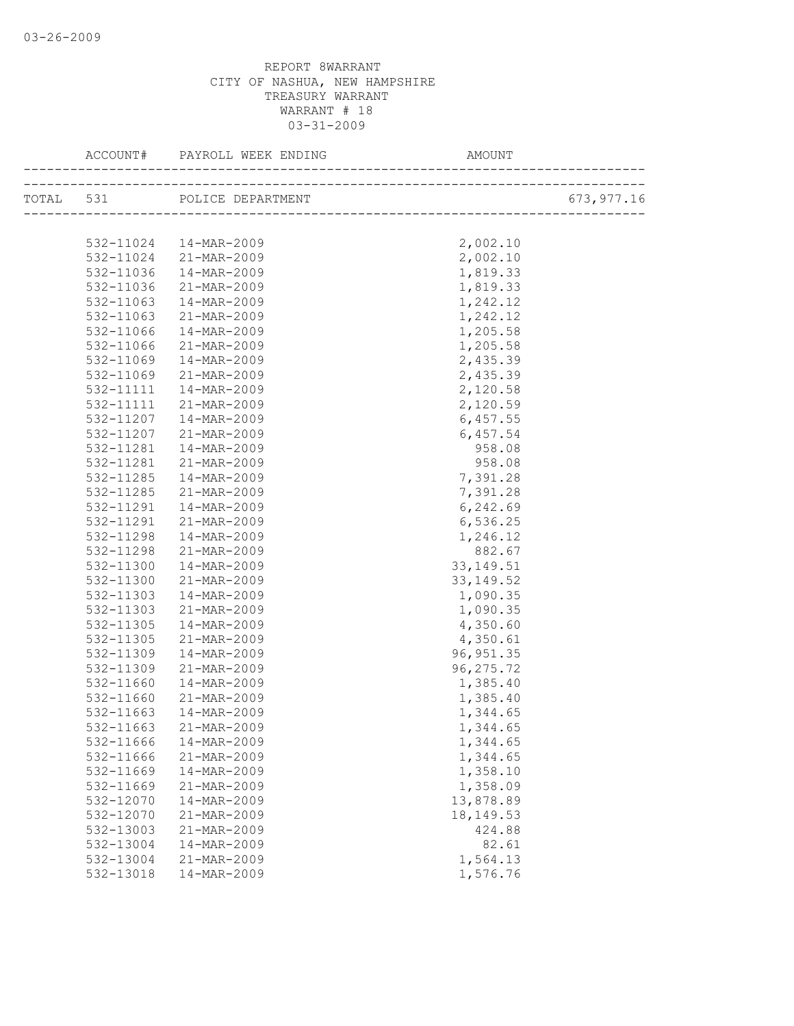| TOTAL 531 POLICE DEPARTMENT<br>2,002.10<br>532-11024  14-MAR-2009<br>532-11024 21-MAR-2009<br>2,002.10<br>14-MAR-2009<br>1,819.33<br>532-11036<br>21-MAR-2009<br>1,819.33<br>532-11036<br>14-MAR-2009<br>1,242.12<br>532-11063<br>532-11063<br>21-MAR-2009<br>1,242.12<br>14-MAR-2009<br>1,205.58<br>532-11066<br>21-MAR-2009<br>1,205.58<br>532-11066<br>2,435.39<br>532-11069<br>14-MAR-2009<br>532-11069<br>21-MAR-2009<br>2,435.39<br>532-11111<br>14-MAR-2009<br>2,120.58<br>2,120.59<br>532-11111<br>21-MAR-2009 |             |
|------------------------------------------------------------------------------------------------------------------------------------------------------------------------------------------------------------------------------------------------------------------------------------------------------------------------------------------------------------------------------------------------------------------------------------------------------------------------------------------------------------------------|-------------|
|                                                                                                                                                                                                                                                                                                                                                                                                                                                                                                                        | 673, 977.16 |
|                                                                                                                                                                                                                                                                                                                                                                                                                                                                                                                        |             |
|                                                                                                                                                                                                                                                                                                                                                                                                                                                                                                                        |             |
|                                                                                                                                                                                                                                                                                                                                                                                                                                                                                                                        |             |
|                                                                                                                                                                                                                                                                                                                                                                                                                                                                                                                        |             |
|                                                                                                                                                                                                                                                                                                                                                                                                                                                                                                                        |             |
|                                                                                                                                                                                                                                                                                                                                                                                                                                                                                                                        |             |
|                                                                                                                                                                                                                                                                                                                                                                                                                                                                                                                        |             |
|                                                                                                                                                                                                                                                                                                                                                                                                                                                                                                                        |             |
|                                                                                                                                                                                                                                                                                                                                                                                                                                                                                                                        |             |
|                                                                                                                                                                                                                                                                                                                                                                                                                                                                                                                        |             |
|                                                                                                                                                                                                                                                                                                                                                                                                                                                                                                                        |             |
|                                                                                                                                                                                                                                                                                                                                                                                                                                                                                                                        |             |
|                                                                                                                                                                                                                                                                                                                                                                                                                                                                                                                        |             |
| 6,457.55<br>532-11207<br>14-MAR-2009                                                                                                                                                                                                                                                                                                                                                                                                                                                                                   |             |
| 6,457.54<br>532-11207<br>21-MAR-2009                                                                                                                                                                                                                                                                                                                                                                                                                                                                                   |             |
| 958.08<br>532-11281<br>14-MAR-2009                                                                                                                                                                                                                                                                                                                                                                                                                                                                                     |             |
| 21-MAR-2009<br>958.08<br>532-11281                                                                                                                                                                                                                                                                                                                                                                                                                                                                                     |             |
| 532-11285<br>14-MAR-2009<br>7,391.28                                                                                                                                                                                                                                                                                                                                                                                                                                                                                   |             |
| 532-11285<br>21-MAR-2009<br>7,391.28                                                                                                                                                                                                                                                                                                                                                                                                                                                                                   |             |
| 6,242.69<br>532-11291<br>14-MAR-2009                                                                                                                                                                                                                                                                                                                                                                                                                                                                                   |             |
| 21-MAR-2009<br>6,536.25<br>532-11291                                                                                                                                                                                                                                                                                                                                                                                                                                                                                   |             |
| 1,246.12<br>532-11298<br>14-MAR-2009                                                                                                                                                                                                                                                                                                                                                                                                                                                                                   |             |
| 882.67<br>532-11298<br>21-MAR-2009                                                                                                                                                                                                                                                                                                                                                                                                                                                                                     |             |
| 532-11300<br>14-MAR-2009<br>33, 149.51                                                                                                                                                                                                                                                                                                                                                                                                                                                                                 |             |
| 532-11300<br>21-MAR-2009<br>33, 149.52                                                                                                                                                                                                                                                                                                                                                                                                                                                                                 |             |
| 532-11303<br>14-MAR-2009<br>1,090.35                                                                                                                                                                                                                                                                                                                                                                                                                                                                                   |             |
| 1,090.35<br>532-11303<br>21-MAR-2009                                                                                                                                                                                                                                                                                                                                                                                                                                                                                   |             |
| 4,350.60<br>532-11305<br>14-MAR-2009                                                                                                                                                                                                                                                                                                                                                                                                                                                                                   |             |
| 4,350.61<br>532-11305<br>21-MAR-2009                                                                                                                                                                                                                                                                                                                                                                                                                                                                                   |             |
| 96, 951.35<br>532-11309<br>14-MAR-2009                                                                                                                                                                                                                                                                                                                                                                                                                                                                                 |             |
| 96, 275.72<br>532-11309<br>21-MAR-2009                                                                                                                                                                                                                                                                                                                                                                                                                                                                                 |             |
| 1,385.40<br>532-11660<br>14-MAR-2009                                                                                                                                                                                                                                                                                                                                                                                                                                                                                   |             |
| 1,385.40<br>532-11660<br>21-MAR-2009                                                                                                                                                                                                                                                                                                                                                                                                                                                                                   |             |
| 532-11663<br>14-MAR-2009<br>1,344.65                                                                                                                                                                                                                                                                                                                                                                                                                                                                                   |             |
| 532-11663 21-MAR-2009<br>1,344.65                                                                                                                                                                                                                                                                                                                                                                                                                                                                                      |             |
| 532-11666<br>14-MAR-2009<br>1,344.65                                                                                                                                                                                                                                                                                                                                                                                                                                                                                   |             |
| 532-11666<br>21-MAR-2009<br>1,344.65                                                                                                                                                                                                                                                                                                                                                                                                                                                                                   |             |
| 1,358.10<br>532-11669<br>14-MAR-2009                                                                                                                                                                                                                                                                                                                                                                                                                                                                                   |             |
| 21-MAR-2009<br>1,358.09<br>532-11669                                                                                                                                                                                                                                                                                                                                                                                                                                                                                   |             |
| 13,878.89<br>532-12070<br>14-MAR-2009                                                                                                                                                                                                                                                                                                                                                                                                                                                                                  |             |
| 532-12070<br>18, 149. 53<br>21-MAR-2009                                                                                                                                                                                                                                                                                                                                                                                                                                                                                |             |
| 424.88<br>532-13003<br>21-MAR-2009                                                                                                                                                                                                                                                                                                                                                                                                                                                                                     |             |
| 532-13004<br>14-MAR-2009<br>82.61                                                                                                                                                                                                                                                                                                                                                                                                                                                                                      |             |
| 532-13004<br>21-MAR-2009<br>1,564.13                                                                                                                                                                                                                                                                                                                                                                                                                                                                                   |             |
| 532-13018<br>14-MAR-2009<br>1,576.76                                                                                                                                                                                                                                                                                                                                                                                                                                                                                   |             |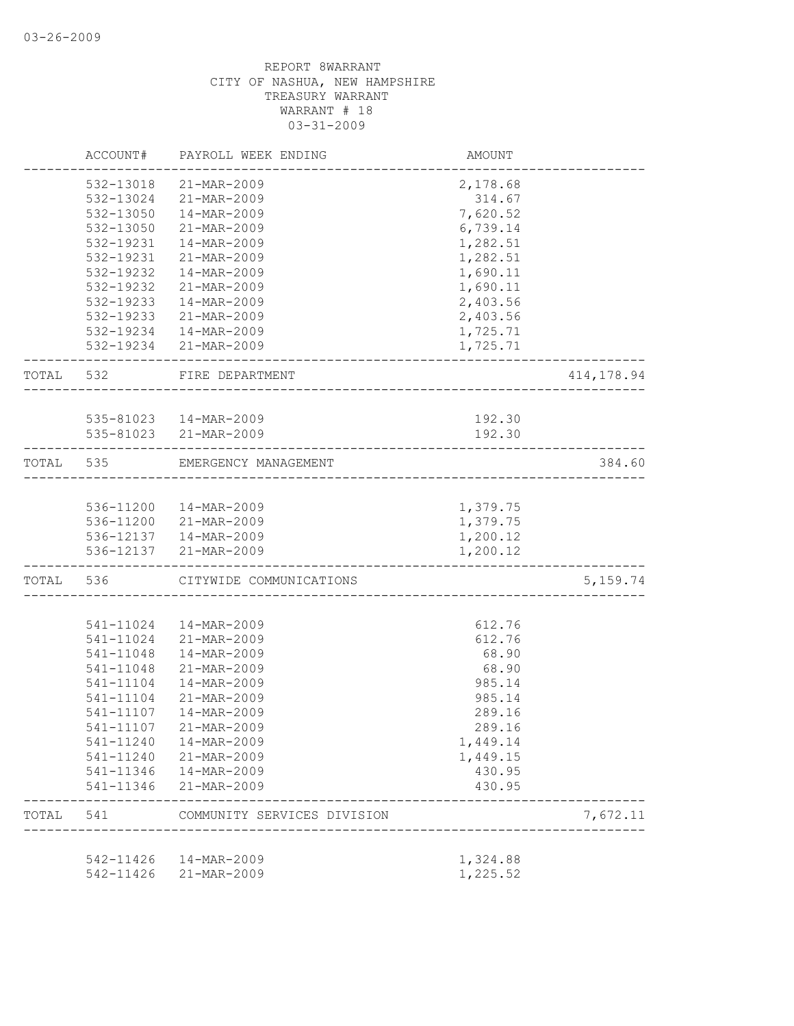|           | ACCOUNT#       | PAYROLL WEEK ENDING                            | AMOUNT   |            |
|-----------|----------------|------------------------------------------------|----------|------------|
|           | 532-13018      | 21-MAR-2009                                    | 2,178.68 |            |
|           |                | 532-13024 21-MAR-2009                          | 314.67   |            |
|           | 532-13050      | 14-MAR-2009                                    | 7,620.52 |            |
|           | 532-13050      | 21-MAR-2009                                    | 6,739.14 |            |
|           | 532-19231      | 14-MAR-2009                                    | 1,282.51 |            |
|           | 532-19231      | 21-MAR-2009                                    | 1,282.51 |            |
|           | 532-19232      | 14-MAR-2009                                    | 1,690.11 |            |
|           | 532-19232      | 21-MAR-2009                                    | 1,690.11 |            |
|           | 532-19233      | 14-MAR-2009                                    | 2,403.56 |            |
|           | 532-19233      | 21-MAR-2009                                    | 2,403.56 |            |
|           |                | 532-19234  14-MAR-2009                         | 1,725.71 |            |
|           |                | 532-19234 21-MAR-2009                          | 1,725.71 |            |
| TOTAL 532 |                | FIRE DEPARTMENT                                |          | 414,178.94 |
|           |                |                                                |          |            |
|           |                | 535-81023  14-MAR-2009                         | 192.30   |            |
|           | -------------- | 535-81023 21-MAR-2009<br>----------            | 192.30   |            |
| TOTAL 535 |                | EMERGENCY MANAGEMENT                           |          | 384.60     |
|           |                | 536-11200  14-MAR-2009                         | 1,379.75 |            |
|           |                |                                                | 1,379.75 |            |
|           |                | 536-11200 21-MAR-2009<br>536-12137 14-MAR-2009 | 1,200.12 |            |
|           |                | 536-12137 21-MAR-2009                          | 1,200.12 |            |
|           | TOTAL 536      | CITYWIDE COMMUNICATIONS                        |          | 5,159.74   |
|           |                |                                                |          |            |
|           | 541-11024      | 14-MAR-2009                                    | 612.76   |            |
|           | 541-11024      | 21-MAR-2009                                    | 612.76   |            |
|           | 541-11048      | 14-MAR-2009                                    | 68.90    |            |
|           | 541-11048      | 21-MAR-2009                                    | 68.90    |            |
|           | 541-11104      | 14-MAR-2009                                    | 985.14   |            |
|           | 541-11104      | 21-MAR-2009                                    | 985.14   |            |
|           | 541-11107      | 14-MAR-2009                                    | 289.16   |            |
|           | 541-11107      | 21-MAR-2009                                    | 289.16   |            |
|           | 541-11240      | 14-MAR-2009                                    | 1,449.14 |            |
|           | 541-11240      | 21-MAR-2009                                    | 1,449.15 |            |
|           | 541-11346      | 14-MAR-2009                                    | 430.95   |            |
|           | 541-11346      | 21-MAR-2009                                    | 430.95   |            |
| TOTAL     | 541            | COMMUNITY SERVICES DIVISION                    |          | 7,672.11   |
|           | 542-11426      | 14-MAR-2009                                    | 1,324.88 |            |
|           | 542-11426      | 21-MAR-2009                                    | 1,225.52 |            |
|           |                |                                                |          |            |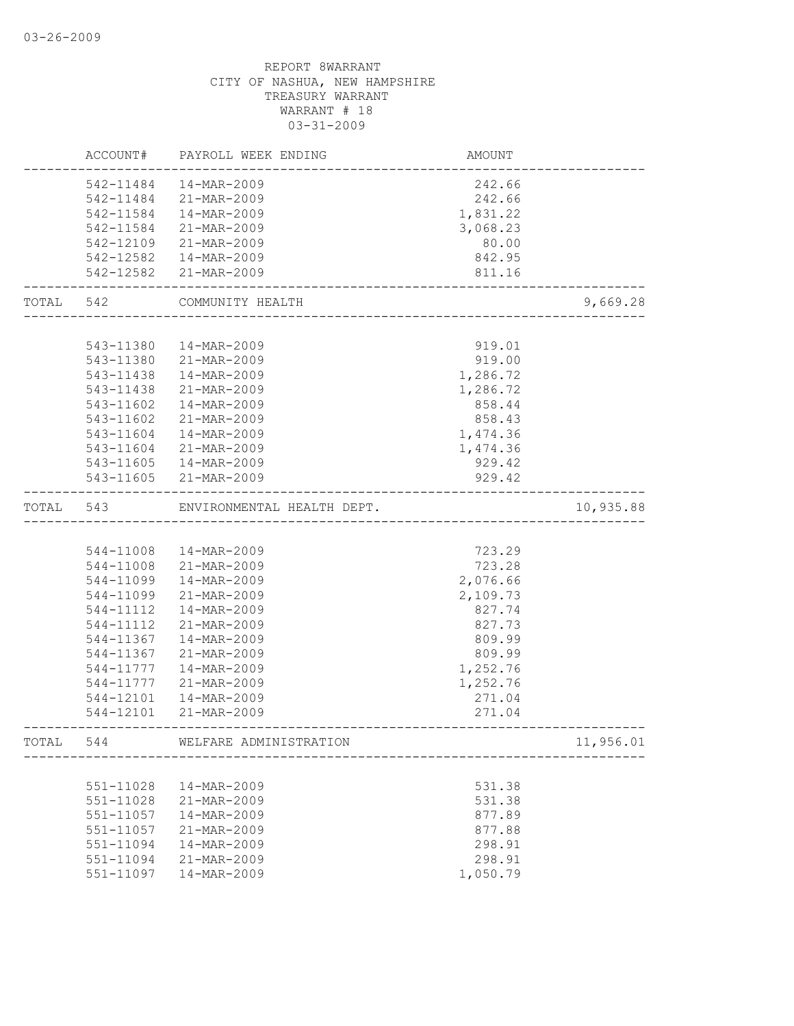|           | ACCOUNT#  | PAYROLL WEEK ENDING        | AMOUNT   |           |
|-----------|-----------|----------------------------|----------|-----------|
|           | 542-11484 | 14-MAR-2009                | 242.66   |           |
|           | 542-11484 | 21-MAR-2009                | 242.66   |           |
|           | 542-11584 | 14-MAR-2009                | 1,831.22 |           |
|           | 542-11584 | 21-MAR-2009                | 3,068.23 |           |
|           | 542-12109 | 21-MAR-2009                | 80.00    |           |
|           | 542-12582 | 14-MAR-2009                | 842.95   |           |
|           | 542-12582 | 21-MAR-2009                | 811.16   |           |
| TOTAL 542 |           | COMMUNITY HEALTH           |          | 9,669.28  |
|           |           |                            |          |           |
|           | 543-11380 | 14-MAR-2009                | 919.01   |           |
|           | 543-11380 | 21-MAR-2009                | 919.00   |           |
|           | 543-11438 | 14-MAR-2009                | 1,286.72 |           |
|           | 543-11438 | 21-MAR-2009                | 1,286.72 |           |
|           | 543-11602 | 14-MAR-2009                | 858.44   |           |
|           | 543-11602 | 21-MAR-2009                | 858.43   |           |
|           | 543-11604 | 14-MAR-2009                | 1,474.36 |           |
|           | 543-11604 | 21-MAR-2009                | 1,474.36 |           |
|           | 543-11605 | 14-MAR-2009                | 929.42   |           |
|           |           | 543-11605 21-MAR-2009      | 929.42   |           |
| TOTAL     | 543       | ENVIRONMENTAL HEALTH DEPT. |          | 10,935.88 |
|           |           |                            |          |           |
|           | 544-11008 | 14-MAR-2009                | 723.29   |           |
|           | 544-11008 | 21-MAR-2009                | 723.28   |           |
|           | 544-11099 | 14-MAR-2009                | 2,076.66 |           |
|           | 544-11099 | 21-MAR-2009                | 2,109.73 |           |
|           | 544-11112 | 14-MAR-2009                | 827.74   |           |
|           | 544-11112 | 21-MAR-2009                | 827.73   |           |
|           | 544-11367 | 14-MAR-2009                | 809.99   |           |
|           | 544-11367 | 21-MAR-2009                | 809.99   |           |
|           | 544-11777 | 14-MAR-2009                | 1,252.76 |           |
|           | 544-11777 | 21-MAR-2009                | 1,252.76 |           |
|           | 544-12101 | 14-MAR-2009                | 271.04   |           |
|           | 544-12101 | 21-MAR-2009                | 271.04   |           |
| TOTAL     | 544       | WELFARE ADMINISTRATION     |          | 11,956.01 |
|           |           |                            |          |           |
|           | 551-11028 | 14-MAR-2009                | 531.38   |           |
|           | 551-11028 | 21-MAR-2009                | 531.38   |           |
|           | 551-11057 | 14-MAR-2009                | 877.89   |           |
|           | 551-11057 | 21-MAR-2009                | 877.88   |           |
|           | 551-11094 | 14-MAR-2009                | 298.91   |           |
|           | 551-11094 | 21-MAR-2009                | 298.91   |           |
|           | 551-11097 | 14-MAR-2009                | 1,050.79 |           |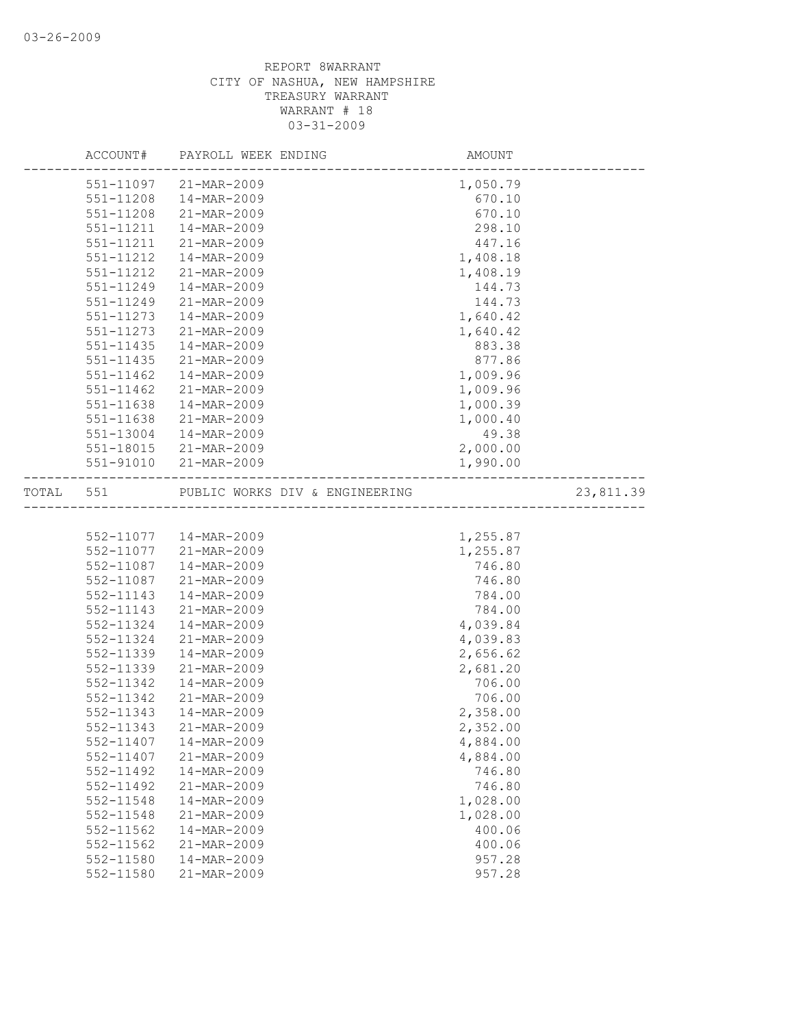|       |               | AMOUNT<br>ACCOUNT# PAYROLL WEEK ENDING |          |           |
|-------|---------------|----------------------------------------|----------|-----------|
|       | 551-11097     | 21-MAR-2009                            | 1,050.79 |           |
|       | 551-11208     | 14-MAR-2009                            | 670.10   |           |
|       | 551-11208     | 21-MAR-2009                            | 670.10   |           |
|       | 551-11211     | 14-MAR-2009                            | 298.10   |           |
|       | 551-11211     | 21-MAR-2009                            | 447.16   |           |
|       | 551-11212     | 14-MAR-2009                            | 1,408.18 |           |
|       | 551-11212     | 21-MAR-2009                            | 1,408.19 |           |
|       | 551-11249     | 14-MAR-2009                            | 144.73   |           |
|       | 551-11249     | 21-MAR-2009                            | 144.73   |           |
|       | 551-11273     | 14-MAR-2009                            | 1,640.42 |           |
|       | 551-11273     | 21-MAR-2009                            | 1,640.42 |           |
|       | 551-11435     | 14-MAR-2009                            | 883.38   |           |
|       | 551-11435     | 21-MAR-2009                            | 877.86   |           |
|       | $551 - 11462$ | 14-MAR-2009                            | 1,009.96 |           |
|       | 551-11462     | 21-MAR-2009                            | 1,009.96 |           |
|       | 551-11638     | 14-MAR-2009                            | 1,000.39 |           |
|       | 551-11638     | 21-MAR-2009                            | 1,000.40 |           |
|       | 551-13004     | 14-MAR-2009                            | 49.38    |           |
|       | 551-18015     | 21-MAR-2009                            | 2,000.00 |           |
|       | 551-91010     | 21-MAR-2009                            | 1,990.00 |           |
| TOTAL | 551           | PUBLIC WORKS DIV & ENGINEERING         |          | 23,811.39 |
|       |               |                                        |          |           |
|       |               | 552-11077  14-MAR-2009                 | 1,255.87 |           |
|       | 552-11077     | 21-MAR-2009                            | 1,255.87 |           |
|       | 552-11087     | 14-MAR-2009                            | 746.80   |           |
|       | 552-11087     | 21-MAR-2009                            | 746.80   |           |
|       | 552-11143     | 14-MAR-2009                            | 784.00   |           |
|       | 552-11143     | 21-MAR-2009                            | 784.00   |           |
|       | 552-11324     | 14-MAR-2009                            | 4,039.84 |           |
|       | 552-11324     | 21-MAR-2009                            | 4,039.83 |           |
|       | 552-11339     | 14-MAR-2009                            | 2,656.62 |           |
|       | 552-11339     | 21-MAR-2009                            | 2,681.20 |           |
|       | 552-11342     | 14-MAR-2009                            | 706.00   |           |
|       | 552-11342     | 21-MAR-2009                            | 706.00   |           |
|       | 552-11343     | 14-MAR-2009                            | 2,358.00 |           |
|       | 552-11343     | 21-MAR-2009                            | 2,352.00 |           |
|       | 552-11407     | 14-MAR-2009                            | 4,884.00 |           |
|       | 552-11407     | 21-MAR-2009                            | 4,884.00 |           |
|       | 552-11492     | 14-MAR-2009                            | 746.80   |           |
|       | 552-11492     | 21-MAR-2009                            | 746.80   |           |
|       | 552-11548     | 14-MAR-2009                            | 1,028.00 |           |
|       | 552-11548     | 21-MAR-2009                            | 1,028.00 |           |
|       | 552-11562     | 14-MAR-2009                            | 400.06   |           |
|       | 552-11562     | 21-MAR-2009                            | 400.06   |           |
|       | 552-11580     | 14-MAR-2009                            | 957.28   |           |
|       | 552-11580     | 21-MAR-2009                            | 957.28   |           |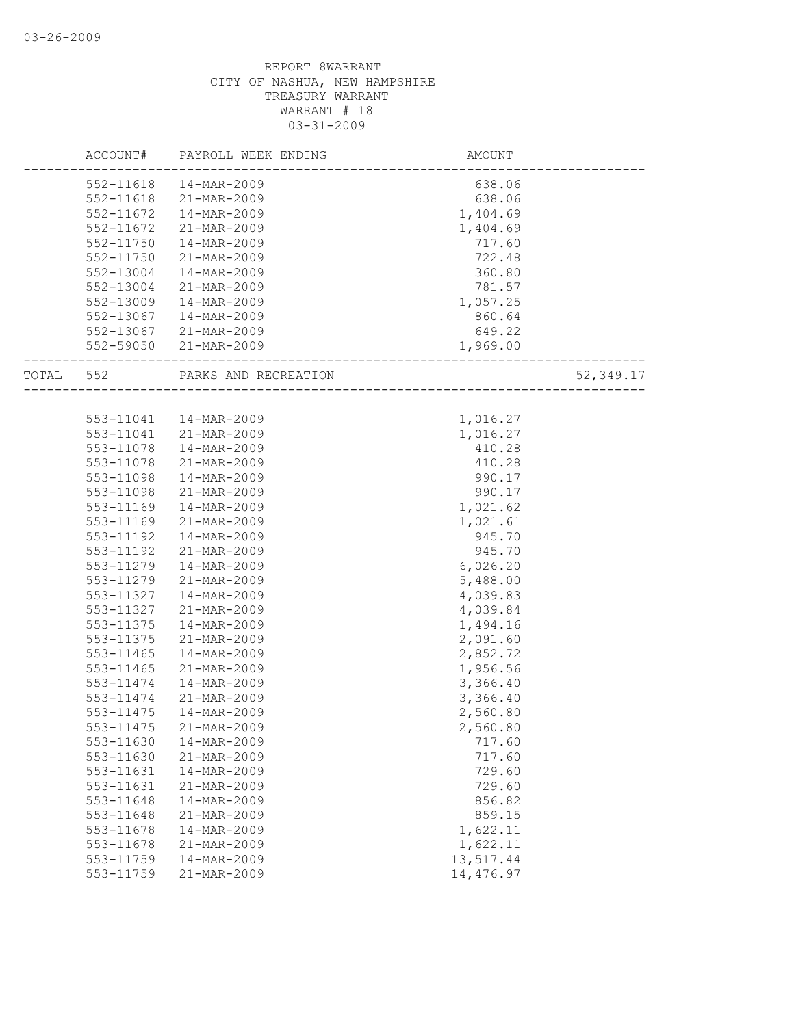|       | ACCOUNT#  | PAYROLL WEEK ENDING    | <b>AMOUNT</b> |           |
|-------|-----------|------------------------|---------------|-----------|
|       |           | 552-11618  14-MAR-2009 | 638.06        |           |
|       | 552-11618 | 21-MAR-2009            | 638.06        |           |
|       | 552-11672 | 14-MAR-2009            | 1,404.69      |           |
|       | 552-11672 | 21-MAR-2009            | 1,404.69      |           |
|       | 552-11750 | 14-MAR-2009            | 717.60        |           |
|       | 552-11750 | 21-MAR-2009            | 722.48        |           |
|       | 552-13004 | 14-MAR-2009            | 360.80        |           |
|       | 552-13004 | 21-MAR-2009            | 781.57        |           |
|       | 552-13009 | 14-MAR-2009            | 1,057.25      |           |
|       | 552-13067 | 14-MAR-2009            | 860.64        |           |
|       |           | 552-13067 21-MAR-2009  | 649.22        |           |
|       |           | 552-59050 21-MAR-2009  | 1,969.00      |           |
|       |           |                        |               |           |
| TOTAL | 552       | PARKS AND RECREATION   |               | 52,349.17 |
|       |           |                        |               |           |
|       | 553-11041 | 14-MAR-2009            | 1,016.27      |           |
|       | 553-11041 | 21-MAR-2009            | 1,016.27      |           |
|       | 553-11078 | 14-MAR-2009            | 410.28        |           |
|       | 553-11078 | 21-MAR-2009            | 410.28        |           |
|       | 553-11098 | 14-MAR-2009            | 990.17        |           |
|       | 553-11098 | 21-MAR-2009            | 990.17        |           |
|       | 553-11169 | 14-MAR-2009            | 1,021.62      |           |
|       | 553-11169 | 21-MAR-2009            | 1,021.61      |           |
|       | 553-11192 | 14-MAR-2009            | 945.70        |           |
|       | 553-11192 | 21-MAR-2009            | 945.70        |           |
|       | 553-11279 | 14-MAR-2009            | 6,026.20      |           |
|       | 553-11279 | 21-MAR-2009            | 5,488.00      |           |
|       | 553-11327 | 14-MAR-2009            | 4,039.83      |           |
|       | 553-11327 | 21-MAR-2009            | 4,039.84      |           |
|       | 553-11375 | 14-MAR-2009            | 1,494.16      |           |
|       | 553-11375 | 21-MAR-2009            | 2,091.60      |           |
|       | 553-11465 | 14-MAR-2009            | 2,852.72      |           |
|       | 553-11465 | 21-MAR-2009            | 1,956.56      |           |
|       | 553-11474 | 14-MAR-2009            | 3,366.40      |           |
|       | 553-11474 | 21-MAR-2009            | 3,366.40      |           |
|       | 553-11475 | 14-MAR-2009            | 2,560.80      |           |
|       | 553-11475 | 21-MAR-2009            | 2,560.80      |           |
|       | 553-11630 | 14-MAR-2009            | 717.60        |           |
|       | 553-11630 | 21-MAR-2009            | 717.60        |           |
|       | 553-11631 | 14-MAR-2009            | 729.60        |           |
|       | 553-11631 | 21-MAR-2009            | 729.60        |           |
|       | 553-11648 | 14-MAR-2009            | 856.82        |           |
|       | 553-11648 | 21-MAR-2009            | 859.15        |           |
|       | 553-11678 | 14-MAR-2009            | 1,622.11      |           |
|       | 553-11678 | 21-MAR-2009            | 1,622.11      |           |
|       | 553-11759 | 14-MAR-2009            | 13,517.44     |           |
|       | 553-11759 | 21-MAR-2009            | 14,476.97     |           |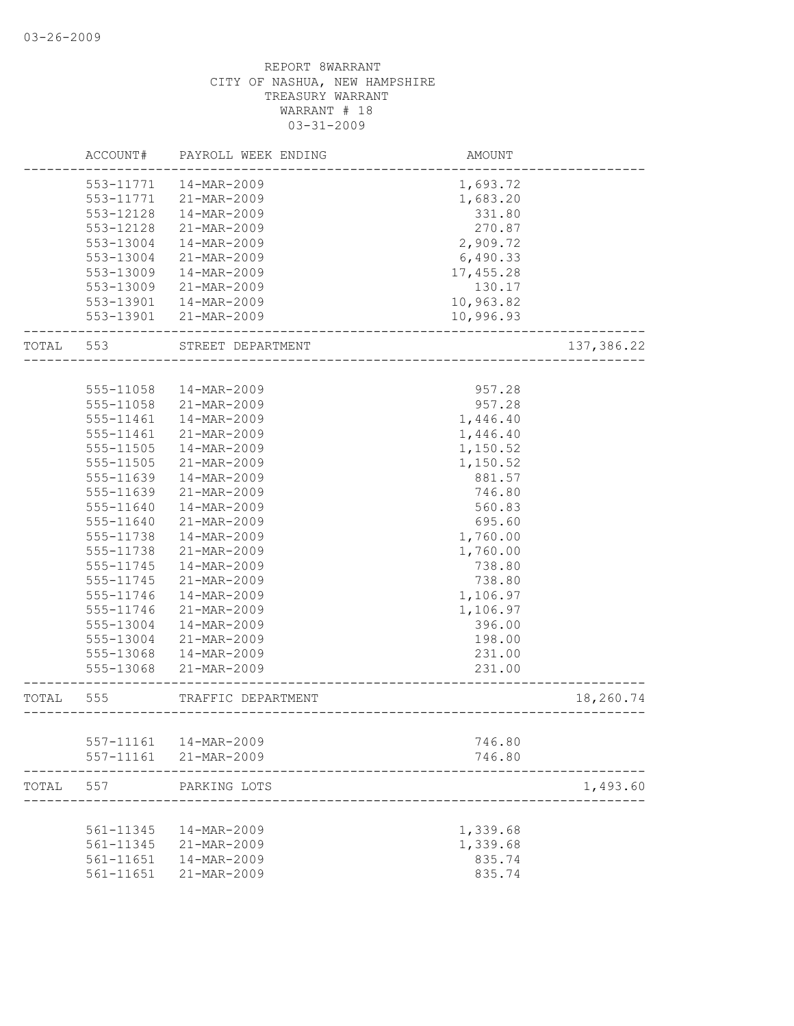|       | ACCOUNT#  | PAYROLL WEEK ENDING      | AMOUNT               |            |
|-------|-----------|--------------------------|----------------------|------------|
|       | 553-11771 | 14-MAR-2009              | 1,693.72             |            |
|       | 553-11771 | 21-MAR-2009              | 1,683.20             |            |
|       | 553-12128 | 14-MAR-2009              | 331.80               |            |
|       | 553-12128 | 21-MAR-2009              | 270.87               |            |
|       | 553-13004 | 14-MAR-2009              | 2,909.72             |            |
|       | 553-13004 | 21-MAR-2009              | 6,490.33             |            |
|       | 553-13009 | 14-MAR-2009              | 17,455.28            |            |
|       | 553-13009 | 21-MAR-2009              | 130.17               |            |
|       | 553-13901 | 14-MAR-2009              | 10,963.82            |            |
|       | 553-13901 | 21-MAR-2009              | 10,996.93            |            |
| TOTAL | 553       | STREET DEPARTMENT        |                      | 137,386.22 |
|       |           |                          |                      |            |
|       | 555-11058 | 14-MAR-2009              | 957.28               |            |
|       | 555-11058 | 21-MAR-2009              | 957.28               |            |
|       | 555-11461 | 14-MAR-2009              | 1,446.40             |            |
|       | 555-11461 | 21-MAR-2009              | 1,446.40             |            |
|       | 555-11505 | $14 - \text{MAR} - 2009$ | 1,150.52             |            |
|       | 555-11505 | 21-MAR-2009              | 1,150.52             |            |
|       | 555-11639 | 14-MAR-2009              | 881.57               |            |
|       | 555-11639 | 21-MAR-2009              | 746.80               |            |
|       | 555-11640 | 14-MAR-2009              | 560.83               |            |
|       | 555-11640 | 21-MAR-2009              | 695.60               |            |
|       | 555-11738 | 14-MAR-2009              | 1,760.00             |            |
|       | 555-11738 | 21-MAR-2009              | 1,760.00             |            |
|       | 555-11745 | 14-MAR-2009              | 738.80               |            |
|       | 555-11745 | 21-MAR-2009              | 738.80               |            |
|       | 555-11746 | 14-MAR-2009              | 1,106.97             |            |
|       | 555-11746 | 21-MAR-2009              | 1,106.97             |            |
|       | 555-13004 | 14-MAR-2009              | 396.00               |            |
|       | 555-13004 | 21-MAR-2009              | 198.00               |            |
|       | 555-13068 | 14-MAR-2009              | 231.00               |            |
|       | 555-13068 | 21-MAR-2009              | 231.00               |            |
| TOTAL | 555       | TRAFFIC DEPARTMENT       |                      | 18,260.74  |
|       |           |                          | ____________________ |            |
|       | 557-11161 | 14-MAR-2009              | 746.80               |            |
|       | 557-11161 | 21-MAR-2009              | 746.80               |            |
| TOTAL | 557       | PARKING LOTS             |                      | 1,493.60   |
|       |           |                          |                      |            |
|       | 561-11345 | 14-MAR-2009              | 1,339.68             |            |
|       | 561-11345 | 21-MAR-2009              | 1,339.68             |            |
|       | 561-11651 | 14-MAR-2009              | 835.74               |            |
|       | 561-11651 | 21-MAR-2009              | 835.74               |            |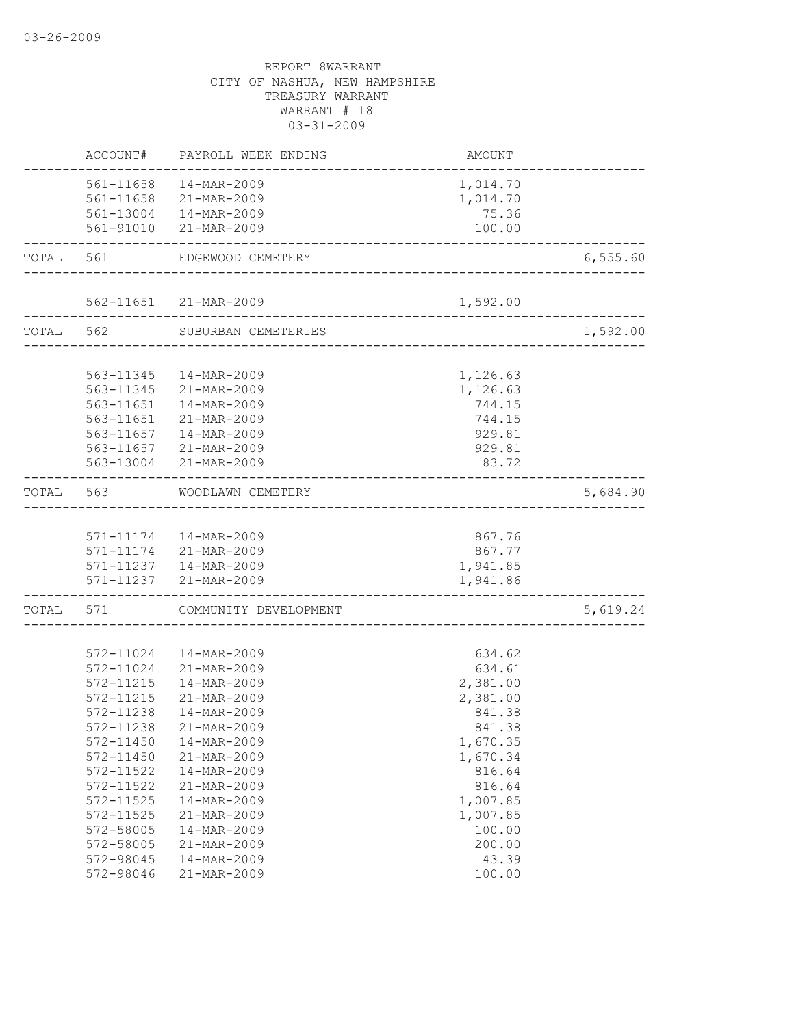| ACCOUNT#     |                                                                                                                                                                                        | AMOUNT                                                                                                                                                                                                                                                                                                                                                                                                                                                                                                                                                                                                                                                                                                                                                                                                          |                                                                                                                                                                                                                                                                                                                         |
|--------------|----------------------------------------------------------------------------------------------------------------------------------------------------------------------------------------|-----------------------------------------------------------------------------------------------------------------------------------------------------------------------------------------------------------------------------------------------------------------------------------------------------------------------------------------------------------------------------------------------------------------------------------------------------------------------------------------------------------------------------------------------------------------------------------------------------------------------------------------------------------------------------------------------------------------------------------------------------------------------------------------------------------------|-------------------------------------------------------------------------------------------------------------------------------------------------------------------------------------------------------------------------------------------------------------------------------------------------------------------------|
|              |                                                                                                                                                                                        | 1,014.70                                                                                                                                                                                                                                                                                                                                                                                                                                                                                                                                                                                                                                                                                                                                                                                                        |                                                                                                                                                                                                                                                                                                                         |
|              |                                                                                                                                                                                        | 1,014.70                                                                                                                                                                                                                                                                                                                                                                                                                                                                                                                                                                                                                                                                                                                                                                                                        |                                                                                                                                                                                                                                                                                                                         |
|              |                                                                                                                                                                                        | 75.36                                                                                                                                                                                                                                                                                                                                                                                                                                                                                                                                                                                                                                                                                                                                                                                                           |                                                                                                                                                                                                                                                                                                                         |
|              |                                                                                                                                                                                        | 100.00                                                                                                                                                                                                                                                                                                                                                                                                                                                                                                                                                                                                                                                                                                                                                                                                          |                                                                                                                                                                                                                                                                                                                         |
| TOTAL<br>561 |                                                                                                                                                                                        |                                                                                                                                                                                                                                                                                                                                                                                                                                                                                                                                                                                                                                                                                                                                                                                                                 | 6,555.60                                                                                                                                                                                                                                                                                                                |
|              |                                                                                                                                                                                        |                                                                                                                                                                                                                                                                                                                                                                                                                                                                                                                                                                                                                                                                                                                                                                                                                 |                                                                                                                                                                                                                                                                                                                         |
|              |                                                                                                                                                                                        |                                                                                                                                                                                                                                                                                                                                                                                                                                                                                                                                                                                                                                                                                                                                                                                                                 |                                                                                                                                                                                                                                                                                                                         |
| TOTAL 562    |                                                                                                                                                                                        |                                                                                                                                                                                                                                                                                                                                                                                                                                                                                                                                                                                                                                                                                                                                                                                                                 | 1,592.00                                                                                                                                                                                                                                                                                                                |
|              |                                                                                                                                                                                        |                                                                                                                                                                                                                                                                                                                                                                                                                                                                                                                                                                                                                                                                                                                                                                                                                 |                                                                                                                                                                                                                                                                                                                         |
|              |                                                                                                                                                                                        |                                                                                                                                                                                                                                                                                                                                                                                                                                                                                                                                                                                                                                                                                                                                                                                                                 |                                                                                                                                                                                                                                                                                                                         |
|              |                                                                                                                                                                                        |                                                                                                                                                                                                                                                                                                                                                                                                                                                                                                                                                                                                                                                                                                                                                                                                                 |                                                                                                                                                                                                                                                                                                                         |
|              |                                                                                                                                                                                        |                                                                                                                                                                                                                                                                                                                                                                                                                                                                                                                                                                                                                                                                                                                                                                                                                 |                                                                                                                                                                                                                                                                                                                         |
|              |                                                                                                                                                                                        |                                                                                                                                                                                                                                                                                                                                                                                                                                                                                                                                                                                                                                                                                                                                                                                                                 |                                                                                                                                                                                                                                                                                                                         |
|              |                                                                                                                                                                                        |                                                                                                                                                                                                                                                                                                                                                                                                                                                                                                                                                                                                                                                                                                                                                                                                                 |                                                                                                                                                                                                                                                                                                                         |
|              |                                                                                                                                                                                        | 83.72                                                                                                                                                                                                                                                                                                                                                                                                                                                                                                                                                                                                                                                                                                                                                                                                           |                                                                                                                                                                                                                                                                                                                         |
|              |                                                                                                                                                                                        |                                                                                                                                                                                                                                                                                                                                                                                                                                                                                                                                                                                                                                                                                                                                                                                                                 | 5,684.90                                                                                                                                                                                                                                                                                                                |
|              |                                                                                                                                                                                        |                                                                                                                                                                                                                                                                                                                                                                                                                                                                                                                                                                                                                                                                                                                                                                                                                 |                                                                                                                                                                                                                                                                                                                         |
|              |                                                                                                                                                                                        | 867.76                                                                                                                                                                                                                                                                                                                                                                                                                                                                                                                                                                                                                                                                                                                                                                                                          |                                                                                                                                                                                                                                                                                                                         |
|              |                                                                                                                                                                                        | 867.77                                                                                                                                                                                                                                                                                                                                                                                                                                                                                                                                                                                                                                                                                                                                                                                                          |                                                                                                                                                                                                                                                                                                                         |
|              |                                                                                                                                                                                        |                                                                                                                                                                                                                                                                                                                                                                                                                                                                                                                                                                                                                                                                                                                                                                                                                 |                                                                                                                                                                                                                                                                                                                         |
|              |                                                                                                                                                                                        |                                                                                                                                                                                                                                                                                                                                                                                                                                                                                                                                                                                                                                                                                                                                                                                                                 |                                                                                                                                                                                                                                                                                                                         |
|              |                                                                                                                                                                                        |                                                                                                                                                                                                                                                                                                                                                                                                                                                                                                                                                                                                                                                                                                                                                                                                                 | 5,619.24                                                                                                                                                                                                                                                                                                                |
|              |                                                                                                                                                                                        |                                                                                                                                                                                                                                                                                                                                                                                                                                                                                                                                                                                                                                                                                                                                                                                                                 |                                                                                                                                                                                                                                                                                                                         |
|              |                                                                                                                                                                                        |                                                                                                                                                                                                                                                                                                                                                                                                                                                                                                                                                                                                                                                                                                                                                                                                                 |                                                                                                                                                                                                                                                                                                                         |
|              |                                                                                                                                                                                        |                                                                                                                                                                                                                                                                                                                                                                                                                                                                                                                                                                                                                                                                                                                                                                                                                 |                                                                                                                                                                                                                                                                                                                         |
|              |                                                                                                                                                                                        |                                                                                                                                                                                                                                                                                                                                                                                                                                                                                                                                                                                                                                                                                                                                                                                                                 |                                                                                                                                                                                                                                                                                                                         |
|              |                                                                                                                                                                                        |                                                                                                                                                                                                                                                                                                                                                                                                                                                                                                                                                                                                                                                                                                                                                                                                                 |                                                                                                                                                                                                                                                                                                                         |
|              |                                                                                                                                                                                        |                                                                                                                                                                                                                                                                                                                                                                                                                                                                                                                                                                                                                                                                                                                                                                                                                 |                                                                                                                                                                                                                                                                                                                         |
|              |                                                                                                                                                                                        |                                                                                                                                                                                                                                                                                                                                                                                                                                                                                                                                                                                                                                                                                                                                                                                                                 |                                                                                                                                                                                                                                                                                                                         |
|              |                                                                                                                                                                                        |                                                                                                                                                                                                                                                                                                                                                                                                                                                                                                                                                                                                                                                                                                                                                                                                                 |                                                                                                                                                                                                                                                                                                                         |
|              |                                                                                                                                                                                        |                                                                                                                                                                                                                                                                                                                                                                                                                                                                                                                                                                                                                                                                                                                                                                                                                 |                                                                                                                                                                                                                                                                                                                         |
|              |                                                                                                                                                                                        |                                                                                                                                                                                                                                                                                                                                                                                                                                                                                                                                                                                                                                                                                                                                                                                                                 |                                                                                                                                                                                                                                                                                                                         |
|              |                                                                                                                                                                                        |                                                                                                                                                                                                                                                                                                                                                                                                                                                                                                                                                                                                                                                                                                                                                                                                                 |                                                                                                                                                                                                                                                                                                                         |
|              |                                                                                                                                                                                        |                                                                                                                                                                                                                                                                                                                                                                                                                                                                                                                                                                                                                                                                                                                                                                                                                 |                                                                                                                                                                                                                                                                                                                         |
|              |                                                                                                                                                                                        |                                                                                                                                                                                                                                                                                                                                                                                                                                                                                                                                                                                                                                                                                                                                                                                                                 |                                                                                                                                                                                                                                                                                                                         |
|              |                                                                                                                                                                                        |                                                                                                                                                                                                                                                                                                                                                                                                                                                                                                                                                                                                                                                                                                                                                                                                                 |                                                                                                                                                                                                                                                                                                                         |
|              |                                                                                                                                                                                        |                                                                                                                                                                                                                                                                                                                                                                                                                                                                                                                                                                                                                                                                                                                                                                                                                 |                                                                                                                                                                                                                                                                                                                         |
| 572-98046    | 21-MAR-2009                                                                                                                                                                            | 100.00                                                                                                                                                                                                                                                                                                                                                                                                                                                                                                                                                                                                                                                                                                                                                                                                          |                                                                                                                                                                                                                                                                                                                         |
|              | 563-11651<br>TOTAL 563<br>572-11215<br>572-11215<br>572-11238<br>572-11450<br>572-11450<br>572-11522<br>572-11522<br>572-11525<br>$572 - 11525$<br>572-58005<br>572-58005<br>572-98045 | PAYROLL WEEK ENDING<br>561-11658  14-MAR-2009<br>561-11658 21-MAR-2009<br>561-13004  14-MAR-2009<br>561-91010 21-MAR-2009<br>EDGEWOOD CEMETERY<br>562-11651 21-MAR-2009<br>SUBURBAN CEMETERIES<br>563-11345  14-MAR-2009<br>563-11345 21-MAR-2009<br>563-11651  14-MAR-2009<br>21-MAR-2009<br>563-11657<br>14-MAR-2009<br>563-11657<br>21-MAR-2009<br>563-13004 21-MAR-2009<br>WOODLAWN CEMETERY<br>571-11174   14-MAR-2009<br>571-11174 21-MAR-2009<br>571-11237 14-MAR-2009<br>571-11237 21-MAR-2009<br>TOTAL 571 COMMUNITY DEVELOPMENT<br>572-11024  14-MAR-2009<br>572-11024<br>21-MAR-2009<br>14-MAR-2009<br>21-MAR-2009<br>14-MAR-2009<br>572-11238<br>21-MAR-2009<br>14-MAR-2009<br>21-MAR-2009<br>14-MAR-2009<br>21-MAR-2009<br>14-MAR-2009<br>21-MAR-2009<br>14-MAR-2009<br>21-MAR-2009<br>14-MAR-2009 | 1,592.00<br>---------------------<br>_________________________<br>1,126.63<br>1,126.63<br>744.15<br>744.15<br>929.81<br>929.81<br>1,941.85<br>1,941.86<br>634.62<br>634.61<br>2,381.00<br>2,381.00<br>841.38<br>841.38<br>1,670.35<br>1,670.34<br>816.64<br>816.64<br>1,007.85<br>1,007.85<br>100.00<br>200.00<br>43.39 |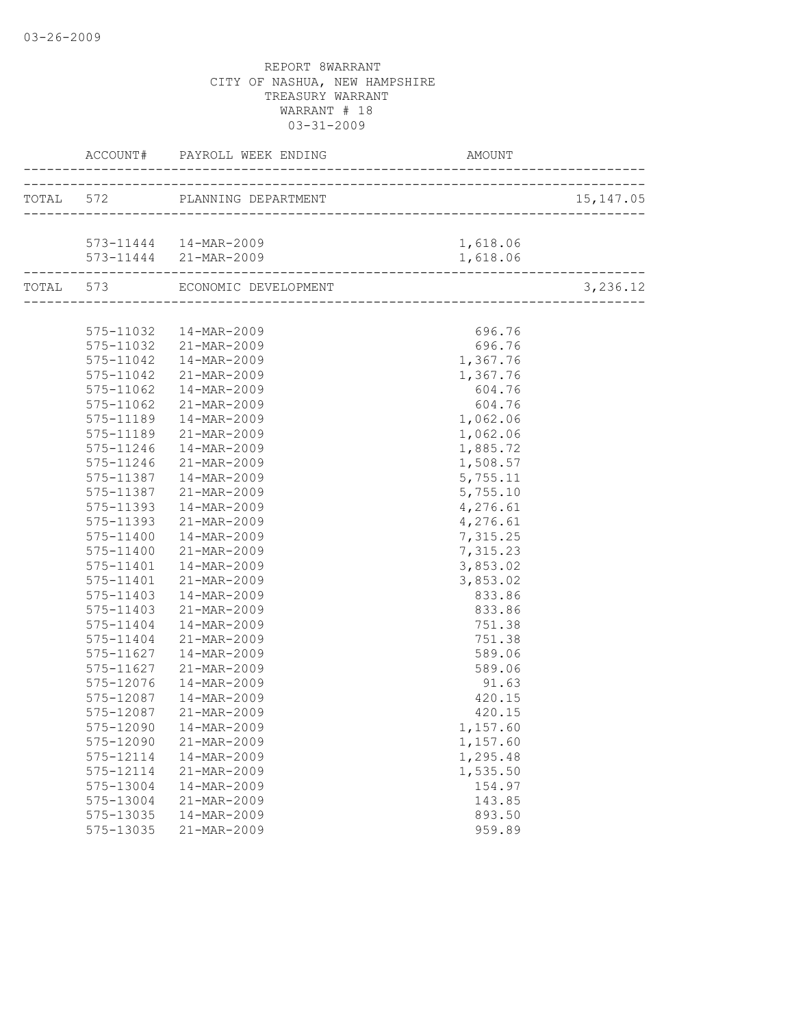|                        | TOTAL 572 PLANNING DEPARTMENT  |                      | 15, 147.05 |
|------------------------|--------------------------------|----------------------|------------|
|                        |                                |                      |            |
|                        | 573-11444   14-MAR-2009        | 1,618.06             |            |
|                        | 573-11444 21-MAR-2009          | 1,618.06             |            |
|                        | TOTAL 573 ECONOMIC DEVELOPMENT |                      | 3,236.12   |
|                        |                                |                      |            |
|                        | 575-11032  14-MAR-2009         | 696.76               |            |
|                        | 575-11032 21-MAR-2009          | 696.76               |            |
|                        | 575-11042  14-MAR-2009         | 1,367.76             |            |
|                        | 575-11042 21-MAR-2009          | 1,367.76             |            |
| 575-11062              | 14-MAR-2009                    | 604.76               |            |
| 575-11062              | 21-MAR-2009                    | 604.76               |            |
| 575-11189<br>575-11189 | 14-MAR-2009<br>21-MAR-2009     | 1,062.06             |            |
| $575 - 11246$          |                                | 1,062.06             |            |
| 575-11246              | 14-MAR-2009<br>21-MAR-2009     | 1,885.72<br>1,508.57 |            |
| 575-11387              | 14-MAR-2009                    | 5,755.11             |            |
| 575-11387              | 21-MAR-2009                    | 5,755.10             |            |
| 575-11393              | 14-MAR-2009                    | 4,276.61             |            |
| 575-11393              | 21-MAR-2009                    | 4,276.61             |            |
| 575-11400              | 14-MAR-2009                    | 7,315.25             |            |
| 575-11400              | 21-MAR-2009                    | 7,315.23             |            |
| 575-11401              | 14-MAR-2009                    | 3,853.02             |            |
| 575-11401              | 21-MAR-2009                    | 3,853.02             |            |
| 575-11403              | 14-MAR-2009                    | 833.86               |            |
| 575-11403              | 21-MAR-2009                    | 833.86               |            |
| 575-11404              | 14-MAR-2009                    | 751.38               |            |
| 575-11404              | 21-MAR-2009                    | 751.38               |            |
| 575-11627              | 14-MAR-2009                    | 589.06               |            |
| 575-11627              | 21-MAR-2009                    | 589.06               |            |
| 575-12076              | 14-MAR-2009                    | 91.63                |            |
| 575-12087              | 14-MAR-2009                    | 420.15               |            |
| 575-12087              | 21-MAR-2009                    | 420.15               |            |
|                        | 575-12090  14-MAR-2009         | 1,157.60             |            |
| 575-12090              | 21-MAR-2009                    | 1,157.60             |            |
| 575-12114              | 14-MAR-2009                    | 1,295.48             |            |
| 575-12114              | 21-MAR-2009                    | 1,535.50             |            |
| 575-13004              | 14-MAR-2009                    | 154.97               |            |
| 575-13004              | 21-MAR-2009                    | 143.85               |            |
| 575-13035              | 14-MAR-2009                    | 893.50               |            |
| 575-13035              | 21-MAR-2009                    | 959.89               |            |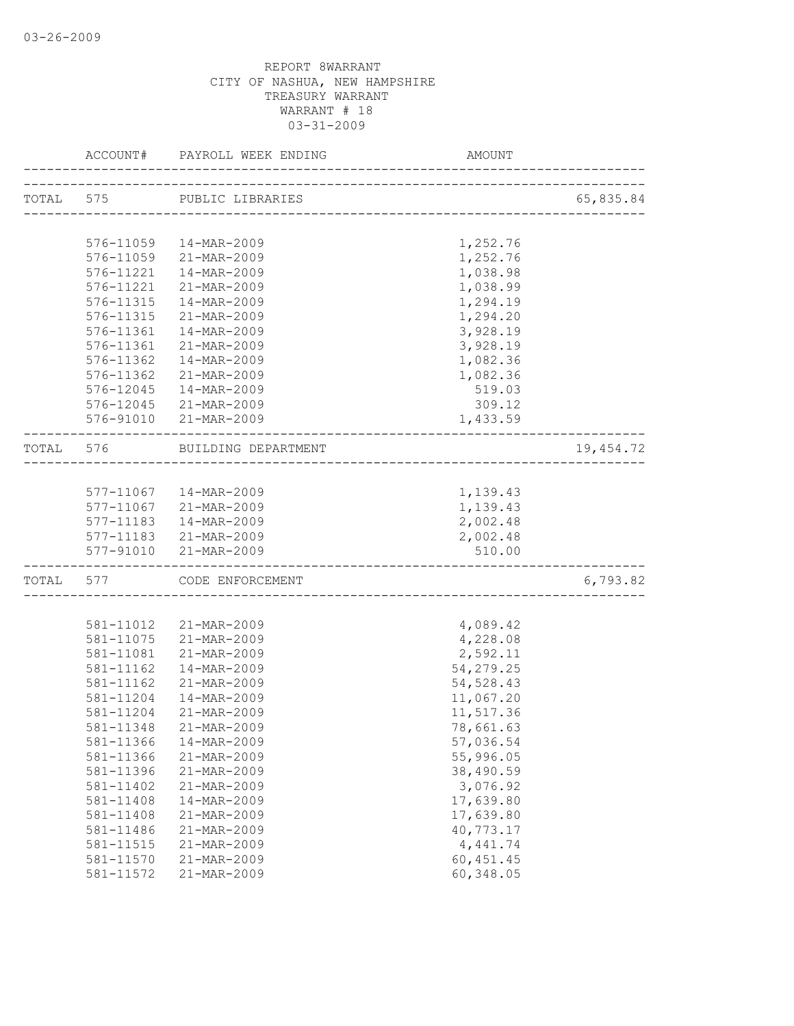|           |           | ACCOUNT# PAYROLL WEEK ENDING | AMOUNT                         |            |
|-----------|-----------|------------------------------|--------------------------------|------------|
|           |           | TOTAL 575 PUBLIC LIBRARIES   |                                | 65,835.84  |
|           |           |                              | ------------------------------ |            |
|           |           |                              |                                |            |
|           |           | 576-11059  14-MAR-2009       | 1,252.76                       |            |
|           |           | 576-11059 21-MAR-2009        | 1,252.76                       |            |
|           | 576-11221 | 14-MAR-2009                  | 1,038.98                       |            |
|           | 576-11221 | 21-MAR-2009                  | 1,038.99                       |            |
|           | 576-11315 | 14-MAR-2009                  | 1,294.19                       |            |
|           | 576-11315 | 21-MAR-2009                  | 1,294.20                       |            |
|           | 576-11361 | 14-MAR-2009                  | 3,928.19                       |            |
|           | 576-11361 | 21-MAR-2009                  | 3,928.19                       |            |
|           | 576-11362 | 14-MAR-2009                  | 1,082.36                       |            |
|           | 576-11362 | 21-MAR-2009                  | 1,082.36                       |            |
|           |           | 576-12045  14-MAR-2009       | 519.03                         |            |
|           |           | 576-12045 21-MAR-2009        | 309.12                         |            |
|           |           | 576-91010 21-MAR-2009        | 1,433.59                       |            |
|           | TOTAL 576 | BUILDING DEPARTMENT          |                                | 19, 454.72 |
|           |           |                              |                                |            |
|           |           | 577-11067  14-MAR-2009       | 1,139.43                       |            |
|           |           | 577-11067 21-MAR-2009        | 1,139.43                       |            |
|           |           | 577-11183  14-MAR-2009       | 2,002.48                       |            |
|           |           | 577-11183 21-MAR-2009        | 2,002.48                       |            |
|           |           | 577-91010 21-MAR-2009        | 510.00                         |            |
| TOTAL 577 |           | CODE ENFORCEMENT             |                                | 6,793.82   |
|           |           |                              |                                |            |
|           |           | 581-11012 21-MAR-2009        | 4,089.42                       |            |
|           |           | 581-11075 21-MAR-2009        | 4,228.08                       |            |
|           | 581-11081 | 21-MAR-2009                  | 2,592.11                       |            |
|           | 581-11162 | 14-MAR-2009                  | 54,279.25                      |            |
|           | 581-11162 | 21-MAR-2009                  | 54, 528.43                     |            |
|           | 581-11204 | 14-MAR-2009                  | 11,067.20                      |            |
|           | 581-11204 | 21-MAR-2009                  | 11,517.36                      |            |
|           | 581-11348 | 21-MAR-2009                  | 78,661.63                      |            |
|           | 581-11366 | 14-MAR-2009                  | 57,036.54                      |            |
|           | 581-11366 | 21-MAR-2009                  | 55,996.05                      |            |
|           | 581-11396 | 21-MAR-2009                  | 38,490.59                      |            |
|           | 581-11402 | 21-MAR-2009                  | 3,076.92                       |            |
|           | 581-11408 | 14-MAR-2009                  | 17,639.80                      |            |
|           | 581-11408 | 21-MAR-2009                  | 17,639.80                      |            |
|           | 581-11486 | 21-MAR-2009                  | 40,773.17                      |            |
|           | 581-11515 | 21-MAR-2009                  | 4,441.74                       |            |
|           | 581-11570 | 21-MAR-2009                  | 60, 451.45                     |            |
|           | 581-11572 | 21-MAR-2009                  | 60,348.05                      |            |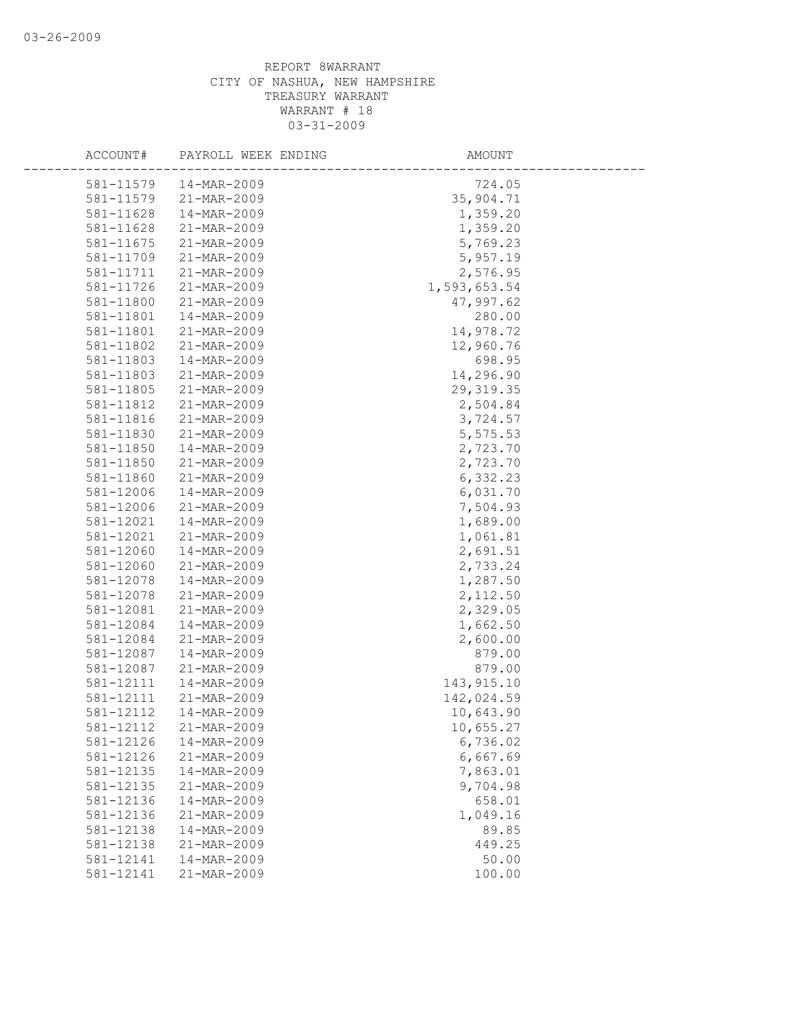| ACCOUNT#  | PAYROLL WEEK ENDING | AMOUNT       |
|-----------|---------------------|--------------|
| 581-11579 | 14-MAR-2009         | 724.05       |
| 581-11579 | 21-MAR-2009         | 35,904.71    |
| 581-11628 | 14-MAR-2009         | 1,359.20     |
| 581-11628 | 21-MAR-2009         | 1,359.20     |
| 581-11675 | 21-MAR-2009         | 5,769.23     |
| 581-11709 | 21-MAR-2009         | 5,957.19     |
| 581-11711 | 21-MAR-2009         | 2,576.95     |
| 581-11726 | 21-MAR-2009         | 1,593,653.54 |
| 581-11800 | 21-MAR-2009         | 47,997.62    |
| 581-11801 | 14-MAR-2009         | 280.00       |
| 581-11801 | 21-MAR-2009         | 14,978.72    |
| 581-11802 | 21-MAR-2009         | 12,960.76    |
| 581-11803 | 14-MAR-2009         | 698.95       |
| 581-11803 | 21-MAR-2009         | 14,296.90    |
| 581-11805 | 21-MAR-2009         | 29, 319.35   |
| 581-11812 | 21-MAR-2009         | 2,504.84     |
| 581-11816 | 21-MAR-2009         | 3,724.57     |
| 581-11830 | 21-MAR-2009         | 5,575.53     |
| 581-11850 | 14-MAR-2009         | 2,723.70     |
| 581-11850 | 21-MAR-2009         | 2,723.70     |
| 581-11860 | 21-MAR-2009         | 6,332.23     |
| 581-12006 | 14-MAR-2009         | 6,031.70     |
| 581-12006 | 21-MAR-2009         | 7,504.93     |
| 581-12021 | $14 - MAR - 2009$   | 1,689.00     |
| 581-12021 | 21-MAR-2009         | 1,061.81     |
| 581-12060 | 14-MAR-2009         | 2,691.51     |
| 581-12060 | 21-MAR-2009         | 2,733.24     |
| 581-12078 | 14-MAR-2009         | 1,287.50     |
| 581-12078 | 21-MAR-2009         | 2,112.50     |
| 581-12081 | 21-MAR-2009         | 2,329.05     |
| 581-12084 | 14-MAR-2009         | 1,662.50     |
| 581-12084 | 21-MAR-2009         | 2,600.00     |
| 581-12087 | 14-MAR-2009         | 879.00       |
| 581-12087 | 21-MAR-2009         | 879.00       |
| 581-12111 | 14-MAR-2009         | 143, 915.10  |
| 581-12111 | 21-MAR-2009         | 142,024.59   |
| 581-12112 | 14-MAR-2009         | 10,643.90    |
| 581-12112 | 21-MAR-2009         | 10,655.27    |
| 581-12126 | 14-MAR-2009         | 6,736.02     |
| 581-12126 | 21-MAR-2009         | 6,667.69     |
| 581-12135 | 14-MAR-2009         | 7,863.01     |
| 581-12135 | 21-MAR-2009         | 9,704.98     |
| 581-12136 | 14-MAR-2009         | 658.01       |
| 581-12136 | 21-MAR-2009         | 1,049.16     |
| 581-12138 | 14-MAR-2009         | 89.85        |
| 581-12138 | 21-MAR-2009         | 449.25       |
| 581-12141 | 14-MAR-2009         | 50.00        |
| 581-12141 | 21-MAR-2009         | 100.00       |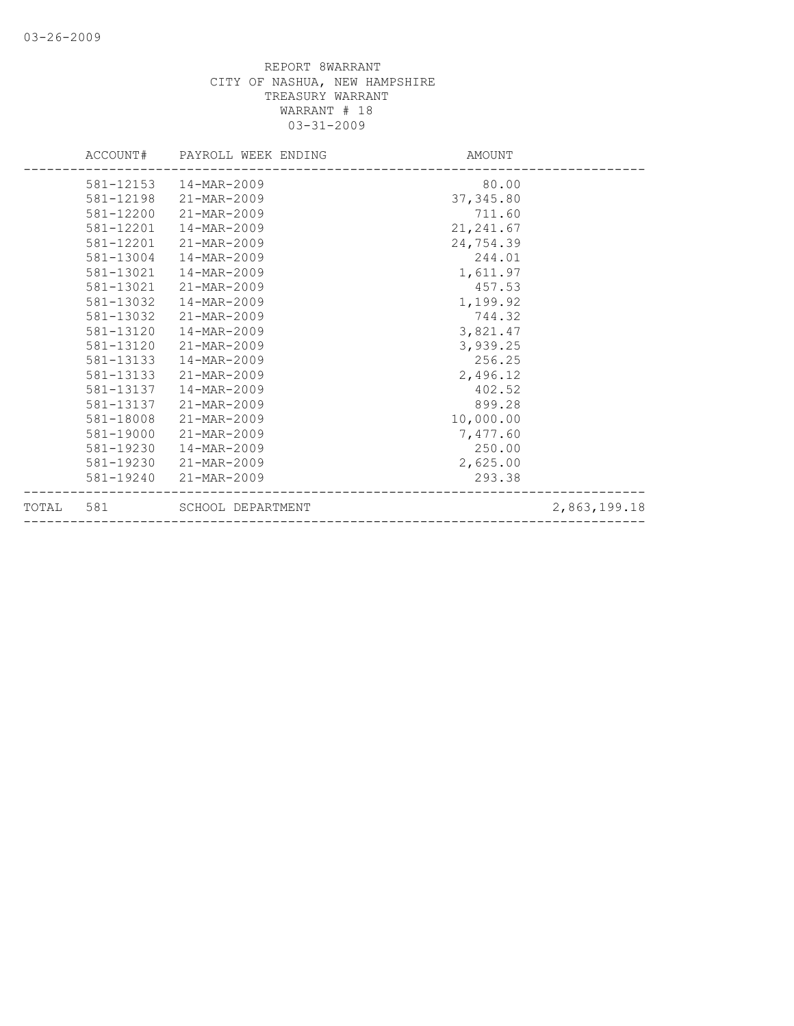|           | ACCOUNT# PAYROLL WEEK ENDING | AMOUNT     |              |
|-----------|------------------------------|------------|--------------|
|           | 581-12153  14-MAR-2009       | 80.00      |              |
|           | 581-12198 21-MAR-2009        | 37, 345.80 |              |
| 581-12200 | 21-MAR-2009                  | 711.60     |              |
| 581-12201 | 14-MAR-2009                  | 21, 241.67 |              |
| 581-12201 | 21-MAR-2009                  | 24,754.39  |              |
| 581-13004 | 14-MAR-2009                  | 244.01     |              |
| 581-13021 | 14-MAR-2009                  | 1,611.97   |              |
| 581-13021 | 21-MAR-2009                  | 457.53     |              |
| 581-13032 | 14-MAR-2009                  | 1,199.92   |              |
| 581-13032 | 21-MAR-2009                  | 744.32     |              |
| 581-13120 | 14-MAR-2009                  | 3,821.47   |              |
| 581-13120 | 21-MAR-2009                  | 3,939.25   |              |
| 581-13133 | 14-MAR-2009                  | 256.25     |              |
| 581-13133 | 21-MAR-2009                  | 2,496.12   |              |
| 581-13137 | 14-MAR-2009                  | 402.52     |              |
| 581-13137 | 21-MAR-2009                  | 899.28     |              |
| 581-18008 | 21-MAR-2009                  | 10,000.00  |              |
| 581-19000 | 21-MAR-2009                  | 7,477.60   |              |
| 581-19230 | 14-MAR-2009                  | 250.00     |              |
|           | 581-19230 21-MAR-2009        | 2,625.00   |              |
|           | 581-19240 21-MAR-2009        | 293.38     |              |
| TOTAL 581 | SCHOOL DEPARTMENT            |            | 2,863,199.18 |
|           |                              |            |              |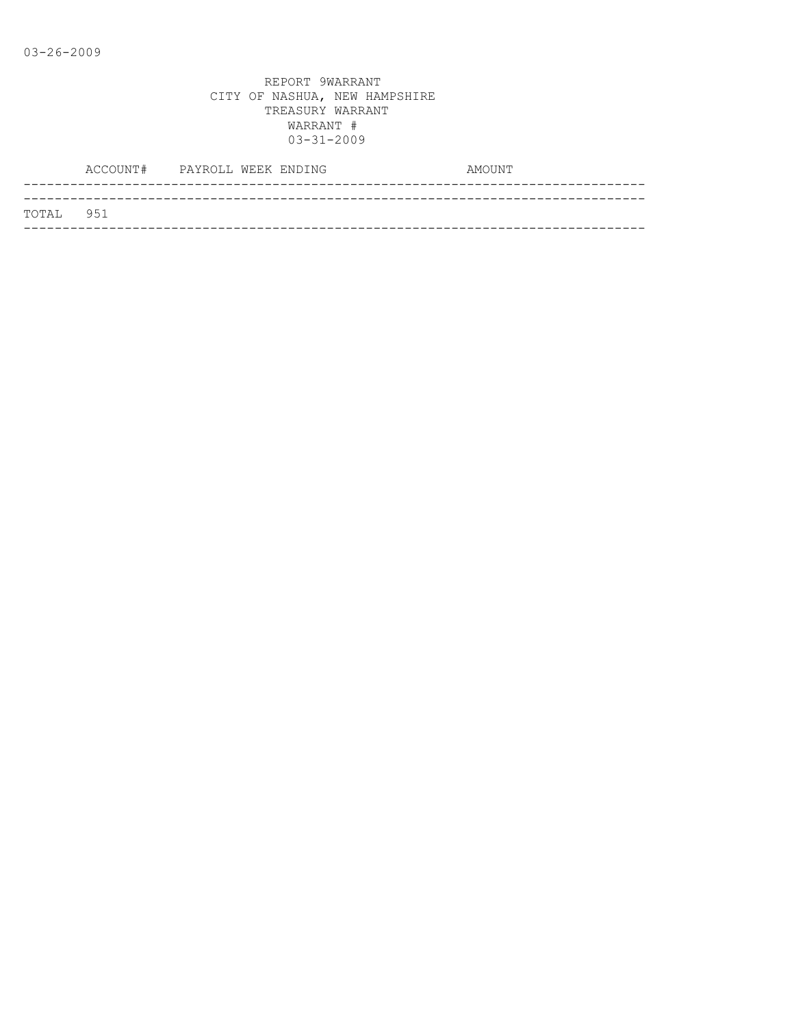|           | ACCOUNT# PAYROLL WEEK ENDING |  | AMOUNT |
|-----------|------------------------------|--|--------|
|           |                              |  |        |
| TOTAL 951 |                              |  |        |
|           |                              |  |        |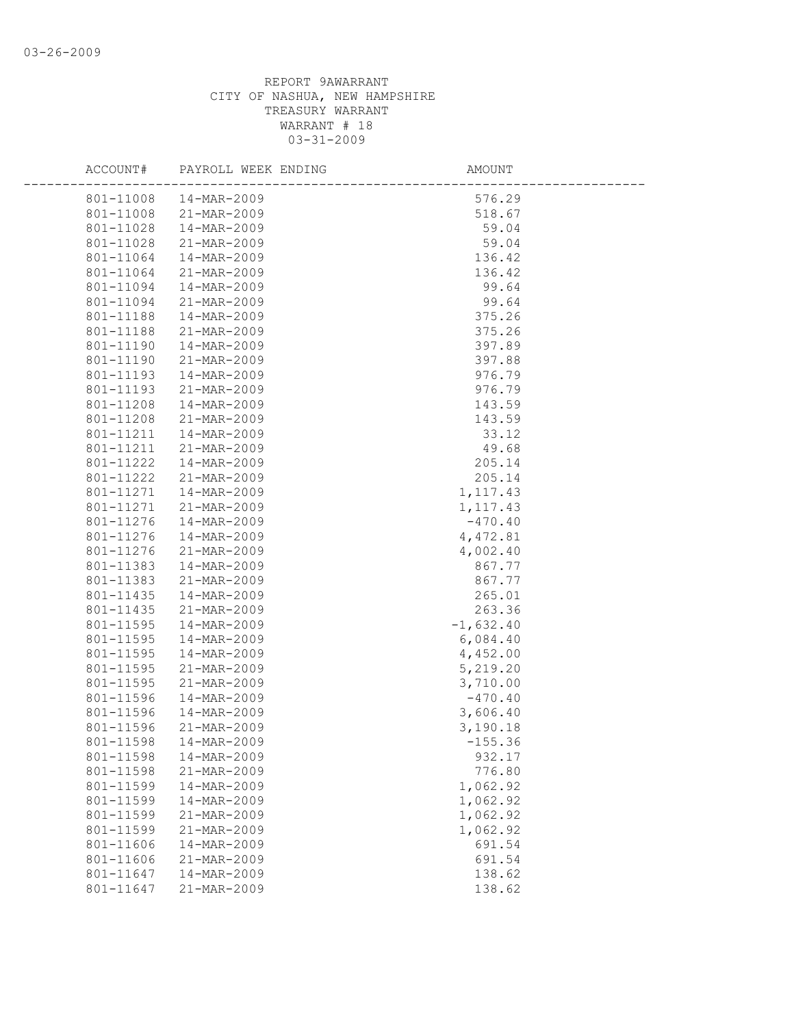| ACCOUNT#  | PAYROLL WEEK ENDING | AMOUNT      |  |
|-----------|---------------------|-------------|--|
| 801-11008 | 14-MAR-2009         | 576.29      |  |
| 801-11008 | 21-MAR-2009         | 518.67      |  |
| 801-11028 | 14-MAR-2009         | 59.04       |  |
| 801-11028 | 21-MAR-2009         | 59.04       |  |
| 801-11064 | 14-MAR-2009         | 136.42      |  |
| 801-11064 | 21-MAR-2009         | 136.42      |  |
| 801-11094 | 14-MAR-2009         | 99.64       |  |
| 801-11094 | 21-MAR-2009         | 99.64       |  |
| 801-11188 | 14-MAR-2009         | 375.26      |  |
| 801-11188 | 21-MAR-2009         | 375.26      |  |
| 801-11190 | 14-MAR-2009         | 397.89      |  |
| 801-11190 | 21-MAR-2009         | 397.88      |  |
| 801-11193 | 14-MAR-2009         | 976.79      |  |
| 801-11193 | 21-MAR-2009         | 976.79      |  |
| 801-11208 | 14-MAR-2009         | 143.59      |  |
| 801-11208 | 21-MAR-2009         | 143.59      |  |
| 801-11211 | 14-MAR-2009         | 33.12       |  |
| 801-11211 | 21-MAR-2009         | 49.68       |  |
| 801-11222 | 14-MAR-2009         | 205.14      |  |
| 801-11222 | 21-MAR-2009         | 205.14      |  |
| 801-11271 | 14-MAR-2009         | 1, 117.43   |  |
| 801-11271 | 21-MAR-2009         | 1,117.43    |  |
| 801-11276 | 14-MAR-2009         | $-470.40$   |  |
| 801-11276 | 14-MAR-2009         | 4,472.81    |  |
| 801-11276 | 21-MAR-2009         | 4,002.40    |  |
| 801-11383 | 14-MAR-2009         | 867.77      |  |
| 801-11383 | 21-MAR-2009         | 867.77      |  |
| 801-11435 | 14-MAR-2009         | 265.01      |  |
| 801-11435 | 21-MAR-2009         | 263.36      |  |
| 801-11595 | 14-MAR-2009         | $-1,632.40$ |  |
| 801-11595 | 14-MAR-2009         | 6,084.40    |  |
| 801-11595 | 14-MAR-2009         | 4,452.00    |  |
| 801-11595 | 21-MAR-2009         | 5,219.20    |  |
| 801-11595 | 21-MAR-2009         | 3,710.00    |  |
| 801-11596 | 14-MAR-2009         | $-470.40$   |  |
| 801-11596 | 14-MAR-2009         | 3,606.40    |  |
| 801-11596 | 21-MAR-2009         | 3,190.18    |  |
| 801-11598 | 14-MAR-2009         | $-155.36$   |  |
| 801-11598 | 14-MAR-2009         | 932.17      |  |
| 801-11598 | 21-MAR-2009         | 776.80      |  |
| 801-11599 | 14-MAR-2009         | 1,062.92    |  |
| 801-11599 | 14-MAR-2009         | 1,062.92    |  |
| 801-11599 | 21-MAR-2009         | 1,062.92    |  |
| 801-11599 | 21-MAR-2009         | 1,062.92    |  |
| 801-11606 | 14-MAR-2009         | 691.54      |  |
| 801-11606 | 21-MAR-2009         | 691.54      |  |
| 801-11647 | 14-MAR-2009         | 138.62      |  |
| 801-11647 | 21-MAR-2009         | 138.62      |  |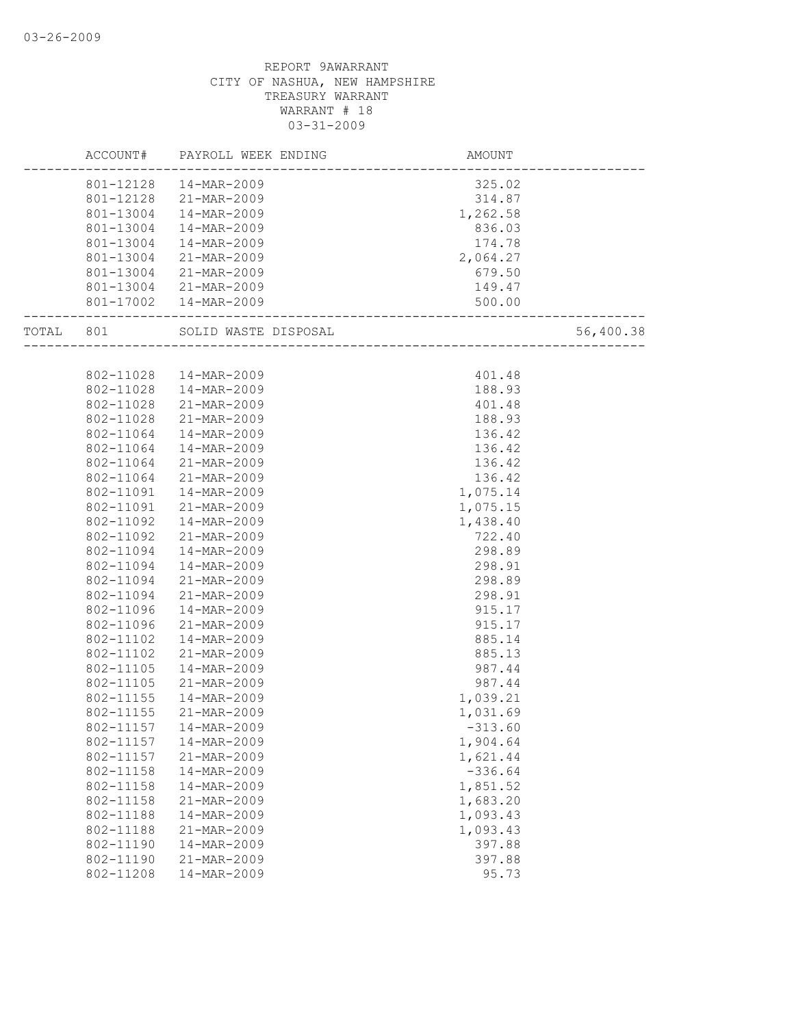|           |           | ACCOUNT# PAYROLL WEEK ENDING | AMOUNT                              |           |
|-----------|-----------|------------------------------|-------------------------------------|-----------|
|           |           | 801-12128  14-MAR-2009       | 325.02                              |           |
|           |           | 801-12128 21-MAR-2009        | 314.87                              |           |
|           |           | 801-13004  14-MAR-2009       | 1,262.58                            |           |
|           | 801-13004 | 14-MAR-2009                  | 836.03                              |           |
|           | 801-13004 | 14-MAR-2009                  | 174.78                              |           |
|           | 801-13004 | 21-MAR-2009                  | 2,064.27                            |           |
|           | 801-13004 | 21-MAR-2009                  | 679.50                              |           |
|           |           | 801-13004 21-MAR-2009        | 149.47                              |           |
|           |           | 801-17002  14-MAR-2009       | 500.00                              |           |
| TOTAL 801 |           | SOLID WASTE DISPOSAL         | ----<br>___________________________ | 56,400.38 |
|           |           |                              |                                     |           |
|           |           | 802-11028  14-MAR-2009       | 401.48                              |           |
|           | 802-11028 | 14-MAR-2009                  | 188.93                              |           |
|           | 802-11028 | 21-MAR-2009                  | 401.48                              |           |
|           | 802-11028 | 21-MAR-2009                  | 188.93                              |           |
|           | 802-11064 | 14-MAR-2009                  | 136.42                              |           |
|           | 802-11064 | 14-MAR-2009                  | 136.42                              |           |
|           | 802-11064 | 21-MAR-2009                  | 136.42                              |           |
|           | 802-11064 | 21-MAR-2009                  | 136.42                              |           |
|           | 802-11091 | 14-MAR-2009                  | 1,075.14                            |           |
|           | 802-11091 | 21-MAR-2009                  | 1,075.15                            |           |
|           | 802-11092 | 14-MAR-2009                  | 1,438.40                            |           |
|           | 802-11092 | 21-MAR-2009                  | 722.40                              |           |
|           | 802-11094 | 14-MAR-2009                  | 298.89                              |           |
|           | 802-11094 | 14-MAR-2009                  | 298.91                              |           |
|           | 802-11094 | 21-MAR-2009                  | 298.89                              |           |
|           | 802-11094 | 21-MAR-2009                  | 298.91                              |           |
|           | 802-11096 | 14-MAR-2009                  | 915.17                              |           |
|           | 802-11096 | 21-MAR-2009                  | 915.17                              |           |
|           | 802-11102 | 14-MAR-2009                  | 885.14                              |           |
|           | 802-11102 | 21-MAR-2009                  | 885.13                              |           |
|           | 802-11105 | 14-MAR-2009                  | 987.44                              |           |
|           | 802-11105 | 21-MAR-2009                  | 987.44                              |           |
|           | 802-11155 | 14-MAR-2009                  | 1,039.21                            |           |
|           | 802-11155 | 21-MAR-2009                  | 1,031.69                            |           |
|           | 802-11157 | 14-MAR-2009                  | $-313.60$                           |           |
|           | 802-11157 | 14-MAR-2009                  | 1,904.64                            |           |
|           | 802-11157 | 21-MAR-2009                  | 1,621.44                            |           |
|           | 802-11158 | 14-MAR-2009                  | $-336.64$                           |           |
|           | 802-11158 | 14-MAR-2009                  | 1,851.52                            |           |
|           | 802-11158 | 21-MAR-2009                  | 1,683.20                            |           |
|           | 802-11188 | 14-MAR-2009                  | 1,093.43                            |           |
|           | 802-11188 | 21-MAR-2009                  | 1,093.43                            |           |
|           | 802-11190 | 14-MAR-2009                  | 397.88                              |           |
|           | 802-11190 | 21-MAR-2009                  | 397.88                              |           |
|           | 802-11208 | 14-MAR-2009                  | 95.73                               |           |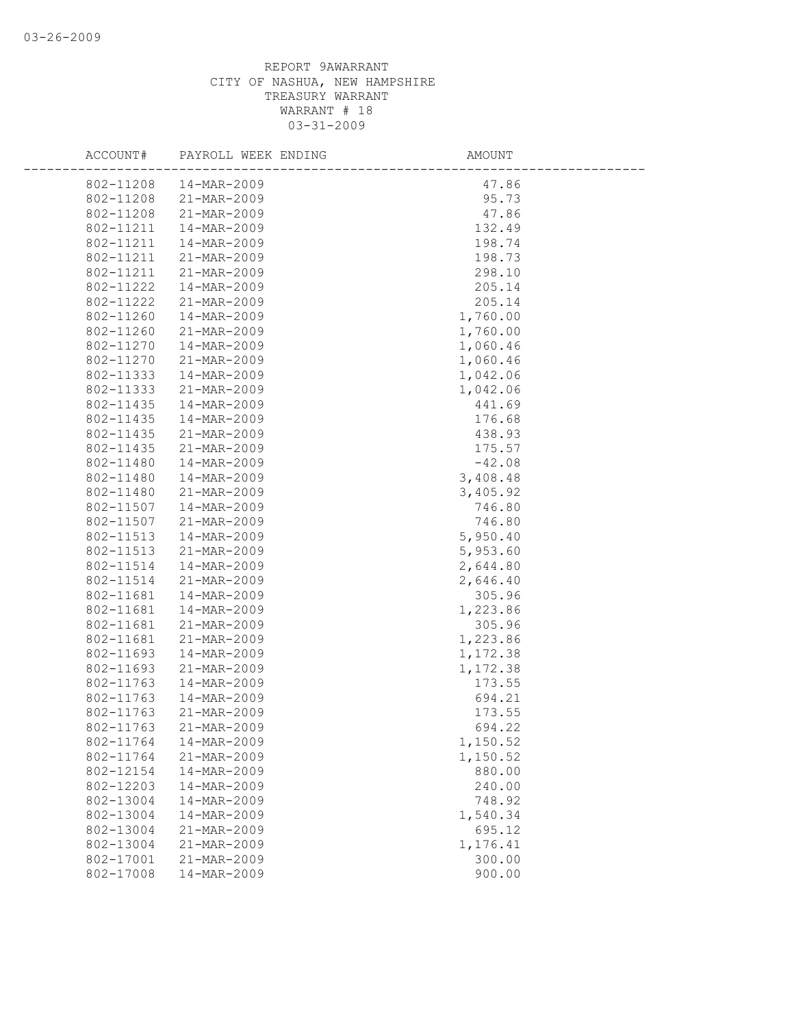| ACCOUNT#               | PAYROLL WEEK ENDING        | AMOUNT             |
|------------------------|----------------------------|--------------------|
| 802-11208              | 14-MAR-2009                | 47.86              |
| 802-11208              | 21-MAR-2009                | 95.73              |
| 802-11208              | 21-MAR-2009                | 47.86              |
| 802-11211              | 14-MAR-2009                | 132.49             |
| 802-11211              | 14-MAR-2009                | 198.74             |
| 802-11211              | 21-MAR-2009                | 198.73             |
| 802-11211              | 21-MAR-2009                | 298.10             |
| 802-11222              | 14-MAR-2009                | 205.14             |
| 802-11222              | 21-MAR-2009                | 205.14             |
| 802-11260              | 14-MAR-2009                | 1,760.00           |
| 802-11260              | 21-MAR-2009                | 1,760.00           |
| 802-11270              | 14-MAR-2009                | 1,060.46           |
| 802-11270              | 21-MAR-2009                | 1,060.46           |
| 802-11333              | 14-MAR-2009                | 1,042.06           |
| 802-11333              | 21-MAR-2009                | 1,042.06           |
| 802-11435              | 14-MAR-2009                | 441.69             |
| 802-11435              | 14-MAR-2009                | 176.68             |
| 802-11435              | 21-MAR-2009                | 438.93             |
| 802-11435              | 21-MAR-2009                | 175.57             |
| 802-11480              | 14-MAR-2009                | $-42.08$           |
| 802-11480              | 14-MAR-2009                | 3,408.48           |
| 802-11480              | 21-MAR-2009                | 3,405.92           |
| 802-11507              | 14-MAR-2009                | 746.80             |
| 802-11507              | 21-MAR-2009                | 746.80             |
| 802-11513              | 14-MAR-2009                | 5,950.40           |
| 802-11513              | 21-MAR-2009                | 5,953.60           |
| 802-11514              | 14-MAR-2009                | 2,644.80           |
| 802-11514              | 21-MAR-2009                | 2,646.40           |
| 802-11681              | 14-MAR-2009                | 305.96             |
| 802-11681              | 14-MAR-2009                | 1,223.86           |
| 802-11681              | 21-MAR-2009                | 305.96             |
| 802-11681              | 21-MAR-2009                | 1,223.86           |
| 802-11693              | 14-MAR-2009                | 1,172.38           |
| 802-11693              | 21-MAR-2009                | 1,172.38           |
| 802-11763              | 14-MAR-2009                | 173.55             |
| 802-11763<br>802-11763 | 14-MAR-2009                | 694.21             |
|                        | 21-MAR-2009<br>21-MAR-2009 | 173.55             |
| 802-11763              |                            | 694.22             |
| 802-11764<br>802-11764 | 14-MAR-2009<br>21-MAR-2009 | 1,150.52           |
| 802-12154              | 14-MAR-2009                | 1,150.52<br>880.00 |
| 802-12203              | 14-MAR-2009                | 240.00             |
| 802-13004              | 14-MAR-2009                | 748.92             |
| 802-13004              | 14-MAR-2009                | 1,540.34           |
| 802-13004              | 21-MAR-2009                | 695.12             |
| 802-13004              | 21-MAR-2009                | 1,176.41           |
| 802-17001              | 21-MAR-2009                | 300.00             |
| 802-17008              | 14-MAR-2009                | 900.00             |
|                        |                            |                    |